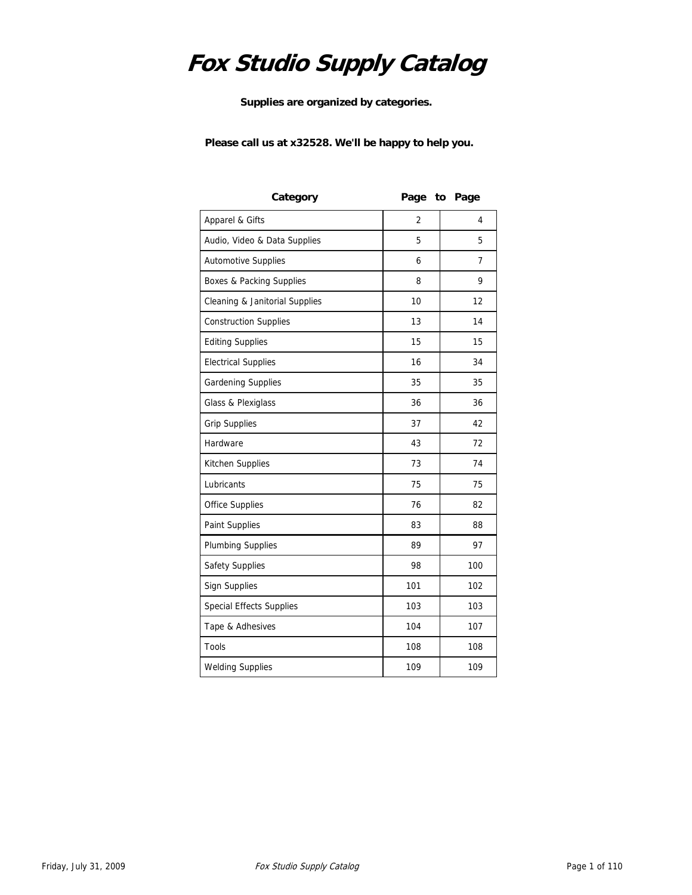# **Fox Studio Supply Catalog**

**Supplies are organized by categories.** 

**Please call us at x32528. We'll be happy to help you.**

| Category                        |                | Page to Page |
|---------------------------------|----------------|--------------|
| Apparel & Gifts                 | $\overline{2}$ | 4            |
| Audio, Video & Data Supplies    | 5              | 5            |
| <b>Automotive Supplies</b>      | 6              | 7            |
| Boxes & Packing Supplies        | 8              | 9            |
| Cleaning & Janitorial Supplies  | 10             | 12           |
| <b>Construction Supplies</b>    | 13             | 14           |
| <b>Editing Supplies</b>         | 15             | 15           |
| <b>Electrical Supplies</b>      | 16             | 34           |
| Gardening Supplies              | 35             | 35           |
| Glass & Plexiglass              | 36             | 36           |
| <b>Grip Supplies</b>            | 37             | 42           |
| Hardware                        | 43             | 72           |
| Kitchen Supplies                | 73             | 74           |
| Lubricants                      | 75             | 75           |
| <b>Office Supplies</b>          | 76             | 82           |
| Paint Supplies                  | 83             | 88           |
| <b>Plumbing Supplies</b>        | 89             | 97           |
| Safety Supplies                 | 98             | 100          |
| <b>Sign Supplies</b>            | 101            | 102          |
| <b>Special Effects Supplies</b> | 103            | 103          |
| Tape & Adhesives                | 104            | 107          |
| Tools                           | 108            | 108          |
| <b>Welding Supplies</b>         | 109            | 109          |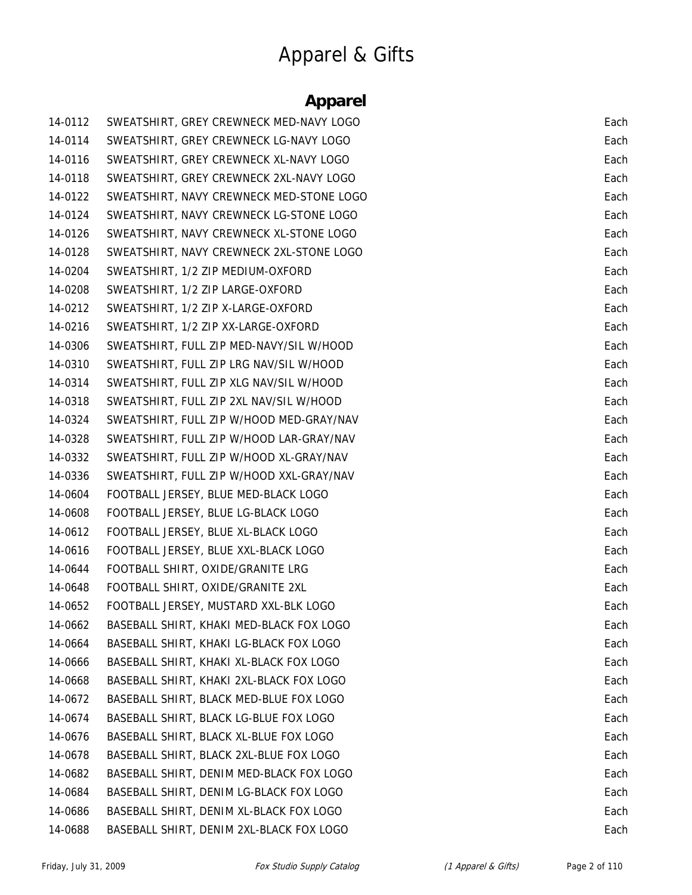# Apparel & Gifts

#### **Apparel**

| 14-0112 | SWEATSHIRT, GREY CREWNECK MED-NAVY LOGO  | Each |
|---------|------------------------------------------|------|
| 14-0114 | SWEATSHIRT, GREY CREWNECK LG-NAVY LOGO   | Each |
| 14-0116 | SWEATSHIRT, GREY CREWNECK XL-NAVY LOGO   | Each |
| 14-0118 | SWEATSHIRT, GREY CREWNECK 2XL-NAVY LOGO  | Each |
| 14-0122 | SWEATSHIRT, NAVY CREWNECK MED-STONE LOGO | Each |
| 14-0124 | SWEATSHIRT, NAVY CREWNECK LG-STONE LOGO  | Each |
| 14-0126 | SWEATSHIRT, NAVY CREWNECK XL-STONE LOGO  | Each |
| 14-0128 | SWEATSHIRT, NAVY CREWNECK 2XL-STONE LOGO | Each |
| 14-0204 | SWEATSHIRT, 1/2 ZIP MEDIUM-OXFORD        | Each |
| 14-0208 | SWEATSHIRT, 1/2 ZIP LARGE-OXFORD         | Each |
| 14-0212 | SWEATSHIRT, 1/2 ZIP X-LARGE-OXFORD       | Each |
| 14-0216 | SWEATSHIRT, 1/2 ZIP XX-LARGE-OXFORD      | Each |
| 14-0306 | SWEATSHIRT, FULL ZIP MED-NAVY/SIL W/HOOD | Each |
| 14-0310 | SWEATSHIRT, FULL ZIP LRG NAV/SIL W/HOOD  | Each |
| 14-0314 | SWEATSHIRT, FULL ZIP XLG NAV/SIL W/HOOD  | Each |
| 14-0318 | SWEATSHIRT, FULL ZIP 2XL NAV/SIL W/HOOD  | Each |
| 14-0324 | SWEATSHIRT, FULL ZIP W/HOOD MED-GRAY/NAV | Each |
| 14-0328 | SWEATSHIRT, FULL ZIP W/HOOD LAR-GRAY/NAV | Each |
| 14-0332 | SWEATSHIRT, FULL ZIP W/HOOD XL-GRAY/NAV  | Each |
| 14-0336 | SWEATSHIRT, FULL ZIP W/HOOD XXL-GRAY/NAV | Each |
| 14-0604 | FOOTBALL JERSEY, BLUE MED-BLACK LOGO     | Each |
| 14-0608 | FOOTBALL JERSEY, BLUE LG-BLACK LOGO      | Each |
| 14-0612 | FOOTBALL JERSEY, BLUE XL-BLACK LOGO      | Each |
| 14-0616 | FOOTBALL JERSEY, BLUE XXL-BLACK LOGO     | Each |
| 14-0644 | FOOTBALL SHIRT, OXIDE/GRANITE LRG        | Each |
| 14-0648 | FOOTBALL SHIRT, OXIDE/GRANITE 2XL        | Each |
| 14-0652 | FOOTBALL JERSEY, MUSTARD XXL-BLK LOGO    | Each |
| 14-0662 | BASEBALL SHIRT, KHAKI MED-BLACK FOX LOGO | Each |
| 14-0664 | BASEBALL SHIRT, KHAKI LG-BLACK FOX LOGO  | Each |
| 14-0666 | BASEBALL SHIRT, KHAKI XL-BLACK FOX LOGO  | Each |
| 14-0668 | BASEBALL SHIRT, KHAKI 2XL-BLACK FOX LOGO | Each |
| 14-0672 | BASEBALL SHIRT, BLACK MED-BLUE FOX LOGO  | Each |
| 14-0674 | BASEBALL SHIRT, BLACK LG-BLUE FOX LOGO   | Each |
| 14-0676 | BASEBALL SHIRT, BLACK XL-BLUE FOX LOGO   | Each |
| 14-0678 | BASEBALL SHIRT, BLACK 2XL-BLUE FOX LOGO  | Each |
| 14-0682 | BASEBALL SHIRT, DENIM MED-BLACK FOX LOGO | Each |
| 14-0684 | BASEBALL SHIRT, DENIM LG-BLACK FOX LOGO  | Each |
| 14-0686 | BASEBALL SHIRT, DENIM XL-BLACK FOX LOGO  | Each |
| 14-0688 | BASEBALL SHIRT, DENIM 2XL-BLACK FOX LOGO | Each |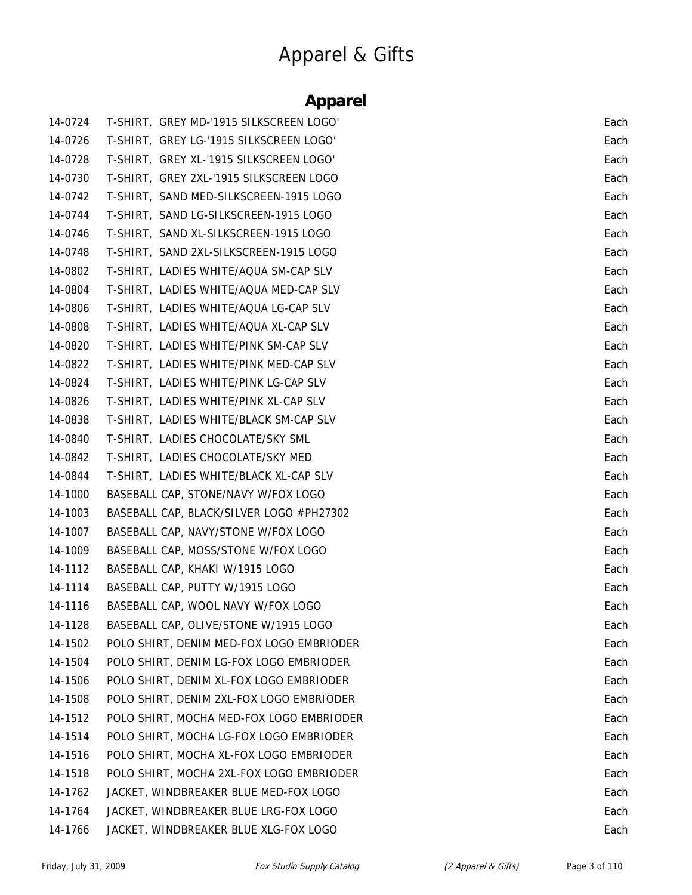# Apparel & Gifts

#### **Apparel**

| 14-0724 | T-SHIRT, GREY MD-'1915 SILKSCREEN LOGO'  | Each |
|---------|------------------------------------------|------|
| 14-0726 | T-SHIRT, GREY LG-'1915 SILKSCREEN LOGO'  | Each |
| 14-0728 | T-SHIRT, GREY XL-'1915 SILKSCREEN LOGO'  | Each |
| 14-0730 | T-SHIRT, GREY 2XL-'1915 SILKSCREEN LOGO  | Each |
| 14-0742 | T-SHIRT, SAND MED-SILKSCREEN-1915 LOGO   | Each |
| 14-0744 | T-SHIRT, SAND LG-SILKSCREEN-1915 LOGO    | Each |
| 14-0746 | T-SHIRT, SAND XL-SILKSCREEN-1915 LOGO    | Each |
| 14-0748 | T-SHIRT, SAND 2XL-SILKSCREEN-1915 LOGO   | Each |
| 14-0802 | T-SHIRT, LADIES WHITE/AQUA SM-CAP SLV    | Each |
| 14-0804 | T-SHIRT, LADIES WHITE/AQUA MED-CAP SLV   | Each |
| 14-0806 | T-SHIRT, LADIES WHITE/AQUA LG-CAP SLV    | Each |
| 14-0808 | T-SHIRT, LADIES WHITE/AQUA XL-CAP SLV    | Each |
| 14-0820 | T-SHIRT, LADIES WHITE/PINK SM-CAP SLV    | Each |
| 14-0822 | T-SHIRT, LADIES WHITE/PINK MED-CAP SLV   | Each |
| 14-0824 | T-SHIRT, LADIES WHITE/PINK LG-CAP SLV    | Each |
| 14-0826 | T-SHIRT, LADIES WHITE/PINK XL-CAP SLV    | Each |
| 14-0838 | T-SHIRT, LADIES WHITE/BLACK SM-CAP SLV   | Each |
| 14-0840 | T-SHIRT, LADIES CHOCOLATE/SKY SML        | Each |
| 14-0842 | T-SHIRT, LADIES CHOCOLATE/SKY MED        | Each |
| 14-0844 | T-SHIRT, LADIES WHITE/BLACK XL-CAP SLV   | Each |
| 14-1000 | BASEBALL CAP, STONE/NAVY W/FOX LOGO      | Each |
| 14-1003 | BASEBALL CAP, BLACK/SILVER LOGO #PH27302 | Each |
| 14-1007 | BASEBALL CAP, NAVY/STONE W/FOX LOGO      | Each |
| 14-1009 | BASEBALL CAP, MOSS/STONE W/FOX LOGO      | Each |
| 14-1112 | BASEBALL CAP, KHAKI W/1915 LOGO          | Each |
| 14-1114 | BASEBALL CAP, PUTTY W/1915 LOGO          | Each |
| 14-1116 | BASEBALL CAP, WOOL NAVY W/FOX LOGO       | Each |
| 14-1128 | BASEBALL CAP, OLIVE/STONE W/1915 LOGO    | Each |
| 14-1502 | POLO SHIRT, DENIM MED-FOX LOGO EMBRIODER | Each |
| 14-1504 | POLO SHIRT, DENIM LG-FOX LOGO EMBRIODER  | Each |
| 14-1506 | POLO SHIRT, DENIM XL-FOX LOGO EMBRIODER  | Each |
| 14-1508 | POLO SHIRT, DENIM 2XL-FOX LOGO EMBRIODER | Each |
| 14-1512 | POLO SHIRT, MOCHA MED-FOX LOGO EMBRIODER | Each |
| 14-1514 | POLO SHIRT, MOCHA LG-FOX LOGO EMBRIODER  | Each |
| 14-1516 | POLO SHIRT, MOCHA XL-FOX LOGO EMBRIODER  | Each |
| 14-1518 | POLO SHIRT, MOCHA 2XL-FOX LOGO EMBRIODER | Each |
| 14-1762 | JACKET, WINDBREAKER BLUE MED-FOX LOGO    | Each |
| 14-1764 | JACKET, WINDBREAKER BLUE LRG-FOX LOGO    | Each |
| 14-1766 | JACKET, WINDBREAKER BLUE XLG-FOX LOGO    | Each |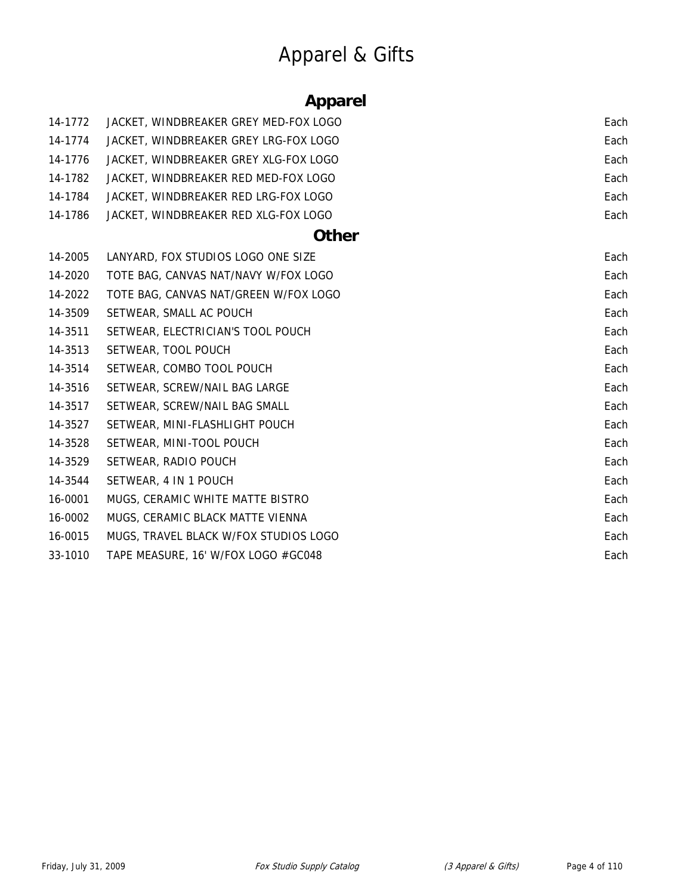# Apparel & Gifts

### **Apparel**

| 14-1772 | JACKET, WINDBREAKER GREY MED-FOX LOGO | Each |
|---------|---------------------------------------|------|
| 14-1774 | JACKET, WINDBREAKER GREY LRG-FOX LOGO | Each |
| 14-1776 | JACKET, WINDBREAKER GREY XLG-FOX LOGO | Each |
| 14-1782 | JACKET, WINDBREAKER RED MED-FOX LOGO  | Each |
| 14-1784 | JACKET, WINDBREAKER RED LRG-FOX LOGO  | Each |
| 14-1786 | JACKET, WINDBREAKER RED XLG-FOX LOGO  | Each |
|         | <b>Other</b>                          |      |
| 14-2005 | LANYARD, FOX STUDIOS LOGO ONE SIZE    | Each |
| 14-2020 | TOTE BAG, CANVAS NAT/NAVY W/FOX LOGO  | Each |
| 14-2022 | TOTE BAG, CANVAS NAT/GREEN W/FOX LOGO | Each |
| 14-3509 | SETWEAR, SMALL AC POUCH               | Each |
| 14-3511 | SETWEAR, ELECTRICIAN'S TOOL POUCH     | Each |
| 14-3513 | SETWEAR, TOOL POUCH                   | Each |
| 14-3514 | SETWEAR, COMBO TOOL POUCH             | Each |
| 14-3516 | SETWEAR, SCREW/NAIL BAG LARGE         | Each |
| 14-3517 | SETWEAR, SCREW/NAIL BAG SMALL         | Each |
| 14-3527 | SETWEAR, MINI-FLASHLIGHT POUCH        | Each |
| 14-3528 | SETWEAR, MINI-TOOL POUCH              | Each |
| 14-3529 | SETWEAR, RADIO POUCH                  | Each |
| 14-3544 | SETWEAR, 4 IN 1 POUCH                 | Each |
| 16-0001 | MUGS, CERAMIC WHITE MATTE BISTRO      | Each |
| 16-0002 | MUGS, CERAMIC BLACK MATTE VIENNA      | Each |
| 16-0015 | MUGS, TRAVEL BLACK W/FOX STUDIOS LOGO | Each |
| 33-1010 | TAPE MEASURE, 16' W/FOX LOGO #GC048   | Each |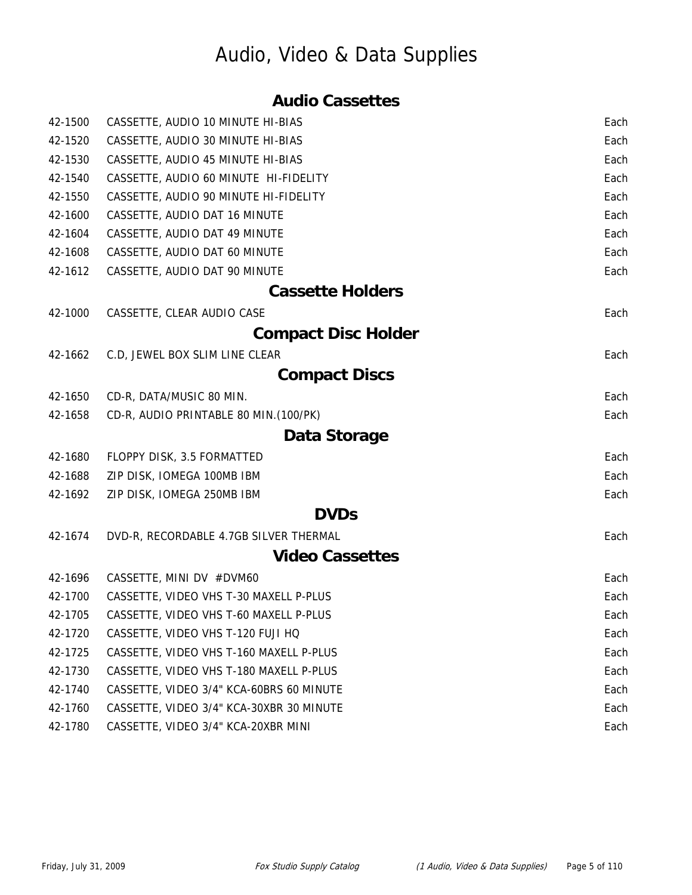### Audio, Video & Data Supplies

#### **Audio Cassettes**

| 42-1500 | CASSETTE, AUDIO 10 MINUTE HI-BIAS        | Each |
|---------|------------------------------------------|------|
| 42-1520 | CASSETTE, AUDIO 30 MINUTE HI-BIAS        | Each |
| 42-1530 | CASSETTE, AUDIO 45 MINUTE HI-BIAS        | Each |
| 42-1540 | CASSETTE, AUDIO 60 MINUTE HI-FIDELITY    | Each |
| 42-1550 | CASSETTE, AUDIO 90 MINUTE HI-FIDELITY    | Each |
| 42-1600 | CASSETTE, AUDIO DAT 16 MINUTE            | Each |
| 42-1604 | CASSETTE, AUDIO DAT 49 MINUTE            | Each |
| 42-1608 | CASSETTE, AUDIO DAT 60 MINUTE            | Each |
| 42-1612 | CASSETTE, AUDIO DAT 90 MINUTE            | Each |
|         | <b>Cassette Holders</b>                  |      |
| 42-1000 | CASSETTE, CLEAR AUDIO CASE               | Each |
|         | <b>Compact Disc Holder</b>               |      |
| 42-1662 | C.D, JEWEL BOX SLIM LINE CLEAR           | Each |
|         | <b>Compact Discs</b>                     |      |
| 42-1650 | CD-R, DATA/MUSIC 80 MIN.                 | Each |
| 42-1658 | CD-R, AUDIO PRINTABLE 80 MIN. (100/PK)   | Each |
|         | Data Storage                             |      |
| 42-1680 | FLOPPY DISK, 3.5 FORMATTED               | Each |
| 42-1688 | ZIP DISK, IOMEGA 100MB IBM               | Each |
| 42-1692 | ZIP DISK, IOMEGA 250MB IBM               | Each |
|         | <b>DVDs</b>                              |      |
| 42-1674 | DVD-R, RECORDABLE 4.7GB SILVER THERMAL   | Each |
|         | <b>Video Cassettes</b>                   |      |
| 42-1696 | CASSETTE, MINI DV #DVM60                 | Each |
| 42-1700 | CASSETTE, VIDEO VHS T-30 MAXELL P-PLUS   | Each |
| 42-1705 | CASSETTE, VIDEO VHS T-60 MAXELL P-PLUS   | Each |
| 42-1720 | CASSETTE, VIDEO VHS T-120 FUJI HQ        | Each |
| 42-1725 | CASSETTE, VIDEO VHS T-160 MAXELL P-PLUS  | Each |
| 42-1730 | CASSETTE, VIDEO VHS T-180 MAXELL P-PLUS  | Each |
| 42-1740 | CASSETTE, VIDEO 3/4" KCA-60BRS 60 MINUTE | Each |
| 42-1760 | CASSETTE, VIDEO 3/4" KCA-30XBR 30 MINUTE | Each |
| 42-1780 | CASSETTE, VIDEO 3/4" KCA-20XBR MINI      | Each |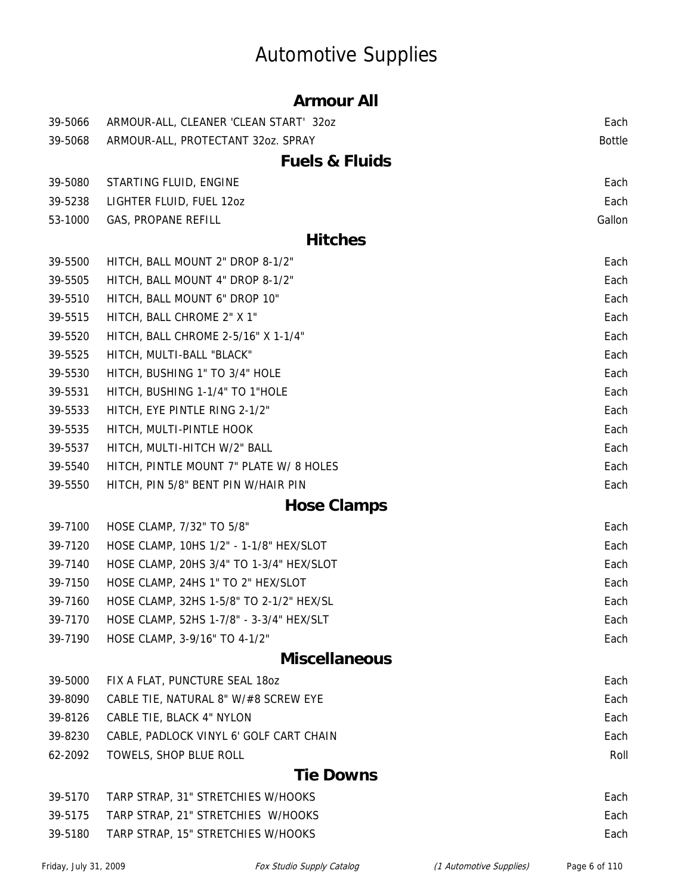# Automotive Supplies

|         | <b>Armour All</b>                        |               |
|---------|------------------------------------------|---------------|
| 39-5066 | ARMOUR-ALL, CLEANER 'CLEAN START' 32oz   | Each          |
| 39-5068 | ARMOUR-ALL, PROTECTANT 32oz. SPRAY       | <b>Bottle</b> |
|         | <b>Fuels &amp; Fluids</b>                |               |
| 39-5080 | STARTING FLUID, ENGINE                   | Each          |
| 39-5238 | LIGHTER FLUID, FUEL 120Z                 | Each          |
| 53-1000 | GAS, PROPANE REFILL                      | Gallon        |
|         | <b>Hitches</b>                           |               |
| 39-5500 | HITCH, BALL MOUNT 2" DROP 8-1/2"         | Each          |
| 39-5505 | HITCH, BALL MOUNT 4" DROP 8-1/2"         | Each          |
| 39-5510 | HITCH, BALL MOUNT 6" DROP 10"            | Each          |
| 39-5515 | HITCH, BALL CHROME 2" X 1"               | Each          |
| 39-5520 | HITCH, BALL CHROME 2-5/16" X 1-1/4"      | Each          |
| 39-5525 | HITCH, MULTI-BALL "BLACK"                | Each          |
| 39-5530 | HITCH, BUSHING 1" TO 3/4" HOLE           | Each          |
| 39-5531 | HITCH, BUSHING 1-1/4" TO 1"HOLE          | Each          |
| 39-5533 | HITCH, EYE PINTLE RING 2-1/2"            | Each          |
| 39-5535 | HITCH, MULTI-PINTLE HOOK                 | Each          |
| 39-5537 | HITCH, MULTI-HITCH W/2" BALL             | Each          |
| 39-5540 | HITCH, PINTLE MOUNT 7" PLATE W/ 8 HOLES  | Each          |
| 39-5550 | HITCH, PIN 5/8" BENT PIN W/HAIR PIN      | Each          |
|         | <b>Hose Clamps</b>                       |               |
| 39-7100 | HOSE CLAMP, 7/32" TO 5/8"                | Each          |
| 39-7120 | HOSE CLAMP, 10HS 1/2" - 1-1/8" HEX/SLOT  | Each          |
| 39-7140 | HOSE CLAMP, 20HS 3/4" TO 1-3/4" HEX/SLOT | Each          |
| 39-7150 | HOSE CLAMP, 24HS 1" TO 2" HEX/SLOT       | Each          |
| 39-7160 | HOSE CLAMP, 32HS 1-5/8" TO 2-1/2" HEX/SL | Each          |
| 39-7170 | HOSE CLAMP, 52HS 1-7/8" - 3-3/4" HEX/SLT | Each          |
| 39-7190 | HOSE CLAMP, 3-9/16" TO 4-1/2"            | Each          |
|         | <b>Miscellaneous</b>                     |               |
| 39-5000 | FIX A FLAT, PUNCTURE SEAL 180Z           | Each          |
| 39-8090 | CABLE TIE, NATURAL 8" W/#8 SCREW EYE     | Each          |
| 39-8126 | CABLE TIE, BLACK 4" NYLON                | Each          |
| 39-8230 | CABLE, PADLOCK VINYL 6' GOLF CART CHAIN  | Each          |
| 62-2092 | TOWELS, SHOP BLUE ROLL                   | Roll          |
|         | <b>Tie Downs</b>                         |               |
| 39-5170 | TARP STRAP, 31" STRETCHIES W/HOOKS       | Each          |
| 39-5175 | TARP STRAP, 21" STRETCHIES W/HOOKS       | Each          |
| 39-5180 | TARP STRAP, 15" STRETCHIES W/HOOKS       | Each          |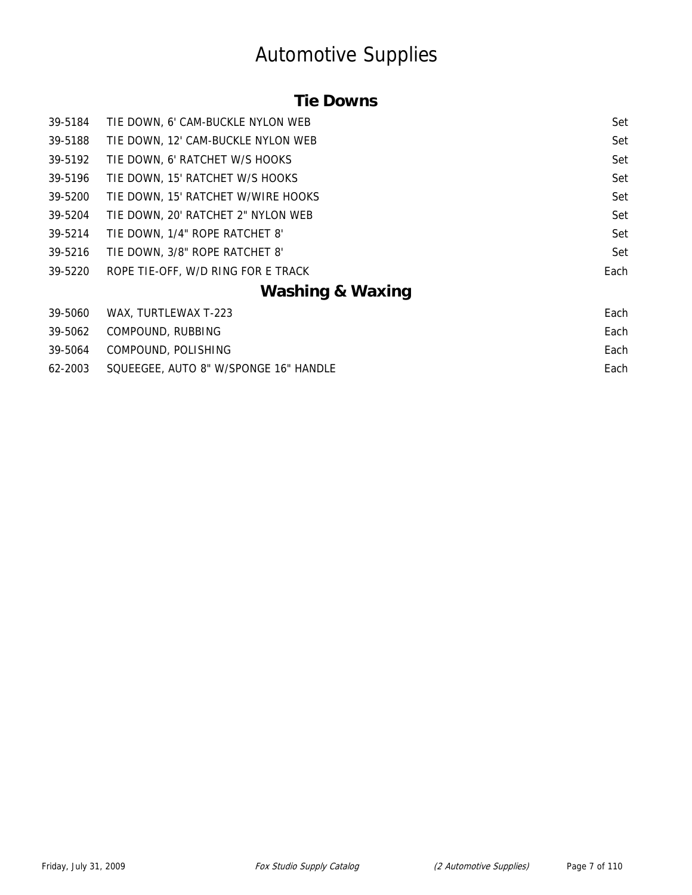### Automotive Supplies

#### **Tie Downs**

| 39-5184 | TIE DOWN, 6' CAM-BUCKLE NYLON WEB  | Set  |
|---------|------------------------------------|------|
| 39-5188 | TIE DOWN, 12' CAM-BUCKLE NYLON WEB | Set  |
| 39-5192 | TIE DOWN, 6' RATCHET W/S HOOKS     | Set  |
| 39-5196 | TIE DOWN, 15' RATCHET W/S HOOKS    | Set  |
| 39-5200 | TIE DOWN, 15' RATCHET W/WIRE HOOKS | Set  |
| 39-5204 | TIE DOWN, 20' RATCHET 2" NYLON WEB | Set  |
| 39-5214 | TIE DOWN, 1/4" ROPE RATCHET 8'     | Set  |
| 39-5216 | TIE DOWN, 3/8" ROPE RATCHET 8'     | Set  |
| 39-5220 | ROPE TIE-OFF, W/D RING FOR E TRACK | Each |
|         | <b>Washing &amp; Waxing</b>        |      |
| 39-5060 | WAX, TURTLEWAX T-223               | Each |
| 39-5062 | COMPOUND, RUBBING                  | Each |

39-5064 COMPOUND, POLISHING Each 62-2003 SQUEEGEE, AUTO 8" W/SPONGE 16" HANDLE **Each** extendition of the state of the state of the state of the state of the state of the state of the state of the state of the state of the state of the state of the state o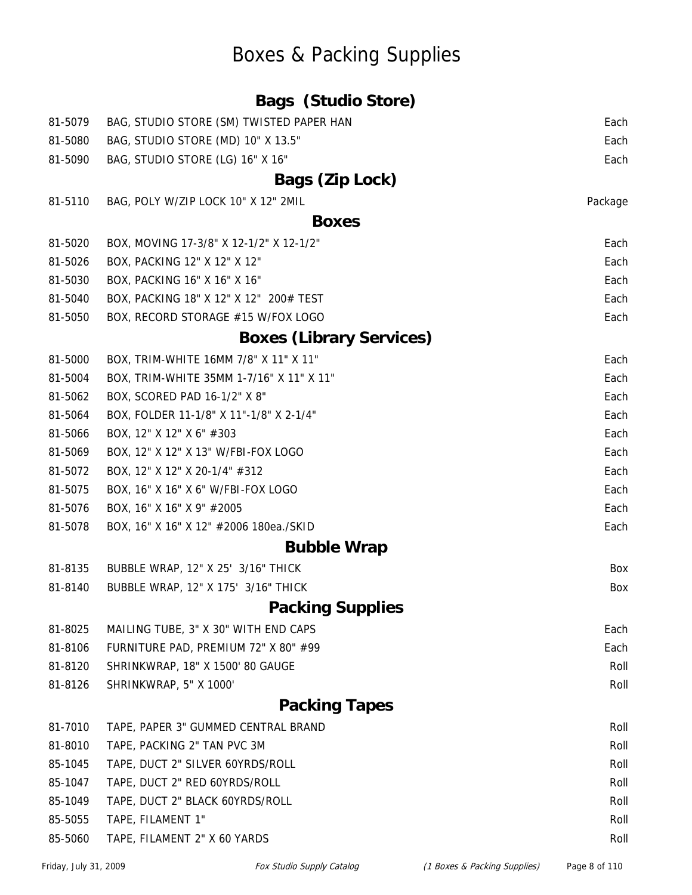### Boxes & Packing Supplies

|         | <b>Bags (Studio Store)</b>               |         |
|---------|------------------------------------------|---------|
| 81-5079 | BAG, STUDIO STORE (SM) TWISTED PAPER HAN | Each    |
| 81-5080 | BAG, STUDIO STORE (MD) 10" X 13.5"       | Each    |
| 81-5090 | BAG, STUDIO STORE (LG) 16" X 16"         | Each    |
|         | Bags (Zip Lock)                          |         |
| 81-5110 | BAG, POLY W/ZIP LOCK 10" X 12" 2MIL      | Package |
|         | <b>Boxes</b>                             |         |
| 81-5020 | BOX, MOVING 17-3/8" X 12-1/2" X 12-1/2"  | Each    |
| 81-5026 | BOX, PACKING 12" X 12" X 12"             | Each    |
| 81-5030 | BOX, PACKING 16" X 16" X 16"             | Each    |
| 81-5040 | BOX, PACKING 18" X 12" X 12" 200# TEST   | Each    |
| 81-5050 | BOX, RECORD STORAGE #15 W/FOX LOGO       | Each    |
|         | <b>Boxes (Library Services)</b>          |         |
| 81-5000 | BOX, TRIM-WHITE 16MM 7/8" X 11" X 11"    | Each    |
| 81-5004 | BOX, TRIM-WHITE 35MM 1-7/16" X 11" X 11" | Each    |
| 81-5062 | BOX, SCORED PAD 16-1/2" X 8"             | Each    |
| 81-5064 | BOX, FOLDER 11-1/8" X 11"-1/8" X 2-1/4"  | Each    |
| 81-5066 | BOX, 12" X 12" X 6" #303                 | Each    |
| 81-5069 | BOX, 12" X 12" X 13" W/FBI-FOX LOGO      | Each    |
| 81-5072 | BOX, 12" X 12" X 20-1/4" #312            | Each    |
| 81-5075 | BOX, 16" X 16" X 6" W/FBI-FOX LOGO       | Each    |
| 81-5076 | BOX, 16" X 16" X 9" #2005                | Each    |
| 81-5078 | BOX, 16" X 16" X 12" #2006 180ea./SKID   | Each    |
|         | <b>Bubble Wrap</b>                       |         |
| 81-8135 | BUBBLE WRAP, 12" X 25' 3/16" THICK       | Box     |
| 81-8140 | BUBBLE WRAP, 12" X 175' 3/16" THICK      | Box     |
|         | <b>Packing Supplies</b>                  |         |
| 81-8025 | MAILING TUBE, 3" X 30" WITH END CAPS     | Each    |
| 81-8106 | FURNITURE PAD, PREMIUM 72" X 80" #99     | Each    |
| 81-8120 | SHRINKWRAP, 18" X 1500' 80 GAUGE         | Roll    |
| 81-8126 | SHRINKWRAP, 5" X 1000'                   | Roll    |
|         | <b>Packing Tapes</b>                     |         |
| 81-7010 | TAPE, PAPER 3" GUMMED CENTRAL BRAND      | Roll    |
| 81-8010 | TAPE, PACKING 2" TAN PVC 3M              | Roll    |
| 85-1045 | TAPE, DUCT 2" SILVER 60YRDS/ROLL         | Roll    |
| 85-1047 | TAPE, DUCT 2" RED 60YRDS/ROLL            | Roll    |
| 85-1049 | TAPE, DUCT 2" BLACK 60YRDS/ROLL          | Roll    |
| 85-5055 | TAPE, FILAMENT 1"                        | Roll    |
| 85-5060 | TAPE, FILAMENT 2" X 60 YARDS             | Roll    |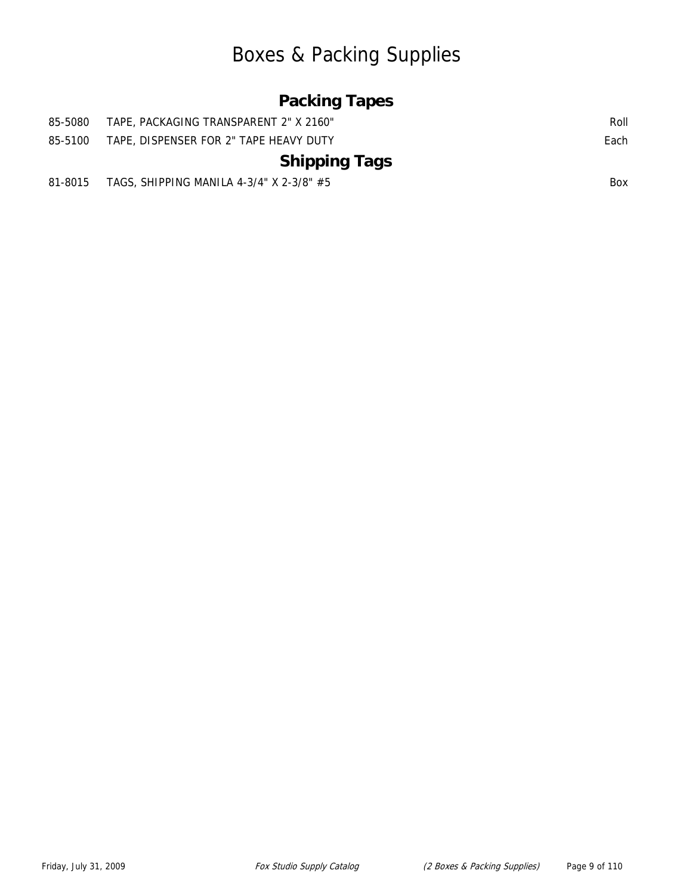### Boxes & Packing Supplies

#### **Packing Tapes**

| 85-5080 | - TAPE, PACKAGING TRANSPARENT 2" X 2160"   | Roll       |
|---------|--------------------------------------------|------------|
| 85-5100 | TAPE, DISPENSER FOR 2" TAPE HEAVY DUTY     | Each       |
|         | <b>Shipping Tags</b>                       |            |
| 81-8015 | TAGS, SHIPPING MANILA 4-3/4" X 2-3/8" $#5$ | <b>Box</b> |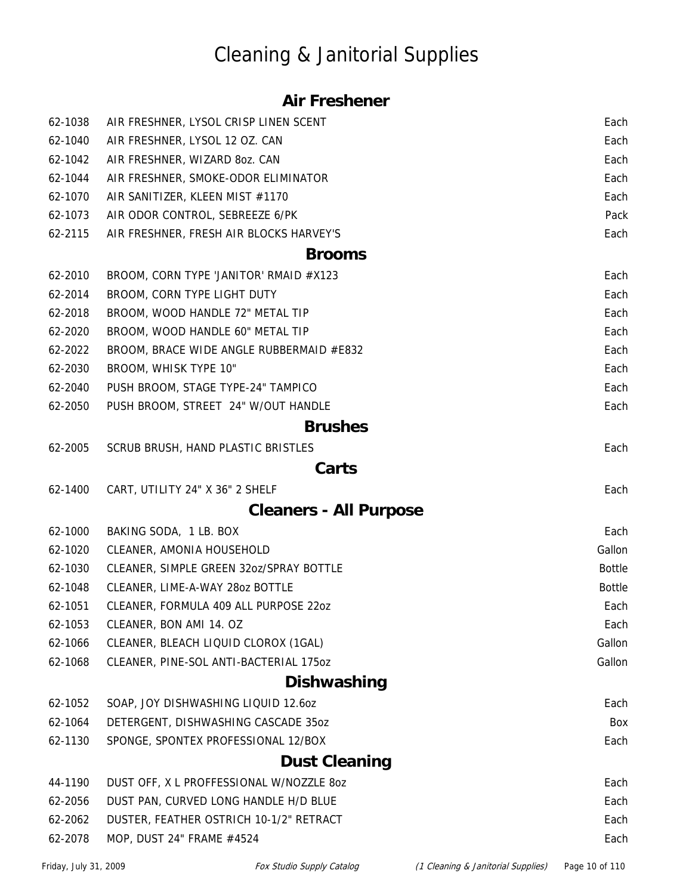# Cleaning & Janitorial Supplies

#### **Air Freshener**

| 62-1038 | AIR FRESHNER, LYSOL CRISP LINEN SCENT    | Each          |
|---------|------------------------------------------|---------------|
| 62-1040 | AIR FRESHNER, LYSOL 12 OZ. CAN           | Each          |
| 62-1042 | AIR FRESHNER, WIZARD 8oz. CAN            | Each          |
| 62-1044 | AIR FRESHNER, SMOKE-ODOR ELIMINATOR      | Each          |
| 62-1070 | AIR SANITIZER, KLEEN MIST #1170          | Each          |
| 62-1073 | AIR ODOR CONTROL, SEBREEZE 6/PK          | Pack          |
| 62-2115 | AIR FRESHNER, FRESH AIR BLOCKS HARVEY'S  | Each          |
|         | <b>Brooms</b>                            |               |
| 62-2010 | BROOM, CORN TYPE 'JANITOR' RMAID #X123   | Each          |
| 62-2014 | BROOM, CORN TYPE LIGHT DUTY              | Each          |
| 62-2018 | BROOM, WOOD HANDLE 72" METAL TIP         | Each          |
| 62-2020 | BROOM, WOOD HANDLE 60" METAL TIP         | Each          |
| 62-2022 | BROOM, BRACE WIDE ANGLE RUBBERMAID #E832 | Each          |
| 62-2030 | BROOM, WHISK TYPE 10"                    | Each          |
| 62-2040 | PUSH BROOM, STAGE TYPE-24" TAMPICO       | Each          |
| 62-2050 | PUSH BROOM, STREET 24" W/OUT HANDLE      | Each          |
|         | <b>Brushes</b>                           |               |
| 62-2005 | SCRUB BRUSH, HAND PLASTIC BRISTLES       | Each          |
|         | Carts                                    |               |
| 62-1400 | CART, UTILITY 24" X 36" 2 SHELF          | Each          |
|         | <b>Cleaners - All Purpose</b>            |               |
| 62-1000 | BAKING SODA, 1 LB. BOX                   | Each          |
| 62-1020 | CLEANER, AMONIA HOUSEHOLD                | Gallon        |
| 62-1030 | CLEANER, SIMPLE GREEN 32oz/SPRAY BOTTLE  | <b>Bottle</b> |
| 62-1048 | CLEANER, LIME-A-WAY 28oz BOTTLE          | <b>Bottle</b> |
| 62-1051 | CLEANER, FORMULA 409 ALL PURPOSE 220Z    | Each          |
| 62-1053 | CLEANER, BON AMI 14. OZ                  | Each          |
| 62-1066 | CLEANER, BLEACH LIQUID CLOROX (1GAL)     | Gallon        |
| 62-1068 | CLEANER, PINE-SOL ANTI-BACTERIAL 1750Z   | Gallon        |
|         | <b>Dishwashing</b>                       |               |
| 62-1052 | SOAP, JOY DISHWASHING LIQUID 12.60Z      | Each          |
| 62-1064 | DETERGENT, DISHWASHING CASCADE 35oz      | Box           |
| 62-1130 | SPONGE, SPONTEX PROFESSIONAL 12/BOX      | Each          |
|         | <b>Dust Cleaning</b>                     |               |
| 44-1190 | DUST OFF, X L PROFFESSIONAL W/NOZZLE 80Z | Each          |
| 62-2056 | DUST PAN, CURVED LONG HANDLE H/D BLUE    | Each          |
| 62-2062 | DUSTER, FEATHER OSTRICH 10-1/2" RETRACT  | Each          |
| 62-2078 | MOP, DUST 24" FRAME #4524                | Each          |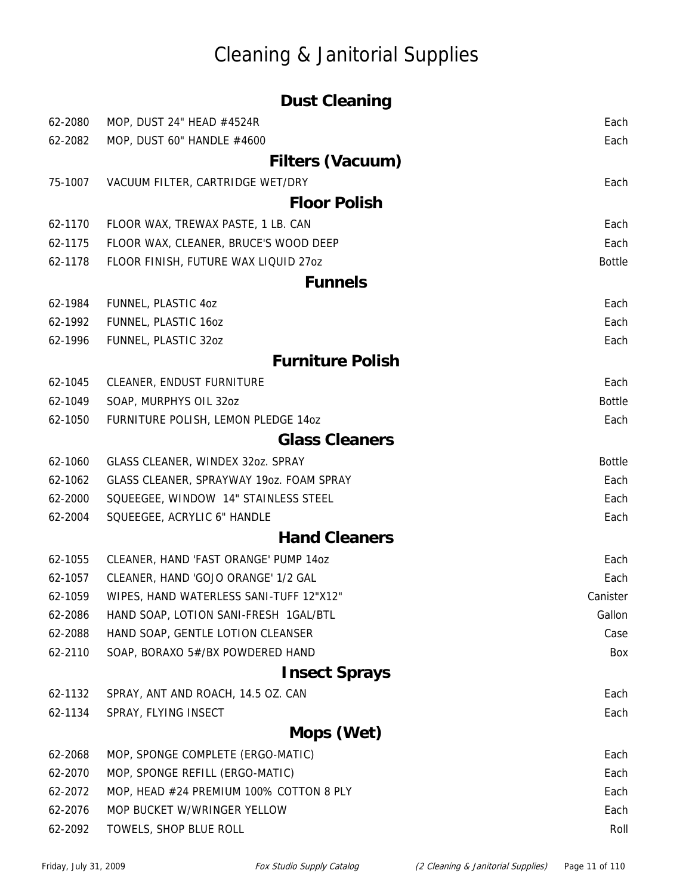### Cleaning & Janitorial Supplies

|         | <b>Dust Cleaning</b>                     |               |
|---------|------------------------------------------|---------------|
| 62-2080 | MOP, DUST 24" HEAD #4524R                | Each          |
| 62-2082 | MOP, DUST 60" HANDLE #4600               | Each          |
|         | Filters (Vacuum)                         |               |
| 75-1007 | VACUUM FILTER, CARTRIDGE WET/DRY         | Each          |
|         | <b>Floor Polish</b>                      |               |
| 62-1170 | FLOOR WAX, TREWAX PASTE, 1 LB. CAN       | Each          |
| 62-1175 | FLOOR WAX, CLEANER, BRUCE'S WOOD DEEP    | Each          |
| 62-1178 | FLOOR FINISH, FUTURE WAX LIQUID 27oz     | <b>Bottle</b> |
|         | <b>Funnels</b>                           |               |
| 62-1984 | FUNNEL, PLASTIC 4oz                      | Each          |
| 62-1992 | FUNNEL, PLASTIC 160Z                     | Each          |
| 62-1996 | FUNNEL, PLASTIC 32oz                     | Each          |
|         | <b>Furniture Polish</b>                  |               |
| 62-1045 | CLEANER, ENDUST FURNITURE                | Each          |
| 62-1049 | SOAP, MURPHYS OIL 32oz                   | <b>Bottle</b> |
| 62-1050 | FURNITURE POLISH, LEMON PLEDGE 14oz      | Each          |
|         | <b>Glass Cleaners</b>                    |               |
| 62-1060 | GLASS CLEANER, WINDEX 32oz. SPRAY        | <b>Bottle</b> |
| 62-1062 | GLASS CLEANER, SPRAYWAY 19oz. FOAM SPRAY | Each          |
| 62-2000 | SQUEEGEE, WINDOW 14" STAINLESS STEEL     | Each          |
| 62-2004 | SQUEEGEE, ACRYLIC 6" HANDLE              | Each          |
|         | <b>Hand Cleaners</b>                     |               |
| 62-1055 | CLEANER, HAND 'FAST ORANGE' PUMP 14oz    | Each          |
| 62-1057 | CLEANER, HAND 'GOJO ORANGE' 1/2 GAL      | Each          |
| 62-1059 | WIPES, HAND WATERLESS SANI-TUFF 12"X12"  | Canister      |
| 62-2086 | HAND SOAP, LOTION SANI-FRESH 1GAL/BTL    | Gallon        |
| 62-2088 | HAND SOAP, GENTLE LOTION CLEANSER        | Case          |
| 62-2110 | SOAP, BORAXO 5#/BX POWDERED HAND         | Box           |
|         | <b>Insect Sprays</b>                     |               |
| 62-1132 | SPRAY, ANT AND ROACH, 14.5 OZ. CAN       | Each          |
| 62-1134 | SPRAY, FLYING INSECT                     | Each          |
|         | Mops (Wet)                               |               |
| 62-2068 | MOP, SPONGE COMPLETE (ERGO-MATIC)        | Each          |
| 62-2070 | MOP, SPONGE REFILL (ERGO-MATIC)          | Each          |
| 62-2072 | MOP, HEAD #24 PREMIUM 100% COTTON 8 PLY  | Each          |
| 62-2076 | MOP BUCKET W/WRINGER YELLOW              | Each          |
| 62-2092 | TOWELS, SHOP BLUE ROLL                   | Roll          |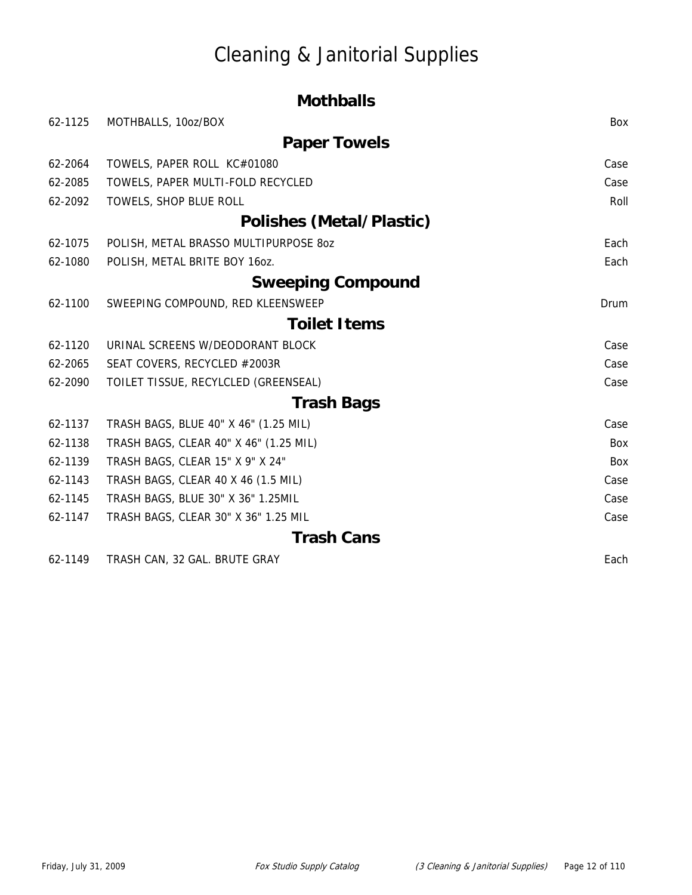# Cleaning & Janitorial Supplies

|         | <b>Mothballs</b>                       |      |
|---------|----------------------------------------|------|
| 62-1125 | MOTHBALLS, 10oz/BOX                    | Box  |
|         | <b>Paper Towels</b>                    |      |
| 62-2064 | TOWELS, PAPER ROLL KC#01080            | Case |
| 62-2085 | TOWELS, PAPER MULTI-FOLD RECYCLED      | Case |
| 62-2092 | TOWELS, SHOP BLUE ROLL                 | Roll |
|         | Polishes (Metal/Plastic)               |      |
| 62-1075 | POLISH, METAL BRASSO MULTIPURPOSE 80Z  | Each |
| 62-1080 | POLISH, METAL BRITE BOY 160Z.          | Each |
|         | <b>Sweeping Compound</b>               |      |
| 62-1100 | SWEEPING COMPOUND, RED KLEENSWEEP      | Drum |
|         | <b>Toilet Items</b>                    |      |
| 62-1120 | URINAL SCREENS W/DEODORANT BLOCK       | Case |
| 62-2065 | SEAT COVERS, RECYCLED #2003R           | Case |
| 62-2090 | TOILET TISSUE, RECYLCLED (GREENSEAL)   | Case |
|         | <b>Trash Bags</b>                      |      |
| 62-1137 | TRASH BAGS, BLUE 40" X 46" (1.25 MIL)  | Case |
| 62-1138 | TRASH BAGS, CLEAR 40" X 46" (1.25 MIL) | Box  |
| 62-1139 | TRASH BAGS, CLEAR 15" X 9" X 24"       | Box  |
| 62-1143 | TRASH BAGS, CLEAR 40 X 46 (1.5 MIL)    | Case |
| 62-1145 | TRASH BAGS, BLUE 30" X 36" 1.25MIL     | Case |
| 62-1147 | TRASH BAGS, CLEAR 30" X 36" 1.25 MIL   | Case |
|         | <b>Trash Cans</b>                      |      |
| 62-1149 | TRASH CAN, 32 GAL. BRUTE GRAY          | Each |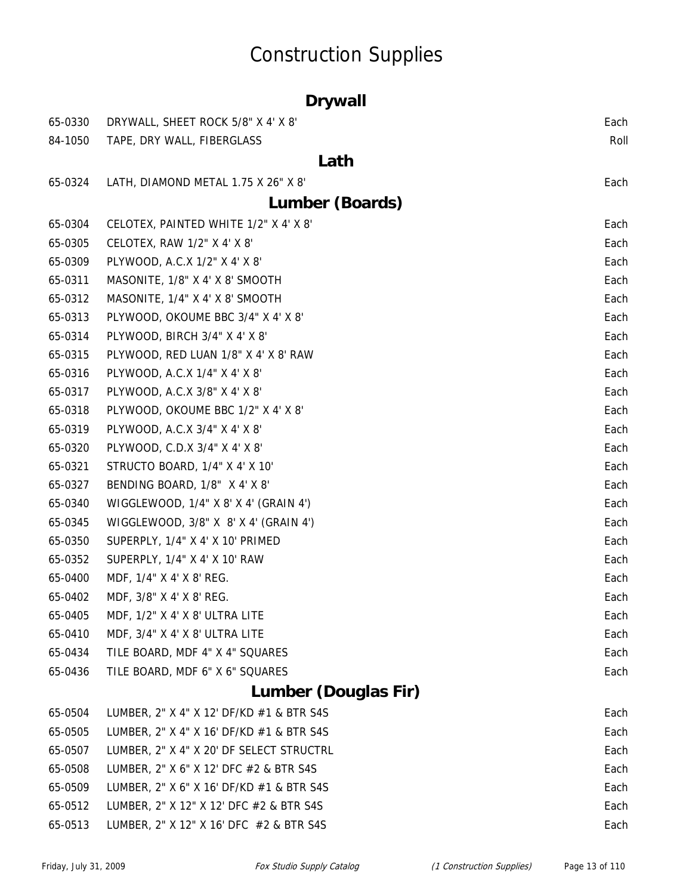# Construction Supplies

|         | <b>Drywall</b>                           |      |
|---------|------------------------------------------|------|
| 65-0330 | DRYWALL, SHEET ROCK 5/8" X 4' X 8'       | Each |
| 84-1050 | TAPE, DRY WALL, FIBERGLASS               | Roll |
|         | Lath                                     |      |
| 65-0324 | LATH, DIAMOND METAL 1.75 X 26" X 8'      | Each |
|         | Lumber (Boards)                          |      |
| 65-0304 | CELOTEX, PAINTED WHITE 1/2" X 4' X 8'    | Each |
| 65-0305 | CELOTEX, RAW 1/2" X 4' X 8'              | Each |
| 65-0309 | PLYWOOD, A.C.X 1/2" X 4' X 8'            | Each |
| 65-0311 | MASONITE, 1/8" X 4' X 8' SMOOTH          | Each |
| 65-0312 | MASONITE, 1/4" X 4' X 8' SMOOTH          | Each |
| 65-0313 | PLYWOOD, OKOUME BBC 3/4" X 4' X 8'       | Each |
| 65-0314 | PLYWOOD, BIRCH 3/4" X 4' X 8'            | Each |
| 65-0315 | PLYWOOD, RED LUAN 1/8" X 4' X 8' RAW     | Each |
| 65-0316 | PLYWOOD, A.C.X 1/4" X 4' X 8'            | Each |
| 65-0317 | PLYWOOD, A.C.X 3/8" X 4' X 8'            | Each |
| 65-0318 | PLYWOOD, OKOUME BBC 1/2" X 4' X 8'       | Each |
| 65-0319 | PLYWOOD, A.C.X 3/4" X 4' X 8"            | Each |
| 65-0320 | PLYWOOD, C.D.X 3/4" X 4' X 8'            | Each |
| 65-0321 | STRUCTO BOARD, 1/4" X 4' X 10'           | Each |
| 65-0327 | BENDING BOARD, 1/8" X 4' X 8'            | Each |
| 65-0340 | WIGGLEWOOD, 1/4" X 8' X 4' (GRAIN 4')    | Each |
| 65-0345 | WIGGLEWOOD, 3/8" X 8' X 4' (GRAIN 4')    | Each |
| 65-0350 | SUPERPLY, 1/4" X 4' X 10' PRIMED         | Each |
| 65-0352 | SUPERPLY, 1/4" X 4' X 10' RAW            | Each |
| 65-0400 | MDF, 1/4" X 4' X 8' REG.                 | Each |
| 65-0402 | MDF, 3/8" X 4' X 8' REG.                 | Each |
| 65-0405 | MDF, 1/2" X 4' X 8' ULTRA LITE           | Each |
| 65-0410 | MDF, 3/4" X 4' X 8' ULTRA LITE           | Each |
| 65-0434 | TILE BOARD, MDF 4" X 4" SQUARES          | Each |
| 65-0436 | TILE BOARD, MDF 6" X 6" SQUARES          | Each |
|         | <b>Lumber (Douglas Fir)</b>              |      |
| 65-0504 | LUMBER, 2" X 4" X 12' DF/KD #1 & BTR S4S | Each |
| 65-0505 | LUMBER, 2" X 4" X 16' DF/KD #1 & BTR S4S | Each |
| 65-0507 | LUMBER, 2" X 4" X 20' DF SELECT STRUCTRL | Each |
| 65-0508 | LUMBER, 2" X 6" X 12' DFC #2 & BTR S4S   | Each |
| 65-0509 | LUMBER, 2" X 6" X 16' DF/KD #1 & BTR S4S | Each |
| 65-0512 | LUMBER, 2" X 12" X 12' DFC #2 & BTR S4S  | Each |
| 65-0513 | LUMBER, 2" X 12" X 16' DFC #2 & BTR S4S  | Each |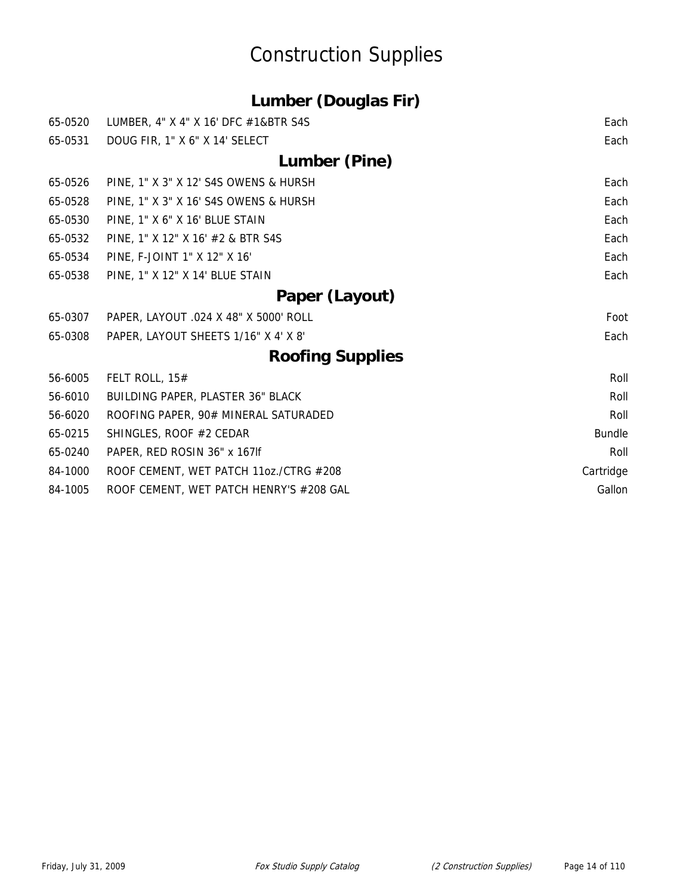# Construction Supplies

| <b>Lumber (Douglas Fir)</b> |  |
|-----------------------------|--|
|                             |  |

|                                         | Each                                                                   |
|-----------------------------------------|------------------------------------------------------------------------|
|                                         | Each                                                                   |
| Lumber (Pine)                           |                                                                        |
| PINE, 1" X 3" X 12' S4S OWENS & HURSH   | Each                                                                   |
| PINE, 1" X 3" X 16' S4S OWENS & HURSH   | Each                                                                   |
| PINE, 1" X 6" X 16' BLUE STAIN          | Each                                                                   |
| PINE, 1" X 12" X 16' #2 & BTR S4S       | Each                                                                   |
| PINE, F-JOINT 1" X 12" X 16'            | Each                                                                   |
| PINE, 1" X 12" X 14' BLUE STAIN         | Each                                                                   |
| Paper (Layout)                          |                                                                        |
| PAPER, LAYOUT .024 X 48" X 5000' ROLL   | Foot                                                                   |
| PAPER, LAYOUT SHEETS 1/16" X 4' X 8'    | Each                                                                   |
| <b>Roofing Supplies</b>                 |                                                                        |
| FELT ROLL, 15#                          | Roll                                                                   |
| BUILDING PAPER, PLASTER 36" BLACK       | Roll                                                                   |
| ROOFING PAPER, 90# MINERAL SATURADED    | Roll                                                                   |
| SHINGLES, ROOF #2 CEDAR                 | <b>Bundle</b>                                                          |
| PAPER, RED ROSIN 36" x 167lf            | Roll                                                                   |
| ROOF CEMENT, WET PATCH 11oz./CTRG #208  | Cartridge                                                              |
| ROOF CEMENT, WET PATCH HENRY'S #208 GAL | Gallon                                                                 |
|                                         | LUMBER, 4" X 4" X 16' DFC #1&BTR S4S<br>DOUG FIR, 1" X 6" X 14' SELECT |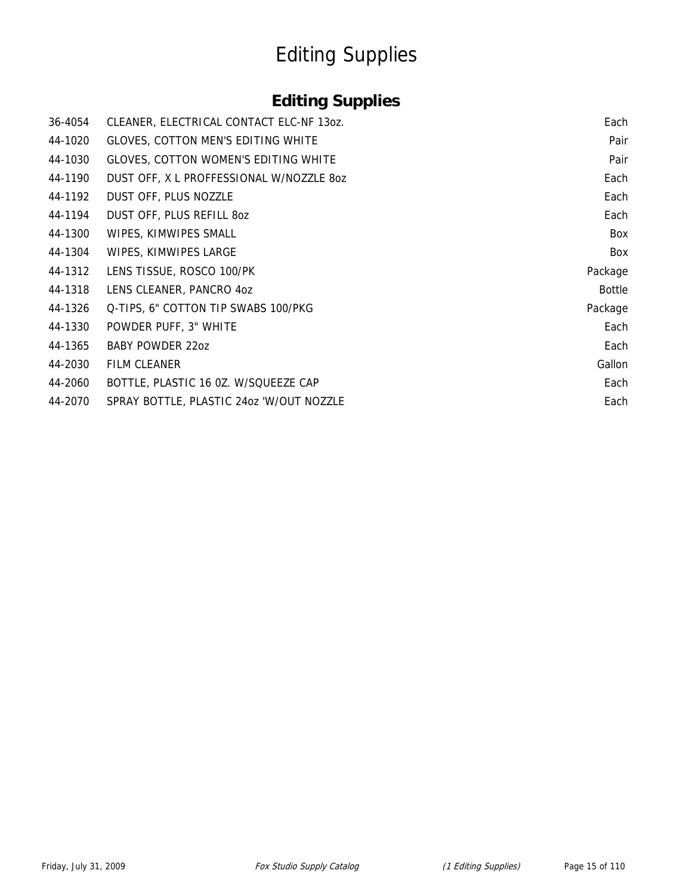# Editing Supplies

#### **Editing Supplies**

| 36-4054 | CLEANER, ELECTRICAL CONTACT ELC-NF 130Z. | Each    |
|---------|------------------------------------------|---------|
| 44-1020 | GLOVES, COTTON MEN'S EDITING WHITE       | Pair    |
| 44-1030 | GLOVES, COTTON WOMEN'S EDITING WHITE     | Pair    |
| 44-1190 | DUST OFF, X L PROFFESSIONAL W/NOZZLE 80Z | Each    |
| 44-1192 | DUST OFF, PLUS NOZZLE                    | Each    |
| 44-1194 | DUST OFF, PLUS REFILL 80Z                | Each    |
| 44-1300 | WIPES, KIMWIPES SMALL                    | Box     |
| 44-1304 | WIPES, KIMWIPES LARGE                    | Box     |
| 44-1312 | LENS TISSUE, ROSCO 100/PK                | Package |
| 44-1318 | LENS CLEANER, PANCRO 4oz                 | Bottle  |
| 44-1326 | Q-TIPS, 6" COTTON TIP SWABS 100/PKG      | Package |
| 44-1330 | POWDER PUFF, 3" WHITE                    | Each    |
| 44-1365 | <b>BABY POWDER 22oz</b>                  | Each    |
| 44-2030 | <b>FILM CLEANER</b>                      | Gallon  |
| 44-2060 | BOTTLE, PLASTIC 16 0Z. W/SQUEEZE CAP     | Each    |
| 44-2070 | SPRAY BOTTLE, PLASTIC 240Z 'W/OUT NOZZLE | Each    |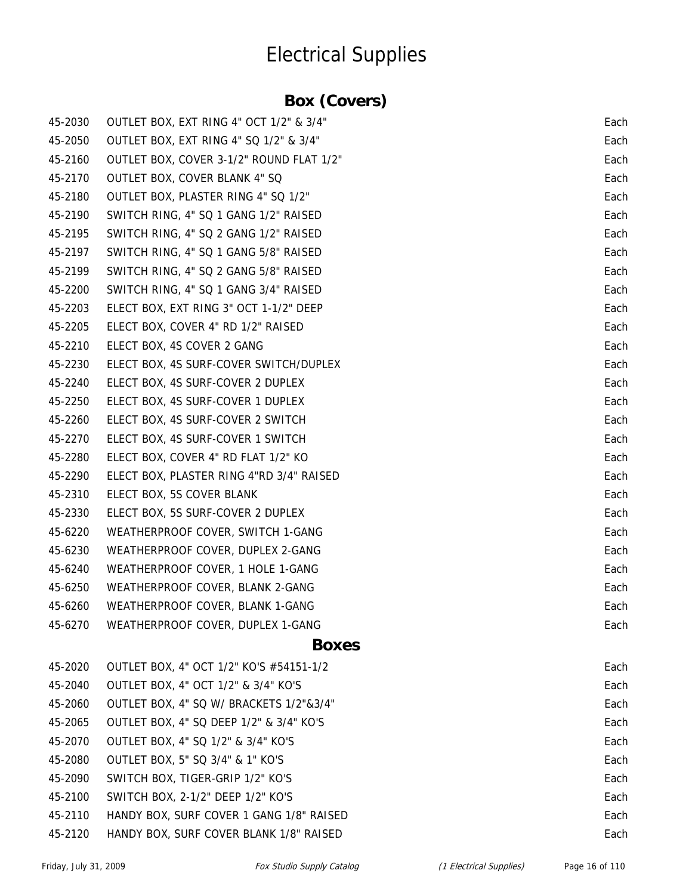### **Box (Covers)**

| 45-2030 | OUTLET BOX, EXT RING 4" OCT 1/2" & 3/4"  | Each |
|---------|------------------------------------------|------|
| 45-2050 | OUTLET BOX, EXT RING 4" SQ 1/2" & 3/4"   | Each |
| 45-2160 | OUTLET BOX, COVER 3-1/2" ROUND FLAT 1/2" | Each |
| 45-2170 | <b>OUTLET BOX, COVER BLANK 4" SQ</b>     | Each |
| 45-2180 | OUTLET BOX, PLASTER RING 4" SQ 1/2"      | Each |
| 45-2190 | SWITCH RING, 4" SQ 1 GANG 1/2" RAISED    | Each |
| 45-2195 | SWITCH RING, 4" SQ 2 GANG 1/2" RAISED    | Each |
| 45-2197 | SWITCH RING, 4" SQ 1 GANG 5/8" RAISED    | Each |
| 45-2199 | SWITCH RING, 4" SQ 2 GANG 5/8" RAISED    | Each |
| 45-2200 | SWITCH RING, 4" SQ 1 GANG 3/4" RAISED    | Each |
| 45-2203 | ELECT BOX, EXT RING 3" OCT 1-1/2" DEEP   | Each |
| 45-2205 | ELECT BOX, COVER 4" RD 1/2" RAISED       | Each |
| 45-2210 | ELECT BOX, 4S COVER 2 GANG               | Each |
| 45-2230 | ELECT BOX, 4S SURF-COVER SWITCH/DUPLEX   | Each |
| 45-2240 | ELECT BOX, 4S SURF-COVER 2 DUPLEX        | Each |
| 45-2250 | ELECT BOX, 4S SURF-COVER 1 DUPLEX        | Each |
| 45-2260 | ELECT BOX, 4S SURF-COVER 2 SWITCH        | Each |
| 45-2270 | ELECT BOX, 4S SURF-COVER 1 SWITCH        | Each |
| 45-2280 | ELECT BOX, COVER 4" RD FLAT 1/2" KO      | Each |
| 45-2290 | ELECT BOX, PLASTER RING 4"RD 3/4" RAISED | Each |
| 45-2310 | ELECT BOX, 5S COVER BLANK                | Each |
| 45-2330 | ELECT BOX, 5S SURF-COVER 2 DUPLEX        | Each |
| 45-6220 | WEATHERPROOF COVER, SWITCH 1-GANG        | Each |
| 45-6230 | WEATHERPROOF COVER, DUPLEX 2-GANG        | Each |
| 45-6240 | WEATHERPROOF COVER, 1 HOLE 1-GANG        | Each |
| 45-6250 | WEATHERPROOF COVER, BLANK 2-GANG         | Each |
| 45-6260 | WEATHERPROOF COVER, BLANK 1-GANG         | Each |
| 45-6270 | WEATHERPROOF COVER, DUPLEX 1-GANG        | Each |
|         | <b>Boxes</b>                             |      |
| 45-2020 | OUTLET BOX, 4" OCT 1/2" KO'S #54151-1/2  | Each |
| 45-2040 | OUTLET BOX, 4" OCT 1/2" & 3/4" KO'S      | Each |
| 45-2060 | OUTLET BOX, 4" SQ W/ BRACKETS 1/2"&3/4"  | Each |
| 45-2065 | OUTLET BOX, 4" SQ DEEP 1/2" & 3/4" KO'S  | Each |
| 45-2070 | OUTLET BOX, 4" SQ 1/2" & 3/4" KO'S       | Each |
| 45-2080 | OUTLET BOX, 5" SQ 3/4" & 1" KO'S         | Each |
| 45-2090 | SWITCH BOX, TIGER-GRIP 1/2" KO'S         | Each |
| 45-2100 | SWITCH BOX, 2-1/2" DEEP 1/2" KO'S        | Each |
| 45-2110 | HANDY BOX, SURF COVER 1 GANG 1/8" RAISED | Each |
| 45-2120 | HANDY BOX, SURF COVER BLANK 1/8" RAISED  | Each |
|         |                                          |      |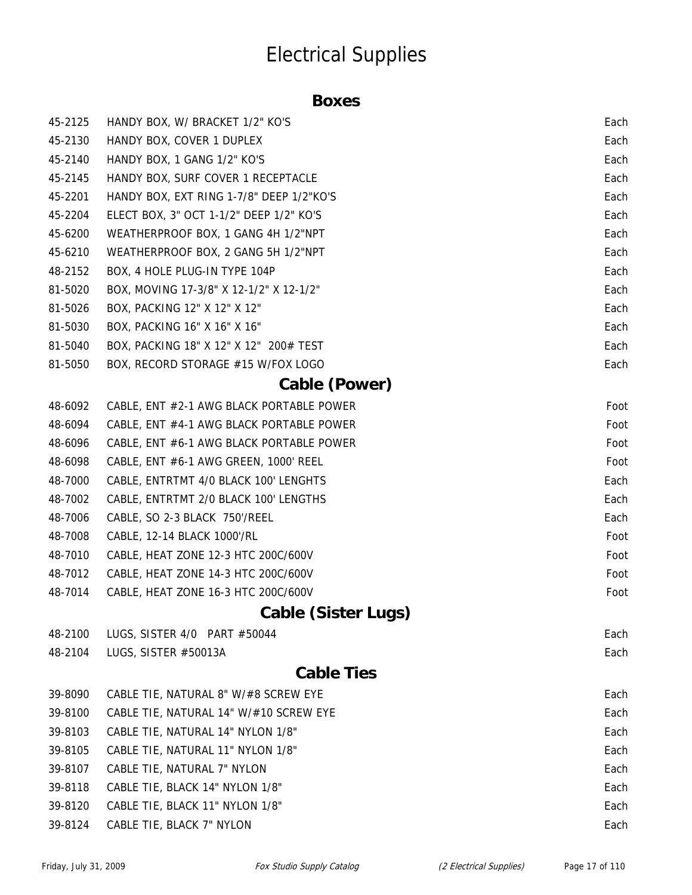#### **Boxes**

| 45-2125 | HANDY BOX, W/ BRACKET 1/2" KO'S          | Each |
|---------|------------------------------------------|------|
| 45-2130 | HANDY BOX, COVER 1 DUPLEX                | Each |
| 45-2140 | HANDY BOX, 1 GANG 1/2" KO'S              | Each |
| 45-2145 | HANDY BOX, SURF COVER 1 RECEPTACLE       | Each |
| 45-2201 | HANDY BOX, EXT RING 1-7/8" DEEP 1/2"KO'S | Each |
| 45-2204 | ELECT BOX, 3" OCT 1-1/2" DEEP 1/2" KO'S  | Each |
| 45-6200 | WEATHERPROOF BOX, 1 GANG 4H 1/2"NPT      | Each |
| 45-6210 | WEATHERPROOF BOX, 2 GANG 5H 1/2"NPT      | Each |
| 48-2152 | BOX, 4 HOLE PLUG-IN TYPE 104P            | Each |
| 81-5020 | BOX, MOVING 17-3/8" X 12-1/2" X 12-1/2"  | Each |
| 81-5026 | BOX, PACKING 12" X 12" X 12"             | Each |
| 81-5030 | BOX, PACKING 16" X 16" X 16"             | Each |
| 81-5040 | BOX, PACKING 18" X 12" X 12" 200# TEST   | Each |
| 81-5050 | BOX, RECORD STORAGE #15 W/FOX LOGO       | Each |
|         | Cable (Power)                            |      |
| 48-6092 | CABLE, ENT #2-1 AWG BLACK PORTABLE POWER | Foot |
| 48-6094 | CABLE, ENT #4-1 AWG BLACK PORTABLE POWER | Foot |
| 48-6096 | CABLE, ENT #6-1 AWG BLACK PORTABLE POWER | Foot |
| 48-6098 | CABLE, ENT #6-1 AWG GREEN, 1000' REEL    | Foot |
| 48-7000 | CABLE, ENTRTMT 4/0 BLACK 100' LENGHTS    | Each |
| 48-7002 | CABLE, ENTRTMT 2/0 BLACK 100' LENGTHS    | Each |
| 48-7006 | CABLE, SO 2-3 BLACK 750'/REEL            | Each |
| 48-7008 | CABLE, 12-14 BLACK 1000'/RL              | Foot |
| 48-7010 | CABLE, HEAT ZONE 12-3 HTC 200C/600V      | Foot |
| 48-7012 | CABLE, HEAT ZONE 14-3 HTC 200C/600V      | Foot |
| 48-7014 | CABLE, HEAT ZONE 16-3 HTC 200C/600V      | Foot |
|         | <b>Cable (Sister Lugs)</b>               |      |
| 48-2100 | LUGS, SISTER 4/0 PART #50044             | Each |
| 48-2104 | LUGS, SISTER #50013A                     | Each |
|         | <b>Cable Ties</b>                        |      |
| 39-8090 | CABLE TIE, NATURAL 8" W/#8 SCREW EYE     | Each |
| 39-8100 | CABLE TIE, NATURAL 14" W/#10 SCREW EYE   | Each |
| 39-8103 | CABLE TIE, NATURAL 14" NYLON 1/8"        | Each |
| 39-8105 | CABLE TIE, NATURAL 11" NYLON 1/8"        | Each |
| 39-8107 | CABLE TIE, NATURAL 7" NYLON              | Each |
| 39-8118 | CABLE TIE, BLACK 14" NYLON 1/8"          | Each |
| 39-8120 | CABLE TIE, BLACK 11" NYLON 1/8"          | Each |
| 39-8124 | CABLE TIE, BLACK 7" NYLON                | Each |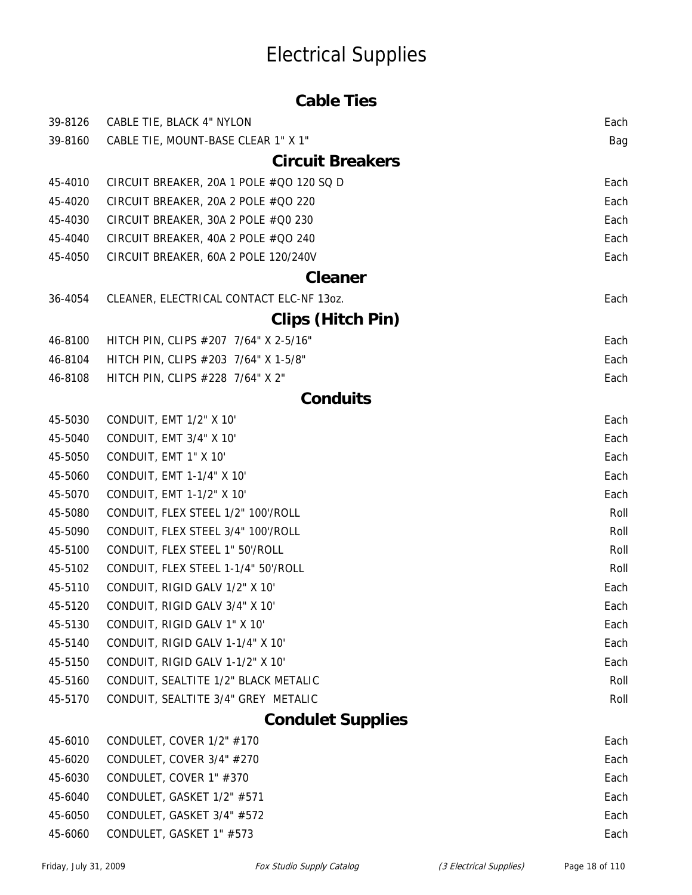|         | <b>Cable Ties</b>                        |      |
|---------|------------------------------------------|------|
| 39-8126 | CABLE TIE, BLACK 4" NYLON                | Each |
| 39-8160 | CABLE TIE, MOUNT-BASE CLEAR 1" X 1"      | Bag  |
|         | <b>Circuit Breakers</b>                  |      |
| 45-4010 | CIRCUIT BREAKER, 20A 1 POLE #QO 120 SQ D | Each |
| 45-4020 | CIRCUIT BREAKER, 20A 2 POLE #QO 220      | Each |
| 45-4030 | CIRCUIT BREAKER, 30A 2 POLE #Q0 230      | Each |
| 45-4040 | CIRCUIT BREAKER, 40A 2 POLE #QO 240      | Each |
| 45-4050 | CIRCUIT BREAKER, 60A 2 POLE 120/240V     | Each |
|         | <b>Cleaner</b>                           |      |
| 36-4054 | CLEANER, ELECTRICAL CONTACT ELC-NF 13oz. | Each |
|         | <b>Clips (Hitch Pin)</b>                 |      |
| 46-8100 | HITCH PIN, CLIPS #207 7/64" X 2-5/16"    | Each |
| 46-8104 | HITCH PIN, CLIPS #203 7/64" X 1-5/8"     | Each |
| 46-8108 | HITCH PIN, CLIPS #228 7/64" X 2"         | Each |
|         | <b>Conduits</b>                          |      |
| 45-5030 | CONDUIT, EMT 1/2" X 10"                  | Each |
| 45-5040 | CONDUIT, EMT 3/4" X 10"                  | Each |
| 45-5050 | CONDUIT, EMT 1" X 10"                    | Each |
| 45-5060 | CONDUIT, EMT 1-1/4" X 10"                | Each |
| 45-5070 | CONDUIT, EMT 1-1/2" X 10"                | Each |
| 45-5080 | CONDUIT, FLEX STEEL 1/2" 100'/ROLL       | Roll |
| 45-5090 | CONDUIT, FLEX STEEL 3/4" 100'/ROLL       | Roll |
| 45-5100 | CONDUIT, FLEX STEEL 1" 50'/ROLL          | Roll |
| 45-5102 | CONDUIT, FLEX STEEL 1-1/4" 50'/ROLL      | Roll |
| 45-5110 | CONDUIT, RIGID GALV 1/2" X 10"           | Each |
| 45-5120 | CONDUIT, RIGID GALV 3/4" X 10"           | Each |
| 45-5130 | CONDUIT, RIGID GALV 1" X 10'             | Each |
| 45-5140 | CONDUIT, RIGID GALV 1-1/4" X 10'         | Each |
| 45-5150 | CONDUIT, RIGID GALV 1-1/2" X 10'         | Each |
| 45-5160 | CONDUIT, SEALTITE 1/2" BLACK METALIC     | Roll |
| 45-5170 | CONDUIT, SEALTITE 3/4" GREY METALIC      | Roll |
|         | <b>Condulet Supplies</b>                 |      |
| 45-6010 | CONDULET, COVER 1/2" #170                | Each |
| 45-6020 | CONDULET, COVER 3/4" #270                | Each |
| 45-6030 | CONDULET, COVER 1" #370                  | Each |
| 45-6040 | CONDULET, GASKET 1/2" #571               | Each |

- 45-6050 CONDULET, GASKET 3/4" #572 Each Each Each
- 45-6060 CONDULET, GASKET 1" #573 Each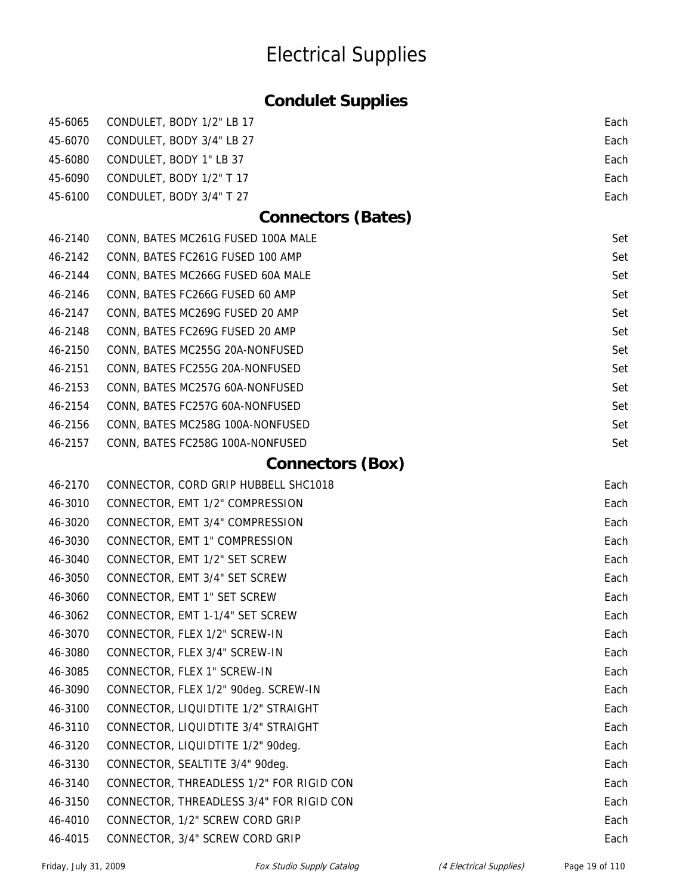### **Condulet Supplies**

| 45-6065 | CONDULET, BODY 1/2" LB 17                | Each |
|---------|------------------------------------------|------|
| 45-6070 | CONDULET, BODY 3/4" LB 27                | Each |
| 45-6080 | CONDULET, BODY 1" LB 37                  | Each |
| 45-6090 | CONDULET, BODY 1/2" T 17                 | Each |
| 45-6100 | CONDULET, BODY 3/4" T 27                 | Each |
|         | <b>Connectors (Bates)</b>                |      |
| 46-2140 | CONN, BATES MC261G FUSED 100A MALE       | Set  |
| 46-2142 | CONN, BATES FC261G FUSED 100 AMP         | Set  |
| 46-2144 | CONN, BATES MC266G FUSED 60A MALE        | Set  |
| 46-2146 | CONN, BATES FC266G FUSED 60 AMP          | Set  |
| 46-2147 | CONN, BATES MC269G FUSED 20 AMP          | Set  |
| 46-2148 | CONN, BATES FC269G FUSED 20 AMP          | Set  |
| 46-2150 | CONN, BATES MC255G 20A-NONFUSED          | Set  |
| 46-2151 | CONN, BATES FC255G 20A-NONFUSED          | Set  |
| 46-2153 | CONN, BATES MC257G 60A-NONFUSED          | Set  |
| 46-2154 | CONN, BATES FC257G 60A-NONFUSED          | Set  |
| 46-2156 | CONN, BATES MC258G 100A-NONFUSED         | Set  |
| 46-2157 | CONN, BATES FC258G 100A-NONFUSED         | Set  |
|         | <b>Connectors (Box)</b>                  |      |
| 46-2170 | CONNECTOR, CORD GRIP HUBBELL SHC1018     | Each |
| 46-3010 | CONNECTOR, EMT 1/2" COMPRESSION          | Each |
| 46-3020 | CONNECTOR, EMT 3/4" COMPRESSION          | Each |
| 46-3030 | CONNECTOR, EMT 1" COMPRESSION            | Each |
| 46-3040 | CONNECTOR, EMT 1/2" SET SCREW            | Each |
| 46-3050 | CONNECTOR, EMT 3/4" SET SCREW            | Each |
| 46-3060 | CONNECTOR, EMT 1" SET SCREW              | Each |
| 46-3062 | CONNECTOR, EMT 1-1/4" SET SCREW          | Each |
| 46-3070 | CONNECTOR, FLEX 1/2" SCREW-IN            | Each |
| 46-3080 | CONNECTOR, FLEX 3/4" SCREW-IN            | Each |
| 46-3085 | CONNECTOR, FLEX 1" SCREW-IN              | Each |
| 46-3090 | CONNECTOR, FLEX 1/2" 90deg. SCREW-IN     | Each |
| 46-3100 | CONNECTOR, LIQUIDTITE 1/2" STRAIGHT      | Each |
| 46-3110 | CONNECTOR, LIQUIDTITE 3/4" STRAIGHT      | Each |
| 46-3120 | CONNECTOR, LIQUIDTITE 1/2" 90deg.        | Each |
| 46-3130 | CONNECTOR, SEALTITE 3/4" 90deg.          | Each |
| 46-3140 | CONNECTOR, THREADLESS 1/2" FOR RIGID CON | Each |
| 46-3150 | CONNECTOR, THREADLESS 3/4" FOR RIGID CON | Each |
| 46-4010 | CONNECTOR, 1/2" SCREW CORD GRIP          | Each |
| 46-4015 | CONNECTOR, 3/4" SCREW CORD GRIP          | Each |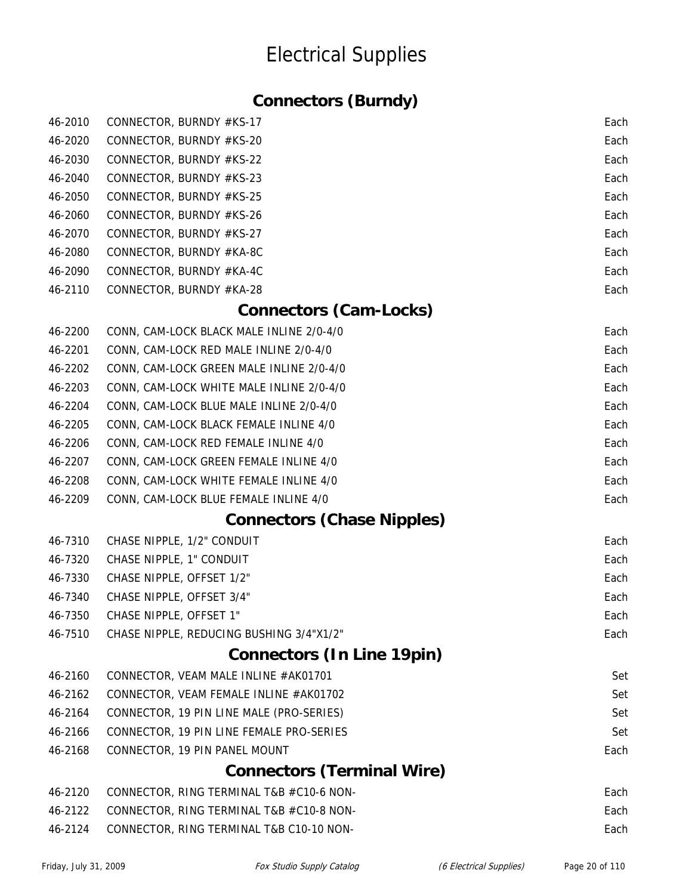### **Connectors (Burndy)**

| 46-2010 | CONNECTOR, BURNDY #KS-17                 | Each |
|---------|------------------------------------------|------|
| 46-2020 | CONNECTOR, BURNDY #KS-20                 | Each |
| 46-2030 | CONNECTOR, BURNDY #KS-22                 | Each |
| 46-2040 | CONNECTOR, BURNDY #KS-23                 | Each |
| 46-2050 | CONNECTOR, BURNDY #KS-25                 | Each |
| 46-2060 | CONNECTOR, BURNDY #KS-26                 | Each |
| 46-2070 | CONNECTOR, BURNDY #KS-27                 | Each |
| 46-2080 | CONNECTOR, BURNDY #KA-8C                 | Each |
| 46-2090 | CONNECTOR, BURNDY #KA-4C                 | Each |
| 46-2110 | CONNECTOR, BURNDY #KA-28                 | Each |
|         | <b>Connectors (Cam-Locks)</b>            |      |
| 46-2200 | CONN, CAM-LOCK BLACK MALE INLINE 2/0-4/0 | Each |
| 46-2201 | CONN, CAM-LOCK RED MALE INLINE 2/0-4/0   | Each |
| 46-2202 | CONN, CAM-LOCK GREEN MALE INLINE 2/0-4/0 | Each |
| 46-2203 | CONN, CAM-LOCK WHITE MALE INLINE 2/0-4/0 | Each |
| 46-2204 | CONN, CAM-LOCK BLUE MALE INLINE 2/0-4/0  | Each |
| 46-2205 | CONN, CAM-LOCK BLACK FEMALE INLINE 4/0   | Each |
| 46-2206 | CONN, CAM-LOCK RED FEMALE INLINE 4/0     | Each |
| 46-2207 | CONN, CAM-LOCK GREEN FEMALE INLINE 4/0   | Each |
| 46-2208 | CONN, CAM-LOCK WHITE FEMALE INLINE 4/0   | Each |
| 46-2209 | CONN, CAM-LOCK BLUE FEMALE INLINE 4/0    | Each |
|         | <b>Connectors (Chase Nipples)</b>        |      |
| 46-7310 | CHASE NIPPLE, 1/2" CONDUIT               | Each |
| 46-7320 | CHASE NIPPLE, 1" CONDUIT                 | Each |
| 46-7330 | CHASE NIPPLE, OFFSET 1/2"                | Each |
| 46-7340 | CHASE NIPPLE, OFFSET 3/4"                | Each |
| 46-7350 | CHASE NIPPLE, OFFSET 1"                  | Each |
| 46-7510 | CHASE NIPPLE, REDUCING BUSHING 3/4"X1/2" | Each |
|         | <b>Connectors (In Line 19pin)</b>        |      |
| 46-2160 | CONNECTOR, VEAM MALE INLINE #AK01701     | Set  |
| 46-2162 | CONNECTOR, VEAM FEMALE INLINE #AK01702   | Set  |
| 46-2164 | CONNECTOR, 19 PIN LINE MALE (PRO-SERIES) | Set  |
| 46-2166 | CONNECTOR, 19 PIN LINE FEMALE PRO-SERIES | Set  |
| 46-2168 | CONNECTOR, 19 PIN PANEL MOUNT            | Each |
|         | <b>Connectors (Terminal Wire)</b>        |      |
| 46-2120 | CONNECTOR, RING TERMINAL T&B #C10-6 NON- | Each |
| 46-2122 | CONNECTOR, RING TERMINAL T&B #C10-8 NON- | Each |
| 46-2124 | CONNECTOR, RING TERMINAL T&B C10-10 NON- | Each |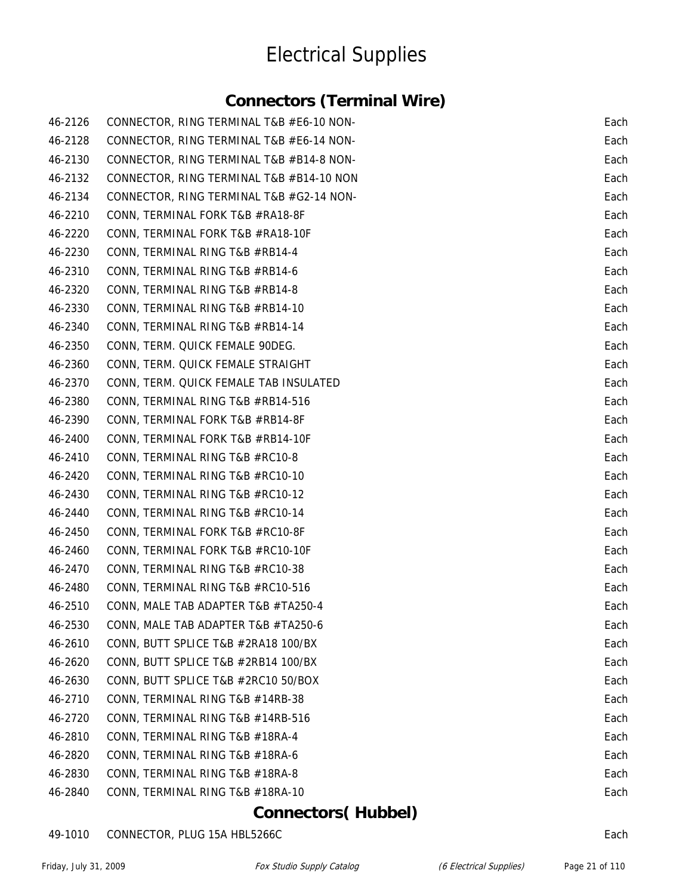#### **Connectors (Terminal Wire)**

| 46-2126 | CONNECTOR, RING TERMINAL T&B #E6-10 NON- | Each |
|---------|------------------------------------------|------|
| 46-2128 | CONNECTOR, RING TERMINAL T&B #E6-14 NON- | Each |
| 46-2130 | CONNECTOR, RING TERMINAL T&B #B14-8 NON- | Each |
| 46-2132 | CONNECTOR, RING TERMINAL T&B #B14-10 NON | Each |
| 46-2134 | CONNECTOR, RING TERMINAL T&B #G2-14 NON- | Each |
| 46-2210 | CONN, TERMINAL FORK T&B #RA18-8F         | Each |
| 46-2220 | CONN, TERMINAL FORK T&B #RA18-10F        | Each |
| 46-2230 | CONN, TERMINAL RING T&B #RB14-4          | Each |
| 46-2310 | CONN, TERMINAL RING T&B #RB14-6          | Each |
| 46-2320 | CONN, TERMINAL RING T&B #RB14-8          | Each |
| 46-2330 | CONN, TERMINAL RING T&B #RB14-10         | Each |
| 46-2340 | CONN, TERMINAL RING T&B #RB14-14         | Each |
| 46-2350 | CONN, TERM. QUICK FEMALE 90DEG.          | Each |
| 46-2360 | CONN, TERM. QUICK FEMALE STRAIGHT        | Each |
| 46-2370 | CONN, TERM. QUICK FEMALE TAB INSULATED   | Each |
| 46-2380 | CONN, TERMINAL RING T&B #RB14-516        | Each |
| 46-2390 | CONN, TERMINAL FORK T&B #RB14-8F         | Each |
| 46-2400 | CONN, TERMINAL FORK T&B #RB14-10F        | Each |
| 46-2410 | CONN, TERMINAL RING T&B #RC10-8          | Each |
| 46-2420 | CONN, TERMINAL RING T&B #RC10-10         | Each |
| 46-2430 | CONN, TERMINAL RING T&B #RC10-12         | Each |
| 46-2440 | CONN, TERMINAL RING T&B #RC10-14         | Each |
| 46-2450 | CONN, TERMINAL FORK T&B #RC10-8F         | Each |
| 46-2460 | CONN, TERMINAL FORK T&B #RC10-10F        | Each |
| 46-2470 | CONN, TERMINAL RING T&B #RC10-38         | Each |
| 46-2480 | CONN, TERMINAL RING T&B #RC10-516        | Each |
| 46-2510 | CONN, MALE TAB ADAPTER T&B #TA250-4      | Each |
| 46-2530 | CONN, MALE TAB ADAPTER T&B #TA250-6      | Each |
| 46-2610 | CONN, BUTT SPLICE T&B #2RA18 100/BX      | Each |
| 46-2620 | CONN, BUTT SPLICE T&B #2RB14 100/BX      | Each |
| 46-2630 | CONN, BUTT SPLICE T&B #2RC10 50/BOX      | Each |
| 46-2710 | CONN, TERMINAL RING T&B #14RB-38         | Each |
| 46-2720 | CONN, TERMINAL RING T&B #14RB-516        | Each |
| 46-2810 | CONN, TERMINAL RING T&B #18RA-4          | Each |
| 46-2820 | CONN, TERMINAL RING T&B #18RA-6          | Each |
| 46-2830 | CONN, TERMINAL RING T&B #18RA-8          | Each |
| 46-2840 | CONN, TERMINAL RING T&B #18RA-10         | Each |

#### **Connectors( Hubbel)**

49-1010 CONNECTOR, PLUG 15A HBL5266C Each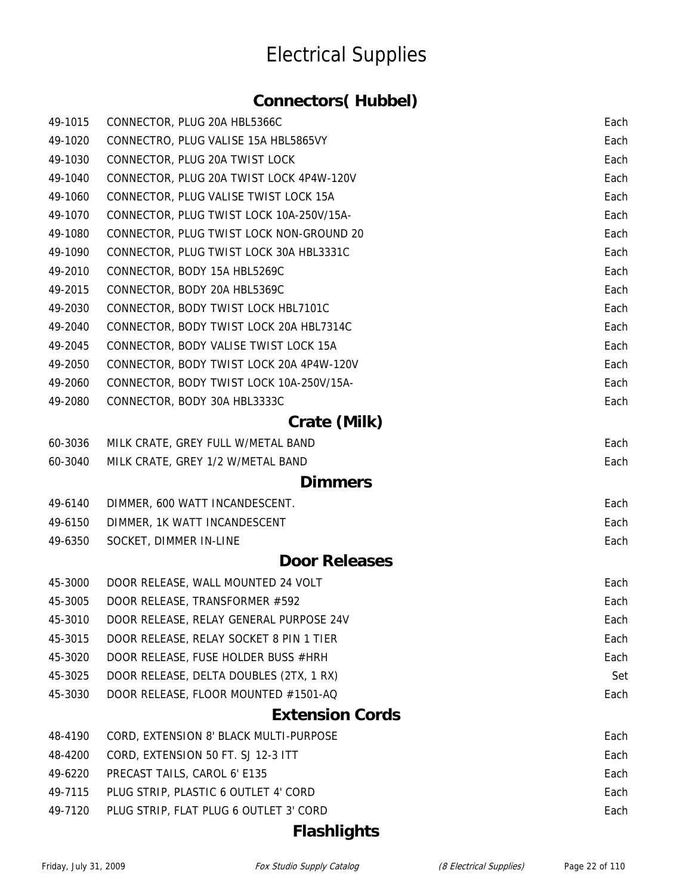#### **Connectors( Hubbel)**

| 49-1015 | CONNECTOR, PLUG 20A HBL5366C             | Each |
|---------|------------------------------------------|------|
| 49-1020 | CONNECTRO, PLUG VALISE 15A HBL5865VY     | Each |
| 49-1030 | CONNECTOR, PLUG 20A TWIST LOCK           | Each |
| 49-1040 | CONNECTOR, PLUG 20A TWIST LOCK 4P4W-120V | Each |
| 49-1060 | CONNECTOR, PLUG VALISE TWIST LOCK 15A    | Each |
| 49-1070 | CONNECTOR, PLUG TWIST LOCK 10A-250V/15A- | Each |
| 49-1080 | CONNECTOR, PLUG TWIST LOCK NON-GROUND 20 | Each |
| 49-1090 | CONNECTOR, PLUG TWIST LOCK 30A HBL3331C  | Each |
| 49-2010 | CONNECTOR, BODY 15A HBL5269C             | Each |
| 49-2015 | CONNECTOR, BODY 20A HBL5369C             | Each |
| 49-2030 | CONNECTOR, BODY TWIST LOCK HBL7101C      | Each |
| 49-2040 | CONNECTOR, BODY TWIST LOCK 20A HBL7314C  | Each |
| 49-2045 | CONNECTOR, BODY VALISE TWIST LOCK 15A    | Each |
| 49-2050 | CONNECTOR, BODY TWIST LOCK 20A 4P4W-120V | Each |
| 49-2060 | CONNECTOR, BODY TWIST LOCK 10A-250V/15A- | Each |
| 49-2080 | CONNECTOR, BODY 30A HBL3333C             | Each |
|         | Crate (Milk)                             |      |
| 60-3036 | MILK CRATE, GREY FULL W/METAL BAND       | Each |
| 60-3040 | MILK CRATE, GREY 1/2 W/METAL BAND        | Each |
|         | <b>Dimmers</b>                           |      |
| 49-6140 | DIMMER, 600 WATT INCANDESCENT.           | Each |
| 49-6150 | DIMMER, 1K WATT INCANDESCENT             | Each |
| 49-6350 | SOCKET, DIMMER IN-LINE                   | Each |
|         | <b>Door Releases</b>                     |      |
| 45-3000 | DOOR RELEASE, WALL MOUNTED 24 VOLT       | Each |
| 45-3005 | DOOR RELEASE, TRANSFORMER #592           | Each |
| 45-3010 | DOOR RELEASE, RELAY GENERAL PURPOSE 24V  | Each |
| 45-3015 | DOOR RELEASE, RELAY SOCKET 8 PIN 1 TIER  | Each |
| 45-3020 | DOOR RELEASE, FUSE HOLDER BUSS #HRH      | Each |
| 45-3025 | DOOR RELEASE, DELTA DOUBLES (2TX, 1 RX)  | Set  |
| 45-3030 | DOOR RELEASE, FLOOR MOUNTED #1501-AQ     | Each |
|         | <b>Extension Cords</b>                   |      |
| 48-4190 | CORD, EXTENSION 8' BLACK MULTI-PURPOSE   | Each |
| 48-4200 | CORD, EXTENSION 50 FT. SJ 12-3 ITT       | Each |
| 49-6220 | PRECAST TAILS, CAROL 6' E135             | Each |
| 49-7115 | PLUG STRIP, PLASTIC 6 OUTLET 4' CORD     | Each |
| 49-7120 | PLUG STRIP, FLAT PLUG 6 OUTLET 3' CORD   | Each |

#### **Flashlights**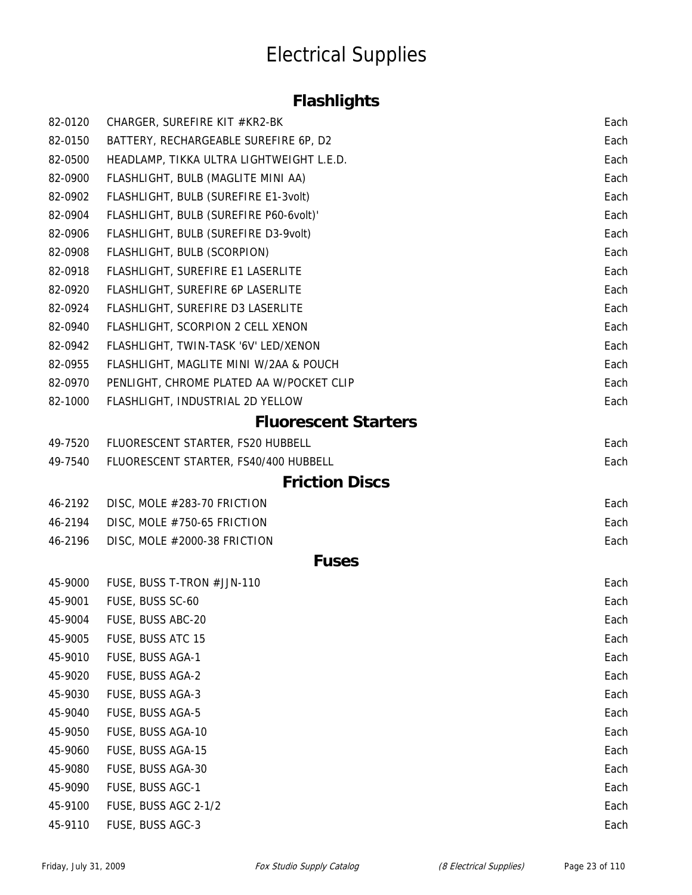### **Flashlights**

| 82-0120 | CHARGER, SUREFIRE KIT #KR2-BK            | Each |
|---------|------------------------------------------|------|
| 82-0150 | BATTERY, RECHARGEABLE SUREFIRE 6P, D2    | Each |
| 82-0500 | HEADLAMP, TIKKA ULTRA LIGHTWEIGHT L.E.D. | Each |
| 82-0900 | FLASHLIGHT, BULB (MAGLITE MINI AA)       | Each |
| 82-0902 | FLASHLIGHT, BULB (SUREFIRE E1-3volt)     | Each |
| 82-0904 | FLASHLIGHT, BULB (SUREFIRE P60-6volt)'   | Each |
| 82-0906 | FLASHLIGHT, BULB (SUREFIRE D3-9volt)     | Each |
| 82-0908 | FLASHLIGHT, BULB (SCORPION)              | Each |
| 82-0918 | FLASHLIGHT, SUREFIRE E1 LASERLITE        | Each |
| 82-0920 | FLASHLIGHT, SUREFIRE 6P LASERLITE        | Each |
| 82-0924 | FLASHLIGHT, SUREFIRE D3 LASERLITE        | Each |
| 82-0940 | FLASHLIGHT, SCORPION 2 CELL XENON        | Each |
| 82-0942 | FLASHLIGHT, TWIN-TASK '6V' LED/XENON     | Each |
| 82-0955 | FLASHLIGHT, MAGLITE MINI W/2AA & POUCH   | Each |
| 82-0970 | PENLIGHT, CHROME PLATED AA W/POCKET CLIP | Each |
| 82-1000 | FLASHLIGHT, INDUSTRIAL 2D YELLOW         | Each |
|         | <b>Fluorescent Starters</b>              |      |
| 49-7520 | FLUORESCENT STARTER, FS20 HUBBELL        | Each |
| 49-7540 | FLUORESCENT STARTER, FS40/400 HUBBELL    | Each |
|         | <b>Friction Discs</b>                    |      |
| 46-2192 | DISC, MOLE #283-70 FRICTION              | Each |
| 46-2194 | DISC, MOLE #750-65 FRICTION              | Each |
| 46-2196 | DISC, MOLE #2000-38 FRICTION             | Each |
|         | <b>Fuses</b>                             |      |
| 45-9000 | FUSE, BUSS T-TRON #JJN-110               | Each |
| 45-9001 | FUSE, BUSS SC-60                         | Each |
| 45-9004 | FUSE, BUSS ABC-20                        | Each |
| 45-9005 | FUSE, BUSS ATC 15                        | Each |
| 45-9010 | FUSE, BUSS AGA-1                         | Each |
| 45-9020 | FUSE, BUSS AGA-2                         | Each |
| 45-9030 | FUSE, BUSS AGA-3                         | Each |
| 45-9040 | FUSE, BUSS AGA-5                         | Each |
| 45-9050 | FUSE, BUSS AGA-10                        | Each |
| 45-9060 | FUSE, BUSS AGA-15                        | Each |
| 45-9080 | FUSE, BUSS AGA-30                        | Each |
| 45-9090 | FUSE, BUSS AGC-1                         | Each |
| 45-9100 | FUSE, BUSS AGC 2-1/2                     | Each |
| 45-9110 | FUSE, BUSS AGC-3                         | Each |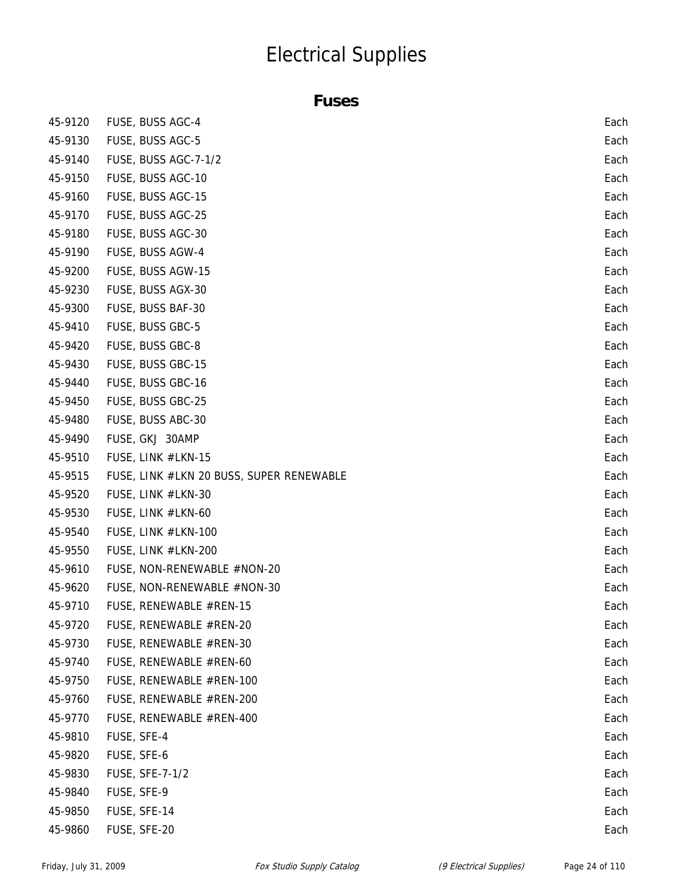#### **Fuses**

| 45-9120 | FUSE, BUSS AGC-4                         | Each |
|---------|------------------------------------------|------|
| 45-9130 | FUSE, BUSS AGC-5                         | Each |
| 45-9140 | FUSE, BUSS AGC-7-1/2                     | Each |
| 45-9150 | FUSE, BUSS AGC-10                        | Each |
| 45-9160 | FUSE, BUSS AGC-15                        | Each |
| 45-9170 | FUSE, BUSS AGC-25                        | Each |
| 45-9180 | FUSE, BUSS AGC-30                        | Each |
| 45-9190 | FUSE, BUSS AGW-4                         | Each |
| 45-9200 | FUSE, BUSS AGW-15                        | Each |
| 45-9230 | FUSE, BUSS AGX-30                        | Each |
| 45-9300 | FUSE, BUSS BAF-30                        | Each |
| 45-9410 | FUSE, BUSS GBC-5                         | Each |
| 45-9420 | FUSE, BUSS GBC-8                         | Each |
| 45-9430 | FUSE, BUSS GBC-15                        | Each |
| 45-9440 | FUSE, BUSS GBC-16                        | Each |
| 45-9450 | FUSE, BUSS GBC-25                        | Each |
| 45-9480 | FUSE, BUSS ABC-30                        | Each |
| 45-9490 | FUSE, GKJ 30AMP                          | Each |
| 45-9510 | FUSE, LINK #LKN-15                       | Each |
| 45-9515 | FUSE, LINK #LKN 20 BUSS, SUPER RENEWABLE | Each |
| 45-9520 | FUSE, LINK #LKN-30                       | Each |
| 45-9530 | FUSE, LINK #LKN-60                       | Each |
| 45-9540 | FUSE, LINK #LKN-100                      | Each |
| 45-9550 | FUSE, LINK #LKN-200                      | Each |
| 45-9610 | FUSE, NON-RENEWABLE #NON-20              | Each |
| 45-9620 | FUSE, NON-RENEWABLE #NON-30              | Each |
| 45-9710 | FUSE, RENEWABLE #REN-15                  | Each |
| 45-9720 | FUSE, RENEWABLE #REN-20                  | Each |
| 45-9730 | FUSE, RENEWABLE #REN-30                  | Each |
| 45-9740 | FUSE, RENEWABLE #REN-60                  | Each |
| 45-9750 | FUSE, RENEWABLE #REN-100                 | Each |
| 45-9760 | FUSE, RENEWABLE #REN-200                 | Each |
| 45-9770 | FUSE, RENEWABLE #REN-400                 | Each |
| 45-9810 | FUSE, SFE-4                              | Each |
| 45-9820 | FUSE, SFE-6                              | Each |
| 45-9830 | FUSE, SFE-7-1/2                          | Each |
| 45-9840 | FUSE, SFE-9                              | Each |
| 45-9850 | FUSE, SFE-14                             | Each |
| 45-9860 | FUSE, SFE-20                             | Each |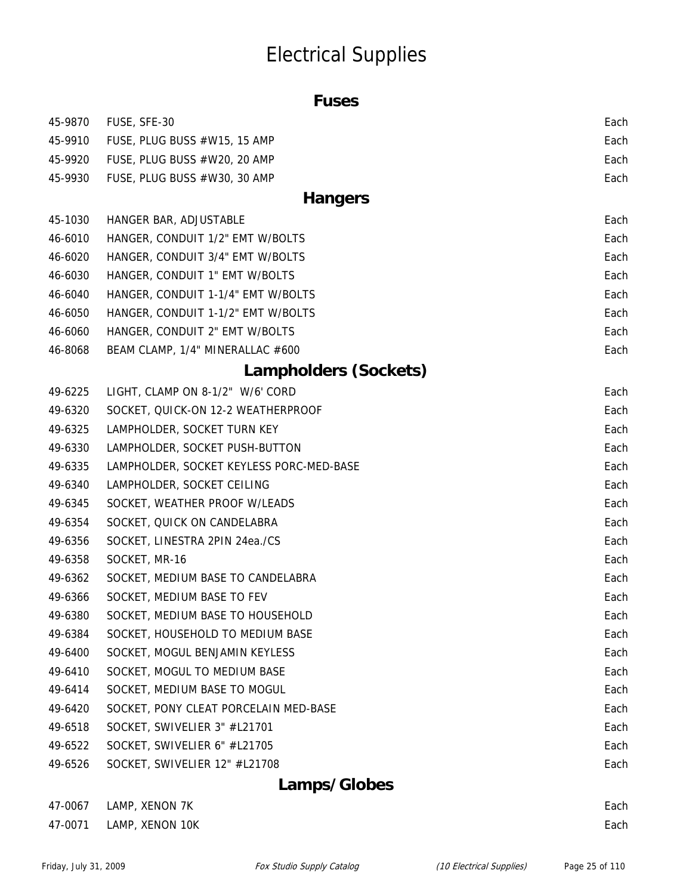| L |  |
|---|--|
|---|--|

| 45-9870 | FUSE, SFE-30                             | Each |
|---------|------------------------------------------|------|
| 45-9910 | FUSE, PLUG BUSS #W15, 15 AMP             | Each |
| 45-9920 | FUSE, PLUG BUSS #W20, 20 AMP             | Each |
| 45-9930 | FUSE, PLUG BUSS #W30, 30 AMP             | Each |
|         | <b>Hangers</b>                           |      |
| 45-1030 | HANGER BAR, ADJUSTABLE                   | Each |
| 46-6010 | HANGER, CONDUIT 1/2" EMT W/BOLTS         | Each |
| 46-6020 | HANGER, CONDUIT 3/4" EMT W/BOLTS         | Each |
| 46-6030 | HANGER, CONDUIT 1" EMT W/BOLTS           | Each |
| 46-6040 | HANGER, CONDUIT 1-1/4" EMT W/BOLTS       | Each |
| 46-6050 | HANGER, CONDUIT 1-1/2" EMT W/BOLTS       | Each |
| 46-6060 | HANGER, CONDUIT 2" EMT W/BOLTS           | Each |
| 46-8068 | BEAM CLAMP, 1/4" MINERALLAC #600         | Each |
|         | Lampholders (Sockets)                    |      |
| 49-6225 | LIGHT, CLAMP ON 8-1/2" W/6' CORD         | Each |
| 49-6320 | SOCKET, QUICK-ON 12-2 WEATHERPROOF       | Each |
| 49-6325 | LAMPHOLDER, SOCKET TURN KEY              | Each |
| 49-6330 | LAMPHOLDER, SOCKET PUSH-BUTTON           | Each |
| 49-6335 | LAMPHOLDER, SOCKET KEYLESS PORC-MED-BASE | Each |
| 49-6340 | LAMPHOLDER, SOCKET CEILING               | Each |
| 49-6345 | SOCKET, WEATHER PROOF W/LEADS            | Each |
| 49-6354 | SOCKET, QUICK ON CANDELABRA              | Each |
| 49-6356 | SOCKET, LINESTRA 2PIN 24ea./CS           | Each |
| 49-6358 | SOCKET, MR-16                            | Each |
| 49-6362 | SOCKET, MEDIUM BASE TO CANDELABRA        | Each |
| 49-6366 | SOCKET, MEDIUM BASE TO FEV               | Each |
| 49-6380 | SOCKET, MEDIUM BASE TO HOUSEHOLD         | Each |
| 49-6384 | SOCKET, HOUSEHOLD TO MEDIUM BASE         | Each |
| 49-6400 | SOCKET, MOGUL BENJAMIN KEYLESS           | Each |
| 49-6410 | SOCKET, MOGUL TO MEDIUM BASE             | Each |
| 49-6414 | SOCKET, MEDIUM BASE TO MOGUL             | Each |
| 49-6420 | SOCKET, PONY CLEAT PORCELAIN MED-BASE    | Each |
| 49-6518 | SOCKET, SWIVELIER 3" #L21701             | Each |
| 49-6522 | SOCKET, SWIVELIER 6" #L21705             | Each |
| 49-6526 | SOCKET, SWIVELIER 12" #L21708            | Each |
|         | Lamps/Globes                             |      |

| 47-0067 LAMP, XENON 7K  | Each |
|-------------------------|------|
| 47-0071 LAMP, XENON 10K | Each |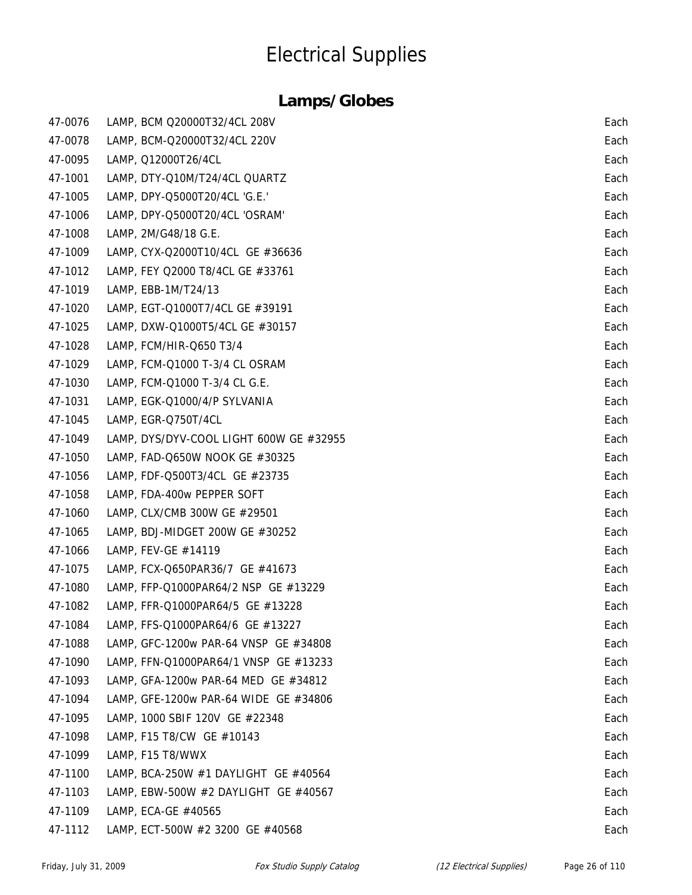| 47-0076 | LAMP, BCM Q20000T32/4CL 208V            | Each |
|---------|-----------------------------------------|------|
| 47-0078 | LAMP, BCM-Q20000T32/4CL 220V            | Each |
| 47-0095 | LAMP, Q12000T26/4CL                     | Each |
| 47-1001 | LAMP, DTY-Q10M/T24/4CL QUARTZ           | Each |
| 47-1005 | LAMP, DPY-Q5000T20/4CL 'G.E.'           | Each |
| 47-1006 | LAMP, DPY-Q5000T20/4CL 'OSRAM'          | Each |
| 47-1008 | LAMP, 2M/G48/18 G.E.                    | Each |
| 47-1009 | LAMP, CYX-Q2000T10/4CL GE #36636        | Each |
| 47-1012 | LAMP, FEY Q2000 T8/4CL GE #33761        | Each |
| 47-1019 | LAMP, EBB-1M/T24/13                     | Each |
| 47-1020 | LAMP, EGT-Q1000T7/4CL GE #39191         | Each |
| 47-1025 | LAMP, DXW-Q1000T5/4CL GE #30157         | Each |
| 47-1028 | LAMP, FCM/HIR-Q650 T3/4                 | Each |
| 47-1029 | LAMP, FCM-Q1000 T-3/4 CL OSRAM          | Each |
| 47-1030 | LAMP, FCM-Q1000 T-3/4 CL G.E.           | Each |
| 47-1031 | LAMP, EGK-Q1000/4/P SYLVANIA            | Each |
| 47-1045 | LAMP, EGR-Q750T/4CL                     | Each |
| 47-1049 | LAMP, DYS/DYV-COOL LIGHT 600W GE #32955 | Each |
| 47-1050 | LAMP, FAD-Q650W NOOK GE #30325          | Each |
| 47-1056 | LAMP, FDF-Q500T3/4CL GE #23735          | Each |
| 47-1058 | LAMP, FDA-400w PEPPER SOFT              | Each |
| 47-1060 | LAMP, CLX/CMB 300W GE #29501            | Each |
| 47-1065 | LAMP, BDJ-MIDGET 200W GE #30252         | Each |
| 47-1066 | LAMP, FEV-GE #14119                     | Each |
| 47-1075 | LAMP, FCX-Q650PAR36/7 GE #41673         | Each |
| 47-1080 | LAMP, FFP-Q1000PAR64/2 NSP GE #13229    | Each |
| 47-1082 | LAMP, FFR-Q1000PAR64/5 GE #13228        | Each |
| 47-1084 | LAMP, FFS-Q1000PAR64/6 GE #13227        | Each |
| 47-1088 | LAMP, GFC-1200w PAR-64 VNSP GE #34808   | Each |
| 47-1090 | LAMP, FFN-Q1000PAR64/1 VNSP GE #13233   | Each |
| 47-1093 | LAMP, GFA-1200w PAR-64 MED GE #34812    | Each |
| 47-1094 | LAMP, GFE-1200w PAR-64 WIDE GE #34806   | Each |
| 47-1095 | LAMP, 1000 SBIF 120V GE #22348          | Each |
| 47-1098 | LAMP, F15 T8/CW GE #10143               | Each |
| 47-1099 | LAMP, F15 T8/WWX                        | Each |
| 47-1100 | LAMP, BCA-250W #1 DAYLIGHT GE #40564    | Each |
| 47-1103 | LAMP, EBW-500W #2 DAYLIGHT GE #40567    | Each |
| 47-1109 | LAMP, ECA-GE #40565                     | Each |
| 47-1112 | LAMP, ECT-500W #2 3200 GE #40568        | Each |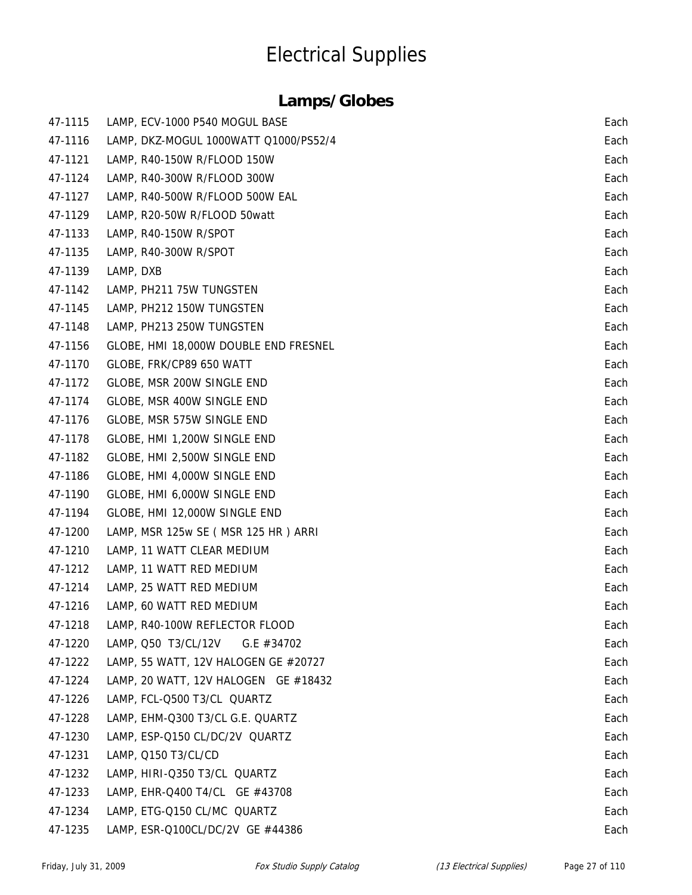| 47-1115 | LAMP, ECV-1000 P540 MOGUL BASE        | Each |
|---------|---------------------------------------|------|
| 47-1116 | LAMP, DKZ-MOGUL 1000WATT Q1000/PS52/4 | Each |
| 47-1121 | LAMP, R40-150W R/FLOOD 150W           | Each |
| 47-1124 | LAMP, R40-300W R/FLOOD 300W           | Each |
| 47-1127 | LAMP, R40-500W R/FLOOD 500W EAL       | Each |
| 47-1129 | LAMP, R20-50W R/FLOOD 50watt          | Each |
| 47-1133 | LAMP, R40-150W R/SPOT                 | Each |
| 47-1135 | LAMP, R40-300W R/SPOT                 | Each |
| 47-1139 | LAMP, DXB                             | Each |
| 47-1142 | LAMP, PH211 75W TUNGSTEN              | Each |
| 47-1145 | LAMP, PH212 150W TUNGSTEN             | Each |
| 47-1148 | LAMP, PH213 250W TUNGSTEN             | Each |
| 47-1156 | GLOBE, HMI 18,000W DOUBLE END FRESNEL | Each |
| 47-1170 | GLOBE, FRK/CP89 650 WATT              | Each |
| 47-1172 | GLOBE, MSR 200W SINGLE END            | Each |
| 47-1174 | GLOBE, MSR 400W SINGLE END            | Each |
| 47-1176 | GLOBE, MSR 575W SINGLE END            | Each |
| 47-1178 | GLOBE, HMI 1,200W SINGLE END          | Each |
| 47-1182 | GLOBE, HMI 2,500W SINGLE END          | Each |
| 47-1186 | GLOBE, HMI 4,000W SINGLE END          | Each |
| 47-1190 | GLOBE, HMI 6,000W SINGLE END          | Each |
| 47-1194 | GLOBE, HMI 12,000W SINGLE END         | Each |
| 47-1200 | LAMP, MSR 125w SE (MSR 125 HR) ARRI   | Each |
| 47-1210 | LAMP, 11 WATT CLEAR MEDIUM            | Each |
| 47-1212 | LAMP, 11 WATT RED MEDIUM              | Each |
| 47-1214 | LAMP, 25 WATT RED MEDIUM              | Each |
| 47-1216 | LAMP, 60 WATT RED MEDIUM              | Each |
| 47-1218 | LAMP, R40-100W REFLECTOR FLOOD        | Each |
| 47-1220 | LAMP, Q50 T3/CL/12V<br>G.E $#34702$   | Each |
| 47-1222 | LAMP, 55 WATT, 12V HALOGEN GE #20727  | Each |
| 47-1224 | LAMP, 20 WATT, 12V HALOGEN GE #18432  | Each |
| 47-1226 | LAMP, FCL-Q500 T3/CL QUARTZ           | Each |
| 47-1228 | LAMP, EHM-Q300 T3/CL G.E. QUARTZ      | Each |
| 47-1230 | LAMP, ESP-Q150 CL/DC/2V QUARTZ        | Each |
| 47-1231 | LAMP, Q150 T3/CL/CD                   | Each |
| 47-1232 | LAMP, HIRI-Q350 T3/CL QUARTZ          | Each |
| 47-1233 | LAMP, EHR-Q400 T4/CL GE #43708        | Each |
| 47-1234 | LAMP, ETG-Q150 CL/MC QUARTZ           | Each |
| 47-1235 | LAMP, ESR-Q100CL/DC/2V GE #44386      | Each |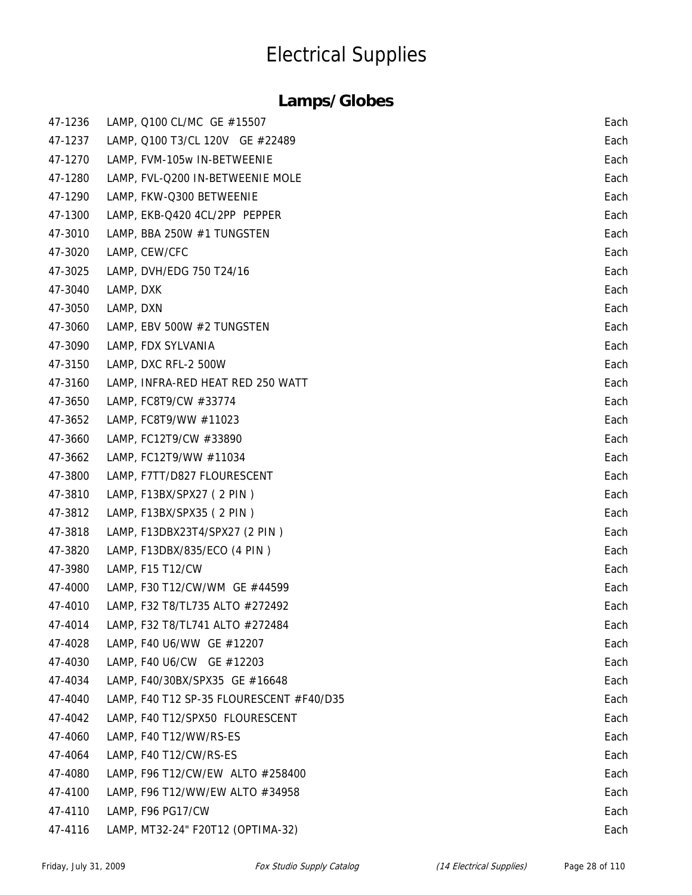| 47-1236 | LAMP, Q100 CL/MC GE #15507               | Each |
|---------|------------------------------------------|------|
| 47-1237 | LAMP, Q100 T3/CL 120V GE #22489          | Each |
| 47-1270 | LAMP, FVM-105w IN-BETWEENIE              | Each |
| 47-1280 | LAMP, FVL-Q200 IN-BETWEENIE MOLE         | Each |
| 47-1290 | LAMP, FKW-Q300 BETWEENIE                 | Each |
| 47-1300 | LAMP, EKB-Q420 4CL/2PP PEPPER            | Each |
| 47-3010 | LAMP, BBA 250W #1 TUNGSTEN               | Each |
| 47-3020 | LAMP, CEW/CFC                            | Each |
| 47-3025 | LAMP, DVH/EDG 750 T24/16                 | Each |
| 47-3040 | LAMP, DXK                                | Each |
| 47-3050 | LAMP, DXN                                | Each |
| 47-3060 | LAMP, EBV 500W #2 TUNGSTEN               | Each |
| 47-3090 | LAMP, FDX SYLVANIA                       | Each |
| 47-3150 | LAMP, DXC RFL-2 500W                     | Each |
| 47-3160 | LAMP, INFRA-RED HEAT RED 250 WATT        | Each |
| 47-3650 | LAMP, FC8T9/CW #33774                    | Each |
| 47-3652 | LAMP, FC8T9/WW #11023                    | Each |
| 47-3660 | LAMP, FC12T9/CW #33890                   | Each |
| 47-3662 | LAMP, FC12T9/WW #11034                   | Each |
| 47-3800 | LAMP, F7TT/D827 FLOURESCENT              | Each |
| 47-3810 | LAMP, F13BX/SPX27 (2 PIN)                | Each |
| 47-3812 | LAMP, F13BX/SPX35 (2 PIN)                | Each |
| 47-3818 | LAMP, F13DBX23T4/SPX27 (2 PIN)           | Each |
| 47-3820 | LAMP, F13DBX/835/ECO (4 PIN)             | Each |
| 47-3980 | LAMP, F15 T12/CW                         | Each |
| 47-4000 | LAMP, F30 T12/CW/WM GE #44599            | Each |
| 47-4010 | LAMP, F32 T8/TL735 ALTO #272492          | Each |
| 47-4014 | LAMP, F32 T8/TL741 ALTO #272484          | Each |
| 47-4028 | LAMP, F40 U6/WW GE #12207                | Each |
| 47-4030 | LAMP, F40 U6/CW GE #12203                | Each |
| 47-4034 | LAMP, F40/30BX/SPX35 GE #16648           | Each |
| 47-4040 | LAMP, F40 T12 SP-35 FLOURESCENT #F40/D35 | Each |
| 47-4042 | LAMP, F40 T12/SPX50 FLOURESCENT          | Each |
| 47-4060 | LAMP, F40 T12/WW/RS-ES                   | Each |
| 47-4064 | LAMP, F40 T12/CW/RS-ES                   | Each |
| 47-4080 | LAMP, F96 T12/CW/EW ALTO #258400         | Each |
| 47-4100 | LAMP, F96 T12/WW/EW ALTO #34958          | Each |
| 47-4110 | LAMP, F96 PG17/CW                        | Each |
| 47-4116 | LAMP, MT32-24" F20T12 (OPTIMA-32)        | Each |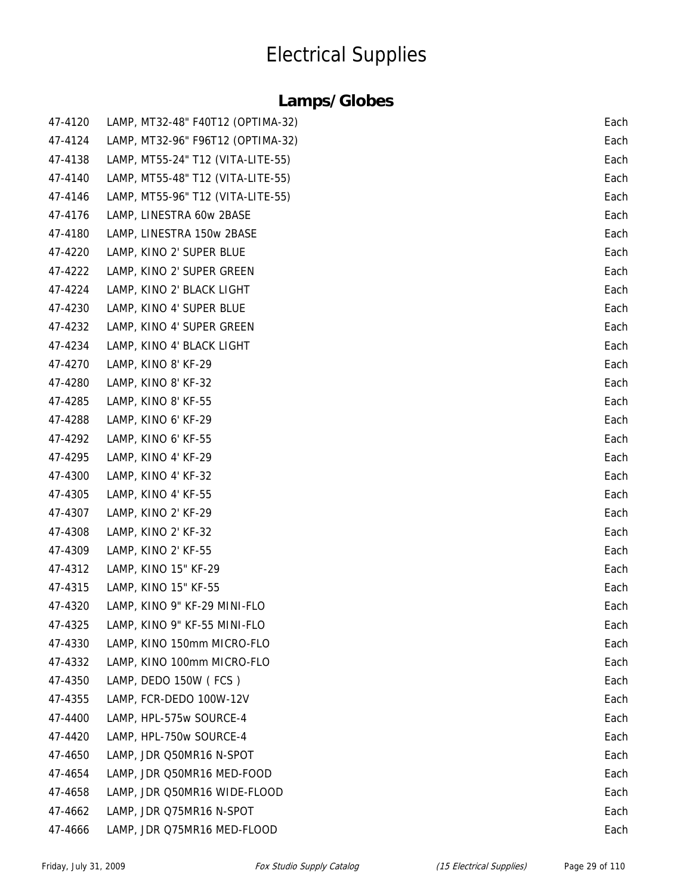| 47-4120 | LAMP, MT32-48" F40T12 (OPTIMA-32) | Each |
|---------|-----------------------------------|------|
| 47-4124 | LAMP, MT32-96" F96T12 (OPTIMA-32) | Each |
| 47-4138 | LAMP, MT55-24" T12 (VITA-LITE-55) | Each |
| 47-4140 | LAMP, MT55-48" T12 (VITA-LITE-55) | Each |
| 47-4146 | LAMP, MT55-96" T12 (VITA-LITE-55) | Each |
| 47-4176 | LAMP, LINESTRA 60w 2BASE          | Each |
| 47-4180 | LAMP, LINESTRA 150w 2BASE         | Each |
| 47-4220 | LAMP, KINO 2' SUPER BLUE          | Each |
| 47-4222 | LAMP, KINO 2' SUPER GREEN         | Each |
| 47-4224 | LAMP, KINO 2' BLACK LIGHT         | Each |
| 47-4230 | LAMP, KINO 4' SUPER BLUE          | Each |
| 47-4232 | LAMP, KINO 4' SUPER GREEN         | Each |
| 47-4234 | LAMP, KINO 4' BLACK LIGHT         | Each |
| 47-4270 | LAMP, KINO 8' KF-29               | Each |
| 47-4280 | LAMP, KINO 8' KF-32               | Each |
| 47-4285 | LAMP, KINO 8' KF-55               | Each |
| 47-4288 | LAMP, KINO 6' KF-29               | Each |
| 47-4292 | LAMP, KINO 6' KF-55               | Each |
| 47-4295 | LAMP, KINO 4' KF-29               | Each |
| 47-4300 | LAMP, KINO 4' KF-32               | Each |
| 47-4305 | LAMP, KINO 4' KF-55               | Each |
| 47-4307 | LAMP, KINO 2' KF-29               | Each |
| 47-4308 | LAMP, KINO 2' KF-32               | Each |
| 47-4309 | LAMP, KINO 2' KF-55               | Each |
| 47-4312 | LAMP, KINO 15" KF-29              | Each |
| 47-4315 | LAMP, KINO 15" KF-55              | Each |
| 47-4320 | LAMP, KINO 9" KF-29 MINI-FLO      | Each |
| 47-4325 | LAMP, KINO 9" KF-55 MINI-FLO      | Each |
| 47-4330 | LAMP, KINO 150mm MICRO-FLO        | Each |
| 47-4332 | LAMP, KINO 100mm MICRO-FLO        | Each |
| 47-4350 | LAMP, DEDO 150W (FCS)             | Each |
| 47-4355 | LAMP, FCR-DEDO 100W-12V           | Each |
| 47-4400 | LAMP, HPL-575w SOURCE-4           | Each |
| 47-4420 | LAMP, HPL-750w SOURCE-4           | Each |
| 47-4650 | LAMP, JDR Q50MR16 N-SPOT          | Each |
| 47-4654 | LAMP, JDR Q50MR16 MED-FOOD        | Each |
| 47-4658 | LAMP, JDR Q50MR16 WIDE-FLOOD      | Each |
| 47-4662 | LAMP, JDR Q75MR16 N-SPOT          | Each |
| 47-4666 | LAMP, JDR Q75MR16 MED-FLOOD       | Each |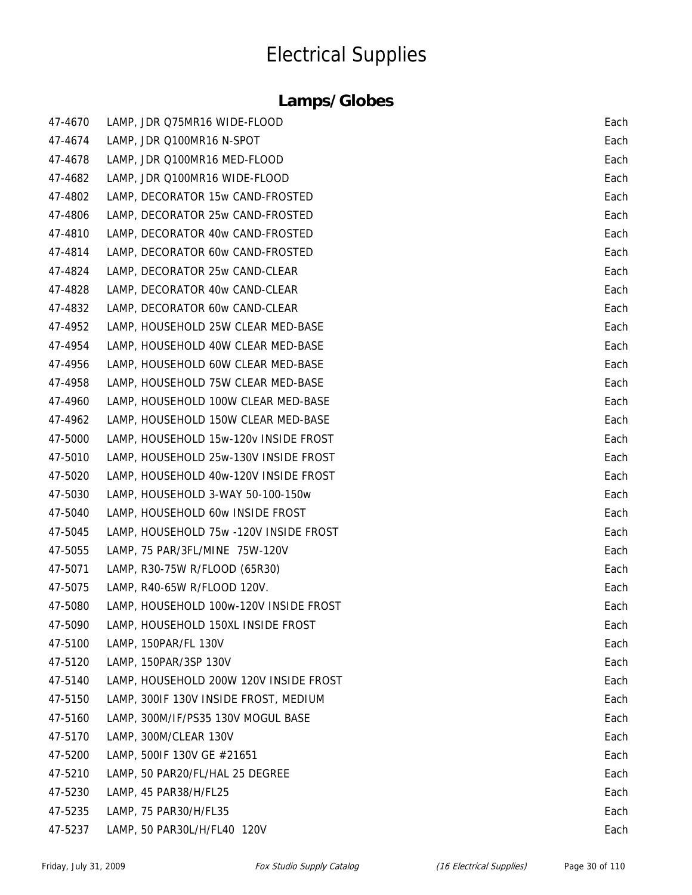| 47-4670 | LAMP, JDR Q75MR16 WIDE-FLOOD           | Each |
|---------|----------------------------------------|------|
| 47-4674 | LAMP, JDR Q100MR16 N-SPOT              | Each |
| 47-4678 | LAMP, JDR Q100MR16 MED-FLOOD           | Each |
| 47-4682 | LAMP, JDR Q100MR16 WIDE-FLOOD          | Each |
| 47-4802 | LAMP, DECORATOR 15w CAND-FROSTED       | Each |
| 47-4806 | LAMP, DECORATOR 25w CAND-FROSTED       | Each |
| 47-4810 | LAMP, DECORATOR 40w CAND-FROSTED       | Each |
| 47-4814 | LAMP, DECORATOR 60w CAND-FROSTED       | Each |
| 47-4824 | LAMP, DECORATOR 25w CAND-CLEAR         | Each |
| 47-4828 | LAMP, DECORATOR 40w CAND-CLEAR         | Each |
| 47-4832 | LAMP, DECORATOR 60w CAND-CLEAR         | Each |
| 47-4952 | LAMP, HOUSEHOLD 25W CLEAR MED-BASE     | Each |
| 47-4954 | LAMP, HOUSEHOLD 40W CLEAR MED-BASE     | Each |
| 47-4956 | LAMP, HOUSEHOLD 60W CLEAR MED-BASE     | Each |
| 47-4958 | LAMP, HOUSEHOLD 75W CLEAR MED-BASE     | Each |
| 47-4960 | LAMP, HOUSEHOLD 100W CLEAR MED-BASE    | Each |
| 47-4962 | LAMP, HOUSEHOLD 150W CLEAR MED-BASE    | Each |
| 47-5000 | LAMP, HOUSEHOLD 15w-120v INSIDE FROST  | Each |
| 47-5010 | LAMP, HOUSEHOLD 25w-130V INSIDE FROST  | Each |
| 47-5020 | LAMP, HOUSEHOLD 40w-120V INSIDE FROST  | Each |
| 47-5030 | LAMP, HOUSEHOLD 3-WAY 50-100-150w      | Each |
| 47-5040 | LAMP, HOUSEHOLD 60w INSIDE FROST       | Each |
| 47-5045 | LAMP, HOUSEHOLD 75w -120V INSIDE FROST | Each |
| 47-5055 | LAMP, 75 PAR/3FL/MINE 75W-120V         | Each |
| 47-5071 | LAMP, R30-75W R/FLOOD (65R30)          | Each |
| 47-5075 | LAMP, R40-65W R/FLOOD 120V.            | Each |
| 47-5080 | LAMP, HOUSEHOLD 100w-120V INSIDE FROST | Each |
| 47-5090 | LAMP, HOUSEHOLD 150XL INSIDE FROST     | Each |
| 47-5100 | LAMP, 150PAR/FL 130V                   | Each |
| 47-5120 | LAMP, 150PAR/3SP 130V                  | Each |
| 47-5140 | LAMP, HOUSEHOLD 200W 120V INSIDE FROST | Each |
| 47-5150 | LAMP, 300IF 130V INSIDE FROST, MEDIUM  | Each |
| 47-5160 | LAMP, 300M/IF/PS35 130V MOGUL BASE     | Each |
| 47-5170 | LAMP, 300M/CLEAR 130V                  | Each |
| 47-5200 | LAMP, 500IF 130V GE #21651             | Each |
| 47-5210 | LAMP, 50 PAR20/FL/HAL 25 DEGREE        | Each |
| 47-5230 | LAMP, 45 PAR38/H/FL25                  | Each |
| 47-5235 | LAMP, 75 PAR30/H/FL35                  | Each |
| 47-5237 | LAMP, 50 PAR30L/H/FL40 120V            | Each |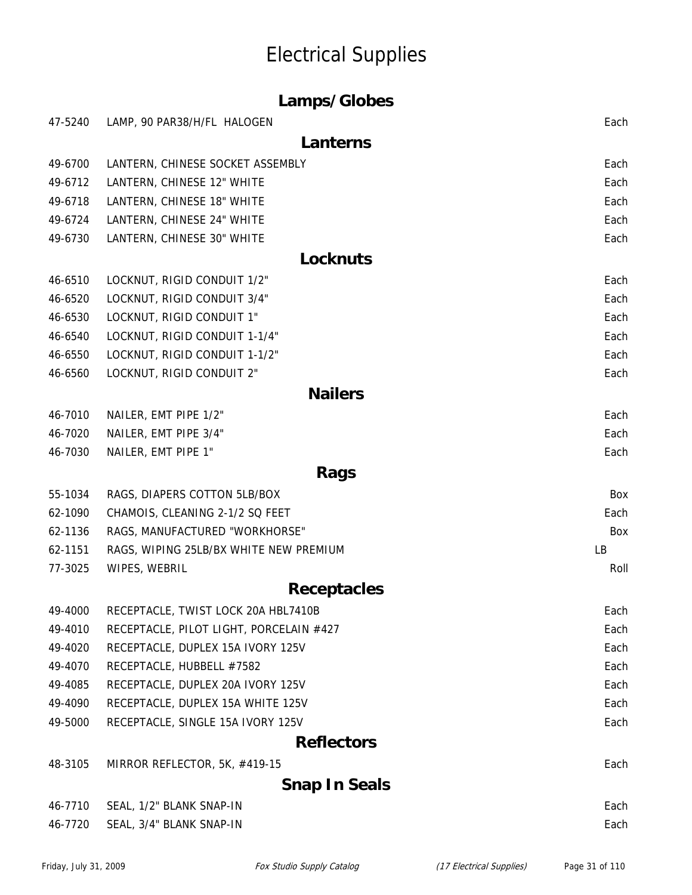| Lamps/Globes |                                         |      |
|--------------|-----------------------------------------|------|
| 47-5240      | LAMP, 90 PAR38/H/FL HALOGEN             | Each |
|              | Lanterns                                |      |
| 49-6700      | LANTERN, CHINESE SOCKET ASSEMBLY        | Each |
| 49-6712      | LANTERN, CHINESE 12" WHITE              | Each |
| 49-6718      | LANTERN, CHINESE 18" WHITE              | Each |
| 49-6724      | LANTERN, CHINESE 24" WHITE              | Each |
| 49-6730      | LANTERN, CHINESE 30" WHITE              | Each |
|              | <b>Locknuts</b>                         |      |
| 46-6510      | LOCKNUT, RIGID CONDUIT 1/2"             | Each |
| 46-6520      | LOCKNUT, RIGID CONDUIT 3/4"             | Each |
| 46-6530      | LOCKNUT, RIGID CONDUIT 1"               | Each |
| 46-6540      | LOCKNUT, RIGID CONDUIT 1-1/4"           | Each |
| 46-6550      | LOCKNUT, RIGID CONDUIT 1-1/2"           | Each |
| 46-6560      | LOCKNUT, RIGID CONDUIT 2"               | Each |
|              | <b>Nailers</b>                          |      |
| 46-7010      | NAILER, EMT PIPE 1/2"                   | Each |
| 46-7020      | NAILER, EMT PIPE 3/4"                   | Each |
| 46-7030      | NAILER, EMT PIPE 1"                     | Each |
|              | Rags                                    |      |
| 55-1034      | RAGS, DIAPERS COTTON 5LB/BOX            | Box  |
| 62-1090      | CHAMOIS, CLEANING 2-1/2 SQ FEET         | Each |
| 62-1136      | RAGS, MANUFACTURED "WORKHORSE"          | Box  |
| 62-1151      | RAGS, WIPING 25LB/BX WHITE NEW PREMIUM  | LB   |
| 77-3025      | WIPES, WEBRIL                           | Roll |
|              | <b>Receptacles</b>                      |      |
| 49-4000      | RECEPTACLE, TWIST LOCK 20A HBL7410B     | Each |
| 49-4010      | RECEPTACLE, PILOT LIGHT, PORCELAIN #427 | Each |
| 49-4020      | RECEPTACLE, DUPLEX 15A IVORY 125V       | Each |
| 49-4070      | RECEPTACLE, HUBBELL #7582               | Each |
| 49-4085      | RECEPTACLE, DUPLEX 20A IVORY 125V       | Each |
| 49-4090      | RECEPTACLE, DUPLEX 15A WHITE 125V       | Each |
| 49-5000      | RECEPTACLE, SINGLE 15A IVORY 125V       | Each |
|              | <b>Reflectors</b>                       |      |
| 48-3105      | MIRROR REFLECTOR, 5K, #419-15           | Each |
|              | <b>Snap In Seals</b>                    |      |
| 46-7710      | SEAL, 1/2" BLANK SNAP-IN                | Each |
| 46-7720      | SEAL, 3/4" BLANK SNAP-IN                | Each |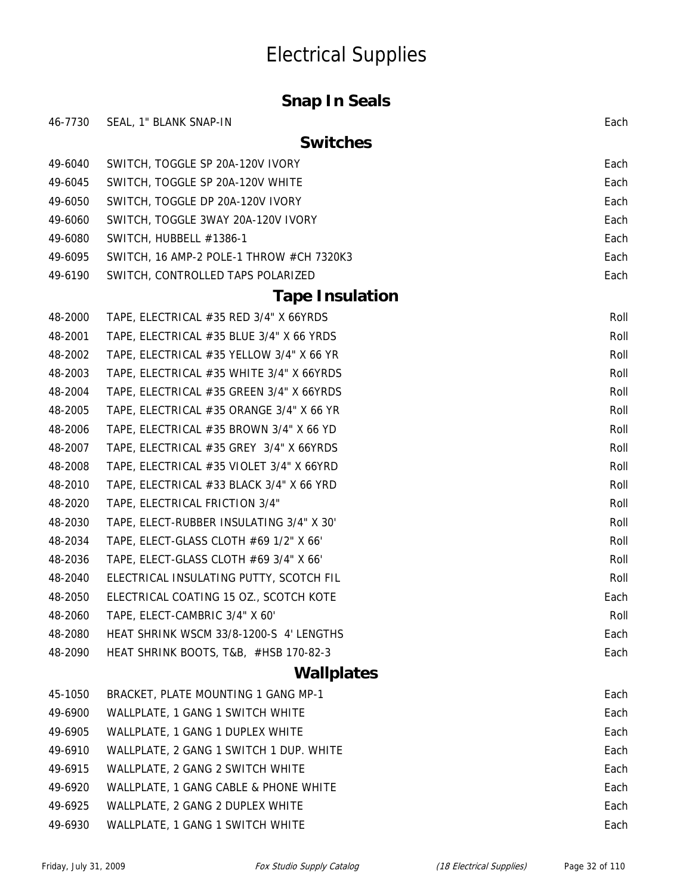#### **Snap In Seals**

| 46-7730 | SEAL, 1" BLANK SNAP-IN                   | Each |
|---------|------------------------------------------|------|
|         | <b>Switches</b>                          |      |
| 49-6040 | SWITCH, TOGGLE SP 20A-120V IVORY         | Each |
| 49-6045 | SWITCH, TOGGLE SP 20A-120V WHITE         | Each |
| 49-6050 | SWITCH, TOGGLE DP 20A-120V IVORY         | Each |
| 49-6060 | SWITCH, TOGGLE 3WAY 20A-120V IVORY       | Each |
| 49-6080 | SWITCH, HUBBELL #1386-1                  | Each |
| 49-6095 | SWITCH, 16 AMP-2 POLE-1 THROW #CH 7320K3 | Each |
| 49-6190 | SWITCH, CONTROLLED TAPS POLARIZED        | Each |
|         | <b>Tape Insulation</b>                   |      |
| 48-2000 | TAPE, ELECTRICAL #35 RED 3/4" X 66YRDS   | Roll |
| 48-2001 | TAPE, ELECTRICAL #35 BLUE 3/4" X 66 YRDS | Roll |
| 48-2002 | TAPE, ELECTRICAL #35 YELLOW 3/4" X 66 YR | Roll |
| 48-2003 | TAPE, ELECTRICAL #35 WHITE 3/4" X 66YRDS | Roll |
| 48-2004 | TAPE, ELECTRICAL #35 GREEN 3/4" X 66YRDS | Roll |
| 48-2005 | TAPE, ELECTRICAL #35 ORANGE 3/4" X 66 YR | Roll |
| 48-2006 | TAPE, ELECTRICAL #35 BROWN 3/4" X 66 YD  | Roll |
| 48-2007 | TAPE, ELECTRICAL #35 GREY 3/4" X 66YRDS  | Roll |
| 48-2008 | TAPE, ELECTRICAL #35 VIOLET 3/4" X 66YRD | Roll |
| 48-2010 | TAPE, ELECTRICAL #33 BLACK 3/4" X 66 YRD | Roll |
| 48-2020 | TAPE, ELECTRICAL FRICTION 3/4"           | Roll |
| 48-2030 | TAPE, ELECT-RUBBER INSULATING 3/4" X 30' | Roll |
| 48-2034 | TAPE, ELECT-GLASS CLOTH #69 1/2" X 66'   | Roll |
| 48-2036 | TAPE, ELECT-GLASS CLOTH #69 3/4" X 66'   | Roll |
| 48-2040 | ELECTRICAL INSULATING PUTTY, SCOTCH FIL  | Roll |
| 48-2050 | ELECTRICAL COATING 15 OZ., SCOTCH KOTE   | Each |
| 48-2060 | TAPE, ELECT-CAMBRIC 3/4" X 60'           | Roll |
| 48-2080 | HEAT SHRINK WSCM 33/8-1200-S 4' LENGTHS  | Each |
| 48-2090 | HEAT SHRINK BOOTS, T&B, #HSB 170-82-3    | Each |
|         | <b>Wallplates</b>                        |      |
| 45-1050 | BRACKET, PLATE MOUNTING 1 GANG MP-1      | Each |
| 49-6900 | WALLPLATE, 1 GANG 1 SWITCH WHITE         | Each |
| 49-6905 | WALLPLATE, 1 GANG 1 DUPLEX WHITE         | Each |
| 49-6910 | WALLPLATE, 2 GANG 1 SWITCH 1 DUP. WHITE  | Each |
| 49-6915 | WALLPLATE, 2 GANG 2 SWITCH WHITE         | Each |
| 49-6920 | WALLPLATE, 1 GANG CABLE & PHONE WHITE    | Each |
| 49-6925 | WALLPLATE, 2 GANG 2 DUPLEX WHITE         | Each |
| 49-6930 | WALLPLATE, 1 GANG 1 SWITCH WHITE         | Each |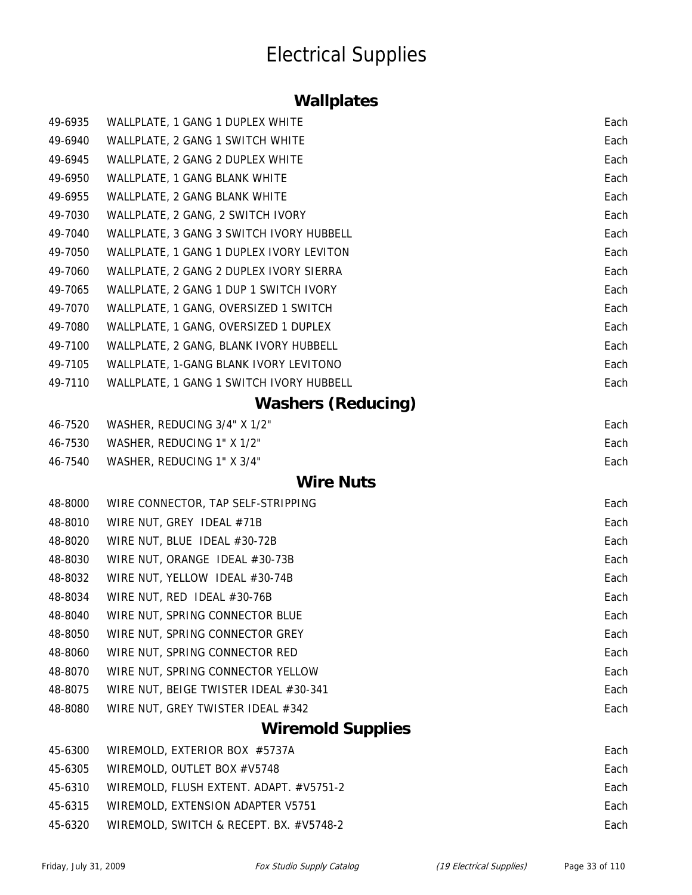### **Wallplates**

| 49-6935 | WALLPLATE, 1 GANG 1 DUPLEX WHITE         | Each |
|---------|------------------------------------------|------|
| 49-6940 | WALLPLATE, 2 GANG 1 SWITCH WHITE         | Each |
| 49-6945 | WALLPLATE, 2 GANG 2 DUPLEX WHITE         | Each |
| 49-6950 | WALLPLATE, 1 GANG BLANK WHITE            | Each |
| 49-6955 | WALLPLATE, 2 GANG BLANK WHITE            | Each |
| 49-7030 | WALLPLATE, 2 GANG, 2 SWITCH IVORY        | Each |
| 49-7040 | WALLPLATE, 3 GANG 3 SWITCH IVORY HUBBELL | Each |
| 49-7050 | WALLPLATE, 1 GANG 1 DUPLEX IVORY LEVITON | Each |
| 49-7060 | WALLPLATE, 2 GANG 2 DUPLEX IVORY SIERRA  | Each |
| 49-7065 | WALLPLATE, 2 GANG 1 DUP 1 SWITCH IVORY   | Each |
| 49-7070 | WALLPLATE, 1 GANG, OVERSIZED 1 SWITCH    | Each |
| 49-7080 | WALLPLATE, 1 GANG, OVERSIZED 1 DUPLEX    | Each |
| 49-7100 | WALLPLATE, 2 GANG, BLANK IVORY HUBBELL   | Each |
| 49-7105 | WALLPLATE, 1-GANG BLANK IVORY LEVITONO   | Each |
| 49-7110 | WALLPLATE, 1 GANG 1 SWITCH IVORY HUBBELL | Each |
|         | <b>Washers (Reducing)</b>                |      |
| 46-7520 | WASHER, REDUCING 3/4" X 1/2"             | Each |
| 46-7530 | WASHER, REDUCING 1" X 1/2"               | Each |
| 46-7540 | WASHER, REDUCING 1" X 3/4"               | Each |
|         | <b>Wire Nuts</b>                         |      |
| 48-8000 | WIRE CONNECTOR, TAP SELF-STRIPPING       | Each |
| 48-8010 | WIRE NUT, GREY IDEAL #71B                | Each |
| 48-8020 | WIRE NUT, BLUE IDEAL #30-72B             | Each |
| 48-8030 | WIRE NUT, ORANGE IDEAL #30-73B           | Each |
| 48-8032 | WIRE NUT, YELLOW IDEAL #30-74B           | Each |
| 48-8034 | WIRE NUT, RED IDEAL #30-76B              | Each |
| 48-8040 | WIRE NUT, SPRING CONNECTOR BLUE          | Each |
| 48-8050 | WIRE NUT, SPRING CONNECTOR GREY          | Each |
| 48-8060 | WIRE NUT, SPRING CONNECTOR RED           | Each |
| 48-8070 | WIRE NUT, SPRING CONNECTOR YELLOW        | Each |
| 48-8075 | WIRE NUT, BEIGE TWISTER IDEAL #30-341    | Each |
| 48-8080 | WIRE NUT, GREY TWISTER IDEAL #342        | Each |
|         | <b>Wiremold Supplies</b>                 |      |
| 45-6300 | WIREMOLD, EXTERIOR BOX #5737A            | Each |
| 45-6305 | WIREMOLD, OUTLET BOX #V5748              | Each |
| 45-6310 | WIREMOLD, FLUSH EXTENT. ADAPT. #V5751-2  | Each |
| 45-6315 | WIREMOLD, EXTENSION ADAPTER V5751        | Each |
| 45-6320 | WIREMOLD, SWITCH & RECEPT. BX. #V5748-2  | Each |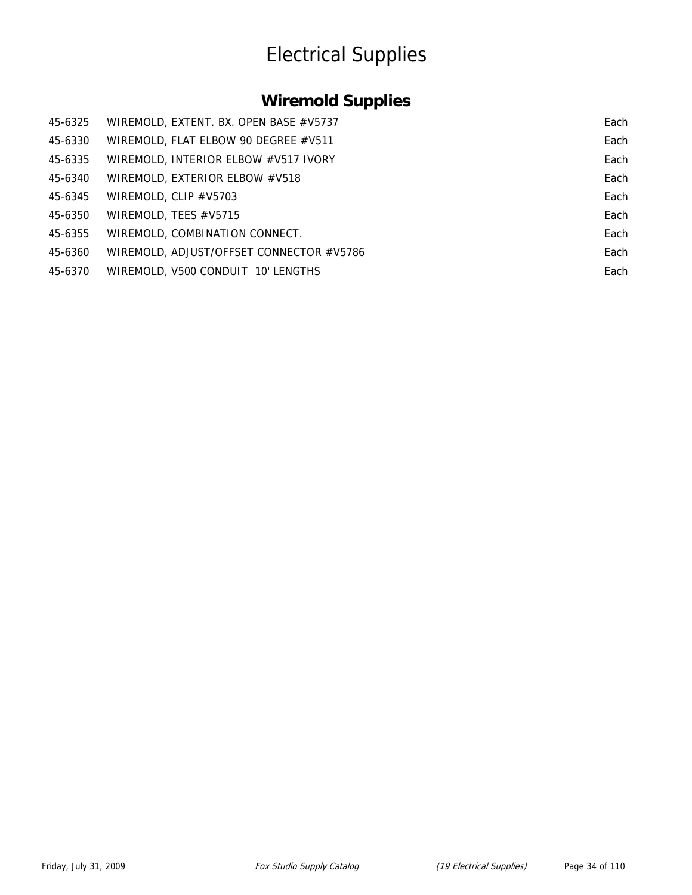### **Wiremold Supplies**

| 45-6325 | WIREMOLD, EXTENT. BX. OPEN BASE #V5737   | Each |
|---------|------------------------------------------|------|
| 45-6330 | WIREMOLD, FLAT ELBOW 90 DEGREE #V511     | Each |
| 45-6335 | WIREMOLD, INTERIOR ELBOW #V517 IVORY     | Each |
| 45-6340 | WIREMOLD, EXTERIOR ELBOW #V518           | Each |
| 45-6345 | WIREMOLD, CLIP #V5703                    | Each |
| 45-6350 | WIREMOLD, TEES #V5715                    | Each |
| 45-6355 | WIREMOLD, COMBINATION CONNECT.           | Each |
| 45-6360 | WIREMOLD, ADJUST/OFFSET CONNECTOR #V5786 | Each |
| 45-6370 | WIREMOLD, V500 CONDUIT 10' LENGTHS       | Each |
|         |                                          |      |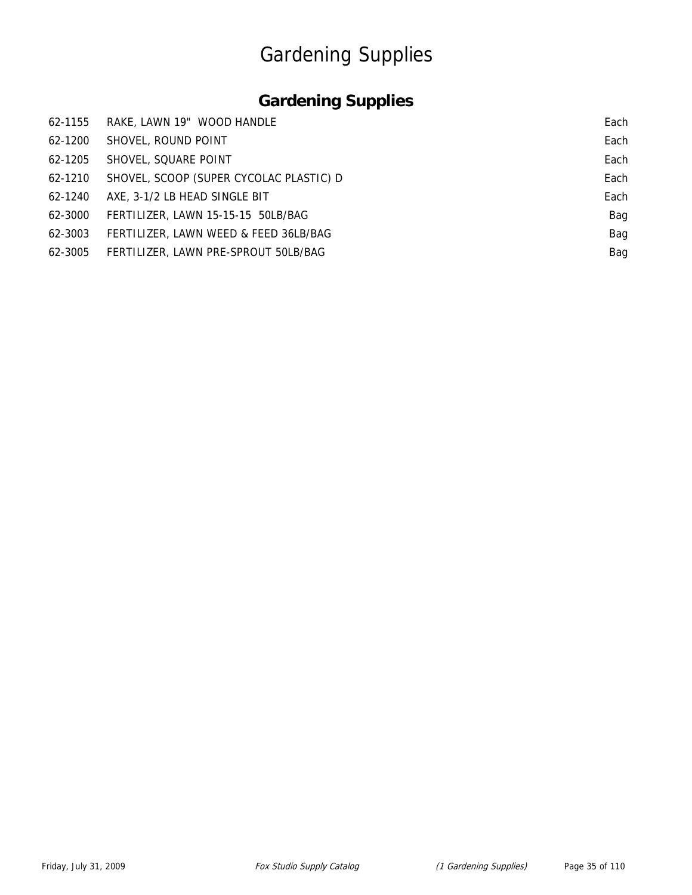# Gardening Supplies

### **Gardening Supplies**

| 62-1155 | RAKE, LAWN 19" WOOD HANDLE              | Each |
|---------|-----------------------------------------|------|
| 62-1200 | SHOVEL, ROUND POINT                     | Each |
| 62-1205 | SHOVEL, SQUARE POINT                    | Each |
| 62-1210 | SHOVEL, SCOOP (SUPER CYCOLAC PLASTIC) D | Each |
| 62-1240 | AXE, 3-1/2 LB HEAD SINGLE BIT           | Each |
| 62-3000 | FERTILIZER, LAWN 15-15-15 50LB/BAG      | Bag  |
| 62-3003 | FERTILIZER, LAWN WEED & FEED 36LB/BAG   | Bag  |
| 62-3005 | FERTILIZER, LAWN PRE-SPROUT 50LB/BAG    | Bag  |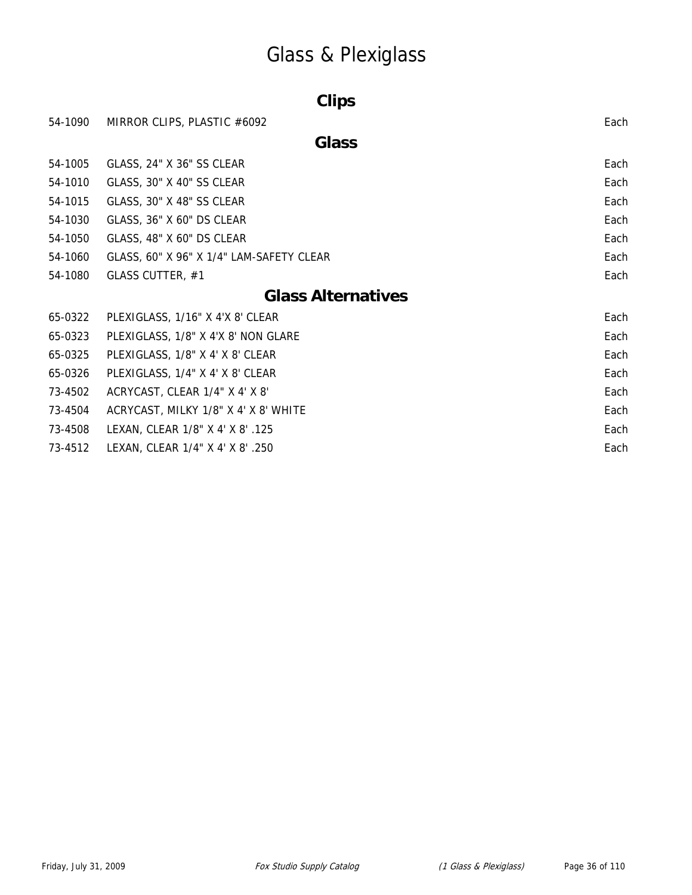# Glass & Plexiglass

| <b>Clips</b> |                                          |      |  |
|--------------|------------------------------------------|------|--|
| 54-1090      | MIRROR CLIPS, PLASTIC #6092              | Each |  |
|              | <b>Glass</b>                             |      |  |
| 54-1005      | GLASS, 24" X 36" SS CLEAR                | Each |  |
| 54-1010      | GLASS, 30" X 40" SS CLEAR                | Each |  |
| 54-1015      | GLASS, 30" X 48" SS CLEAR                | Each |  |
| 54-1030      | GLASS, 36" X 60" DS CLEAR                | Each |  |
| 54-1050      | GLASS, 48" X 60" DS CLEAR                | Each |  |
| 54-1060      | GLASS, 60" X 96" X 1/4" LAM-SAFETY CLEAR | Each |  |
| 54-1080      | GLASS CUTTER, #1                         | Each |  |
|              | <b>Glass Alternatives</b>                |      |  |
| 65-0322      | PLEXIGLASS, 1/16" X 4'X 8' CLEAR         | Each |  |
| 65-0323      | PLEXIGLASS, 1/8" X 4'X 8' NON GLARE      | Each |  |
| 65-0325      | PLEXIGLASS, 1/8" X 4' X 8' CLEAR         | Each |  |
| 65-0326      | PLEXIGLASS, 1/4" X 4' X 8' CLEAR         | Each |  |
| 73-4502      | ACRYCAST, CLEAR 1/4" X 4' X 8'           | Each |  |
| 73-4504      | ACRYCAST, MILKY 1/8" X 4' X 8' WHITE     | Each |  |
| 73-4508      | LEXAN, CLEAR 1/8" X 4' X 8' .125         | Each |  |
| 73-4512      | LEXAN, CLEAR 1/4" X 4' X 8' .250         | Each |  |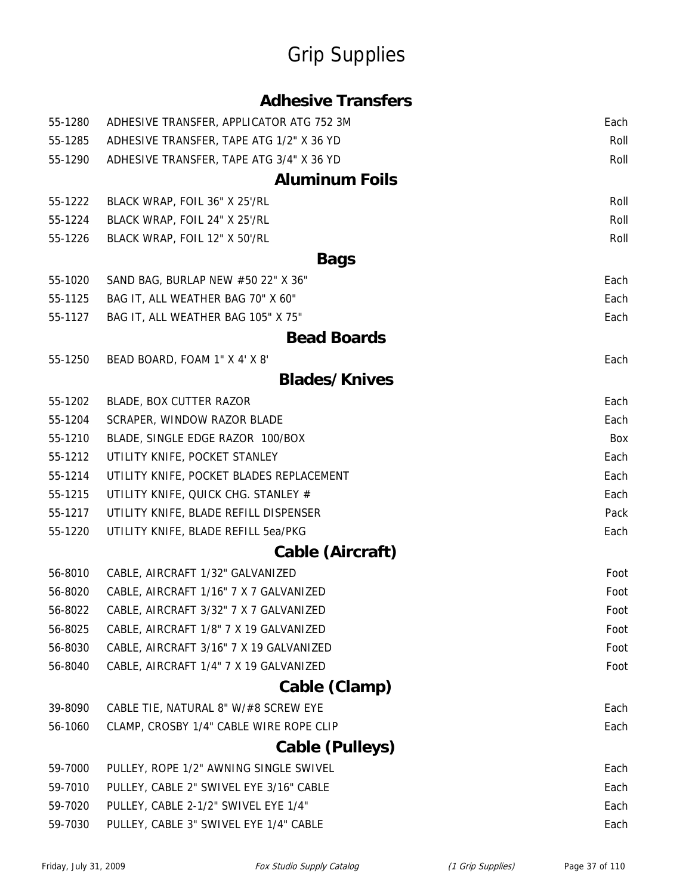| 55-1280 | ADHESIVE TRANSFER, APPLICATOR ATG 752 3M | Each |
|---------|------------------------------------------|------|
| 55-1285 | ADHESIVE TRANSFER, TAPE ATG 1/2" X 36 YD | Roll |
| 55-1290 | ADHESIVE TRANSFER, TAPE ATG 3/4" X 36 YD | Roll |
|         | <b>Aluminum Foils</b>                    |      |
| 55-1222 | BLACK WRAP, FOIL 36" X 25'/RL            | Roll |
| 55-1224 | BLACK WRAP, FOIL 24" X 25'/RL            | Roll |
| 55-1226 | BLACK WRAP, FOIL 12" X 50'/RL            | Roll |
|         | <b>Bags</b>                              |      |
| 55-1020 | SAND BAG, BURLAP NEW #50 22" X 36"       | Each |
| 55-1125 | BAG IT, ALL WEATHER BAG 70" X 60"        | Each |
| 55-1127 | BAG IT, ALL WEATHER BAG 105" X 75"       | Each |
|         | <b>Bead Boards</b>                       |      |
| 55-1250 | BEAD BOARD, FOAM 1" X 4' X 8'            | Each |
|         | <b>Blades/Knives</b>                     |      |
| 55-1202 | BLADE, BOX CUTTER RAZOR                  | Each |
| 55-1204 | SCRAPER, WINDOW RAZOR BLADE              | Each |
| 55-1210 | BLADE, SINGLE EDGE RAZOR 100/BOX         | Box  |
| 55-1212 | UTILITY KNIFE, POCKET STANLEY            | Each |
| 55-1214 | UTILITY KNIFE, POCKET BLADES REPLACEMENT | Each |
| 55-1215 | UTILITY KNIFE, QUICK CHG. STANLEY #      | Each |
| 55-1217 | UTILITY KNIFE, BLADE REFILL DISPENSER    | Pack |
| 55-1220 | UTILITY KNIFE, BLADE REFILL 5ea/PKG      | Each |
|         | Cable (Aircraft)                         |      |
| 56-8010 | CABLE, AIRCRAFT 1/32" GALVANIZED         | Foot |
| 56-8020 | CABLE, AIRCRAFT 1/16" 7 X 7 GALVANIZED   | Foot |
| 56-8022 | CABLE, AIRCRAFT 3/32" 7 X 7 GALVANIZED   | Foot |
| 56-8025 | CABLE, AIRCRAFT 1/8" 7 X 19 GALVANIZED   | Foot |
| 56-8030 | CABLE, AIRCRAFT 3/16" 7 X 19 GALVANIZED  | Foot |
| 56-8040 | CABLE, AIRCRAFT 1/4" 7 X 19 GALVANIZED   | Foot |
|         | Cable (Clamp)                            |      |
| 39-8090 | CABLE TIE, NATURAL 8" W/#8 SCREW EYE     | Each |
| 56-1060 | CLAMP, CROSBY 1/4" CABLE WIRE ROPE CLIP  | Each |
|         | <b>Cable (Pulleys)</b>                   |      |
| 59-7000 | PULLEY, ROPE 1/2" AWNING SINGLE SWIVEL   | Each |
| 59-7010 | PULLEY, CABLE 2" SWIVEL EYE 3/16" CABLE  | Each |
| 59-7020 | PULLEY, CABLE 2-1/2" SWIVEL EYE 1/4"     | Each |
| 59-7030 | PULLEY, CABLE 3" SWIVEL EYE 1/4" CABLE   | Each |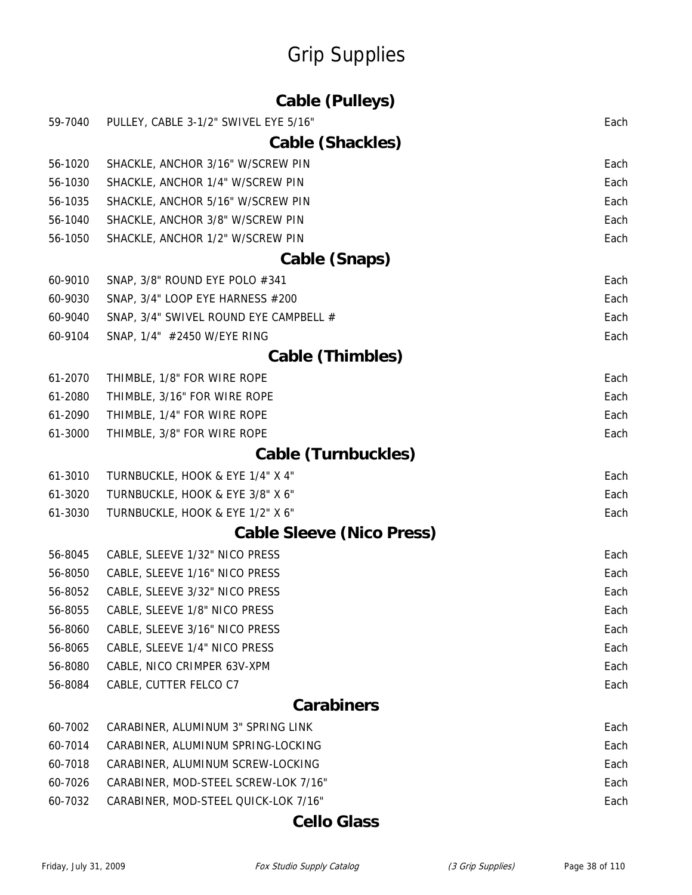|         | <b>Cable (Pulleys)</b>                 |      |
|---------|----------------------------------------|------|
| 59-7040 | PULLEY, CABLE 3-1/2" SWIVEL EYE 5/16"  | Each |
|         | Cable (Shackles)                       |      |
| 56-1020 | SHACKLE, ANCHOR 3/16" W/SCREW PIN      | Each |
| 56-1030 | SHACKLE, ANCHOR 1/4" W/SCREW PIN       | Each |
| 56-1035 | SHACKLE, ANCHOR 5/16" W/SCREW PIN      | Each |
| 56-1040 | SHACKLE, ANCHOR 3/8" W/SCREW PIN       | Each |
| 56-1050 | SHACKLE, ANCHOR 1/2" W/SCREW PIN       | Each |
|         | Cable (Snaps)                          |      |
| 60-9010 | SNAP, 3/8" ROUND EYE POLO #341         | Each |
| 60-9030 | SNAP, 3/4" LOOP EYE HARNESS #200       | Each |
| 60-9040 | SNAP, 3/4" SWIVEL ROUND EYE CAMPBELL # | Each |
| 60-9104 | SNAP, 1/4" #2450 W/EYE RING            | Each |
|         | <b>Cable (Thimbles)</b>                |      |
| 61-2070 | THIMBLE, 1/8" FOR WIRE ROPE            | Each |
| 61-2080 | THIMBLE, 3/16" FOR WIRE ROPE           | Each |
| 61-2090 | THIMBLE, 1/4" FOR WIRE ROPE            | Each |
| 61-3000 | THIMBLE, 3/8" FOR WIRE ROPE            | Each |
|         | <b>Cable (Turnbuckles)</b>             |      |
| 61-3010 | TURNBUCKLE, HOOK & EYE 1/4" X 4"       | Each |
| 61-3020 | TURNBUCKLE, HOOK & EYE 3/8" X 6"       | Each |
| 61-3030 | TURNBUCKLE, HOOK & EYE 1/2" X 6"       | Each |
|         | <b>Cable Sleeve (Nico Press)</b>       |      |
| 56-8045 | CABLE, SLEEVE 1/32" NICO PRESS         | Each |
| 56-8050 | CABLE, SLEEVE 1/16" NICO PRESS         | Each |
| 56-8052 | CABLE, SLEEVE 3/32" NICO PRESS         | Each |
| 56-8055 | CABLE, SLEEVE 1/8" NICO PRESS          | Each |
| 56-8060 | CABLE, SLEEVE 3/16" NICO PRESS         | Each |
| 56-8065 | CABLE, SLEEVE 1/4" NICO PRESS          | Each |
| 56-8080 | CABLE, NICO CRIMPER 63V-XPM            | Each |
| 56-8084 | CABLE, CUTTER FELCO C7                 | Each |
|         | <b>Carabiners</b>                      |      |
| 60-7002 | CARABINER, ALUMINUM 3" SPRING LINK     | Each |
| 60-7014 | CARABINER, ALUMINUM SPRING-LOCKING     | Each |
| 60-7018 | CARABINER, ALUMINUM SCREW-LOCKING      | Each |
| 60-7026 | CARABINER, MOD-STEEL SCREW-LOK 7/16"   | Each |
| 60-7032 | CARABINER, MOD-STEEL QUICK-LOK 7/16"   | Each |
|         | <b>Cello Glass</b>                     |      |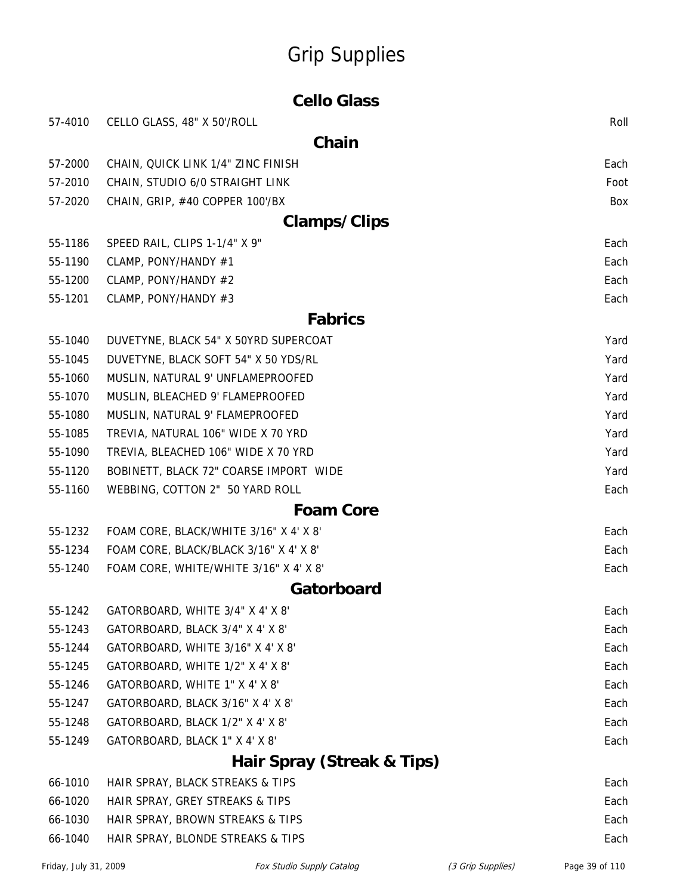| <b>Cello Glass</b>         |                                        |      |
|----------------------------|----------------------------------------|------|
| 57-4010                    | CELLO GLASS, 48" X 50'/ROLL            | Roll |
|                            | Chain                                  |      |
| 57-2000                    | CHAIN, QUICK LINK 1/4" ZINC FINISH     | Each |
| 57-2010                    | CHAIN, STUDIO 6/0 STRAIGHT LINK        | Foot |
| 57-2020                    | CHAIN, GRIP, #40 COPPER 100'/BX        | Box  |
|                            | <b>Clamps/Clips</b>                    |      |
| 55-1186                    | SPEED RAIL, CLIPS 1-1/4" X 9"          | Each |
| 55-1190                    | CLAMP, PONY/HANDY #1                   | Each |
| 55-1200                    | CLAMP, PONY/HANDY #2                   | Each |
| 55-1201                    | CLAMP, PONY/HANDY #3                   | Each |
|                            | <b>Fabrics</b>                         |      |
| 55-1040                    | DUVETYNE, BLACK 54" X 50YRD SUPERCOAT  | Yard |
| 55-1045                    | DUVETYNE, BLACK SOFT 54" X 50 YDS/RL   | Yard |
| 55-1060                    | MUSLIN, NATURAL 9' UNFLAMEPROOFED      | Yard |
| 55-1070                    | MUSLIN, BLEACHED 9' FLAMEPROOFED       | Yard |
| 55-1080                    | MUSLIN, NATURAL 9' FLAMEPROOFED        | Yard |
| 55-1085                    | TREVIA, NATURAL 106" WIDE X 70 YRD     | Yard |
| 55-1090                    | TREVIA, BLEACHED 106" WIDE X 70 YRD    | Yard |
| 55-1120                    | BOBINETT, BLACK 72" COARSE IMPORT WIDE | Yard |
| 55-1160                    | WEBBING, COTTON 2" 50 YARD ROLL        | Each |
|                            | <b>Foam Core</b>                       |      |
| 55-1232                    | FOAM CORE, BLACK/WHITE 3/16" X 4' X 8' | Each |
| 55-1234                    | FOAM CORE, BLACK/BLACK 3/16" X 4' X 8' | Each |
| 55-1240                    | FOAM CORE, WHITE/WHITE 3/16" X 4' X 8' | Each |
|                            | Gatorboard                             |      |
| 55-1242                    | GATORBOARD, WHITE 3/4" X 4' X 8'       | Each |
| 55-1243                    | GATORBOARD, BLACK 3/4" X 4' X 8'       | Each |
| 55-1244                    | GATORBOARD, WHITE 3/16" X 4' X 8'      | Each |
| 55-1245                    | GATORBOARD, WHITE 1/2" X 4' X 8'       | Each |
| 55-1246                    | GATORBOARD, WHITE 1" X 4' X 8'         | Each |
| 55-1247                    | GATORBOARD, BLACK 3/16" X 4' X 8'      | Each |
| 55-1248                    | GATORBOARD, BLACK 1/2" X 4' X 8'       | Each |
| 55-1249                    | GATORBOARD, BLACK 1" X 4' X 8'         | Each |
| Hair Spray (Streak & Tips) |                                        |      |
| 66-1010                    | HAIR SPRAY, BLACK STREAKS & TIPS       | Each |
| 66-1020                    | HAIR SPRAY, GREY STREAKS & TIPS        | Each |
| 66-1030                    | HAIR SPRAY, BROWN STREAKS & TIPS       | Each |

66-1040 HAIR SPRAY, BLONDE STREAKS & TIPS Each extended that the state of the state of the state of the state of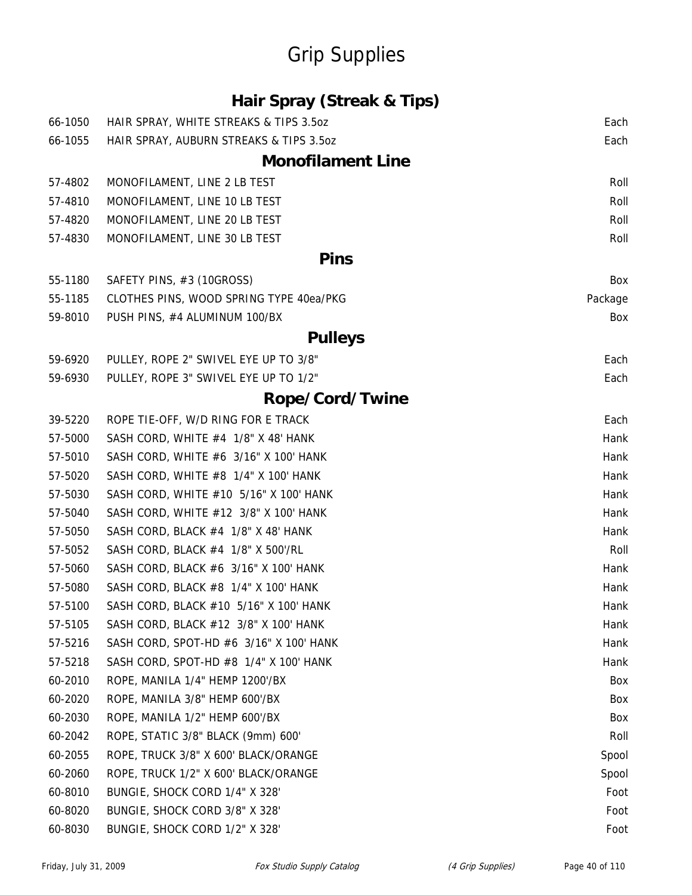### **Hair Spray (Streak & Tips)**

| 66-1050 | HAIR SPRAY, WHITE STREAKS & TIPS 3.5oz  | Each    |
|---------|-----------------------------------------|---------|
| 66-1055 | HAIR SPRAY, AUBURN STREAKS & TIPS 3.5oz | Each    |
|         | <b>Monofilament Line</b>                |         |
| 57-4802 | MONOFILAMENT, LINE 2 LB TEST            | Roll    |
| 57-4810 | MONOFILAMENT, LINE 10 LB TEST           | Roll    |
| 57-4820 | MONOFILAMENT, LINE 20 LB TEST           | Roll    |
| 57-4830 | MONOFILAMENT, LINE 30 LB TEST           | Roll    |
|         | <b>Pins</b>                             |         |
| 55-1180 | SAFETY PINS, #3 (10GROSS)               | Box     |
| 55-1185 | CLOTHES PINS, WOOD SPRING TYPE 40ea/PKG | Package |
| 59-8010 | PUSH PINS, #4 ALUMINUM 100/BX           | Box     |
|         | <b>Pulleys</b>                          |         |
| 59-6920 | PULLEY, ROPE 2" SWIVEL EYE UP TO 3/8"   | Each    |
| 59-6930 | PULLEY, ROPE 3" SWIVEL EYE UP TO 1/2"   | Each    |
|         | Rope/Cord/Twine                         |         |
| 39-5220 | ROPE TIE-OFF, W/D RING FOR E TRACK      | Each    |
| 57-5000 | SASH CORD, WHITE #4 1/8" X 48' HANK     | Hank    |
| 57-5010 | SASH CORD, WHITE #6 3/16" X 100' HANK   | Hank    |
| 57-5020 | SASH CORD, WHITE #8 1/4" X 100' HANK    | Hank    |
| 57-5030 | SASH CORD, WHITE #10 5/16" X 100' HANK  | Hank    |
| 57-5040 | SASH CORD, WHITE #12 3/8" X 100' HANK   | Hank    |
| 57-5050 | SASH CORD, BLACK #4 1/8" X 48' HANK     | Hank    |
| 57-5052 | SASH CORD, BLACK #4 1/8" X 500'/RL      | Roll    |
| 57-5060 | SASH CORD, BLACK #6 3/16" X 100' HANK   | Hank    |
| 57-5080 | SASH CORD, BLACK #8 1/4" X 100' HANK    | Hank    |
| 57-5100 | SASH CORD, BLACK #10 5/16" X 100' HANK  | Hank    |
| 57-5105 | SASH CORD, BLACK #12 3/8" X 100' HANK   | Hank    |
| 57-5216 | SASH CORD, SPOT-HD #6 3/16" X 100' HANK | Hank    |
| 57-5218 | SASH CORD, SPOT-HD #8 1/4" X 100' HANK  | Hank    |
| 60-2010 | ROPE, MANILA 1/4" HEMP 1200'/BX         | Box     |
| 60-2020 | ROPE, MANILA 3/8" HEMP 600'/BX          | Box     |
| 60-2030 | ROPE, MANILA 1/2" HEMP 600'/BX          | Box     |
| 60-2042 | ROPE, STATIC 3/8" BLACK (9mm) 600'      | Roll    |
| 60-2055 | ROPE, TRUCK 3/8" X 600' BLACK/ORANGE    | Spool   |
| 60-2060 | ROPE, TRUCK 1/2" X 600' BLACK/ORANGE    | Spool   |
| 60-8010 | BUNGIE, SHOCK CORD 1/4" X 328'          | Foot    |
| 60-8020 | BUNGIE, SHOCK CORD 3/8" X 328'          | Foot    |
| 60-8030 | BUNGIE, SHOCK CORD 1/2" X 328'          | Foot    |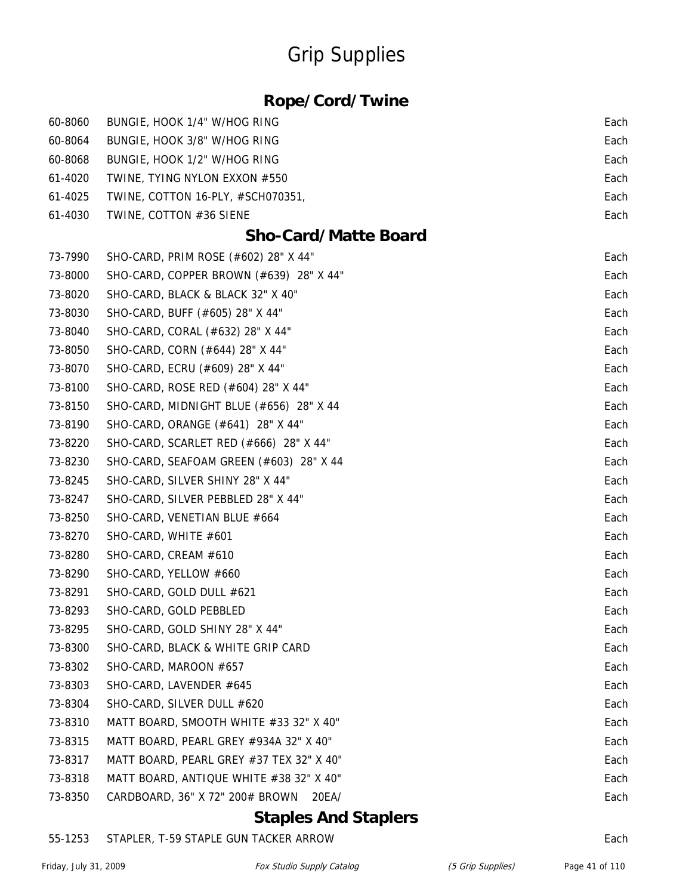### **Rope/Cord/Twine**

| 60-8060 | BUNGIE, HOOK 1/4" W/HOG RING             | Each |
|---------|------------------------------------------|------|
| 60-8064 | BUNGIE, HOOK 3/8" W/HOG RING             | Each |
| 60-8068 | BUNGIE, HOOK 1/2" W/HOG RING             | Each |
| 61-4020 | TWINE, TYING NYLON EXXON #550            | Each |
| 61-4025 | TWINE, COTTON 16-PLY, #SCH070351,        | Each |
| 61-4030 | TWINE, COTTON #36 SIENE                  | Each |
|         | <b>Sho-Card/Matte Board</b>              |      |
| 73-7990 | SHO-CARD, PRIM ROSE (#602) 28" X 44"     | Each |
| 73-8000 | SHO-CARD, COPPER BROWN (#639) 28" X 44"  | Each |
| 73-8020 | SHO-CARD, BLACK & BLACK 32" X 40"        | Each |
| 73-8030 | SHO-CARD, BUFF (#605) 28" X 44"          | Each |
| 73-8040 | SHO-CARD, CORAL (#632) 28" X 44"         | Each |
| 73-8050 | SHO-CARD, CORN (#644) 28" X 44"          | Each |
| 73-8070 | SHO-CARD, ECRU (#609) 28" X 44"          | Each |
| 73-8100 | SHO-CARD, ROSE RED (#604) 28" X 44"      | Each |
| 73-8150 | SHO-CARD, MIDNIGHT BLUE (#656) 28" X 44  | Each |
| 73-8190 | SHO-CARD, ORANGE (#641) 28" X 44"        | Each |
| 73-8220 | SHO-CARD, SCARLET RED (#666) 28" X 44"   | Each |
| 73-8230 | SHO-CARD, SEAFOAM GREEN (#603) 28" X 44  | Each |
| 73-8245 | SHO-CARD, SILVER SHINY 28" X 44"         | Each |
| 73-8247 | SHO-CARD, SILVER PEBBLED 28" X 44"       | Each |
| 73-8250 | SHO-CARD, VENETIAN BLUE #664             | Each |
| 73-8270 | SHO-CARD, WHITE #601                     | Each |
| 73-8280 | SHO-CARD, CREAM #610                     | Each |
| 73-8290 | SHO-CARD, YELLOW #660                    | Each |
| 73-8291 | SHO-CARD, GOLD DULL #621                 | Each |
| 73-8293 | SHO-CARD, GOLD PEBBLED                   | Each |
| 73-8295 | SHO-CARD, GOLD SHINY 28" X 44"           | Each |
| 73-8300 | SHO-CARD, BLACK & WHITE GRIP CARD        | Each |
| 73-8302 | SHO-CARD, MAROON #657                    | Each |
| 73-8303 | SHO-CARD, LAVENDER #645                  | Each |
| 73-8304 | SHO-CARD, SILVER DULL #620               | Each |
| 73-8310 | MATT BOARD, SMOOTH WHITE #33 32" X 40"   | Each |
| 73-8315 | MATT BOARD, PEARL GREY #934A 32" X 40"   | Each |
| 73-8317 | MATT BOARD, PEARL GREY #37 TEX 32" X 40" | Each |
| 73-8318 | MATT BOARD, ANTIQUE WHITE #38 32" X 40"  | Each |
| 73-8350 | CARDBOARD, 36" X 72" 200# BROWN<br>20EA/ | Each |

#### **Staples And Staplers**

#### 55-1253 STAPLER, T-59 STAPLE GUN TACKER ARROW Each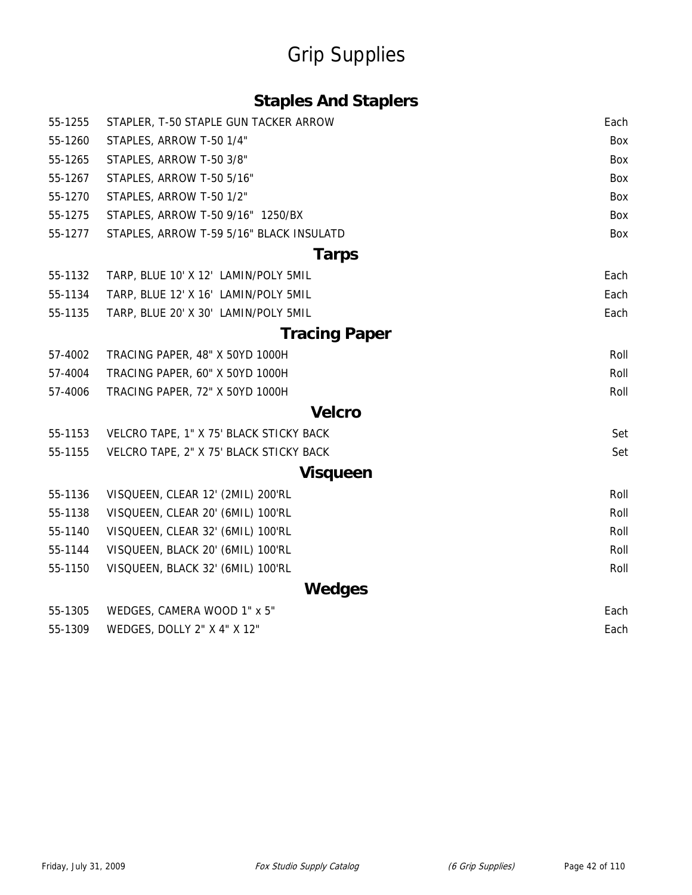### **Staples And Staplers**

| 55-1255 | STAPLER, T-50 STAPLE GUN TACKER ARROW    | Each       |
|---------|------------------------------------------|------------|
| 55-1260 | STAPLES, ARROW T-50 1/4"                 | Box        |
| 55-1265 | STAPLES, ARROW T-50 3/8"                 | Box        |
| 55-1267 | STAPLES, ARROW T-50 5/16"                | <b>Box</b> |
| 55-1270 | STAPLES, ARROW T-50 1/2"                 | Box        |
| 55-1275 | STAPLES, ARROW T-50 9/16" 1250/BX        | Box        |
| 55-1277 | STAPLES, ARROW T-59 5/16" BLACK INSULATD | Box        |
|         | <b>Tarps</b>                             |            |
| 55-1132 | TARP, BLUE 10' X 12' LAMIN/POLY 5MIL     | Each       |
| 55-1134 | TARP, BLUE 12' X 16' LAMIN/POLY 5MIL     | Each       |
| 55-1135 | TARP, BLUE 20' X 30' LAMIN/POLY 5MIL     | Each       |
|         | <b>Tracing Paper</b>                     |            |
| 57-4002 | TRACING PAPER, 48" X 50YD 1000H          | Roll       |
| 57-4004 | TRACING PAPER, 60" X 50YD 1000H          | Roll       |
| 57-4006 | TRACING PAPER, 72" X 50YD 1000H          | Roll       |
|         | <b>Velcro</b>                            |            |
| 55-1153 | VELCRO TAPE, 1" X 75' BLACK STICKY BACK  | Set        |
| 55-1155 | VELCRO TAPE, 2" X 75' BLACK STICKY BACK  | Set        |
|         | <b>Visqueen</b>                          |            |
| 55-1136 | VISQUEEN, CLEAR 12' (2MIL) 200'RL        | Roll       |
| 55-1138 | VISQUEEN, CLEAR 20' (6MIL) 100'RL        | Roll       |
| 55-1140 | VISQUEEN, CLEAR 32' (6MIL) 100'RL        | Roll       |
| 55-1144 | VISQUEEN, BLACK 20' (6MIL) 100'RL        | Roll       |
| 55-1150 | VISQUEEN, BLACK 32' (6MIL) 100'RL        | Roll       |
|         | <b>Wedges</b>                            |            |
| 55-1305 | WEDGES, CAMERA WOOD 1" x 5"              | Each       |
| 55-1309 | WEDGES, DOLLY 2" X 4" X 12"              | Each       |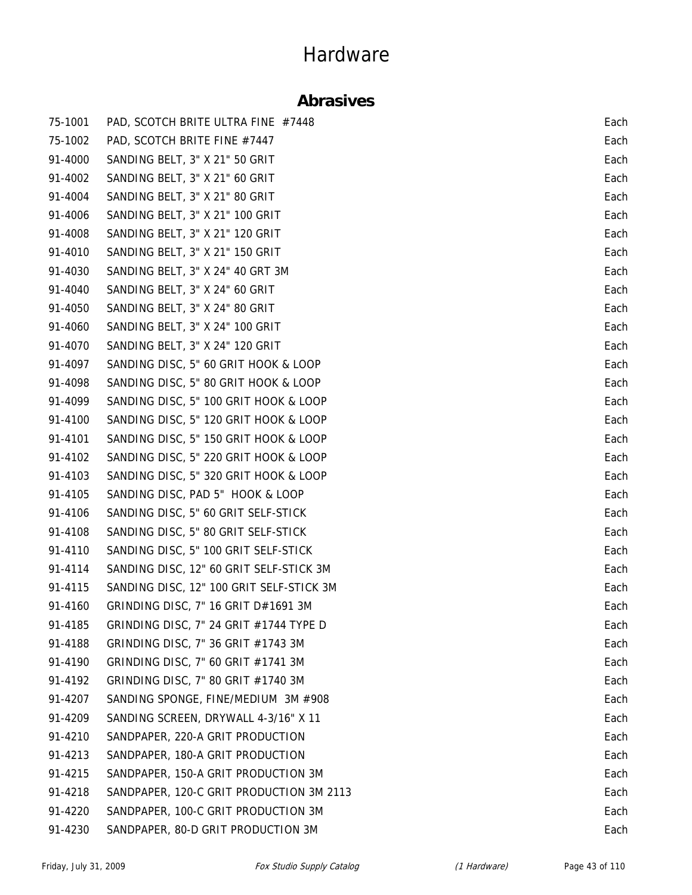### **Abrasives**

| 75-1001 | PAD, SCOTCH BRITE ULTRA FINE #7448       | Each |
|---------|------------------------------------------|------|
| 75-1002 | PAD, SCOTCH BRITE FINE #7447             | Each |
| 91-4000 | SANDING BELT, 3" X 21" 50 GRIT           | Each |
| 91-4002 | SANDING BELT, 3" X 21" 60 GRIT           | Each |
| 91-4004 | SANDING BELT, 3" X 21" 80 GRIT           | Each |
| 91-4006 | SANDING BELT, 3" X 21" 100 GRIT          | Each |
| 91-4008 | SANDING BELT, 3" X 21" 120 GRIT          | Each |
| 91-4010 | SANDING BELT, 3" X 21" 150 GRIT          | Each |
| 91-4030 | SANDING BELT, 3" X 24" 40 GRT 3M         | Each |
| 91-4040 | SANDING BELT, 3" X 24" 60 GRIT           | Each |
| 91-4050 | SANDING BELT, 3" X 24" 80 GRIT           | Each |
| 91-4060 | SANDING BELT, 3" X 24" 100 GRIT          | Each |
| 91-4070 | SANDING BELT, 3" X 24" 120 GRIT          | Each |
| 91-4097 | SANDING DISC, 5" 60 GRIT HOOK & LOOP     | Each |
| 91-4098 | SANDING DISC, 5" 80 GRIT HOOK & LOOP     | Each |
| 91-4099 | SANDING DISC, 5" 100 GRIT HOOK & LOOP    | Each |
| 91-4100 | SANDING DISC, 5" 120 GRIT HOOK & LOOP    | Each |
| 91-4101 | SANDING DISC, 5" 150 GRIT HOOK & LOOP    | Each |
| 91-4102 | SANDING DISC, 5" 220 GRIT HOOK & LOOP    | Each |
| 91-4103 | SANDING DISC, 5" 320 GRIT HOOK & LOOP    | Each |
| 91-4105 | SANDING DISC, PAD 5" HOOK & LOOP         | Each |
| 91-4106 | SANDING DISC, 5" 60 GRIT SELF-STICK      | Each |
| 91-4108 | SANDING DISC, 5" 80 GRIT SELF-STICK      | Each |
| 91-4110 | SANDING DISC, 5" 100 GRIT SELF-STICK     | Each |
| 91-4114 | SANDING DISC, 12" 60 GRIT SELF-STICK 3M  | Each |
| 91-4115 | SANDING DISC, 12" 100 GRIT SELF-STICK 3M | Each |
| 91-4160 | GRINDING DISC, 7" 16 GRIT D#1691 3M      | Each |
| 91-4185 | GRINDING DISC, 7" 24 GRIT #1744 TYPE D   | Each |
| 91-4188 | GRINDING DISC, 7" 36 GRIT #1743 3M       | Each |
| 91-4190 | GRINDING DISC, 7" 60 GRIT #1741 3M       | Each |
| 91-4192 | GRINDING DISC, 7" 80 GRIT #1740 3M       | Each |
| 91-4207 | SANDING SPONGE, FINE/MEDIUM 3M #908      | Each |
| 91-4209 | SANDING SCREEN, DRYWALL 4-3/16" X 11     | Each |
| 91-4210 | SANDPAPER, 220-A GRIT PRODUCTION         | Each |
| 91-4213 | SANDPAPER, 180-A GRIT PRODUCTION         | Each |
| 91-4215 | SANDPAPER, 150-A GRIT PRODUCTION 3M      | Each |
| 91-4218 | SANDPAPER, 120-C GRIT PRODUCTION 3M 2113 | Each |
| 91-4220 | SANDPAPER, 100-C GRIT PRODUCTION 3M      | Each |
| 91-4230 | SANDPAPER, 80-D GRIT PRODUCTION 3M       | Each |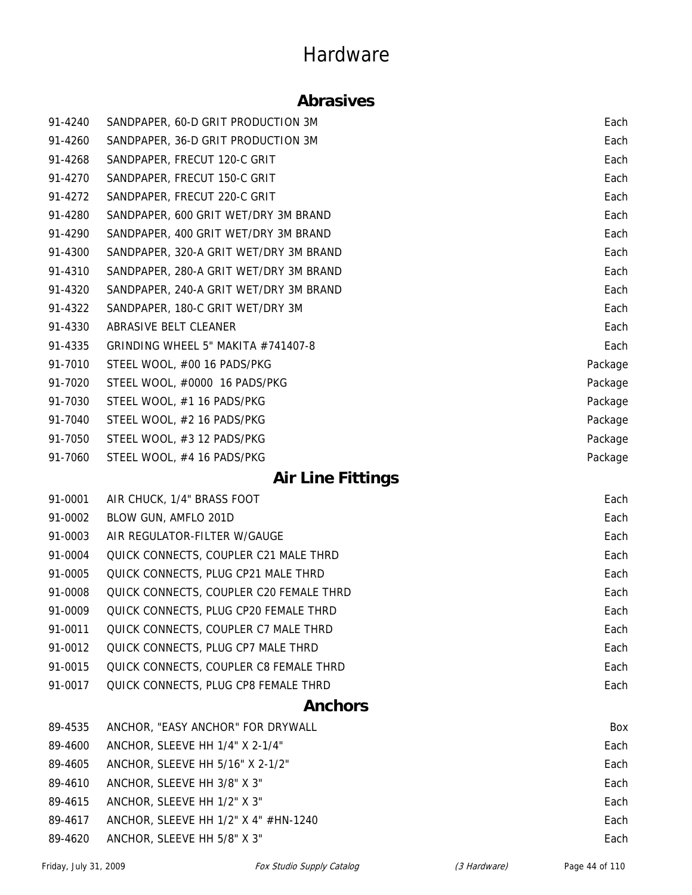#### **Abrasives**

| 91-4240 | SANDPAPER, 60-D GRIT PRODUCTION 3M     | Each    |
|---------|----------------------------------------|---------|
| 91-4260 | SANDPAPER, 36-D GRIT PRODUCTION 3M     | Each    |
| 91-4268 | SANDPAPER, FRECUT 120-C GRIT           | Each    |
| 91-4270 | SANDPAPER, FRECUT 150-C GRIT           | Each    |
| 91-4272 | SANDPAPER, FRECUT 220-C GRIT           | Each    |
| 91-4280 | SANDPAPER, 600 GRIT WET/DRY 3M BRAND   | Each    |
| 91-4290 | SANDPAPER, 400 GRIT WET/DRY 3M BRAND   | Each    |
| 91-4300 | SANDPAPER, 320-A GRIT WET/DRY 3M BRAND | Each    |
| 91-4310 | SANDPAPER, 280-A GRIT WET/DRY 3M BRAND | Each    |
| 91-4320 | SANDPAPER, 240-A GRIT WET/DRY 3M BRAND | Each    |
| 91-4322 | SANDPAPER, 180-C GRIT WET/DRY 3M       | Each    |
| 91-4330 | ABRASIVE BELT CLEANER                  | Each    |
| 91-4335 | GRINDING WHEEL 5" MAKITA #741407-8     | Each    |
| 91-7010 | STEEL WOOL, #00 16 PADS/PKG            | Package |
| 91-7020 | STEEL WOOL, #0000 16 PADS/PKG          | Package |
| 91-7030 | STEEL WOOL, #1 16 PADS/PKG             | Package |
| 91-7040 | STEEL WOOL, #2 16 PADS/PKG             | Package |
| 91-7050 | STEEL WOOL, #3 12 PADS/PKG             | Package |
| 91-7060 | STEEL WOOL, #4 16 PADS/PKG             | Package |

### **Air Line Fittings**

| 91-0001 | AIR CHUCK, 1/4" BRASS FOOT              | Each |
|---------|-----------------------------------------|------|
| 91-0002 | BLOW GUN, AMFLO 201D                    | Each |
| 91-0003 | AIR REGULATOR-FILTER W/GAUGE            | Each |
| 91-0004 | QUICK CONNECTS, COUPLER C21 MALE THRD   | Each |
| 91-0005 | QUICK CONNECTS, PLUG CP21 MALE THRD     | Each |
| 91-0008 | QUICK CONNECTS, COUPLER C20 FEMALE THRD | Each |
| 91-0009 | QUICK CONNECTS, PLUG CP20 FEMALE THRD   | Each |
| 91-0011 | QUICK CONNECTS, COUPLER C7 MALE THRD    | Each |
| 91-0012 | QUICK CONNECTS, PLUG CP7 MALE THRD      | Each |
| 91-0015 | QUICK CONNECTS, COUPLER C8 FEMALE THRD  | Each |
| 91-0017 | QUICK CONNECTS, PLUG CP8 FEMALE THRD    | Each |

#### **Anchors**

| 89-4535 | ANCHOR, "EASY ANCHOR" FOR DRYWALL           | Box  |
|---------|---------------------------------------------|------|
| 89-4600 | ANCHOR, SLEEVE HH 1/4" X 2-1/4"             | Each |
| 89-4605 | ANCHOR, SLEEVE HH 5/16" X 2-1/2"            | Each |
| 89-4610 | ANCHOR, SLEEVE HH 3/8" X 3"                 | Each |
| 89-4615 | ANCHOR, SLEEVE HH 1/2" X 3"                 | Each |
| 89-4617 | ANCHOR, SLEEVE HH $1/2$ " X 4" $\#$ HN-1240 | Each |
| 89-4620 | ANCHOR, SLEEVE HH 5/8" X 3"                 | Each |
|         |                                             |      |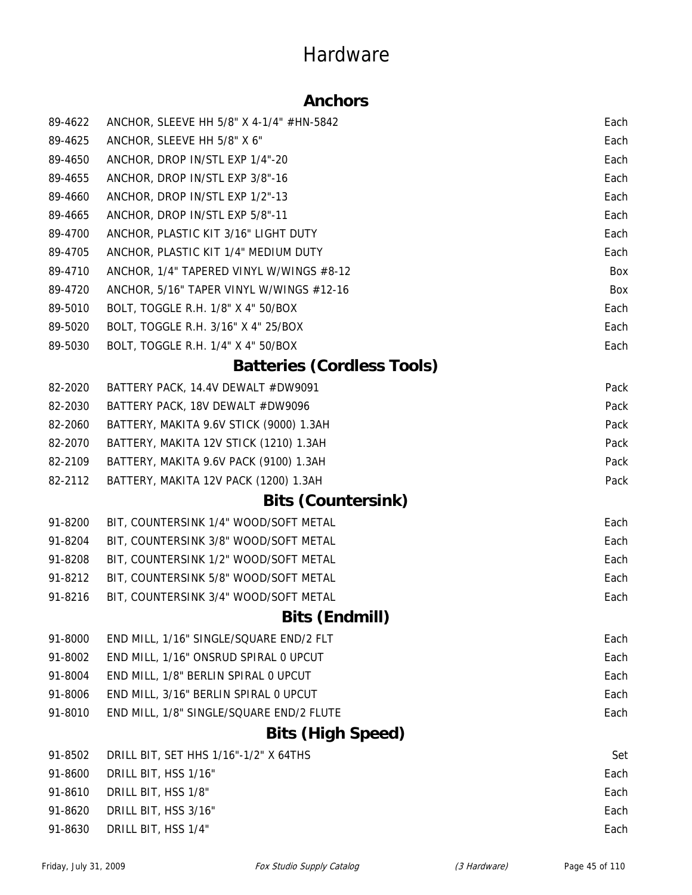### **Anchors**

| 89-4622 | ANCHOR, SLEEVE HH 5/8" X 4-1/4" #HN-5842 | Each |
|---------|------------------------------------------|------|
| 89-4625 | ANCHOR, SLEEVE HH 5/8" X 6"              | Each |
| 89-4650 | ANCHOR, DROP IN/STL EXP 1/4"-20          | Each |
| 89-4655 | ANCHOR, DROP IN/STL EXP 3/8"-16          | Each |
| 89-4660 | ANCHOR, DROP IN/STL EXP 1/2"-13          | Each |
| 89-4665 | ANCHOR, DROP IN/STL EXP 5/8"-11          | Each |
| 89-4700 | ANCHOR, PLASTIC KIT 3/16" LIGHT DUTY     | Each |
| 89-4705 | ANCHOR, PLASTIC KIT 1/4" MEDIUM DUTY     | Each |
| 89-4710 | ANCHOR, 1/4" TAPERED VINYL W/WINGS #8-12 | Box  |
| 89-4720 | ANCHOR, 5/16" TAPER VINYL W/WINGS #12-16 | Box  |
| 89-5010 | BOLT, TOGGLE R.H. 1/8" X 4" 50/BOX       | Each |
| 89-5020 | BOLT, TOGGLE R.H. 3/16" X 4" 25/BOX      | Each |
| 89-5030 | BOLT, TOGGLE R.H. 1/4" X 4" 50/BOX       | Each |
|         | <b>Batteries (Cordless Tools)</b>        |      |
| 82-2020 | BATTERY PACK, 14.4V DEWALT #DW9091       | Pack |
| 82-2030 | BATTERY PACK, 18V DEWALT #DW9096         | Pack |
| 82-2060 | BATTERY, MAKITA 9.6V STICK (9000) 1.3AH  | Pack |
| 82-2070 | BATTERY, MAKITA 12V STICK (1210) 1.3AH   | Pack |
| 82-2109 | BATTERY, MAKITA 9.6V PACK (9100) 1.3AH   | Pack |
| 82-2112 | BATTERY, MAKITA 12V PACK (1200) 1.3AH    | Pack |
|         | <b>Bits (Countersink)</b>                |      |
| 91-8200 | BIT, COUNTERSINK 1/4" WOOD/SOFT METAL    | Each |
| 91-8204 | BIT, COUNTERSINK 3/8" WOOD/SOFT METAL    | Each |
| 91-8208 | BIT, COUNTERSINK 1/2" WOOD/SOFT METAL    | Each |
| 91-8212 | BIT, COUNTERSINK 5/8" WOOD/SOFT METAL    | Each |
| 91-8216 | BIT, COUNTERSINK 3/4" WOOD/SOFT METAL    | Each |
|         | <b>Bits (Endmill)</b>                    |      |
| 91-8000 | END MILL, 1/16" SINGLE/SQUARE END/2 FLT  | Each |
| 91-8002 | END MILL, 1/16" ONSRUD SPIRAL 0 UPCUT    | Each |
| 91-8004 | END MILL, 1/8" BERLIN SPIRAL 0 UPCUT     | Each |
| 91-8006 | END MILL, 3/16" BERLIN SPIRAL 0 UPCUT    | Each |
| 91-8010 | END MILL, 1/8" SINGLE/SQUARE END/2 FLUTE | Each |
|         | <b>Bits (High Speed)</b>                 |      |
| 91-8502 | DRILL BIT, SET HHS 1/16"-1/2" X 64THS    | Set  |
| 91-8600 | DRILL BIT, HSS 1/16"                     | Each |
| 91-8610 | DRILL BIT, HSS 1/8"                      | Each |
| 91-8620 | DRILL BIT, HSS 3/16"                     | Each |
| 91-8630 | DRILL BIT, HSS 1/4"                      | Each |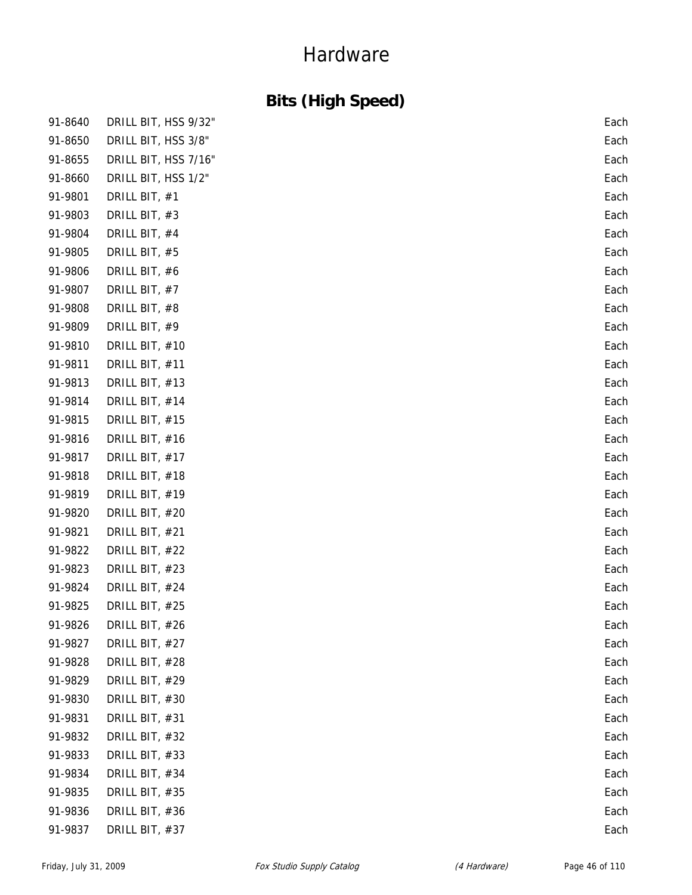### **Bits (High Speed)**

| 91-8640 | DRILL BIT, HSS 9/32" | Each |
|---------|----------------------|------|
| 91-8650 | DRILL BIT, HSS 3/8"  | Each |
| 91-8655 | DRILL BIT, HSS 7/16" | Each |
| 91-8660 | DRILL BIT, HSS 1/2"  | Each |
| 91-9801 | DRILL BIT, #1        | Each |
| 91-9803 | DRILL BIT, #3        | Each |
| 91-9804 | DRILL BIT, #4        | Each |
| 91-9805 | DRILL BIT, #5        | Each |
| 91-9806 | DRILL BIT, #6        | Each |
| 91-9807 | DRILL BIT, #7        | Each |
| 91-9808 | DRILL BIT, #8        | Each |
| 91-9809 | DRILL BIT, #9        | Each |
| 91-9810 | DRILL BIT, #10       | Each |
| 91-9811 | DRILL BIT, #11       | Each |
| 91-9813 | DRILL BIT, #13       | Each |
| 91-9814 | DRILL BIT, #14       | Each |
| 91-9815 | DRILL BIT, #15       | Each |
| 91-9816 | DRILL BIT, #16       | Each |
| 91-9817 | DRILL BIT, #17       | Each |
| 91-9818 | DRILL BIT, #18       | Each |
| 91-9819 | DRILL BIT, #19       | Each |
| 91-9820 | DRILL BIT, #20       | Each |
| 91-9821 | DRILL BIT, #21       | Each |
| 91-9822 | DRILL BIT, #22       | Each |
| 91-9823 | DRILL BIT, #23       | Each |
| 91-9824 | DRILL BIT, #24       | Each |
| 91-9825 | DRILL BIT, #25       | Each |
| 91-9826 | DRILL BIT, #26       | Each |
| 91-9827 | DRILL BIT, #27       | Each |
| 91-9828 | DRILL BIT, #28       | Each |
| 91-9829 | DRILL BIT, #29       | Each |
| 91-9830 | DRILL BIT, #30       | Each |
| 91-9831 | DRILL BIT, #31       | Each |
| 91-9832 | DRILL BIT, #32       | Each |
| 91-9833 | DRILL BIT, #33       | Each |
| 91-9834 | DRILL BIT, #34       | Each |
| 91-9835 | DRILL BIT, #35       | Each |
| 91-9836 | DRILL BIT, #36       | Each |
| 91-9837 | DRILL BIT, #37       | Each |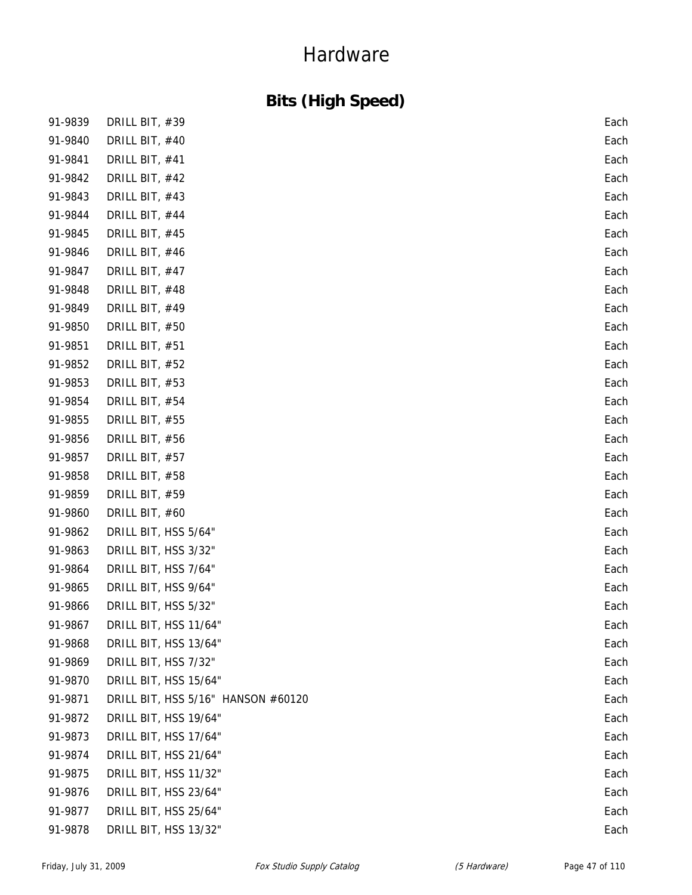### **Bits (High Speed)**

| 91-9839 | DRILL BIT, #39                     | Each |
|---------|------------------------------------|------|
| 91-9840 | DRILL BIT, #40                     | Each |
| 91-9841 | DRILL BIT, #41                     | Each |
| 91-9842 | DRILL BIT, #42                     | Each |
| 91-9843 | DRILL BIT, #43                     | Each |
| 91-9844 | DRILL BIT, #44                     | Each |
| 91-9845 | DRILL BIT, #45                     | Each |
| 91-9846 | DRILL BIT, #46                     | Each |
| 91-9847 | DRILL BIT, #47                     | Each |
| 91-9848 | DRILL BIT, #48                     | Each |
| 91-9849 | DRILL BIT, #49                     | Each |
| 91-9850 | DRILL BIT, #50                     | Each |
| 91-9851 | DRILL BIT, #51                     | Each |
| 91-9852 | DRILL BIT, #52                     | Each |
| 91-9853 | DRILL BIT, #53                     | Each |
| 91-9854 | DRILL BIT, #54                     | Each |
| 91-9855 | DRILL BIT, #55                     | Each |
| 91-9856 | DRILL BIT, #56                     | Each |
| 91-9857 | DRILL BIT, #57                     | Each |
| 91-9858 | DRILL BIT, #58                     | Each |
| 91-9859 | DRILL BIT, #59                     | Each |
| 91-9860 | DRILL BIT, #60                     | Each |
| 91-9862 | DRILL BIT, HSS 5/64"               | Each |
| 91-9863 | DRILL BIT, HSS 3/32"               | Each |
| 91-9864 | DRILL BIT, HSS 7/64"               | Each |
| 91-9865 | DRILL BIT, HSS 9/64"               | Each |
| 91-9866 | DRILL BIT, HSS 5/32"               | Each |
| 91-9867 | DRILL BIT, HSS 11/64"              | Each |
| 91-9868 | DRILL BIT, HSS 13/64"              | Each |
| 91-9869 | DRILL BIT, HSS 7/32"               | Each |
| 91-9870 | DRILL BIT, HSS 15/64"              | Each |
| 91-9871 | DRILL BIT, HSS 5/16" HANSON #60120 | Each |
| 91-9872 | DRILL BIT, HSS 19/64"              | Each |
| 91-9873 | DRILL BIT, HSS 17/64"              | Each |
| 91-9874 | DRILL BIT, HSS 21/64"              | Each |
| 91-9875 | DRILL BIT, HSS 11/32"              | Each |
| 91-9876 | DRILL BIT, HSS 23/64"              | Each |
| 91-9877 | DRILL BIT, HSS 25/64"              | Each |
| 91-9878 | DRILL BIT, HSS 13/32"              | Each |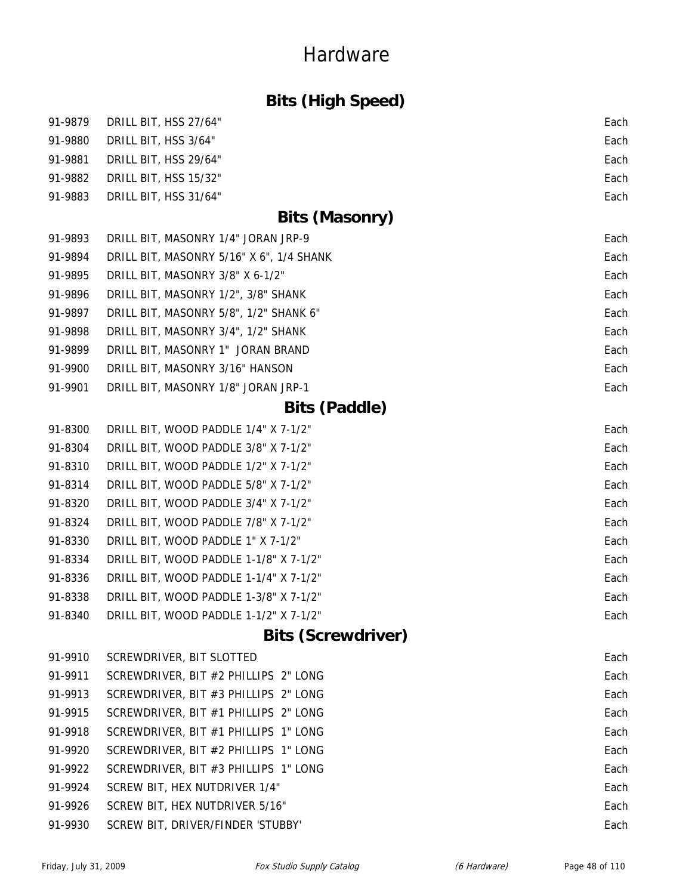### **Bits (High Speed)**

|         | 91-9879 DRILL BIT, HSS 27/64" | Each |
|---------|-------------------------------|------|
| 91-9880 | DRILL BIT, HSS 3/64"          | Each |
| 91-9881 | DRILL BIT, HSS 29/64"         | Each |
| 91-9882 | DRILL BIT, HSS 15/32"         | Each |
| 91-9883 | DRILL BIT, HSS 31/64"         | Each |

### **Bits (Masonry)**

| 91-9893 | DRILL BIT, MASONRY 1/4" JORAN JRP-9      | Each |
|---------|------------------------------------------|------|
| 91-9894 | DRILL BIT, MASONRY 5/16" X 6", 1/4 SHANK | Each |
| 91-9895 | DRILL BIT, MASONRY 3/8" X 6-1/2"         | Each |
| 91-9896 | DRILL BIT, MASONRY 1/2", 3/8" SHANK      | Each |
| 91-9897 | DRILL BIT, MASONRY 5/8", 1/2" SHANK 6"   | Each |
| 91-9898 | DRILL BIT, MASONRY 3/4", 1/2" SHANK      | Each |
| 91-9899 | DRILL BIT, MASONRY 1" JORAN BRAND        | Each |
| 91-9900 | DRILL BIT, MASONRY 3/16" HANSON          | Each |
| 91-9901 | DRILL BIT, MASONRY 1/8" JORAN JRP-1      | Each |

### **Bits (Paddle)**

| 91-8300 | DRILL BIT, WOOD PADDLE 1/4" X 7-1/2"   | Each |
|---------|----------------------------------------|------|
| 91-8304 | DRILL BIT, WOOD PADDLE 3/8" X 7-1/2"   | Each |
| 91-8310 | DRILL BIT, WOOD PADDLE 1/2" X 7-1/2"   | Each |
| 91-8314 | DRILL BIT, WOOD PADDLE 5/8" X 7-1/2"   | Each |
| 91-8320 | DRILL BIT, WOOD PADDLE 3/4" X 7-1/2"   | Each |
| 91-8324 | DRILL BIT, WOOD PADDLE 7/8" X 7-1/2"   | Each |
| 91-8330 | DRILL BIT, WOOD PADDLE 1" X 7-1/2"     | Each |
| 91-8334 | DRILL BIT, WOOD PADDLE 1-1/8" X 7-1/2" | Each |
| 91-8336 | DRILL BIT, WOOD PADDLE 1-1/4" X 7-1/2" | Each |
| 91-8338 | DRILL BIT, WOOD PADDLE 1-3/8" X 7-1/2" | Each |
| 91-8340 | DRILL BIT, WOOD PADDLE 1-1/2" X 7-1/2" | Each |
|         |                                        |      |

### **Bits (Screwdriver)**

| 91-9910 | SCREWDRIVER, BIT SLOTTED               | Each |
|---------|----------------------------------------|------|
| 91-9911 | SCREWDRIVER, BIT #2 PHILLIPS 2" LONG   | Each |
| 91-9913 | SCREWDRIVER, BIT #3 PHILLIPS 2" LONG   | Each |
| 91-9915 | SCREWDRIVER, BIT #1 PHILLIPS 2" LONG   | Each |
| 91-9918 | SCREWDRIVER, BIT #1 PHILLIPS 1" LONG   | Each |
| 91-9920 | SCREWDRIVER, BIT #2 PHILLIPS 1" LONG   | Each |
| 91-9922 | SCREWDRIVER, BIT $#3$ PHILLIPS 1" LONG | Each |
| 91-9924 | SCREW BIT, HEX NUTDRIVER 1/4"          | Each |
| 91-9926 | SCREW BIT, HEX NUTDRIVER 5/16"         | Each |
| 91-9930 | SCREW BIT, DRIVER/FINDER 'STUBBY'      | Each |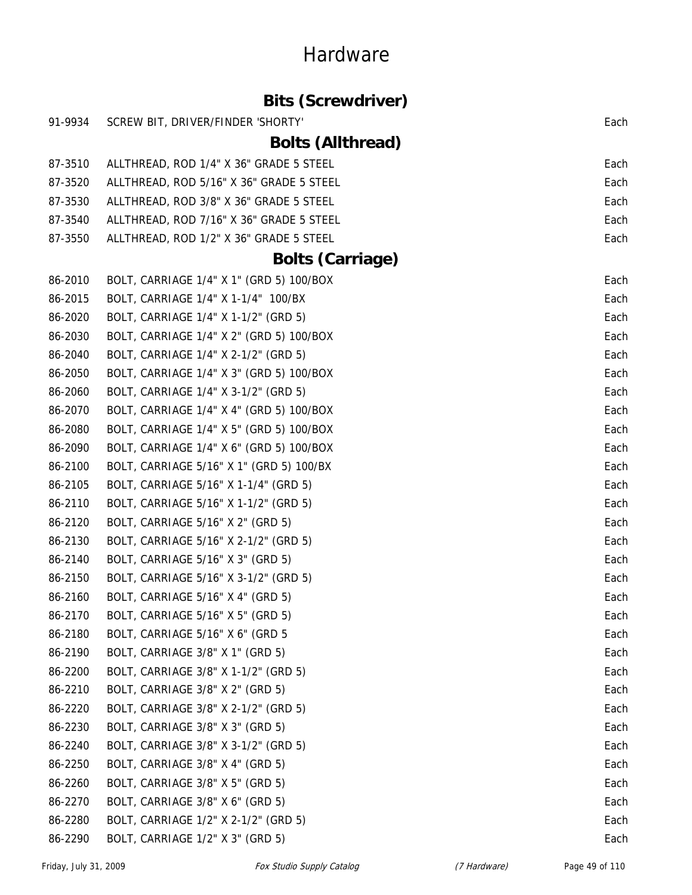|         | <b>Bits (Screwdriver)</b>                |      |
|---------|------------------------------------------|------|
| 91-9934 | SCREW BIT, DRIVER/FINDER 'SHORTY'        | Each |
|         | <b>Bolts (Allthread)</b>                 |      |
| 87-3510 | ALLTHREAD, ROD 1/4" X 36" GRADE 5 STEEL  | Each |
| 87-3520 | ALLTHREAD, ROD 5/16" X 36" GRADE 5 STEEL | Each |
| 87-3530 | ALLTHREAD, ROD 3/8" X 36" GRADE 5 STEEL  | Each |
| 87-3540 | ALLTHREAD, ROD 7/16" X 36" GRADE 5 STEEL | Each |
| 87-3550 | ALLTHREAD, ROD 1/2" X 36" GRADE 5 STEEL  | Each |
|         | <b>Bolts (Carriage)</b>                  |      |
| 86-2010 | BOLT, CARRIAGE 1/4" X 1" (GRD 5) 100/BOX | Each |
| 86-2015 | BOLT, CARRIAGE 1/4" X 1-1/4" 100/BX      | Each |
| 86-2020 | BOLT, CARRIAGE 1/4" X 1-1/2" (GRD 5)     | Each |
| 86-2030 | BOLT, CARRIAGE 1/4" X 2" (GRD 5) 100/BOX | Each |
| 86-2040 | BOLT, CARRIAGE 1/4" X 2-1/2" (GRD 5)     | Each |
| 86-2050 | BOLT, CARRIAGE 1/4" X 3" (GRD 5) 100/BOX | Each |
| 86-2060 | BOLT, CARRIAGE 1/4" X 3-1/2" (GRD 5)     | Each |
| 86-2070 | BOLT, CARRIAGE 1/4" X 4" (GRD 5) 100/BOX | Each |
| 86-2080 | BOLT, CARRIAGE 1/4" X 5" (GRD 5) 100/BOX | Each |
| 86-2090 | BOLT, CARRIAGE 1/4" X 6" (GRD 5) 100/BOX | Each |
| 86-2100 | BOLT, CARRIAGE 5/16" X 1" (GRD 5) 100/BX | Each |
| 86-2105 | BOLT, CARRIAGE 5/16" X 1-1/4" (GRD 5)    | Each |
| 86-2110 | BOLT, CARRIAGE 5/16" X 1-1/2" (GRD 5)    | Each |
| 86-2120 | BOLT, CARRIAGE 5/16" X 2" (GRD 5)        | Each |
| 86-2130 | BOLT, CARRIAGE 5/16" X 2-1/2" (GRD 5)    | Each |
| 86-2140 | BOLT, CARRIAGE 5/16" X 3" (GRD 5)        | Each |
| 86-2150 | BOLT, CARRIAGE 5/16" X 3-1/2" (GRD 5)    | Each |
| 86-2160 | BOLT, CARRIAGE 5/16" X 4" (GRD 5)        | Each |
| 86-2170 | BOLT, CARRIAGE 5/16" X 5" (GRD 5)        | Each |
| 86-2180 | BOLT, CARRIAGE 5/16" X 6" (GRD 5         | Each |
| 86-2190 | BOLT, CARRIAGE 3/8" X 1" (GRD 5)         | Each |
| 86-2200 | BOLT, CARRIAGE 3/8" X 1-1/2" (GRD 5)     | Each |
| 86-2210 | BOLT, CARRIAGE 3/8" X 2" (GRD 5)         | Each |
| 86-2220 | BOLT, CARRIAGE 3/8" X 2-1/2" (GRD 5)     | Each |
| 86-2230 | BOLT, CARRIAGE 3/8" X 3" (GRD 5)         | Each |
| 86-2240 | BOLT, CARRIAGE 3/8" X 3-1/2" (GRD 5)     | Each |
| 86-2250 | BOLT, CARRIAGE 3/8" X 4" (GRD 5)         | Each |
| 86-2260 | BOLT, CARRIAGE 3/8" X 5" (GRD 5)         | Each |
| 86-2270 | BOLT, CARRIAGE 3/8" X 6" (GRD 5)         | Each |
| 86-2280 | BOLT, CARRIAGE 1/2" X 2-1/2" (GRD 5)     | Each |
| 86-2290 | BOLT, CARRIAGE 1/2" X 3" (GRD 5)         | Each |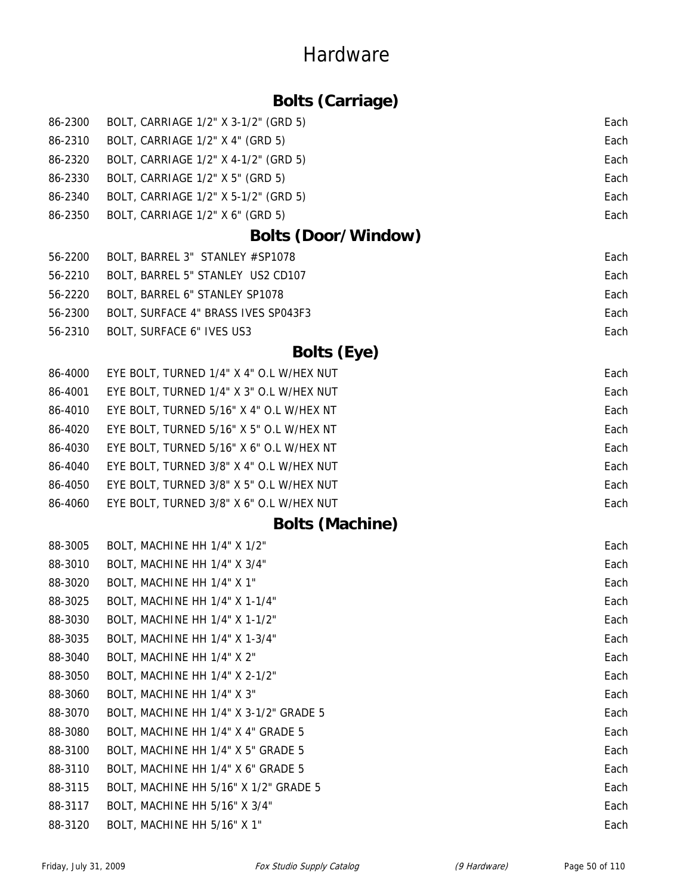### **Bolts (Carriage)**

| 86-2300 | BOLT, CARRIAGE 1/2" X 3-1/2" (GRD 5)     | Each |
|---------|------------------------------------------|------|
| 86-2310 | BOLT, CARRIAGE 1/2" X 4" (GRD 5)         | Each |
| 86-2320 | BOLT, CARRIAGE 1/2" X 4-1/2" (GRD 5)     | Each |
| 86-2330 | BOLT, CARRIAGE 1/2" X 5" (GRD 5)         | Each |
| 86-2340 | BOLT, CARRIAGE 1/2" X 5-1/2" (GRD 5)     | Each |
| 86-2350 | BOLT, CARRIAGE 1/2" X 6" (GRD 5)         | Each |
|         | <b>Bolts (Door/Window)</b>               |      |
| 56-2200 | BOLT, BARREL 3" STANLEY #SP1078          | Each |
| 56-2210 | BOLT, BARREL 5" STANLEY US2 CD107        | Each |
| 56-2220 | BOLT, BARREL 6" STANLEY SP1078           | Each |
| 56-2300 | BOLT, SURFACE 4" BRASS IVES SP043F3      | Each |
| 56-2310 | BOLT, SURFACE 6" IVES US3                | Each |
|         | <b>Bolts (Eye)</b>                       |      |
| 86-4000 | EYE BOLT, TURNED 1/4" X 4" O.L W/HEX NUT | Each |
| 86-4001 | EYE BOLT, TURNED 1/4" X 3" O.L W/HEX NUT | Each |
| 86-4010 | EYE BOLT, TURNED 5/16" X 4" O.L W/HEX NT | Each |
| 86-4020 | EYE BOLT, TURNED 5/16" X 5" O.L W/HEX NT | Each |
| 86-4030 | EYE BOLT, TURNED 5/16" X 6" O.L W/HEX NT | Each |
| 86-4040 | EYE BOLT, TURNED 3/8" X 4" O.L W/HEX NUT | Each |
| 86-4050 | EYE BOLT, TURNED 3/8" X 5" O.L W/HEX NUT | Each |
| 86-4060 | EYE BOLT, TURNED 3/8" X 6" O.L W/HEX NUT | Each |
|         | <b>Bolts (Machine)</b>                   |      |
| 88-3005 | BOLT, MACHINE HH 1/4" X 1/2"             | Each |
| 88-3010 | BOLT, MACHINE HH 1/4" X 3/4"             | Each |
| 88-3020 | BOLT, MACHINE HH 1/4" X 1"               | Each |
| 88-3025 | BOLT, MACHINE HH 1/4" X 1-1/4"           | Each |
| 88-3030 | BOLT, MACHINE HH 1/4" X 1-1/2"           | Each |
| 88-3035 | BOLT, MACHINE HH 1/4" X 1-3/4"           | Each |
| 88-3040 | BOLT, MACHINE HH 1/4" X 2"               | Each |
| 88-3050 | BOLT, MACHINE HH 1/4" X 2-1/2"           | Each |
| 88-3060 | BOLT, MACHINE HH 1/4" X 3"               | Each |
| 88-3070 | BOLT, MACHINE HH 1/4" X 3-1/2" GRADE 5   | Each |
| 88-3080 | BOLT, MACHINE HH 1/4" X 4" GRADE 5       | Each |
| 88-3100 | BOLT, MACHINE HH 1/4" X 5" GRADE 5       | Each |
| 88-3110 | BOLT, MACHINE HH 1/4" X 6" GRADE 5       | Each |
| 88-3115 | BOLT, MACHINE HH 5/16" X 1/2" GRADE 5    | Each |
| 88-3117 | BOLT, MACHINE HH 5/16" X 3/4"            | Each |

88-3120 BOLT, MACHINE HH 5/16" X 1" Each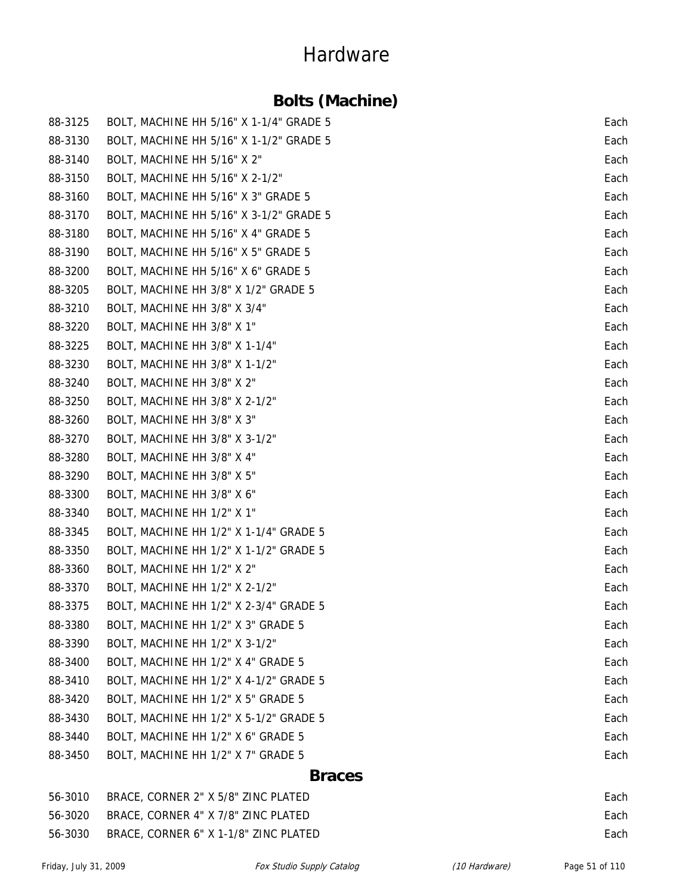### **Bolts (Machine)**

| <b>Braces</b> |                                         |      |
|---------------|-----------------------------------------|------|
| 88-3450       | BOLT, MACHINE HH 1/2" X 7" GRADE 5      | Each |
| 88-3440       | BOLT, MACHINE HH 1/2" X 6" GRADE 5      | Each |
| 88-3430       | BOLT, MACHINE HH 1/2" X 5-1/2" GRADE 5  | Each |
| 88-3420       | BOLT, MACHINE HH 1/2" X 5" GRADE 5      | Each |
| 88-3410       | BOLT, MACHINE HH 1/2" X 4-1/2" GRADE 5  | Each |
| 88-3400       | BOLT, MACHINE HH 1/2" X 4" GRADE 5      | Each |
| 88-3390       | BOLT, MACHINE HH 1/2" X 3-1/2"          | Each |
| 88-3380       | BOLT, MACHINE HH 1/2" X 3" GRADE 5      | Each |
| 88-3375       | BOLT, MACHINE HH 1/2" X 2-3/4" GRADE 5  | Each |
| 88-3370       | BOLT, MACHINE HH 1/2" X 2-1/2"          | Each |
| 88-3360       | BOLT, MACHINE HH 1/2" X 2"              | Each |
| 88-3350       | BOLT, MACHINE HH 1/2" X 1-1/2" GRADE 5  | Each |
| 88-3345       | BOLT, MACHINE HH 1/2" X 1-1/4" GRADE 5  | Each |
| 88-3340       | BOLT, MACHINE HH 1/2" X 1"              | Each |
| 88-3300       | BOLT, MACHINE HH 3/8" X 6"              | Each |
| 88-3290       | BOLT, MACHINE HH 3/8" X 5"              | Each |
| 88-3280       | BOLT, MACHINE HH 3/8" X 4"              | Each |
| 88-3270       | BOLT, MACHINE HH 3/8" X 3-1/2"          | Each |
| 88-3260       | BOLT, MACHINE HH 3/8" X 3"              | Each |
| 88-3250       | BOLT, MACHINE HH 3/8" X 2-1/2"          | Each |
| 88-3240       | BOLT, MACHINE HH 3/8" X 2"              | Each |
| 88-3230       | BOLT, MACHINE HH 3/8" X 1-1/2"          | Each |
| 88-3225       | BOLT, MACHINE HH 3/8" X 1-1/4"          | Each |
| 88-3220       | BOLT, MACHINE HH 3/8" X 1"              | Each |
| 88-3210       | BOLT, MACHINE HH 3/8" X 3/4"            | Each |
| 88-3205       | BOLT, MACHINE HH 3/8" X 1/2" GRADE 5    | Each |
| 88-3200       | BOLT, MACHINE HH 5/16" X 6" GRADE 5     | Each |
| 88-3190       | BOLT, MACHINE HH 5/16" X 5" GRADE 5     | Each |
| 88-3180       | BOLT, MACHINE HH 5/16" X 4" GRADE 5     | Each |
| 88-3170       | BOLT, MACHINE HH 5/16" X 3-1/2" GRADE 5 | Each |
| 88-3160       | BOLT, MACHINE HH 5/16" X 3" GRADE 5     | Each |
| 88-3150       | BOLT, MACHINE HH 5/16" X 2-1/2"         | Each |
| 88-3140       | BOLT, MACHINE HH 5/16" X 2"             | Each |
| 88-3130       | BOLT, MACHINE HH 5/16" X 1-1/2" GRADE 5 | Each |
| 88-3125       | BOLT, MACHINE HH 5/16" X 1-1/4" GRADE 5 | Each |
|               |                                         |      |

| 56-3010 | BRACE, CORNER 2" X 5/8" ZINC PLATED   | Each |
|---------|---------------------------------------|------|
| 56-3020 | BRACE, CORNER 4" X 7/8" ZINC PLATED   | Each |
| 56-3030 | BRACE, CORNER 6" X 1-1/8" ZINC PLATED | Each |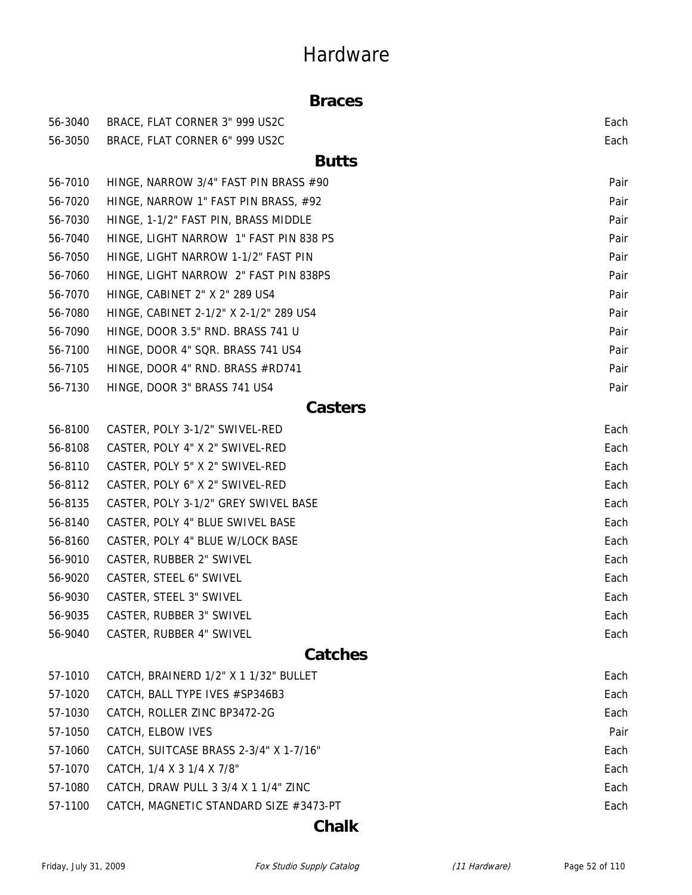#### **Braces**

| 56-3040 | BRACE, FLAT CORNER 3" 999 US2C         | Each |
|---------|----------------------------------------|------|
| 56-3050 | BRACE, FLAT CORNER 6" 999 US2C         | Each |
|         | <b>Butts</b>                           |      |
| 56-7010 | HINGE, NARROW 3/4" FAST PIN BRASS #90  | Pair |
| 56-7020 | HINGE, NARROW 1" FAST PIN BRASS, #92   | Pair |
| 56-7030 | HINGE, 1-1/2" FAST PIN, BRASS MIDDLE   | Pair |
| 56-7040 | HINGE, LIGHT NARROW 1" FAST PIN 838 PS | Pair |
| 56-7050 | HINGE, LIGHT NARROW 1-1/2" FAST PIN    | Pair |
| 56-7060 | HINGE, LIGHT NARROW 2" FAST PIN 838PS  | Pair |
| 56-7070 | HINGE, CABINET 2" X 2" 289 US4         | Pair |
| 56-7080 | HINGE, CABINET 2-1/2" X 2-1/2" 289 US4 | Pair |
| 56-7090 | HINGE, DOOR 3.5" RND. BRASS 741 U      | Pair |
| 56-7100 | HINGE, DOOR 4" SQR. BRASS 741 US4      | Pair |
| 56-7105 | HINGE, DOOR 4" RND. BRASS #RD741       | Pair |
| 56-7130 | HINGE, DOOR 3" BRASS 741 US4           | Pair |
|         | <b>Casters</b>                         |      |
| 56-8100 | CASTER, POLY 3-1/2" SWIVEL-RED         | Each |
| 56-8108 | CASTER, POLY 4" X 2" SWIVEL-RED        | Each |
| 56-8110 | CASTER, POLY 5" X 2" SWIVEL-RED        | Each |
| 56-8112 | CASTER, POLY 6" X 2" SWIVEL-RED        | Each |
| 56-8135 | CASTER, POLY 3-1/2" GREY SWIVEL BASE   | Each |
| 56-8140 | CASTER, POLY 4" BLUE SWIVEL BASE       | Each |
| 56-8160 | CASTER, POLY 4" BLUE W/LOCK BASE       | Each |
| 56-9010 | CASTER, RUBBER 2" SWIVEL               | Each |
| 56-9020 | CASTER, STEEL 6" SWIVEL                | Each |
| 56-9030 | CASTER, STEEL 3" SWIVEL                | Each |
| 56-9035 | CASTER, RUBBER 3" SWIVEL               | Each |
| 56-9040 | CASTER, RUBBER 4" SWIVEL               | Each |
|         | <b>Catches</b>                         |      |
| 57-1010 | CATCH, BRAINERD 1/2" X 1 1/32" BULLET  | Each |
| 57-1020 | CATCH, BALL TYPE IVES #SP346B3         | Each |
| 57-1030 | CATCH, ROLLER ZINC BP3472-2G           | Each |
| 57-1050 | CATCH, ELBOW IVES                      | Pair |
| 57-1060 | CATCH, SUITCASE BRASS 2-3/4" X 1-7/16" | Each |
| 57-1070 | CATCH, 1/4 X 3 1/4 X 7/8"              | Each |
| 57-1080 | CATCH, DRAW PULL 3 3/4 X 1 1/4" ZINC   | Each |
| 57-1100 | CATCH, MAGNETIC STANDARD SIZE #3473-PT | Each |

**Chalk**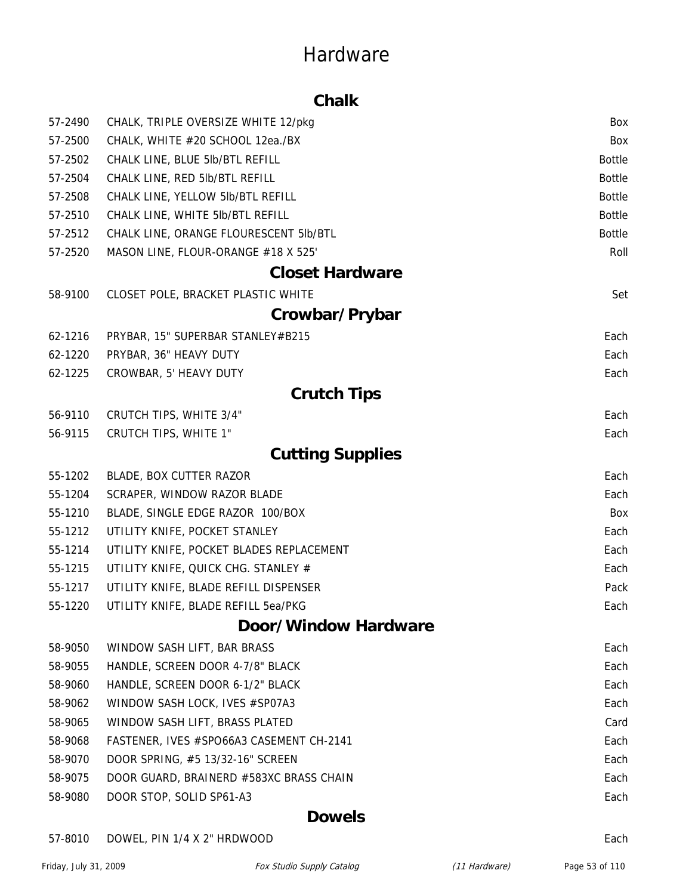#### **Chalk**

| 57-2490 | CHALK, TRIPLE OVERSIZE WHITE 12/pkg      | Box           |
|---------|------------------------------------------|---------------|
| 57-2500 | CHALK, WHITE #20 SCHOOL 12ea./BX         | Box           |
| 57-2502 | CHALK LINE, BLUE 5lb/BTL REFILL          | <b>Bottle</b> |
| 57-2504 | CHALK LINE, RED 5lb/BTL REFILL           | <b>Bottle</b> |
| 57-2508 | CHALK LINE, YELLOW 5lb/BTL REFILL        | <b>Bottle</b> |
| 57-2510 | CHALK LINE, WHITE 5lb/BTL REFILL         | <b>Bottle</b> |
| 57-2512 | CHALK LINE, ORANGE FLOURESCENT 5lb/BTL   | <b>Bottle</b> |
| 57-2520 | MASON LINE, FLOUR-ORANGE #18 X 525'      | Roll          |
|         | <b>Closet Hardware</b>                   |               |
| 58-9100 | CLOSET POLE, BRACKET PLASTIC WHITE       | Set           |
|         | Crowbar/Prybar                           |               |
| 62-1216 | PRYBAR, 15" SUPERBAR STANLEY#B215        | Each          |
| 62-1220 | PRYBAR, 36" HEAVY DUTY                   | Each          |
| 62-1225 | CROWBAR, 5' HEAVY DUTY                   | Each          |
|         | <b>Crutch Tips</b>                       |               |
| 56-9110 | CRUTCH TIPS, WHITE 3/4"                  | Each          |
| 56-9115 | <b>CRUTCH TIPS, WHITE 1"</b>             | Each          |
|         | <b>Cutting Supplies</b>                  |               |
| 55-1202 | BLADE, BOX CUTTER RAZOR                  | Each          |
| 55-1204 | SCRAPER, WINDOW RAZOR BLADE              | Each          |
| 55-1210 | BLADE, SINGLE EDGE RAZOR 100/BOX         | Box           |
| 55-1212 | UTILITY KNIFE, POCKET STANLEY            | Each          |
| 55-1214 | UTILITY KNIFE, POCKET BLADES REPLACEMENT | Each          |
| 55-1215 | UTILITY KNIFE, QUICK CHG. STANLEY #      | Each          |
| 55-1217 | UTILITY KNIFE, BLADE REFILL DISPENSER    | Pack          |
| 55-1220 | UTILITY KNIFE, BLADE REFILL 5ea/PKG      | Each          |
|         | Door/Window Hardware                     |               |
| 58-9050 | WINDOW SASH LIFT, BAR BRASS              | Each          |
| 58-9055 | HANDLE, SCREEN DOOR 4-7/8" BLACK         | Each          |
| 58-9060 | HANDLE, SCREEN DOOR 6-1/2" BLACK         | Each          |
| 58-9062 | WINDOW SASH LOCK, IVES #SP07A3           | Each          |
| 58-9065 | WINDOW SASH LIFT, BRASS PLATED           | Card          |
| 58-9068 | FASTENER, IVES #SPO66A3 CASEMENT CH-2141 | Each          |
| 58-9070 | DOOR SPRING, #5 13/32-16" SCREEN         | Each          |
| 58-9075 | DOOR GUARD, BRAINERD #583XC BRASS CHAIN  | Each          |
| 58-9080 | DOOR STOP, SOLID SP61-A3                 | Each          |
|         |                                          |               |

#### **Dowels**

#### 57-8010 DOWEL, PIN 1/4 X 2" HRDWOOD **Each** example 20 and 20 and 20 and 20 and 20 and 20 and 20 and 20 and 20 and 20 and 20 and 20 and 20 and 20 and 20 and 20 and 20 and 20 and 20 and 20 and 20 and 20 and 20 and 20 and 20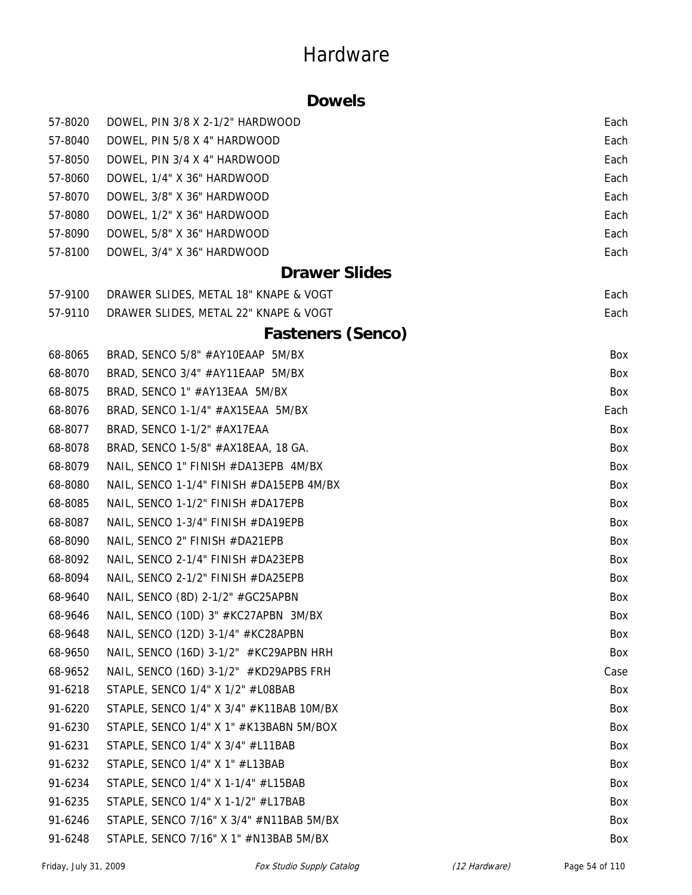#### **Dowels**

| 57-8020 | DOWEL, PIN 3/8 X 2-1/2" HARDWOOD         | Each |
|---------|------------------------------------------|------|
| 57-8040 | DOWEL, PIN 5/8 X 4" HARDWOOD             | Each |
| 57-8050 | DOWEL, PIN 3/4 X 4" HARDWOOD             | Each |
| 57-8060 | DOWEL, 1/4" X 36" HARDWOOD               | Each |
| 57-8070 | DOWEL, 3/8" X 36" HARDWOOD               | Each |
| 57-8080 | DOWEL, 1/2" X 36" HARDWOOD               | Each |
| 57-8090 | DOWEL, 5/8" X 36" HARDWOOD               | Each |
| 57-8100 | DOWEL, 3/4" X 36" HARDWOOD               | Each |
|         | <b>Drawer Slides</b>                     |      |
| 57-9100 | DRAWER SLIDES, METAL 18" KNAPE & VOGT    | Each |
| 57-9110 | DRAWER SLIDES, METAL 22" KNAPE & VOGT    | Each |
|         | <b>Fasteners (Senco)</b>                 |      |
| 68-8065 | BRAD, SENCO 5/8" #AY10EAAP 5M/BX         | Box  |
| 68-8070 | BRAD, SENCO 3/4" #AY11EAAP 5M/BX         | Box  |
| 68-8075 | BRAD, SENCO 1" #AY13EAA 5M/BX            | Box  |
| 68-8076 | BRAD, SENCO 1-1/4" #AX15EAA 5M/BX        | Each |
| 68-8077 | BRAD, SENCO 1-1/2" #AX17EAA              | Box  |
| 68-8078 | BRAD, SENCO 1-5/8" #AX18EAA, 18 GA.      | Box  |
| 68-8079 | NAIL, SENCO 1" FINISH #DA13EPB 4M/BX     | Box  |
| 68-8080 | NAIL, SENCO 1-1/4" FINISH #DA15EPB 4M/BX | Box  |
| 68-8085 | NAIL, SENCO 1-1/2" FINISH #DA17EPB       | Box  |
| 68-8087 | NAIL, SENCO 1-3/4" FINISH #DA19EPB       | Box  |
| 68-8090 | NAIL, SENCO 2" FINISH #DA21EPB           | Box  |
| 68-8092 | NAIL, SENCO 2-1/4" FINISH #DA23EPB       | Box  |
| 68-8094 | NAIL, SENCO 2-1/2" FINISH #DA25EPB       | Box  |
| 68-9640 | NAIL, SENCO (8D) 2-1/2" #GC25APBN        | Box  |
| 68-9646 | NAIL, SENCO (10D) 3" #KC27APBN 3M/BX     | Box  |
| 68-9648 | NAIL, SENCO (12D) 3-1/4" #KC28APBN       | Box  |
| 68-9650 | NAIL, SENCO (16D) 3-1/2" #KC29APBN HRH   | Box  |
| 68-9652 | NAIL, SENCO (16D) 3-1/2" #KD29APBS FRH   | Case |
| 91-6218 | STAPLE, SENCO 1/4" X 1/2" #L08BAB        | Box  |
| 91-6220 | STAPLE, SENCO 1/4" X 3/4" #K11BAB 10M/BX | Box  |
| 91-6230 | STAPLE, SENCO 1/4" X 1" #K13BABN 5M/BOX  | Box  |
| 91-6231 | STAPLE, SENCO 1/4" X 3/4" #L11BAB        | Box  |
| 91-6232 | STAPLE, SENCO 1/4" X 1" #L13BAB          | Box  |
| 91-6234 | STAPLE, SENCO 1/4" X 1-1/4" #L15BAB      | Box  |
| 91-6235 | STAPLE, SENCO 1/4" X 1-1/2" #L17BAB      | Box  |
| 91-6246 | STAPLE, SENCO 7/16" X 3/4" #N11BAB 5M/BX | Box  |
| 91-6248 | STAPLE, SENCO 7/16" X 1" #N13BAB 5M/BX   | Box  |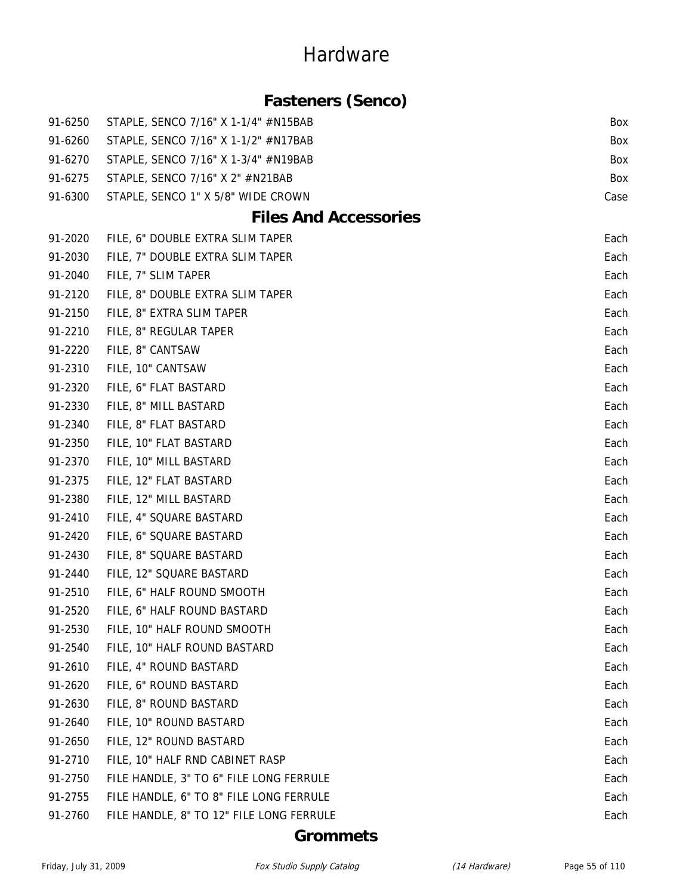### **Fasteners (Senco)**

| 91-6250 | STAPLE, SENCO 7/16" X 1-1/4" #N15BAB     | Box  |
|---------|------------------------------------------|------|
| 91-6260 | STAPLE, SENCO 7/16" X 1-1/2" #N17BAB     | Box  |
| 91-6270 | STAPLE, SENCO 7/16" X 1-3/4" #N19BAB     | Box  |
| 91-6275 | STAPLE, SENCO 7/16" X 2" #N21BAB         | Box  |
| 91-6300 | STAPLE, SENCO 1" X 5/8" WIDE CROWN       | Case |
|         | <b>Files And Accessories</b>             |      |
| 91-2020 | FILE, 6" DOUBLE EXTRA SLIM TAPER         | Each |
| 91-2030 | FILE, 7" DOUBLE EXTRA SLIM TAPER         | Each |
| 91-2040 | FILE, 7" SLIM TAPER                      | Each |
| 91-2120 | FILE, 8" DOUBLE EXTRA SLIM TAPER         | Each |
| 91-2150 | FILE, 8" EXTRA SLIM TAPER                | Each |
| 91-2210 | FILE, 8" REGULAR TAPER                   | Each |
| 91-2220 | FILE, 8" CANTSAW                         | Each |
| 91-2310 | FILE, 10" CANTSAW                        | Each |
| 91-2320 | FILE, 6" FLAT BASTARD                    | Each |
| 91-2330 | FILE, 8" MILL BASTARD                    | Each |
| 91-2340 | FILE, 8" FLAT BASTARD                    | Each |
| 91-2350 | FILE, 10" FLAT BASTARD                   | Each |
| 91-2370 | FILE, 10" MILL BASTARD                   | Each |
| 91-2375 | FILE, 12" FLAT BASTARD                   | Each |
| 91-2380 | FILE, 12" MILL BASTARD                   | Each |
| 91-2410 | FILE, 4" SQUARE BASTARD                  | Each |
| 91-2420 | FILE, 6" SQUARE BASTARD                  | Each |
| 91-2430 | FILE, 8" SQUARE BASTARD                  | Each |
| 91-2440 | FILE, 12" SQUARE BASTARD                 | Each |
| 91-2510 | FILE, 6" HALF ROUND SMOOTH               | Each |
| 91-2520 | FILE, 6" HALF ROUND BASTARD              | Each |
| 91-2530 | FILE, 10" HALF ROUND SMOOTH              | Each |
| 91-2540 | FILE, 10" HALF ROUND BASTARD             | Each |
| 91-2610 | FILE, 4" ROUND BASTARD                   | Each |
| 91-2620 | FILE, 6" ROUND BASTARD                   | Each |
| 91-2630 | FILE, 8" ROUND BASTARD                   | Each |
| 91-2640 | FILE, 10" ROUND BASTARD                  | Each |
| 91-2650 | FILE, 12" ROUND BASTARD                  | Each |
| 91-2710 | FILE, 10" HALF RND CABINET RASP          | Each |
| 91-2750 | FILE HANDLE, 3" TO 6" FILE LONG FERRULE  | Each |
| 91-2755 | FILE HANDLE, 6" TO 8" FILE LONG FERRULE  | Each |
| 91-2760 | FILE HANDLE, 8" TO 12" FILE LONG FERRULE | Each |

#### **Grommets**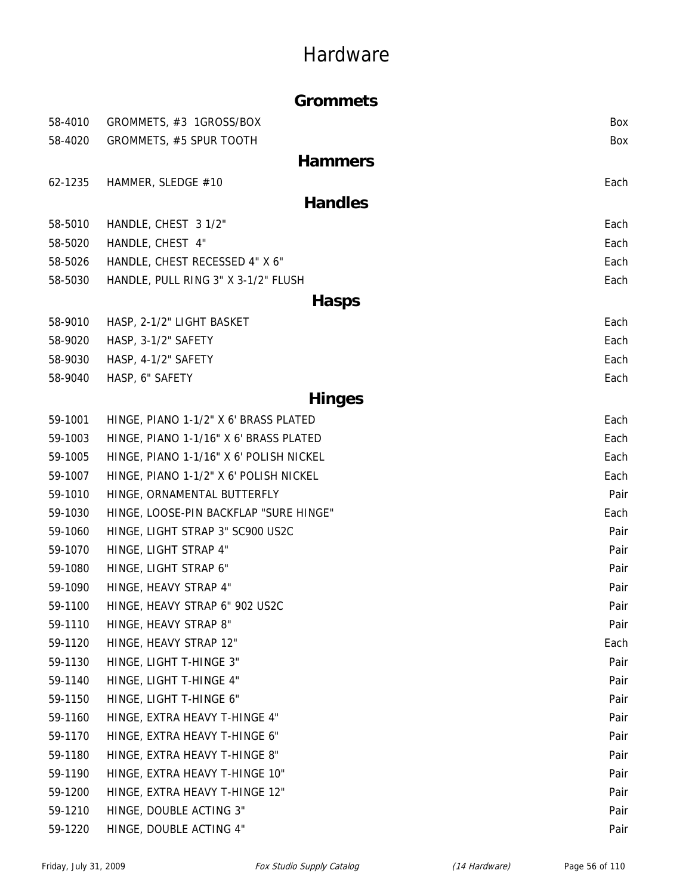|         | <b>Grommets</b>                         |      |
|---------|-----------------------------------------|------|
| 58-4010 | GROMMETS, #3 1GROSS/BOX                 | Box  |
| 58-4020 | GROMMETS, #5 SPUR TOOTH                 | Box  |
|         | <b>Hammers</b>                          |      |
| 62-1235 | HAMMER, SLEDGE #10                      | Each |
|         | <b>Handles</b>                          |      |
| 58-5010 | HANDLE, CHEST 3 1/2"                    | Each |
| 58-5020 | HANDLE, CHEST 4"                        | Each |
| 58-5026 | HANDLE, CHEST RECESSED 4" X 6"          | Each |
| 58-5030 | HANDLE, PULL RING 3" X 3-1/2" FLUSH     | Each |
|         | <b>Hasps</b>                            |      |
| 58-9010 | HASP, 2-1/2" LIGHT BASKET               | Each |
| 58-9020 | HASP, 3-1/2" SAFETY                     | Each |
| 58-9030 | HASP, 4-1/2" SAFETY                     | Each |
| 58-9040 | HASP, 6" SAFETY                         | Each |
|         | <b>Hinges</b>                           |      |
| 59-1001 | HINGE, PIANO 1-1/2" X 6' BRASS PLATED   | Each |
| 59-1003 | HINGE, PIANO 1-1/16" X 6' BRASS PLATED  | Each |
| 59-1005 | HINGE, PIANO 1-1/16" X 6' POLISH NICKEL | Each |
| 59-1007 | HINGE, PIANO 1-1/2" X 6' POLISH NICKEL  | Each |
| 59-1010 | HINGE, ORNAMENTAL BUTTERFLY             | Pair |
| 59-1030 | HINGE, LOOSE-PIN BACKFLAP "SURE HINGE"  | Each |
| 59-1060 | HINGE, LIGHT STRAP 3" SC900 US2C        |      |
| 59-1070 | HINGE, LIGHT STRAP 4"                   | Pair |
| 59-1080 | HINGE, LIGHT STRAP 6"                   | Pair |
| 59-1090 | HINGE, HEAVY STRAP 4"                   | Pair |
| 59-1100 | HINGE, HEAVY STRAP 6" 902 US2C          | Pair |
| 59-1110 | HINGE, HEAVY STRAP 8"                   | Pair |
| 59-1120 | HINGE, HEAVY STRAP 12"                  | Each |
| 59-1130 | HINGE, LIGHT T-HINGE 3"                 | Pair |
| 59-1140 | HINGE, LIGHT T-HINGE 4"                 | Pair |
| 59-1150 | HINGE, LIGHT T-HINGE 6"                 | Pair |
| 59-1160 | HINGE, EXTRA HEAVY T-HINGE 4"           | Pair |
| 59-1170 | HINGE, EXTRA HEAVY T-HINGE 6"           | Pair |
| 59-1180 | HINGE, EXTRA HEAVY T-HINGE 8"           | Pair |
| 59-1190 | HINGE, EXTRA HEAVY T-HINGE 10"          | Pair |
| 59-1200 | HINGE, EXTRA HEAVY T-HINGE 12"          | Pair |
| 59-1210 | HINGE, DOUBLE ACTING 3"                 | Pair |
| 59-1220 | HINGE, DOUBLE ACTING 4"                 | Pair |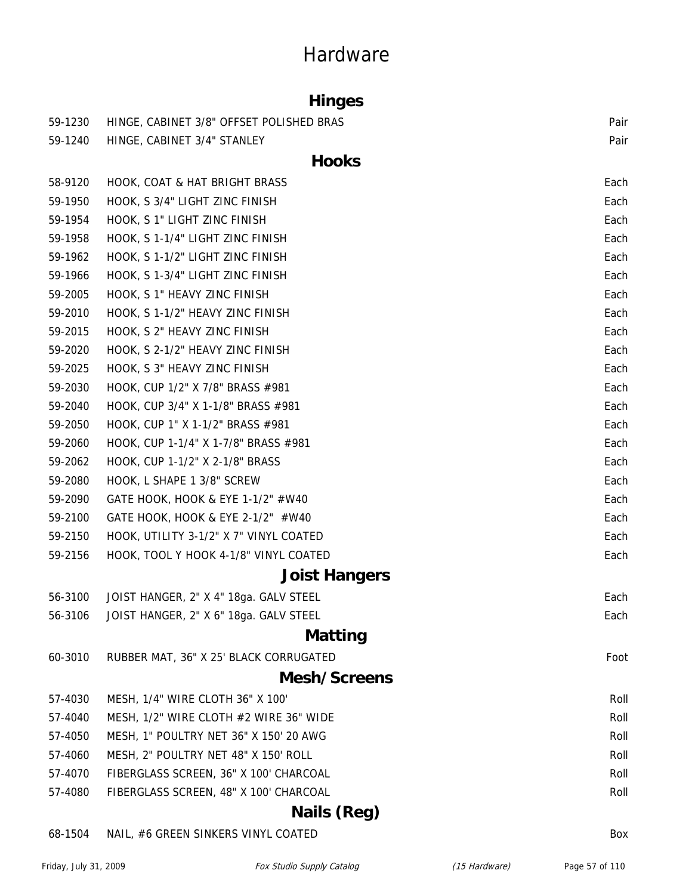### **Hinges**

| 59-1230 | HINGE, CABINET 3/8" OFFSET POLISHED BRAS | Pair |
|---------|------------------------------------------|------|
| 59-1240 | HINGE, CABINET 3/4" STANLEY              | Pair |
|         | <b>Hooks</b>                             |      |
| 58-9120 | HOOK, COAT & HAT BRIGHT BRASS            | Each |
| 59-1950 | HOOK, S 3/4" LIGHT ZINC FINISH           | Each |
| 59-1954 | HOOK, S 1" LIGHT ZINC FINISH             | Each |
| 59-1958 | HOOK, S 1-1/4" LIGHT ZINC FINISH         | Each |
| 59-1962 | HOOK, S 1-1/2" LIGHT ZINC FINISH         | Each |
| 59-1966 | HOOK, S 1-3/4" LIGHT ZINC FINISH         | Each |
| 59-2005 | HOOK, S 1" HEAVY ZINC FINISH             | Each |
| 59-2010 | HOOK, S 1-1/2" HEAVY ZINC FINISH         | Each |
| 59-2015 | HOOK, S 2" HEAVY ZINC FINISH             | Each |
| 59-2020 | HOOK, S 2-1/2" HEAVY ZINC FINISH         | Each |
| 59-2025 | HOOK, S 3" HEAVY ZINC FINISH             | Each |
| 59-2030 | HOOK, CUP 1/2" X 7/8" BRASS #981         | Each |
| 59-2040 | HOOK, CUP 3/4" X 1-1/8" BRASS #981       | Each |
| 59-2050 | HOOK, CUP 1" X 1-1/2" BRASS #981         | Each |
| 59-2060 | HOOK, CUP 1-1/4" X 1-7/8" BRASS #981     | Each |
| 59-2062 | HOOK, CUP 1-1/2" X 2-1/8" BRASS          | Each |
| 59-2080 | HOOK, L SHAPE 1 3/8" SCREW               | Each |
| 59-2090 | GATE HOOK, HOOK & EYE 1-1/2" #W40        | Each |
| 59-2100 | GATE HOOK, HOOK & EYE 2-1/2" #W40        | Each |
| 59-2150 | HOOK, UTILITY 3-1/2" X 7" VINYL COATED   | Each |
| 59-2156 | HOOK, TOOL Y HOOK 4-1/8" VINYL COATED    | Each |
|         | <b>Joist Hangers</b>                     |      |
| 56-3100 | JOIST HANGER, 2" X 4" 18ga. GALV STEEL   | Each |
| 56-3106 | JOIST HANGER, 2" X 6" 18ga. GALV STEEL   | Each |
|         | Matting                                  |      |
| 60-3010 | RUBBER MAT, 36" X 25' BLACK CORRUGATED   | Foot |
|         | Mesh/Screens                             |      |
| 57-4030 | MESH, 1/4" WIRE CLOTH 36" X 100'         | Roll |
| 57-4040 | MESH, 1/2" WIRE CLOTH #2 WIRE 36" WIDE   | Roll |
| 57-4050 | MESH, 1" POULTRY NET 36" X 150' 20 AWG   | Roll |
| 57-4060 | MESH, 2" POULTRY NET 48" X 150' ROLL     | Roll |
| 57-4070 | FIBERGLASS SCREEN, 36" X 100' CHARCOAL   | Roll |
| 57-4080 | FIBERGLASS SCREEN, 48" X 100' CHARCOAL   | Roll |
|         | Nails (Reg)                              |      |

68-1504 NAIL, #6 GREEN SINKERS VINYL COATED BOX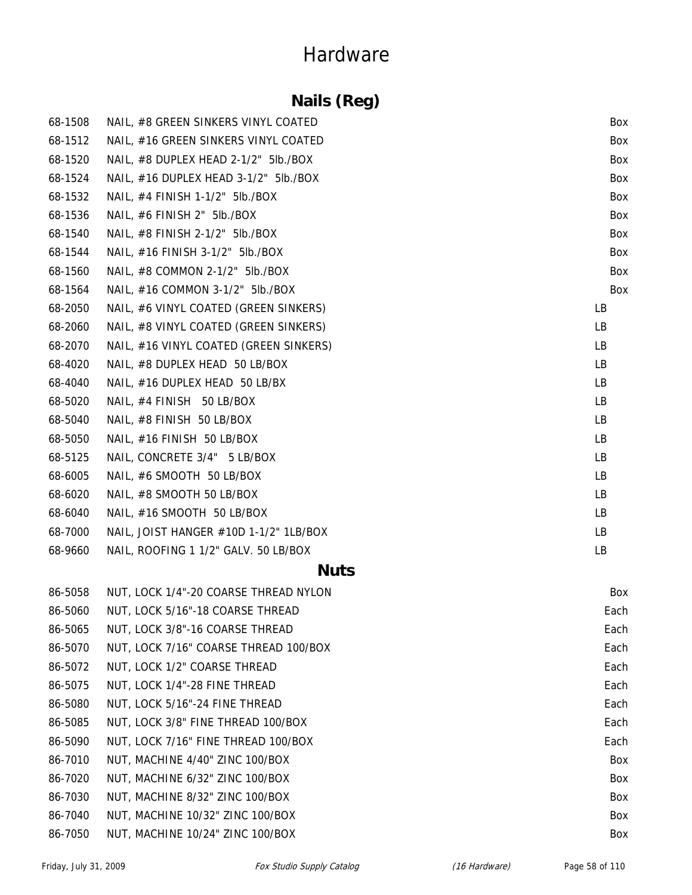### **Nails (Reg)**

| 68-1508 | NAIL, #8 GREEN SINKERS VINYL COATED    | Box       |
|---------|----------------------------------------|-----------|
| 68-1512 | NAIL, #16 GREEN SINKERS VINYL COATED   | Box       |
| 68-1520 | NAIL, #8 DUPLEX HEAD 2-1/2" 5lb./BOX   | Box       |
| 68-1524 | NAIL, #16 DUPLEX HEAD 3-1/2" 5lb./BOX  | Box       |
| 68-1532 | NAIL, #4 FINISH 1-1/2" 5lb./BOX        | Box       |
| 68-1536 | NAIL, #6 FINISH 2" 5lb./BOX            | Box       |
| 68-1540 | NAIL, #8 FINISH 2-1/2" 5lb./BOX        | Box       |
| 68-1544 | NAIL, #16 FINISH 3-1/2" 5lb./BOX       | Box       |
| 68-1560 | NAIL, #8 COMMON 2-1/2" 5lb./BOX        | Box       |
| 68-1564 | NAIL, #16 COMMON 3-1/2" 5lb./BOX       | Box       |
| 68-2050 | NAIL, #6 VINYL COATED (GREEN SINKERS)  | LB        |
| 68-2060 | NAIL, #8 VINYL COATED (GREEN SINKERS)  | LB        |
| 68-2070 | NAIL, #16 VINYL COATED (GREEN SINKERS) | LB        |
| 68-4020 | NAIL, #8 DUPLEX HEAD 50 LB/BOX         | <b>LB</b> |
| 68-4040 | NAIL, #16 DUPLEX HEAD 50 LB/BX         | LB        |
| 68-5020 | NAIL, #4 FINISH 50 LB/BOX              | LB        |
| 68-5040 | NAIL, #8 FINISH 50 LB/BOX              | <b>LB</b> |
| 68-5050 | NAIL, #16 FINISH 50 LB/BOX             | LB        |
| 68-5125 | NAIL, CONCRETE 3/4" 5 LB/BOX           | <b>LB</b> |
| 68-6005 | NAIL, #6 SMOOTH 50 LB/BOX              | LB        |
| 68-6020 | NAIL, #8 SMOOTH 50 LB/BOX              | LB        |
| 68-6040 | NAIL, #16 SMOOTH 50 LB/BOX             | LB        |
| 68-7000 | NAIL, JOIST HANGER #10D 1-1/2" 1LB/BOX | LB        |
| 68-9660 | NAIL, ROOFING 1 1/2" GALV. 50 LB/BOX   | LB        |

#### **Nuts**

| 86-5058 | NUT, LOCK 1/4"-20 COARSE THREAD NYLON | Box  |
|---------|---------------------------------------|------|
| 86-5060 | NUT, LOCK 5/16"-18 COARSE THREAD      | Each |
| 86-5065 | NUT, LOCK 3/8"-16 COARSE THREAD       | Each |
| 86-5070 | NUT, LOCK 7/16" COARSE THREAD 100/BOX | Each |
| 86-5072 | NUT, LOCK 1/2" COARSE THREAD          | Each |
| 86-5075 | NUT, LOCK 1/4"-28 FINE THREAD         | Each |
| 86-5080 | NUT, LOCK 5/16"-24 FINE THREAD        | Each |
| 86-5085 | NUT, LOCK 3/8" FINE THREAD 100/BOX    | Each |
| 86-5090 | NUT, LOCK 7/16" FINE THREAD 100/BOX   | Each |
| 86-7010 | NUT, MACHINE 4/40" ZINC 100/BOX       | Box  |
| 86-7020 | NUT, MACHINE 6/32" ZINC 100/BOX       | Box  |
| 86-7030 | NUT. MACHINE 8/32" ZINC 100/BOX       | Box  |
| 86-7040 | NUT, MACHINE 10/32" ZINC 100/BOX      | Box  |
| 86-7050 | NUT, MACHINE 10/24" ZINC 100/BOX      | Box  |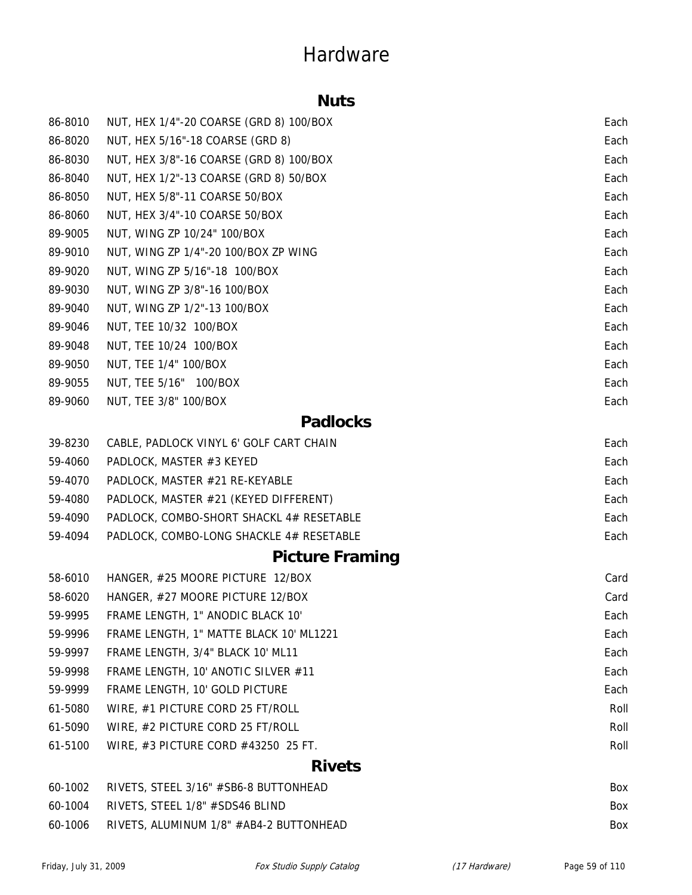#### **Nuts**

| 86-8010 | NUT, HEX 1/4"-20 COARSE (GRD 8) 100/BOX  | Each |
|---------|------------------------------------------|------|
| 86-8020 | NUT, HEX 5/16"-18 COARSE (GRD 8)         | Each |
| 86-8030 | NUT, HEX 3/8"-16 COARSE (GRD 8) 100/BOX  | Each |
| 86-8040 | NUT, HEX 1/2"-13 COARSE (GRD 8) 50/BOX   | Each |
| 86-8050 | NUT, HEX 5/8"-11 COARSE 50/BOX           | Each |
| 86-8060 | NUT, HEX 3/4"-10 COARSE 50/BOX           | Each |
| 89-9005 | NUT, WING ZP 10/24" 100/BOX              | Each |
| 89-9010 | NUT, WING ZP 1/4"-20 100/BOX ZP WING     | Each |
| 89-9020 | NUT, WING ZP 5/16"-18 100/BOX            | Each |
| 89-9030 | NUT, WING ZP 3/8"-16 100/BOX             | Each |
| 89-9040 | NUT, WING ZP 1/2"-13 100/BOX             | Each |
| 89-9046 | NUT, TEE 10/32 100/BOX                   | Each |
| 89-9048 | NUT, TEE 10/24 100/BOX                   | Each |
| 89-9050 | NUT, TEE 1/4" 100/BOX                    | Each |
| 89-9055 | NUT, TEE 5/16" 100/BOX                   | Each |
| 89-9060 | NUT, TEE 3/8" 100/BOX                    | Each |
|         | <b>Padlocks</b>                          |      |
| 39-8230 | CABLE, PADLOCK VINYL 6' GOLF CART CHAIN  | Each |
| 59-4060 | PADLOCK, MASTER #3 KEYED                 | Each |
| 59-4070 | PADLOCK, MASTER #21 RE-KEYABLE           | Each |
| 59-4080 | PADLOCK, MASTER #21 (KEYED DIFFERENT)    | Each |
| 59-4090 | PADLOCK, COMBO-SHORT SHACKL 4# RESETABLE | Each |
| 59-4094 | PADLOCK, COMBO-LONG SHACKLE 4# RESETABLE | Each |
|         | <b>Picture Framing</b>                   |      |
| 58-6010 | HANGER, #25 MOORE PICTURE 12/BOX         | Card |
| 58-6020 | HANGER, #27 MOORE PICTURE 12/BOX         | Card |
| 59-9995 | FRAME LENGTH, 1" ANODIC BLACK 10"        | Each |
| 59-9996 | FRAME LENGTH, 1" MATTE BLACK 10' ML1221  | Each |
| 59-9997 | FRAME LENGTH, 3/4" BLACK 10' ML11        | Each |
| 59-9998 | FRAME LENGTH, 10' ANOTIC SILVER #11      | Each |
| 59-9999 | FRAME LENGTH, 10' GOLD PICTURE           | Each |
| 61-5080 | WIRE, #1 PICTURE CORD 25 FT/ROLL         | Roll |
| 61-5090 | WIRE, #2 PICTURE CORD 25 FT/ROLL         | Roll |
| 61-5100 | WIRE, #3 PICTURE CORD #43250 25 FT.      | Roll |
|         | <b>Rivets</b>                            |      |

| 60-1002 RIVETS, STEEL 3/16" #SB6-8 BUTTONHEAD   | <b>Box</b> |
|-------------------------------------------------|------------|
| $60-1004$ RIVETS, STEEL 1/8" $\#$ SDS46 BLIND   | <b>Box</b> |
| 60-1006 RIVETS, ALUMINUM 1/8" #AB4-2 BUTTONHEAD | <b>Box</b> |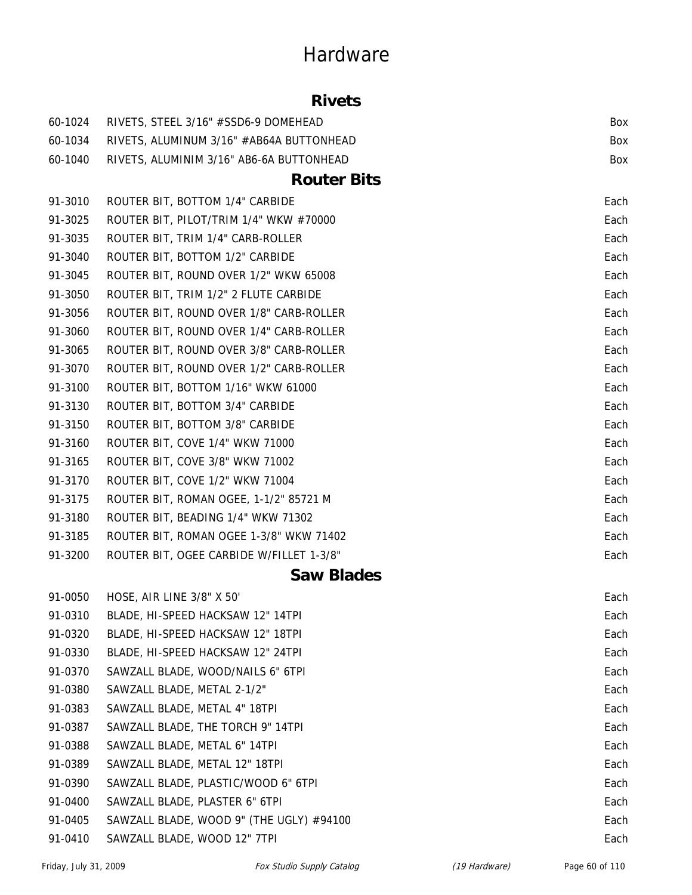#### **Rivets**

| 60-1024 | RIVETS, STEEL 3/16" #SSD6-9 DOMEHEAD     | Box  |
|---------|------------------------------------------|------|
| 60-1034 | RIVETS, ALUMINUM 3/16" #AB64A BUTTONHEAD | Box  |
| 60-1040 | RIVETS, ALUMINIM 3/16" AB6-6A BUTTONHEAD | Box  |
|         | <b>Router Bits</b>                       |      |
| 91-3010 | ROUTER BIT, BOTTOM 1/4" CARBIDE          | Each |
| 91-3025 | ROUTER BIT, PILOT/TRIM 1/4" WKW #70000   | Each |
| 91-3035 | ROUTER BIT, TRIM 1/4" CARB-ROLLER        | Each |
| 91-3040 | ROUTER BIT, BOTTOM 1/2" CARBIDE          | Each |
| 91-3045 | ROUTER BIT, ROUND OVER 1/2" WKW 65008    | Each |
| 91-3050 | ROUTER BIT, TRIM 1/2" 2 FLUTE CARBIDE    | Each |
| 91-3056 | ROUTER BIT, ROUND OVER 1/8" CARB-ROLLER  | Each |
| 91-3060 | ROUTER BIT, ROUND OVER 1/4" CARB-ROLLER  | Each |
| 91-3065 | ROUTER BIT, ROUND OVER 3/8" CARB-ROLLER  | Each |
| 91-3070 | ROUTER BIT, ROUND OVER 1/2" CARB-ROLLER  | Each |
| 91-3100 | ROUTER BIT, BOTTOM 1/16" WKW 61000       | Each |
| 91-3130 | ROUTER BIT, BOTTOM 3/4" CARBIDE          | Each |
| 91-3150 | ROUTER BIT, BOTTOM 3/8" CARBIDE          | Each |
| 91-3160 | ROUTER BIT, COVE 1/4" WKW 71000          | Each |
| 91-3165 | ROUTER BIT, COVE 3/8" WKW 71002          | Each |
| 91-3170 | ROUTER BIT, COVE 1/2" WKW 71004          | Each |
| 91-3175 | ROUTER BIT, ROMAN OGEE, 1-1/2" 85721 M   | Each |
| 91-3180 | ROUTER BIT, BEADING 1/4" WKW 71302       | Each |
| 91-3185 | ROUTER BIT, ROMAN OGEE 1-3/8" WKW 71402  | Each |
| 91-3200 | ROUTER BIT, OGEE CARBIDE W/FILLET 1-3/8" | Each |
|         | <b>Saw Blades</b>                        |      |
| 91-0050 | HOSE, AIR LINE 3/8" X 50"                | Each |
| 91-0310 | BLADE, HI-SPEED HACKSAW 12" 14TPI        | Each |
| 91-0320 | BLADE, HI-SPEED HACKSAW 12" 18TPI        | Each |
| 91-0330 | BLADE, HI-SPEED HACKSAW 12" 24TPI        | Each |
| 91-0370 | SAWZALL BLADE, WOOD/NAILS 6" 6TPI        | Each |
| 91-0380 | SAWZALL BLADE, METAL 2-1/2"              | Each |
| 91-0383 | SAWZALL BLADE, METAL 4" 18TPI            | Each |
| 91-0387 | SAWZALL BLADE, THE TORCH 9" 14TPI        | Each |
| 91-0388 | SAWZALL BLADE, METAL 6" 14TPI            | Each |
| 91-0389 | SAWZALL BLADE, METAL 12" 18TPI           | Each |
| 91-0390 | SAWZALL BLADE, PLASTIC/WOOD 6" 6TPI      | Each |
| 91-0400 | SAWZALL BLADE, PLASTER 6" 6TPI           | Each |
| 91-0405 | SAWZALL BLADE, WOOD 9" (THE UGLY) #94100 | Each |
| 91-0410 | SAWZALL BLADE, WOOD 12" 7TPI             | Each |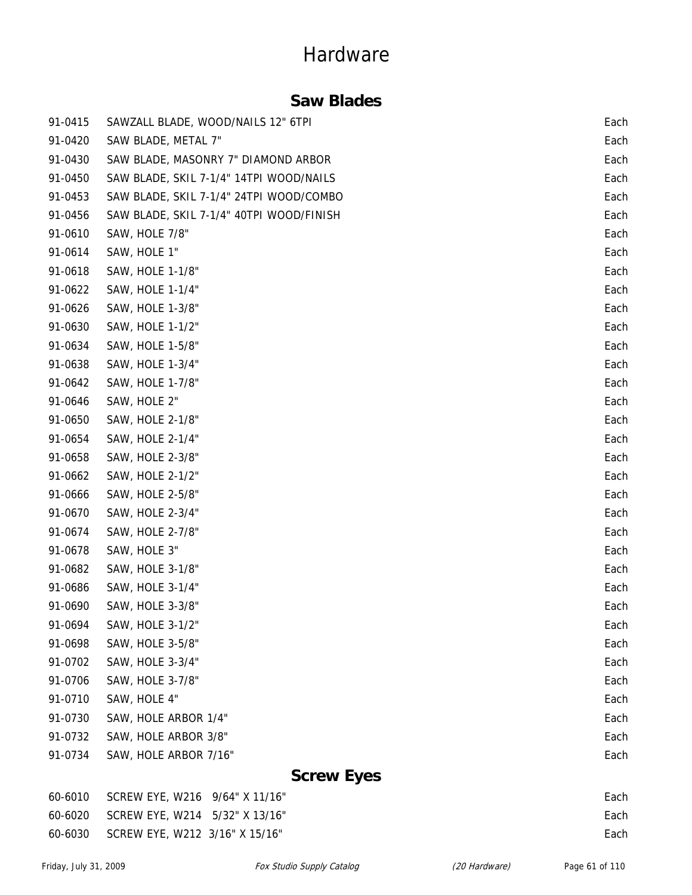### **Saw Blades**

| 91-0415 | SAWZALL BLADE, WOOD/NAILS 12" 6TPI       | Each |
|---------|------------------------------------------|------|
| 91-0420 | SAW BLADE, METAL 7"                      | Each |
| 91-0430 | SAW BLADE, MASONRY 7" DIAMOND ARBOR      | Each |
| 91-0450 | SAW BLADE, SKIL 7-1/4" 14TPI WOOD/NAILS  | Each |
| 91-0453 | SAW BLADE, SKIL 7-1/4" 24TPI WOOD/COMBO  | Each |
| 91-0456 | SAW BLADE, SKIL 7-1/4" 40TPI WOOD/FINISH | Each |
| 91-0610 | SAW, HOLE 7/8"                           | Each |
| 91-0614 | SAW, HOLE 1"                             | Each |
| 91-0618 | SAW, HOLE 1-1/8"                         | Each |
| 91-0622 | SAW, HOLE 1-1/4"                         | Each |
| 91-0626 | SAW, HOLE 1-3/8"                         | Each |
| 91-0630 | SAW, HOLE 1-1/2"                         | Each |
| 91-0634 | SAW, HOLE 1-5/8"                         | Each |
| 91-0638 | SAW, HOLE 1-3/4"                         | Each |
| 91-0642 | SAW, HOLE 1-7/8"                         | Each |
| 91-0646 | SAW, HOLE 2"                             | Each |
| 91-0650 | SAW, HOLE 2-1/8"                         | Each |
| 91-0654 | SAW, HOLE 2-1/4"                         | Each |
| 91-0658 | SAW, HOLE 2-3/8"                         | Each |
| 91-0662 | SAW, HOLE 2-1/2"                         | Each |
| 91-0666 | SAW, HOLE 2-5/8"                         | Each |
| 91-0670 | SAW, HOLE 2-3/4"                         | Each |
| 91-0674 | SAW, HOLE 2-7/8"                         | Each |
| 91-0678 | SAW, HOLE 3"                             | Each |
| 91-0682 | SAW, HOLE 3-1/8"                         | Each |
| 91-0686 | SAW, HOLE 3-1/4"                         | Each |
| 91-0690 | SAW, HOLE 3-3/8"                         | Each |
| 91-0694 | SAW, HOLE 3-1/2"                         | Each |
| 91-0698 | SAW, HOLE 3-5/8"                         | Each |
| 91-0702 | SAW, HOLE 3-3/4"                         | Each |
| 91-0706 | SAW, HOLE 3-7/8"                         | Each |
| 91-0710 | SAW, HOLE 4"                             | Each |
| 91-0730 | SAW, HOLE ARBOR 1/4"                     | Each |
| 91-0732 | SAW, HOLE ARBOR 3/8"                     | Each |
| 91-0734 | SAW, HOLE ARBOR 7/16"                    | Each |
|         | $\mathbf{C}_{\mathbf{A}}$                |      |

#### **Screw Eyes**

|         | 60-6010 SCREW EYE, W216 9/64" X 11/16" | Each |
|---------|----------------------------------------|------|
|         | 60-6020 SCREW EYE, W214 5/32" X 13/16" | Each |
| 60-6030 | SCREW EYE, W212 3/16" X 15/16"         | Each |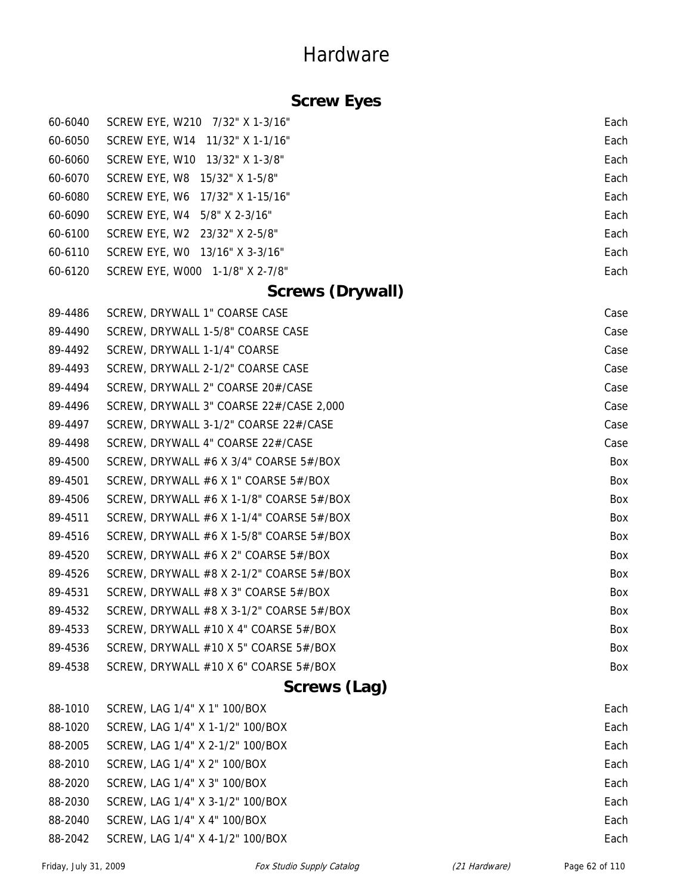### **Screw Eyes**

| 60-6040 | SCREW EYE, W210 7/32" X 1-3/16" | Each |
|---------|---------------------------------|------|
| 60-6050 | SCREW EYE, W14 11/32" X 1-1/16" | Each |
| 60-6060 | SCREW EYE, W10 13/32" X 1-3/8"  | Each |
| 60-6070 | SCREW EYE, W8 15/32" X 1-5/8"   | Each |
| 60-6080 | SCREW EYE, W6 17/32" X 1-15/16" | Each |
| 60-6090 | SCREW EYE, W4 5/8" X 2-3/16"    | Each |
| 60-6100 | SCREW EYE, W2 23/32" X 2-5/8"   | Each |
| 60-6110 | SCREW EYE, WO 13/16" X 3-3/16"  | Each |
| 60-6120 | SCREW EYE, W000 1-1/8" X 2-7/8" | Each |

#### **Screws (Drywall)**

|         | $C_{C}$                                        |            |
|---------|------------------------------------------------|------------|
| 89-4538 | SCREW, DRYWALL $#10$ X 6" COARSE 5 $#$ /BOX    | Box        |
| 89-4536 | SCREW, DRYWALL #10 X 5" COARSE 5#/BOX          | <b>Box</b> |
| 89-4533 | SCREW, DRYWALL #10 X 4" COARSE 5#/BOX          | <b>Box</b> |
| 89-4532 | SCREW, DRYWALL #8 X 3-1/2" COARSE 5#/BOX       | Box        |
| 89-4531 | SCREW, DRYWALL #8 X 3" COARSE 5#/BOX           | <b>Box</b> |
| 89-4526 | SCREW, DRYWALL $#8$ X 2-1/2" COARSE 5 $#$ /BOX | Box        |
| 89-4520 | SCREW, DRYWALL #6 X 2" COARSE 5#/BOX           | Box        |
| 89-4516 | SCREW, DRYWALL #6 X 1-5/8" COARSE $5#/BOX$     | Box        |
| 89-4511 | SCREW, DRYWALL #6 X 1-1/4" COARSE 5#/BOX       | Box        |
| 89-4506 | SCREW, DRYWALL #6 X 1-1/8" COARSE $5#/BOX$     | Box        |
| 89-4501 | SCREW, DRYWALL #6 X 1" COARSE $5#/BOX$         | <b>Box</b> |
| 89-4500 | SCREW, DRYWALL #6 X 3/4" COARSE 5#/BOX         | Box        |
| 89-4498 | SCREW, DRYWALL 4" COARSE 22#/CASE              | Case       |
| 89-4497 | SCREW, DRYWALL 3-1/2" COARSE 22#/CASE          | Case       |
| 89-4496 | SCREW, DRYWALL 3" COARSE 22#/CASE 2,000        | Case       |
| 89-4494 | SCREW, DRYWALL 2" COARSE 20#/CASE              | Case       |
| 89-4493 | SCREW, DRYWALL 2-1/2" COARSE CASE              | Case       |
| 89-4492 | SCREW, DRYWALL 1-1/4" COARSE                   | Case       |
| 89-4490 | SCREW, DRYWALL 1-5/8" COARSE CASE              | Case       |
| 89-4486 | SCREW, DRYWALL 1" COARSE CASE                  | Case       |
|         |                                                |            |

#### **Screws (Lag)**

| 88-1010 | SCREW, LAG 1/4" X 1" 100/BOX     | Each |
|---------|----------------------------------|------|
| 88-1020 | SCREW, LAG 1/4" X 1-1/2" 100/BOX | Each |
| 88-2005 | SCREW, LAG 1/4" X 2-1/2" 100/BOX | Each |
| 88-2010 | SCREW, LAG 1/4" X 2" 100/BOX     | Each |
| 88-2020 | SCREW, LAG 1/4" X 3" 100/BOX     | Each |
| 88-2030 | SCREW, LAG 1/4" X 3-1/2" 100/BOX | Each |
| 88-2040 | SCREW, LAG 1/4" X 4" 100/BOX     | Each |
| 88-2042 | SCREW, LAG 1/4" X 4-1/2" 100/BOX | Each |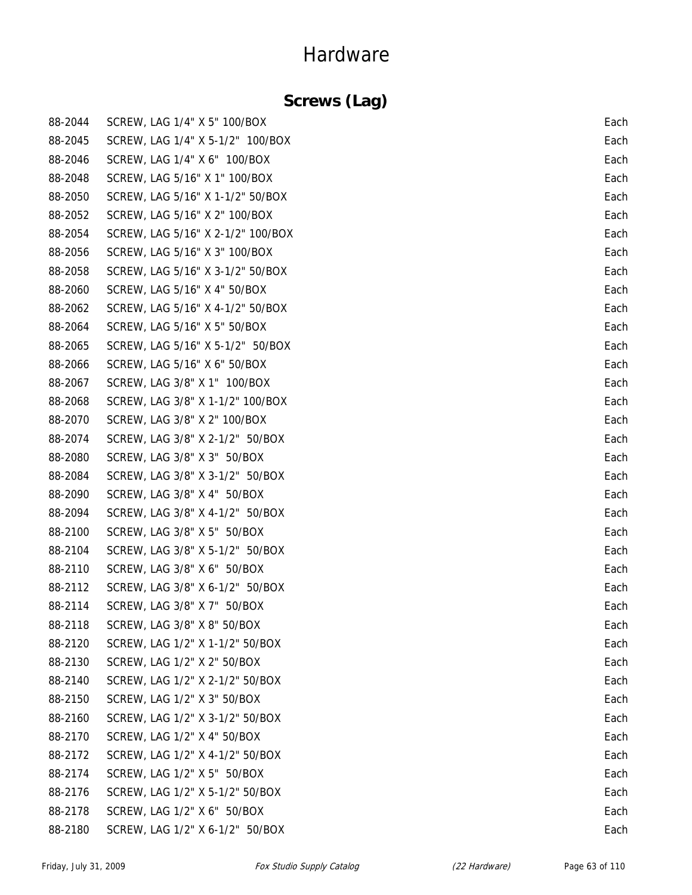### **Screws (Lag)**

| 88-2044 | SCREW, LAG 1/4" X 5" 100/BOX      | Each |
|---------|-----------------------------------|------|
| 88-2045 | SCREW, LAG 1/4" X 5-1/2" 100/BOX  | Each |
| 88-2046 | SCREW, LAG 1/4" X 6" 100/BOX      | Each |
| 88-2048 | SCREW, LAG 5/16" X 1" 100/BOX     | Each |
| 88-2050 | SCREW, LAG 5/16" X 1-1/2" 50/BOX  | Each |
| 88-2052 | SCREW, LAG 5/16" X 2" 100/BOX     | Each |
| 88-2054 | SCREW, LAG 5/16" X 2-1/2" 100/BOX | Each |
| 88-2056 | SCREW, LAG 5/16" X 3" 100/BOX     | Each |
| 88-2058 | SCREW, LAG 5/16" X 3-1/2" 50/BOX  | Each |
| 88-2060 | SCREW, LAG 5/16" X 4" 50/BOX      | Each |
| 88-2062 | SCREW, LAG 5/16" X 4-1/2" 50/BOX  | Each |
| 88-2064 | SCREW, LAG 5/16" X 5" 50/BOX      | Each |
| 88-2065 | SCREW, LAG 5/16" X 5-1/2" 50/BOX  | Each |
| 88-2066 | SCREW, LAG 5/16" X 6" 50/BOX      | Each |
| 88-2067 | SCREW, LAG 3/8" X 1" 100/BOX      | Each |
| 88-2068 | SCREW, LAG 3/8" X 1-1/2" 100/BOX  | Each |
| 88-2070 | SCREW, LAG 3/8" X 2" 100/BOX      | Each |
| 88-2074 | SCREW, LAG 3/8" X 2-1/2" 50/BOX   | Each |
| 88-2080 | SCREW, LAG 3/8" X 3" 50/BOX       | Each |
| 88-2084 | SCREW, LAG 3/8" X 3-1/2" 50/BOX   | Each |
| 88-2090 | SCREW, LAG 3/8" X 4" 50/BOX       | Each |
| 88-2094 | SCREW, LAG 3/8" X 4-1/2" 50/BOX   | Each |
| 88-2100 | SCREW, LAG 3/8" X 5" 50/BOX       | Each |
| 88-2104 | SCREW, LAG 3/8" X 5-1/2" 50/BOX   | Each |
| 88-2110 | SCREW, LAG 3/8" X 6" 50/BOX       | Each |
| 88-2112 | SCREW, LAG 3/8" X 6-1/2" 50/BOX   | Each |
| 88-2114 | SCREW, LAG 3/8" X 7" 50/BOX       | Each |
| 88-2118 | SCREW, LAG 3/8" X 8" 50/BOX       | Each |
| 88-2120 | SCREW, LAG 1/2" X 1-1/2" 50/BOX   | Each |
| 88-2130 | SCREW, LAG 1/2" X 2" 50/BOX       | Each |
| 88-2140 | SCREW, LAG 1/2" X 2-1/2" 50/BOX   | Each |
| 88-2150 | SCREW, LAG 1/2" X 3" 50/BOX       | Each |
| 88-2160 | SCREW, LAG 1/2" X 3-1/2" 50/BOX   | Each |
| 88-2170 | SCREW, LAG 1/2" X 4" 50/BOX       | Each |
| 88-2172 | SCREW, LAG 1/2" X 4-1/2" 50/BOX   | Each |
| 88-2174 | SCREW, LAG 1/2" X 5" 50/BOX       | Each |
| 88-2176 | SCREW, LAG 1/2" X 5-1/2" 50/BOX   | Each |
| 88-2178 | SCREW, LAG 1/2" X 6" 50/BOX       | Each |
| 88-2180 | SCREW, LAG 1/2" X 6-1/2" 50/BOX   | Each |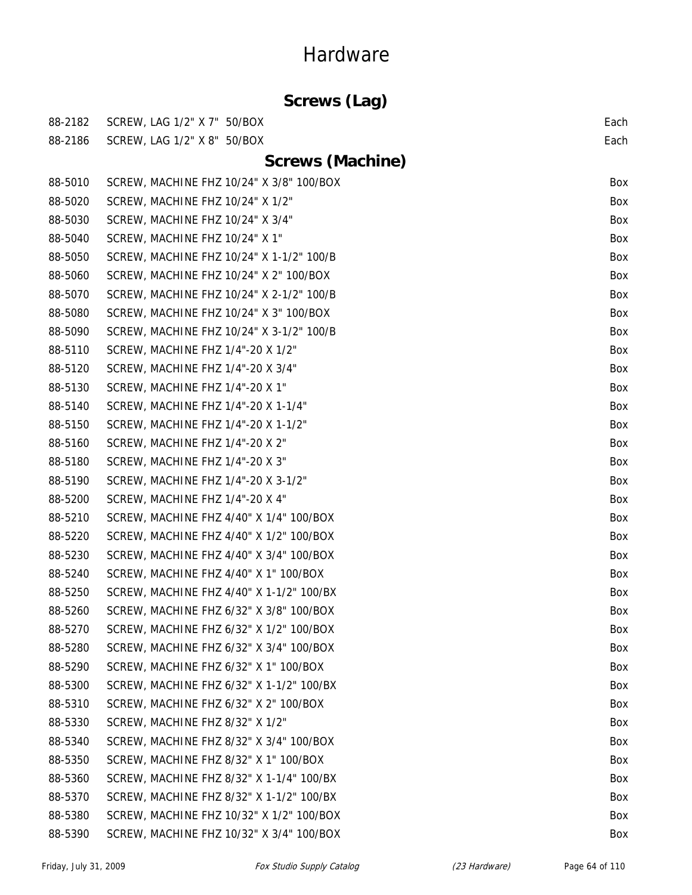|         | Screws (Lag)                             |      |
|---------|------------------------------------------|------|
| 88-2182 | SCREW, LAG 1/2" X 7" 50/BOX              | Each |
| 88-2186 | SCREW, LAG 1/2" X 8" 50/BOX              | Each |
|         | <b>Screws (Machine)</b>                  |      |
| 88-5010 | SCREW, MACHINE FHZ 10/24" X 3/8" 100/BOX | Box  |
| 88-5020 | SCREW, MACHINE FHZ 10/24" X 1/2"         | Box  |
| 88-5030 | SCREW, MACHINE FHZ 10/24" X 3/4"         | Box  |
| 88-5040 | SCREW, MACHINE FHZ 10/24" X 1"           | Box  |
| 88-5050 | SCREW, MACHINE FHZ 10/24" X 1-1/2" 100/B | Box  |
| 88-5060 | SCREW, MACHINE FHZ 10/24" X 2" 100/BOX   | Box  |
| 88-5070 | SCREW, MACHINE FHZ 10/24" X 2-1/2" 100/B | Box  |
| 88-5080 | SCREW, MACHINE FHZ 10/24" X 3" 100/BOX   | Box  |
| 88-5090 | SCREW, MACHINE FHZ 10/24" X 3-1/2" 100/B | Box  |
| 88-5110 | SCREW, MACHINE FHZ 1/4"-20 X 1/2"        | Box  |
| 88-5120 | SCREW, MACHINE FHZ 1/4"-20 X 3/4"        | Box  |
| 88-5130 | SCREW, MACHINE FHZ 1/4"-20 X 1"          | Box  |
| 88-5140 | SCREW, MACHINE FHZ 1/4"-20 X 1-1/4"      | Box  |
| 88-5150 | SCREW, MACHINE FHZ 1/4"-20 X 1-1/2"      | Box  |
| 88-5160 | SCREW, MACHINE FHZ 1/4"-20 X 2"          | Box  |
| 88-5180 | SCREW, MACHINE FHZ 1/4"-20 X 3"          | Box  |
| 88-5190 | SCREW, MACHINE FHZ 1/4"-20 X 3-1/2"      | Box  |
| 88-5200 | SCREW, MACHINE FHZ 1/4"-20 X 4"          | Box  |
| 88-5210 | SCREW, MACHINE FHZ 4/40" X 1/4" 100/BOX  | Box  |
| 88-5220 | SCREW, MACHINE FHZ 4/40" X 1/2" 100/BOX  | Box  |
| 88-5230 | SCREW, MACHINE FHZ 4/40" X 3/4" 100/BOX  | Box  |
| 88-5240 | SCREW, MACHINE FHZ 4/40" X 1" 100/BOX    | Box  |
| 88-5250 | SCREW, MACHINE FHZ 4/40" X 1-1/2" 100/BX | Box  |
| 88-5260 | SCREW, MACHINE FHZ 6/32" X 3/8" 100/BOX  | Box  |
| 88-5270 | SCREW, MACHINE FHZ 6/32" X 1/2" 100/BOX  | Box  |
| 88-5280 | SCREW, MACHINE FHZ 6/32" X 3/4" 100/BOX  | Box  |
| 88-5290 | SCREW, MACHINE FHZ 6/32" X 1" 100/BOX    | Box  |
| 88-5300 | SCREW, MACHINE FHZ 6/32" X 1-1/2" 100/BX | Box  |
| 88-5310 | SCREW, MACHINE FHZ 6/32" X 2" 100/BOX    | Box  |
| 88-5330 | SCREW, MACHINE FHZ 8/32" X 1/2"          | Box  |
| 88-5340 | SCREW, MACHINE FHZ 8/32" X 3/4" 100/BOX  | Box  |
| 88-5350 | SCREW, MACHINE FHZ 8/32" X 1" 100/BOX    | Box  |
| 88-5360 | SCREW, MACHINE FHZ 8/32" X 1-1/4" 100/BX | Box  |
| 88-5370 | SCREW, MACHINE FHZ 8/32" X 1-1/2" 100/BX | Box  |
| 88-5380 | SCREW, MACHINE FHZ 10/32" X 1/2" 100/BOX | Box  |
| 88-5390 | SCREW, MACHINE FHZ 10/32" X 3/4" 100/BOX | Box  |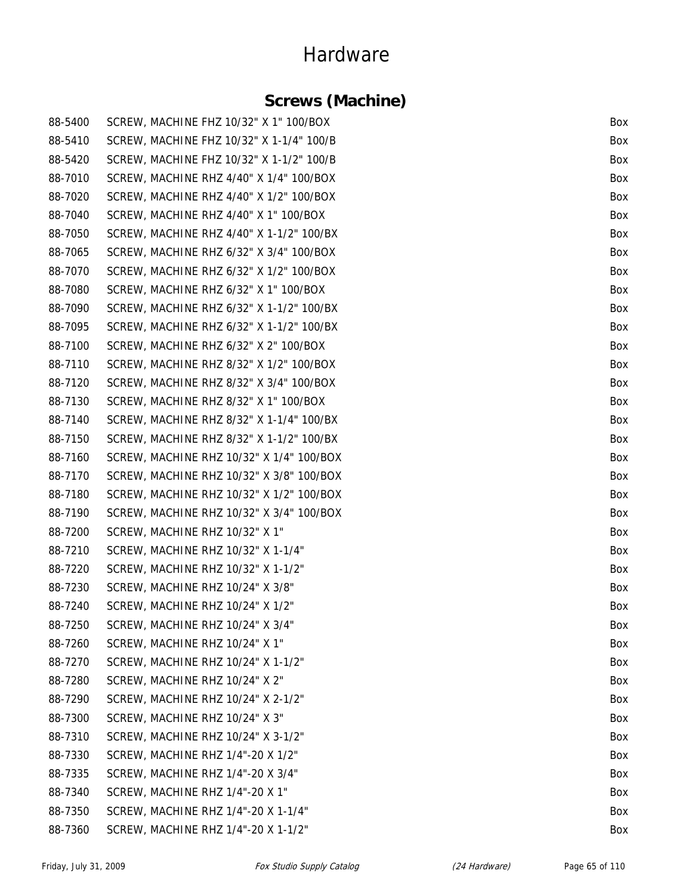### **Screws (Machine)**

| 88-5400 | SCREW, MACHINE FHZ 10/32" X 1" 100/BOX   | Box |
|---------|------------------------------------------|-----|
| 88-5410 | SCREW, MACHINE FHZ 10/32" X 1-1/4" 100/B | Box |
| 88-5420 | SCREW, MACHINE FHZ 10/32" X 1-1/2" 100/B | Box |
| 88-7010 | SCREW, MACHINE RHZ 4/40" X 1/4" 100/BOX  | Box |
| 88-7020 | SCREW, MACHINE RHZ 4/40" X 1/2" 100/BOX  | Box |
| 88-7040 | SCREW, MACHINE RHZ 4/40" X 1" 100/BOX    | Box |
| 88-7050 | SCREW, MACHINE RHZ 4/40" X 1-1/2" 100/BX | Box |
| 88-7065 | SCREW, MACHINE RHZ 6/32" X 3/4" 100/BOX  | Box |
| 88-7070 | SCREW, MACHINE RHZ 6/32" X 1/2" 100/BOX  | Box |
| 88-7080 | SCREW, MACHINE RHZ 6/32" X 1" 100/BOX    | Box |
| 88-7090 | SCREW, MACHINE RHZ 6/32" X 1-1/2" 100/BX | Box |
| 88-7095 | SCREW, MACHINE RHZ 6/32" X 1-1/2" 100/BX | Box |
| 88-7100 | SCREW, MACHINE RHZ 6/32" X 2" 100/BOX    | Box |
| 88-7110 | SCREW, MACHINE RHZ 8/32" X 1/2" 100/BOX  | Box |
| 88-7120 | SCREW, MACHINE RHZ 8/32" X 3/4" 100/BOX  | Box |
| 88-7130 | SCREW, MACHINE RHZ 8/32" X 1" 100/BOX    | Box |
| 88-7140 | SCREW, MACHINE RHZ 8/32" X 1-1/4" 100/BX | Box |
| 88-7150 | SCREW, MACHINE RHZ 8/32" X 1-1/2" 100/BX | Box |
| 88-7160 | SCREW, MACHINE RHZ 10/32" X 1/4" 100/BOX | Box |
| 88-7170 | SCREW, MACHINE RHZ 10/32" X 3/8" 100/BOX | Box |
| 88-7180 | SCREW, MACHINE RHZ 10/32" X 1/2" 100/BOX | Box |
| 88-7190 | SCREW, MACHINE RHZ 10/32" X 3/4" 100/BOX | Box |
| 88-7200 | SCREW, MACHINE RHZ 10/32" X 1"           | Box |
| 88-7210 | SCREW, MACHINE RHZ 10/32" X 1-1/4"       | Box |
| 88-7220 | SCREW, MACHINE RHZ 10/32" X 1-1/2"       | Box |
| 88-7230 | SCREW, MACHINE RHZ 10/24" X 3/8"         | Box |
| 88-7240 | SCREW, MACHINE RHZ 10/24" X 1/2"         | Box |
| 88-7250 | SCREW, MACHINE RHZ 10/24" X 3/4"         | Box |
| 88-7260 | SCREW, MACHINE RHZ 10/24" X 1"           | Box |
| 88-7270 | SCREW, MACHINE RHZ 10/24" X 1-1/2"       | Box |
| 88-7280 | SCREW, MACHINE RHZ 10/24" X 2"           | Box |
| 88-7290 | SCREW, MACHINE RHZ 10/24" X 2-1/2"       | Box |
| 88-7300 | SCREW, MACHINE RHZ 10/24" X 3"           | Box |
| 88-7310 | SCREW, MACHINE RHZ 10/24" X 3-1/2"       | Box |
| 88-7330 | SCREW, MACHINE RHZ 1/4"-20 X 1/2"        | Box |
| 88-7335 | SCREW, MACHINE RHZ 1/4"-20 X 3/4"        | Box |
| 88-7340 | SCREW, MACHINE RHZ 1/4"-20 X 1"          | Box |
| 88-7350 | SCREW, MACHINE RHZ 1/4"-20 X 1-1/4"      | Box |
| 88-7360 | SCREW, MACHINE RHZ 1/4"-20 X 1-1/2"      | Box |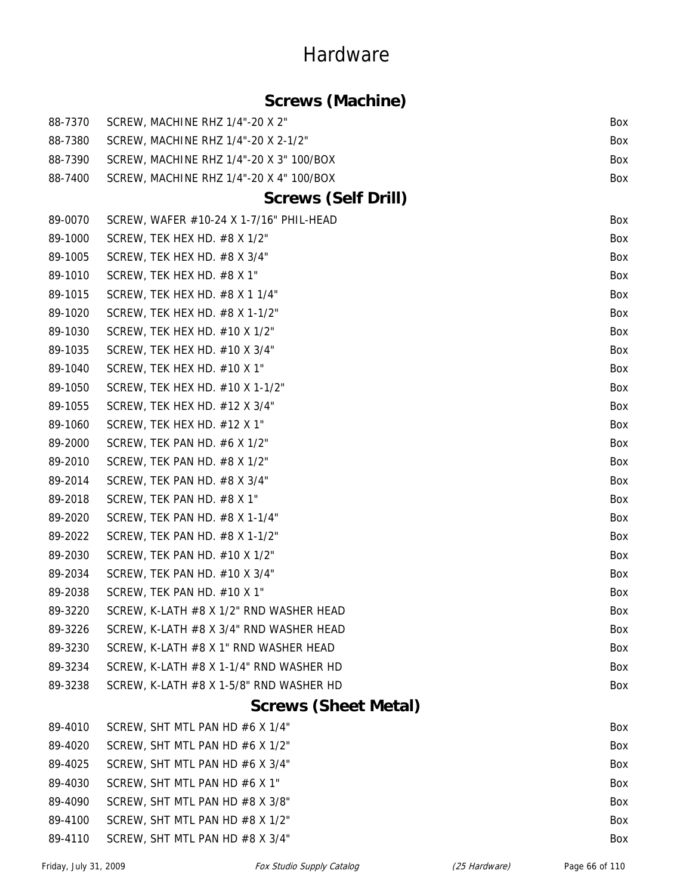#### **Screws (Machine)**

| 88-7370 | SCREW, MACHINE RHZ 1/4"-20 X 2"         | Box |
|---------|-----------------------------------------|-----|
| 88-7380 | SCREW, MACHINE RHZ 1/4"-20 X 2-1/2"     | Box |
| 88-7390 | SCREW, MACHINE RHZ 1/4"-20 X 3" 100/BOX | Box |
| 88-7400 | SCREW, MACHINE RHZ 1/4"-20 X 4" 100/BOX | Box |
|         | <b>Screws (Self Drill)</b>              |     |
| 89-0070 | SCREW, WAFER #10-24 X 1-7/16" PHIL-HEAD | Box |
| 89-1000 | SCREW, TEK HEX HD. #8 X 1/2"            | Box |
| 89-1005 | SCREW, TEK HEX HD. #8 X 3/4"            | Box |
| 89-1010 | SCREW, TEK HEX HD. #8 X 1"              | Box |
| 89-1015 | SCREW, TEK HEX HD. #8 X 1 1/4"          | Box |
| 89-1020 | SCREW, TEK HEX HD. #8 X 1-1/2"          | Box |
| 89-1030 | SCREW, TEK HEX HD. #10 X 1/2"           | Box |
| 89-1035 | SCREW, TEK HEX HD. #10 X 3/4"           | Box |
| 89-1040 | SCREW, TEK HEX HD. #10 X 1"             | Box |
| 89-1050 | SCREW, TEK HEX HD. #10 X 1-1/2"         | Box |
| 89-1055 | SCREW, TEK HEX HD. $#12$ X 3/4"         | Box |
| 89-1060 | SCREW, TEK HEX HD. #12 X 1"             | Box |
| 89-2000 | SCREW, TEK PAN HD. $#6 X 1/2"$          | Box |
| 89-2010 | SCREW, TEK PAN HD. #8 X 1/2"            | Box |
| 89-2014 | SCREW, TEK PAN HD. #8 X 3/4"            | Box |
| 89-2018 | SCREW, TEK PAN HD. #8 X 1"              | Box |
| 89-2020 | SCREW, TEK PAN HD. #8 X 1-1/4"          | Box |
| 89-2022 | SCREW, TEK PAN HD. #8 X 1-1/2"          | Box |
| 89-2030 | SCREW, TEK PAN HD. #10 X 1/2"           | Box |
| 89-2034 | SCREW, TEK PAN HD. #10 X 3/4"           | Box |
| 89-2038 | SCREW, TEK PAN HD. #10 X 1"             | Box |
| 89-3220 | SCREW, K-LATH #8 X 1/2" RND WASHER HEAD | Box |
| 89-3226 | SCREW, K-LATH #8 X 3/4" RND WASHER HEAD | Box |
| 89-3230 | SCREW, K-LATH #8 X 1" RND WASHER HEAD   | Box |
| 89-3234 | SCREW, K-LATH #8 X 1-1/4" RND WASHER HD | Box |
| 89-3238 | SCREW, K-LATH #8 X 1-5/8" RND WASHER HD | Box |

### **Screws (Sheet Metal)**

| 89-4010 | SCREW, SHT MTL PAN HD $\#6$ X 1/4"     | Box        |
|---------|----------------------------------------|------------|
| 89-4020 | SCREW, SHT MTL PAN HD #6 X 1/2"        | Box        |
| 89-4025 | SCREW, SHT MTL PAN HD #6 $\times$ 3/4" | <b>Box</b> |
| 89-4030 | SCREW, SHT MTL PAN HD $#6$ X 1"        | <b>Box</b> |
| 89-4090 | SCREW, SHT MTL PAN HD $#8$ X 3/8"      | <b>Box</b> |
| 89-4100 | SCREW. SHT MTL PAN HD $#8$ X 1/2"      | Box        |
| 89-4110 | SCREW, SHT MTL PAN HD $#8$ X 3/4"      | <b>Box</b> |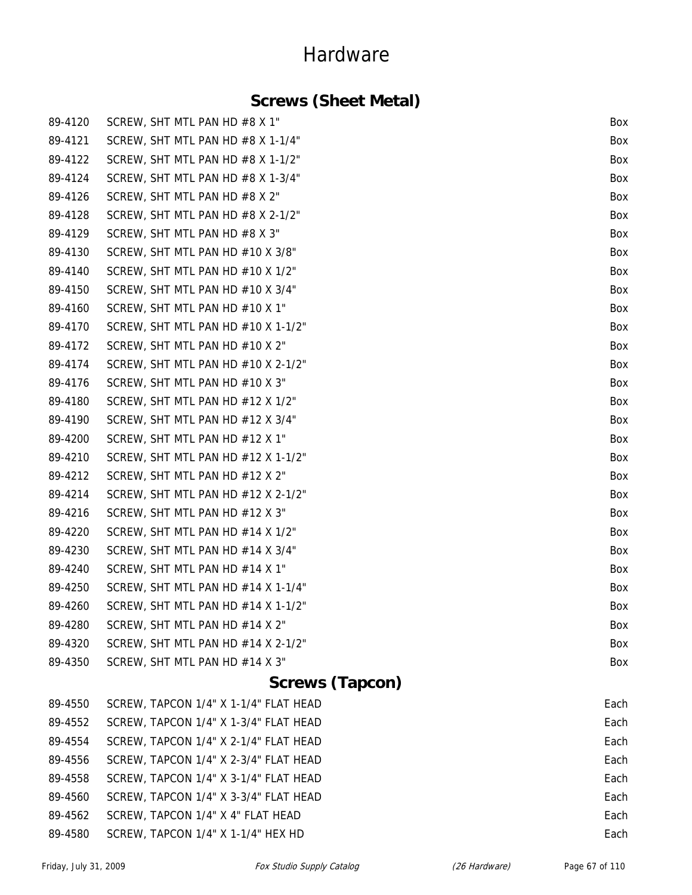### **Screws (Sheet Metal)**

| 89-4120     | SCREW, SHT MTL PAN HD #8 X 1"         | Box  |
|-------------|---------------------------------------|------|
| 89-4121     | SCREW, SHT MTL PAN HD $#8$ X 1-1/4"   | Box  |
| 89-4122     | SCREW, SHT MTL PAN HD $#8$ X 1-1/2"   | Box  |
| 89-4124     | SCREW, SHT MTL PAN HD #8 X 1-3/4"     | Box  |
| 89-4126     | SCREW, SHT MTL PAN HD #8 X 2"         | Box  |
| 89-4128     | SCREW, SHT MTL PAN HD $#8$ X 2-1/2"   | Box  |
| 89-4129     | SCREW, SHT MTL PAN HD #8 X 3"         | Box  |
| 89-4130     | SCREW, SHT MTL PAN HD #10 X 3/8"      | Box  |
| 89-4140     | SCREW, SHT MTL PAN HD #10 X 1/2"      | Box  |
| 89-4150     | SCREW, SHT MTL PAN HD #10 X 3/4"      | Box  |
| 89-4160     | SCREW, SHT MTL PAN HD #10 X 1"        | Box  |
| 89-4170     | SCREW, SHT MTL PAN HD #10 X 1-1/2"    | Box  |
| 89-4172     | SCREW, SHT MTL PAN HD #10 X 2"        | Box  |
| 89-4174     | SCREW, SHT MTL PAN HD #10 X 2-1/2"    | Box  |
| 89-4176     | SCREW, SHT MTL PAN HD #10 X 3"        | Box  |
| 89-4180     | SCREW, SHT MTL PAN HD #12 X 1/2"      | Box  |
| 89-4190     | SCREW, SHT MTL PAN HD #12 X 3/4"      | Box  |
| 89-4200     | SCREW, SHT MTL PAN HD #12 X 1"        | Box  |
| 89-4210     | SCREW, SHT MTL PAN HD #12 X 1-1/2"    | Box  |
| 89-4212     | SCREW, SHT MTL PAN HD #12 X 2"        | Box  |
| 89-4214     | SCREW, SHT MTL PAN HD #12 X 2-1/2"    | Box  |
| 89-4216     | SCREW, SHT MTL PAN HD #12 X 3"        | Box  |
| 89-4220     | SCREW, SHT MTL PAN HD #14 X 1/2"      | Box  |
| 89-4230     | SCREW, SHT MTL PAN HD #14 X 3/4"      | Box  |
| 89-4240     | SCREW, SHT MTL PAN HD #14 X 1"        | Box  |
| 89-4250     | SCREW, SHT MTL PAN HD #14 X 1-1/4"    | Box  |
| 89-4260     | SCREW, SHT MTL PAN HD #14 X 1-1/2"    | Box  |
| 89-4280     | SCREW, SHT MTL PAN HD #14 X 2"        | Box  |
| 89-4320     | SCREW, SHT MTL PAN HD #14 X 2-1/2"    | Box  |
| 89-4350     | SCREW, SHT MTL PAN HD #14 X 3"        | Box  |
|             | <b>Screws (Tapcon)</b>                |      |
| 89-4550     | SCREW, TAPCON 1/4" X 1-1/4" FLAT HEAD | Each |
| $90 - 1552$ | SCREW TARCON 1/4" Y 1-3/4" ELAT HEAD  | Each |

|         | $09-4000$ $3$ CREW, IAPCON 1/4 A 1-1/4 FLAT HEAD | caul |
|---------|--------------------------------------------------|------|
| 89-4552 | SCREW, TAPCON 1/4" X 1-3/4" FLAT HEAD            | Each |
| 89-4554 | SCREW, TAPCON 1/4" X 2-1/4" FLAT HEAD            | Each |
| 89-4556 | SCREW, TAPCON 1/4" X 2-3/4" FLAT HEAD            | Each |
| 89-4558 | SCREW, TAPCON 1/4" X 3-1/4" FLAT HEAD            | Each |
| 89-4560 | SCREW, TAPCON 1/4" X 3-3/4" FLAT HEAD            | Each |
| 89-4562 | SCREW, TAPCON 1/4" X 4" FLAT HEAD                | Each |
| 89-4580 | SCREW, TAPCON 1/4" X 1-1/4" HEX HD               | Each |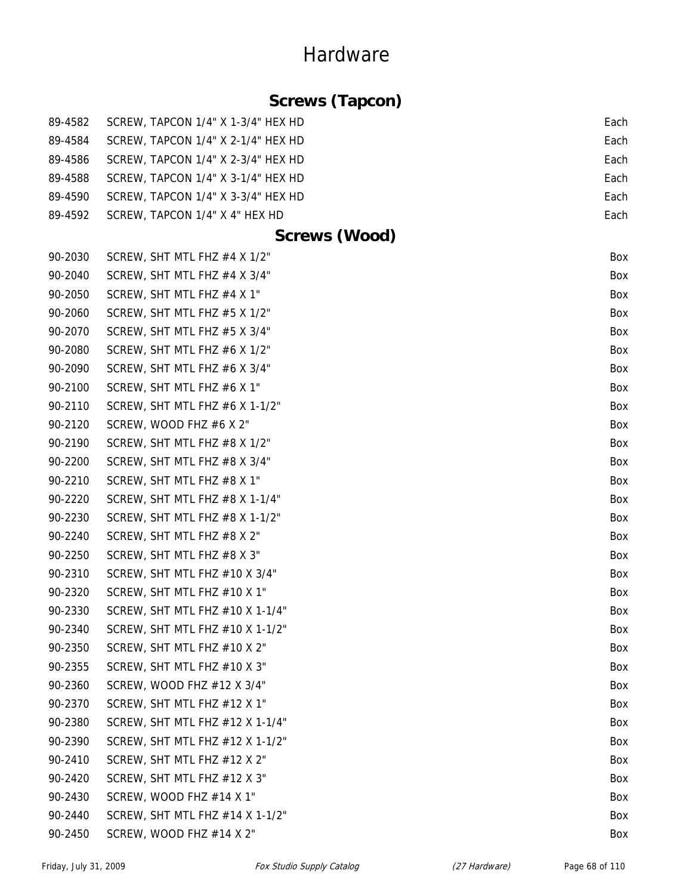### **Screws (Tapcon)**

| 89-4582 | SCREW, TAPCON 1/4" X 1-3/4" HEX HD | Each |
|---------|------------------------------------|------|
| 89-4584 | SCREW, TAPCON 1/4" X 2-1/4" HEX HD | Each |
| 89-4586 | SCREW, TAPCON 1/4" X 2-3/4" HEX HD | Each |
| 89-4588 | SCREW, TAPCON 1/4" X 3-1/4" HEX HD | Each |
| 89-4590 | SCREW, TAPCON 1/4" X 3-3/4" HEX HD | Each |
| 89-4592 | SCREW, TAPCON 1/4" X 4" HEX HD     | Each |
|         | <b>Screws (Wood)</b>               |      |
| 90-2030 | SCREW, SHT MTL FHZ #4 X 1/2"       | Box  |
| 90-2040 | SCREW, SHT MTL FHZ #4 X 3/4"       | Box  |
| 90-2050 | SCREW, SHT MTL FHZ #4 X 1"         | Box  |
| 90-2060 | SCREW, SHT MTL FHZ #5 X 1/2"       | Box  |
| 90-2070 | SCREW, SHT MTL FHZ #5 X 3/4"       | Box  |
| 90-2080 | SCREW, SHT MTL FHZ #6 X 1/2"       | Box  |
| 90-2090 | SCREW, SHT MTL FHZ #6 X 3/4"       | Box  |
| 90-2100 | SCREW, SHT MTL FHZ #6 X 1"         | Box  |
| 90-2110 | SCREW, SHT MTL FHZ #6 X 1-1/2"     | Box  |
| 90-2120 | SCREW, WOOD FHZ #6 X 2"            | Box  |
| 90-2190 | SCREW, SHT MTL FHZ #8 X 1/2"       | Box  |
| 90-2200 | SCREW, SHT MTL FHZ #8 X 3/4"       | Box  |
| 90-2210 | SCREW, SHT MTL FHZ #8 X 1"         | Box  |
| 90-2220 | SCREW, SHT MTL FHZ $#8$ X 1-1/4"   | Box  |
| 90-2230 | SCREW, SHT MTL FHZ #8 X 1-1/2"     | Box  |
| 90-2240 | SCREW, SHT MTL FHZ #8 X 2"         | Box  |
| 90-2250 | SCREW, SHT MTL FHZ #8 X 3"         | Box  |
| 90-2310 | SCREW, SHT MTL FHZ #10 X 3/4"      | Box  |
| 90-2320 | SCREW, SHT MTL FHZ #10 X 1"        | Box  |
| 90-2330 | SCREW, SHT MTL FHZ #10 X 1-1/4"    | Box  |
| 90-2340 | SCREW, SHT MTL FHZ #10 X 1-1/2"    | Box  |
| 90-2350 | SCREW, SHT MTL FHZ #10 X 2"        | Box  |
| 90-2355 | SCREW, SHT MTL FHZ #10 X 3"        | Box  |
| 90-2360 | SCREW, WOOD FHZ #12 X 3/4"         | Box  |
| 90-2370 | SCREW, SHT MTL FHZ #12 X 1"        | Box  |
| 90-2380 | SCREW, SHT MTL FHZ #12 X 1-1/4"    | Box  |
| 90-2390 | SCREW, SHT MTL FHZ #12 X 1-1/2"    | Box  |
| 90-2410 | SCREW, SHT MTL FHZ #12 X 2"        | Box  |
| 90-2420 | SCREW, SHT MTL FHZ #12 X 3"        | Box  |
| 90-2430 | SCREW, WOOD FHZ $#14$ X 1"         | Box  |
| 90-2440 | SCREW, SHT MTL FHZ #14 X 1-1/2"    | Box  |
| 90-2450 | SCREW, WOOD FHZ #14 X 2"           | Box  |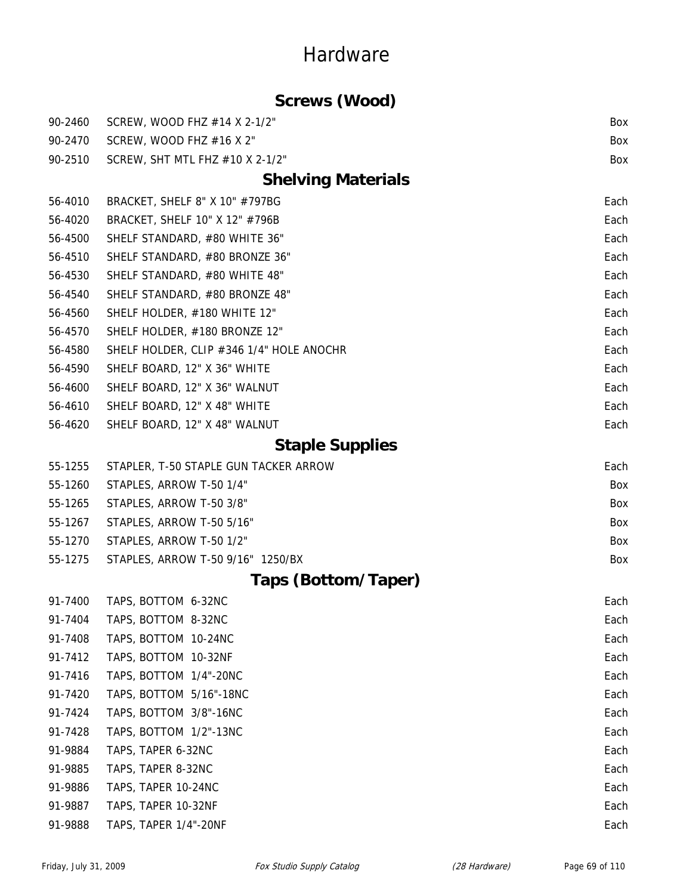### **Screws (Wood)**

| 90-2460 | SCREW, WOOD FHZ #14 X 2-1/2"             | Box  |
|---------|------------------------------------------|------|
| 90-2470 | SCREW, WOOD FHZ #16 X 2"                 | Box  |
| 90-2510 | SCREW, SHT MTL FHZ #10 X 2-1/2"          | Box  |
|         | <b>Shelving Materials</b>                |      |
| 56-4010 | BRACKET, SHELF 8" X 10" #797BG           | Each |
| 56-4020 | BRACKET, SHELF 10" X 12" #796B           | Each |
| 56-4500 | SHELF STANDARD, #80 WHITE 36"            | Each |
| 56-4510 | SHELF STANDARD, #80 BRONZE 36"           | Each |
| 56-4530 | SHELF STANDARD, #80 WHITE 48"            | Each |
| 56-4540 | SHELF STANDARD, #80 BRONZE 48"           | Each |
| 56-4560 | SHELF HOLDER, #180 WHITE 12"             | Each |
| 56-4570 | SHELF HOLDER, #180 BRONZE 12"            | Each |
| 56-4580 | SHELF HOLDER, CLIP #346 1/4" HOLE ANOCHR | Each |
| 56-4590 | SHELF BOARD, 12" X 36" WHITE             | Each |
| 56-4600 | SHELF BOARD, 12" X 36" WALNUT            | Each |
| 56-4610 | SHELF BOARD, 12" X 48" WHITE             | Each |
| 56-4620 | SHELF BOARD, 12" X 48" WALNUT            | Each |
|         | <b>Staple Supplies</b>                   |      |
| 55-1255 | STAPLER, T-50 STAPLE GUN TACKER ARROW    | Each |
| 55-1260 | STAPLES, ARROW T-50 1/4"                 | Box  |
| 55-1265 | STAPLES, ARROW T-50 3/8"                 | Box  |
| 55-1267 | STAPLES, ARROW T-50 5/16"                | Box  |
| 55-1270 | STAPLES, ARROW T-50 1/2"                 | Box  |
| 55-1275 | STAPLES, ARROW T-50 9/16" 1250/BX        | Box  |
|         | Taps (Bottom/Taper)                      |      |
| 91-7400 | TAPS, BOTTOM 6-32NC                      | Each |
| 91-7404 | TAPS, BOTTOM 8-32NC                      | Each |
| 91-7408 | TAPS, BOTTOM 10-24NC                     | Each |
| 91-7412 | TAPS, BOTTOM 10-32NF                     | Each |
| 91-7416 | TAPS, BOTTOM 1/4"-20NC                   | Each |
| 91-7420 | TAPS, BOTTOM 5/16"-18NC                  | Each |
| 91-7424 | TAPS, BOTTOM 3/8"-16NC                   | Each |
| 91-7428 | TAPS, BOTTOM 1/2"-13NC                   | Each |
| 91-9884 | TAPS, TAPER 6-32NC                       | Each |
| 91-9885 | TAPS, TAPER 8-32NC                       | Each |
| 91-9886 | TAPS, TAPER 10-24NC                      | Each |
| 91-9887 | TAPS, TAPER 10-32NF                      | Each |
| 91-9888 | TAPS, TAPER 1/4"-20NF                    | Each |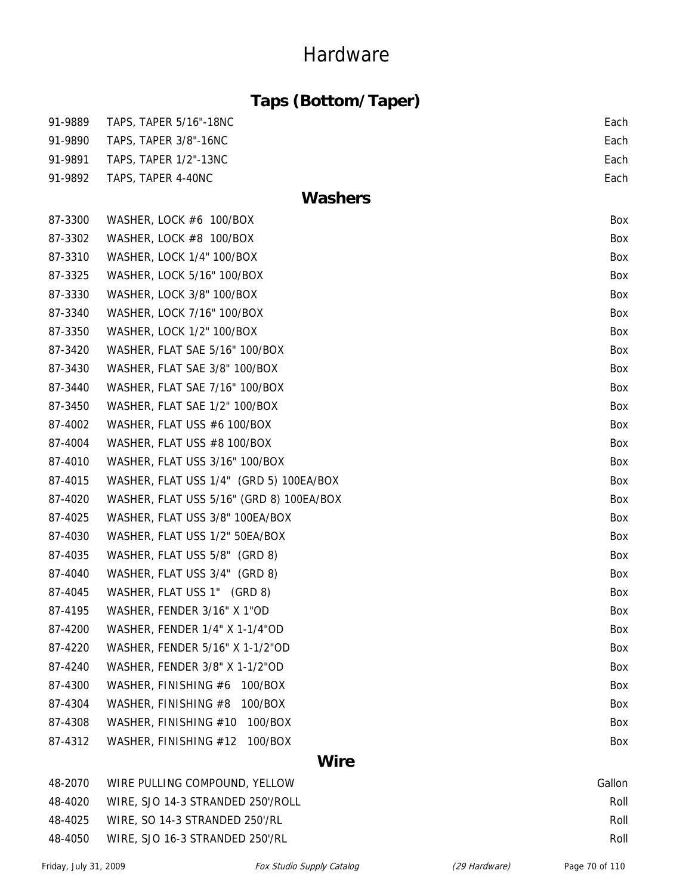|  | Taps (Bottom/Taper) |  |
|--|---------------------|--|
|--|---------------------|--|

| 91-9889     | <b>TAPS, TAPER 5/16"-18NC</b>            | Each |  |
|-------------|------------------------------------------|------|--|
| 91-9890     | TAPS, TAPER 3/8"-16NC                    | Each |  |
| 91-9891     | TAPS, TAPER 1/2"-13NC                    | Each |  |
| 91-9892     | TAPS, TAPER 4-40NC                       | Each |  |
|             | <b>Washers</b>                           |      |  |
| 87-3300     | WASHER, LOCK #6 100/BOX                  | Box  |  |
| 87-3302     | WASHER, LOCK #8 100/BOX                  | Box  |  |
| 87-3310     | WASHER, LOCK 1/4" 100/BOX                | Box  |  |
| 87-3325     | WASHER, LOCK 5/16" 100/BOX               | Box  |  |
| 87-3330     | WASHER, LOCK 3/8" 100/BOX                | Box  |  |
| 87-3340     | WASHER, LOCK 7/16" 100/BOX               | Box  |  |
| 87-3350     | WASHER, LOCK 1/2" 100/BOX                | Box  |  |
| 87-3420     | WASHER, FLAT SAE 5/16" 100/BOX           | Box  |  |
| 87-3430     | WASHER, FLAT SAE 3/8" 100/BOX            | Box  |  |
| 87-3440     | WASHER, FLAT SAE 7/16" 100/BOX           | Box  |  |
| 87-3450     | WASHER, FLAT SAE 1/2" 100/BOX            | Box  |  |
| 87-4002     | WASHER, FLAT USS #6 100/BOX              | Box  |  |
| 87-4004     | WASHER, FLAT USS #8 100/BOX              | Box  |  |
| 87-4010     | WASHER, FLAT USS 3/16" 100/BOX           | Box  |  |
| 87-4015     | WASHER, FLAT USS 1/4" (GRD 5) 100EA/BOX  | Box  |  |
| 87-4020     | WASHER, FLAT USS 5/16" (GRD 8) 100EA/BOX | Box  |  |
| 87-4025     | WASHER, FLAT USS 3/8" 100EA/BOX          | Box  |  |
| 87-4030     | WASHER, FLAT USS 1/2" 50EA/BOX           | Box  |  |
| 87-4035     | WASHER, FLAT USS 5/8" (GRD 8)            | Box  |  |
| 87-4040     | WASHER, FLAT USS 3/4" (GRD 8)            | Box  |  |
| 87-4045     | WASHER, FLAT USS 1" (GRD 8)              | Box  |  |
| 87-4195     | WASHER, FENDER 3/16" X 1"OD              | Box  |  |
| 87-4200     | WASHER, FENDER 1/4" X 1-1/4"OD           | Box  |  |
| 87-4220     | WASHER, FENDER 5/16" X 1-1/2"OD          | Box  |  |
| 87-4240     | WASHER, FENDER 3/8" X 1-1/2"OD           | Box  |  |
| 87-4300     | WASHER, FINISHING #6<br>100/BOX          | Box  |  |
| 87-4304     | WASHER, FINISHING #8<br>100/BOX          | Box  |  |
| 87-4308     | WASHER, FINISHING #10<br>100/BOX         | Box  |  |
| 87-4312     | WASHER, FINISHING #12<br>100/BOX         | Box  |  |
| <b>Wire</b> |                                          |      |  |

48-2070 WIRE PULLING COMPOUND, YELLOW Gallon 48-4020 WIRE, SJO 14-3 STRANDED 250'/ROLL ROLL ROLL ROLL 48-4025 WIRE, SO 14-3 STRANDED 250'/RL ROLL ROLL ROLL ROLL ROLL ROLL ROLL 48-4050 WIRE, SJO 16-3 STRANDED 250'/RL Roll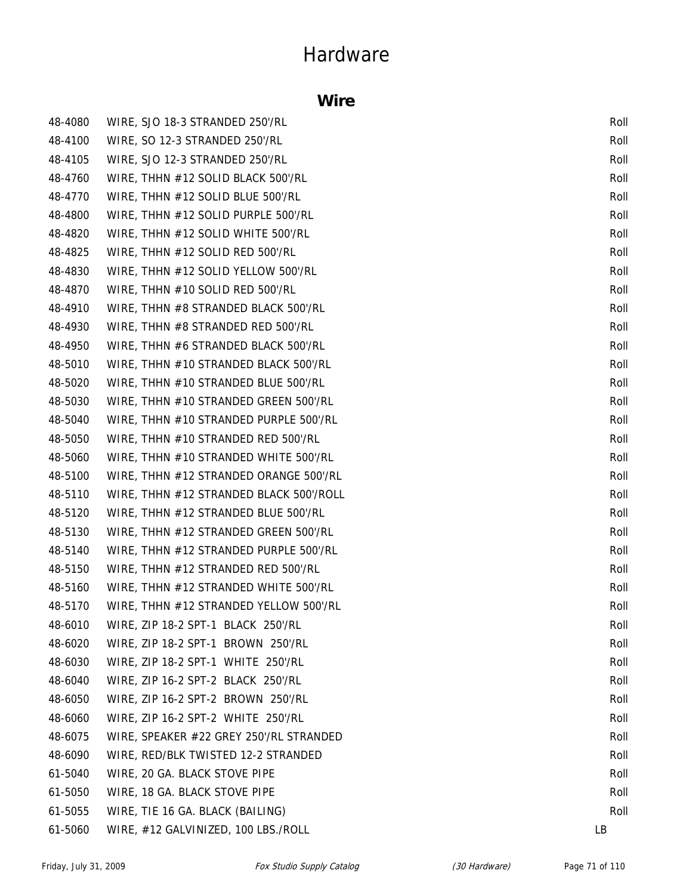#### **Wire**

| 48-4080 | WIRE, SJO 18-3 STRANDED 250'/RL         | Roll |
|---------|-----------------------------------------|------|
| 48-4100 | WIRE, SO 12-3 STRANDED 250'/RL          | Roll |
| 48-4105 | WIRE, SJO 12-3 STRANDED 250'/RL         | Roll |
| 48-4760 | WIRE, THHN #12 SOLID BLACK 500'/RL      | Roll |
| 48-4770 | WIRE, THHN #12 SOLID BLUE 500'/RL       | Roll |
| 48-4800 | WIRE, THHN #12 SOLID PURPLE 500'/RL     | Roll |
| 48-4820 | WIRE, THHN #12 SOLID WHITE 500'/RL      | Roll |
| 48-4825 | WIRE, THHN #12 SOLID RED 500'/RL        | Roll |
| 48-4830 | WIRE, THHN #12 SOLID YELLOW 500'/RL     | Roll |
| 48-4870 | WIRE, THHN #10 SOLID RED 500'/RL        | Roll |
| 48-4910 | WIRE, THHN #8 STRANDED BLACK 500'/RL    | Roll |
| 48-4930 | WIRE, THHN #8 STRANDED RED 500'/RL      | Roll |
| 48-4950 | WIRE, THHN #6 STRANDED BLACK 500'/RL    | Roll |
| 48-5010 | WIRE, THHN #10 STRANDED BLACK 500'/RL   | Roll |
| 48-5020 | WIRE, THHN #10 STRANDED BLUE 500'/RL    | Roll |
| 48-5030 | WIRE, THHN #10 STRANDED GREEN 500'/RL   | Roll |
| 48-5040 | WIRE, THHN #10 STRANDED PURPLE 500'/RL  | Roll |
| 48-5050 | WIRE, THHN #10 STRANDED RED 500'/RL     | Roll |
| 48-5060 | WIRE, THHN #10 STRANDED WHITE 500'/RL   | Roll |
| 48-5100 | WIRE, THHN #12 STRANDED ORANGE 500'/RL  | Roll |
| 48-5110 | WIRE, THHN #12 STRANDED BLACK 500'/ROLL | Roll |
| 48-5120 | WIRE, THHN #12 STRANDED BLUE 500'/RL    | Roll |
| 48-5130 | WIRE, THHN #12 STRANDED GREEN 500'/RL   | Roll |
| 48-5140 | WIRE, THHN #12 STRANDED PURPLE 500'/RL  | Roll |
| 48-5150 | WIRE, THHN #12 STRANDED RED 500'/RL     | Roll |
| 48-5160 | WIRE, THHN #12 STRANDED WHITE 500'/RL   | Roll |
| 48-5170 | WIRE, THHN #12 STRANDED YELLOW 500'/RL  | Roll |
| 48-6010 | WIRE, ZIP 18-2 SPT-1 BLACK 250'/RL      | Roll |
| 48-6020 | WIRE, ZIP 18-2 SPT-1 BROWN 250'/RL      | Roll |
| 48-6030 | WIRE, ZIP 18-2 SPT-1 WHITE 250'/RL      | Roll |
| 48-6040 | WIRE, ZIP 16-2 SPT-2 BLACK 250'/RL      | Roll |
| 48-6050 | WIRE, ZIP 16-2 SPT-2 BROWN 250'/RL      | Roll |
| 48-6060 | WIRE, ZIP 16-2 SPT-2 WHITE 250'/RL      | Roll |
| 48-6075 | WIRE, SPEAKER #22 GREY 250'/RL STRANDED | Roll |
| 48-6090 | WIRE, RED/BLK TWISTED 12-2 STRANDED     | Roll |
| 61-5040 | WIRE, 20 GA. BLACK STOVE PIPE           | Roll |
| 61-5050 | WIRE, 18 GA. BLACK STOVE PIPE           | Roll |
| 61-5055 | WIRE, TIE 16 GA. BLACK (BAILING)        | Roll |
| 61-5060 | WIRE, #12 GALVINIZED, 100 LBS./ROLL     | LB   |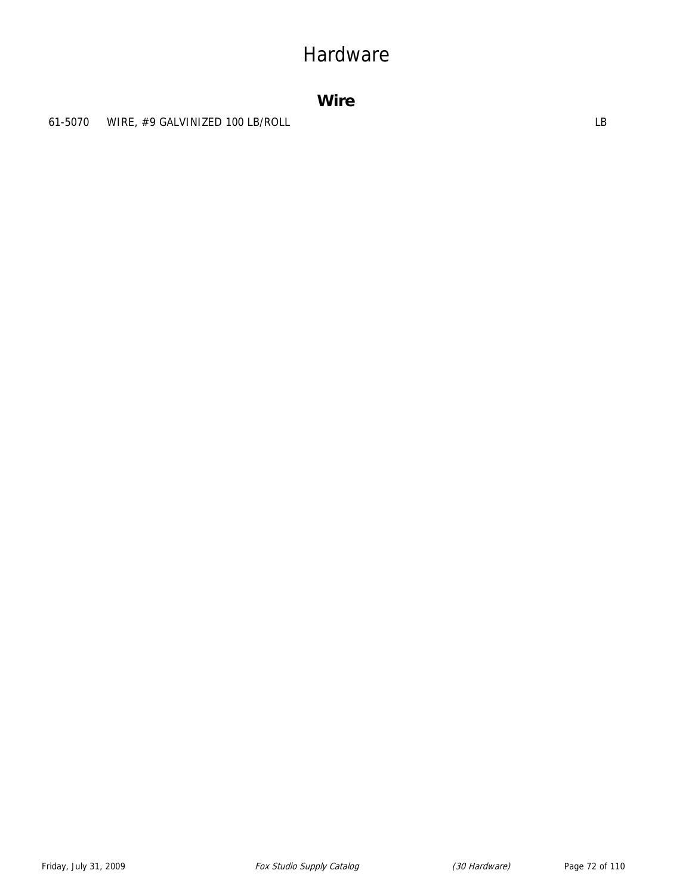#### **Wire**

61-5070 WIRE, #9 GALVINIZED 100 LB/ROLL **SEEMINGS** CONTROLL LB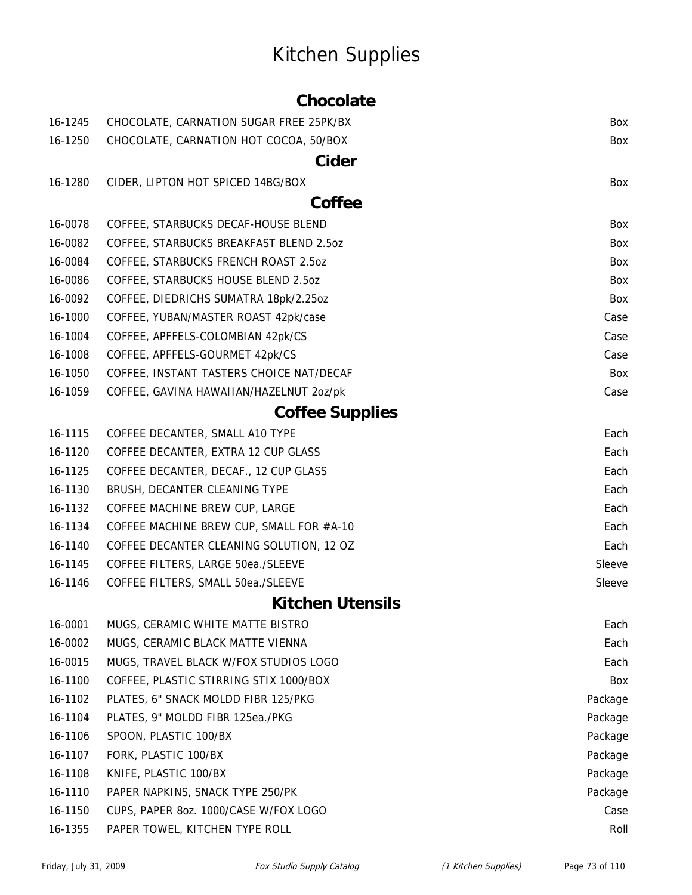# Kitchen Supplies

#### **Chocolate**

| 16-1245 | CHOCOLATE, CARNATION SUGAR FREE 25PK/BX  | Box     |
|---------|------------------------------------------|---------|
| 16-1250 | CHOCOLATE, CARNATION HOT COCOA, 50/BOX   | Box     |
|         | Cider                                    |         |
| 16-1280 | CIDER, LIPTON HOT SPICED 14BG/BOX        | Box     |
|         | Coffee                                   |         |
| 16-0078 | COFFEE, STARBUCKS DECAF-HOUSE BLEND      | Box     |
| 16-0082 | COFFEE, STARBUCKS BREAKFAST BLEND 2.5oz  | Box     |
| 16-0084 | COFFEE, STARBUCKS FRENCH ROAST 2.5oz     | Box     |
| 16-0086 | COFFEE, STARBUCKS HOUSE BLEND 2.5oz      | Box     |
| 16-0092 | COFFEE, DIEDRICHS SUMATRA 18pk/2.25oz    | Box     |
| 16-1000 | COFFEE, YUBAN/MASTER ROAST 42pk/case     | Case    |
| 16-1004 | COFFEE, APFFELS-COLOMBIAN 42pk/CS        | Case    |
| 16-1008 | COFFEE, APFFELS-GOURMET 42pk/CS          | Case    |
| 16-1050 | COFFEE, INSTANT TASTERS CHOICE NAT/DECAF | Box     |
| 16-1059 | COFFEE, GAVINA HAWAIIAN/HAZELNUT 2oz/pk  | Case    |
|         | <b>Coffee Supplies</b>                   |         |
| 16-1115 | COFFEE DECANTER, SMALL A10 TYPE          | Each    |
| 16-1120 | COFFEE DECANTER, EXTRA 12 CUP GLASS      | Each    |
| 16-1125 | COFFEE DECANTER, DECAF., 12 CUP GLASS    | Each    |
| 16-1130 | BRUSH, DECANTER CLEANING TYPE            | Each    |
| 16-1132 | COFFEE MACHINE BREW CUP, LARGE           | Each    |
| 16-1134 | COFFEE MACHINE BREW CUP, SMALL FOR #A-10 | Each    |
| 16-1140 | COFFEE DECANTER CLEANING SOLUTION, 12 OZ | Each    |
| 16-1145 | COFFEE FILTERS, LARGE 50ea./SLEEVE       | Sleeve  |
| 16-1146 | COFFEE FILTERS, SMALL 50ea./SLEEVE       | Sleeve  |
|         | <b>Kitchen Utensils</b>                  |         |
| 16-0001 | MUGS, CERAMIC WHITE MATTE BISTRO         | Each    |
| 16-0002 | MUGS, CERAMIC BLACK MATTE VIENNA         | Each    |
| 16-0015 | MUGS, TRAVEL BLACK W/FOX STUDIOS LOGO    | Each    |
| 16-1100 | COFFEE, PLASTIC STIRRING STIX 1000/BOX   | Box     |
| 16-1102 | PLATES, 6" SNACK MOLDD FIBR 125/PKG      | Package |
| 16-1104 | PLATES, 9" MOLDD FIBR 125ea./PKG         | Package |
| 16-1106 | SPOON, PLASTIC 100/BX                    | Package |
| 16-1107 | FORK, PLASTIC 100/BX                     | Package |
| 16-1108 | KNIFE, PLASTIC 100/BX                    | Package |
| 16-1110 | PAPER NAPKINS, SNACK TYPE 250/PK         | Package |
| 16-1150 | CUPS, PAPER 80Z. 1000/CASE W/FOX LOGO    | Case    |
| 16-1355 | PAPER TOWEL, KITCHEN TYPE ROLL           | Roll    |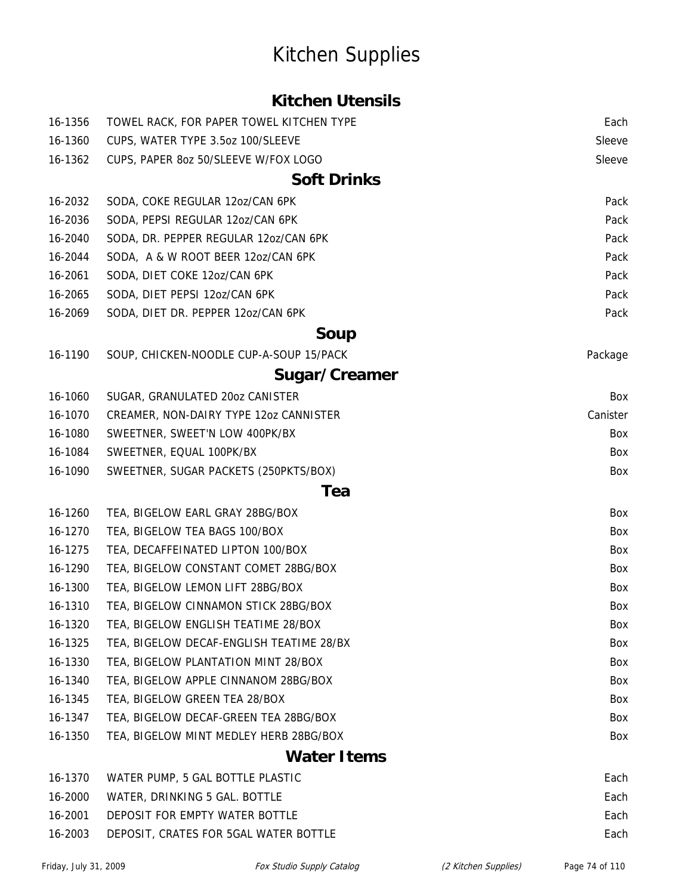### Kitchen Supplies

#### **Kitchen Utensils**

| 16-1356 | TOWEL RACK, FOR PAPER TOWEL KITCHEN TYPE | Each     |
|---------|------------------------------------------|----------|
| 16-1360 | CUPS, WATER TYPE 3.5oz 100/SLEEVE        | Sleeve   |
| 16-1362 | CUPS, PAPER 80Z 50/SLEEVE W/FOX LOGO     | Sleeve   |
|         | <b>Soft Drinks</b>                       |          |
| 16-2032 | SODA, COKE REGULAR 12oz/CAN 6PK          | Pack     |
| 16-2036 | SODA, PEPSI REGULAR 12oz/CAN 6PK         | Pack     |
| 16-2040 | SODA, DR. PEPPER REGULAR 12oz/CAN 6PK    | Pack     |
| 16-2044 | SODA, A & W ROOT BEER 12oz/CAN 6PK       | Pack     |
| 16-2061 | SODA, DIET COKE 12oz/CAN 6PK             | Pack     |
| 16-2065 | SODA, DIET PEPSI 12oz/CAN 6PK            | Pack     |
| 16-2069 | SODA, DIET DR. PEPPER 120Z/CAN 6PK       | Pack     |
|         | <b>Soup</b>                              |          |
| 16-1190 | SOUP, CHICKEN-NOODLE CUP-A-SOUP 15/PACK  | Package  |
|         | Sugar/Creamer                            |          |
| 16-1060 | SUGAR, GRANULATED 20oz CANISTER          | Box      |
| 16-1070 | CREAMER, NON-DAIRY TYPE 12oz CANNISTER   | Canister |
| 16-1080 | SWEETNER, SWEET'N LOW 400PK/BX           | Box      |
| 16-1084 | SWEETNER, EQUAL 100PK/BX                 | Box      |
| 16-1090 | SWEETNER, SUGAR PACKETS (250PKTS/BOX)    | Box      |
|         | Tea                                      |          |
| 16-1260 | TEA, BIGELOW EARL GRAY 28BG/BOX          | Box      |
| 16-1270 | TEA, BIGELOW TEA BAGS 100/BOX            | Box      |
| 16-1275 | TEA, DECAFFEINATED LIPTON 100/BOX        | Box      |
| 16-1290 | TEA, BIGELOW CONSTANT COMET 28BG/BOX     | Box      |
| 16-1300 | TEA, BIGELOW LEMON LIFT 28BG/BOX         | Box      |
| 16-1310 | TEA, BIGELOW CINNAMON STICK 28BG/BOX     | Box      |
| 16-1320 | TEA, BIGELOW ENGLISH TEATIME 28/BOX      | Box      |
| 16-1325 | TEA, BIGELOW DECAF-ENGLISH TEATIME 28/BX | Box      |
| 16-1330 | TEA, BIGELOW PLANTATION MINT 28/BOX      | Box      |
| 16-1340 | TEA, BIGELOW APPLE CINNANOM 28BG/BOX     | Box      |
| 16-1345 | TEA, BIGELOW GREEN TEA 28/BOX            | Box      |
| 16-1347 | TEA, BIGELOW DECAF-GREEN TEA 28BG/BOX    | Box      |
| 16-1350 | TEA, BIGELOW MINT MEDLEY HERB 28BG/BOX   | Box      |
|         | <b>Water Items</b>                       |          |
| 16-1370 | WATER PUMP, 5 GAL BOTTLE PLASTIC         | Each     |
| 16-2000 | WATER, DRINKING 5 GAL. BOTTLE            | Each     |
| 16-2001 | DEPOSIT FOR EMPTY WATER BOTTLE           | Each     |
| 16-2003 | DEPOSIT, CRATES FOR 5GAL WATER BOTTLE    | Each     |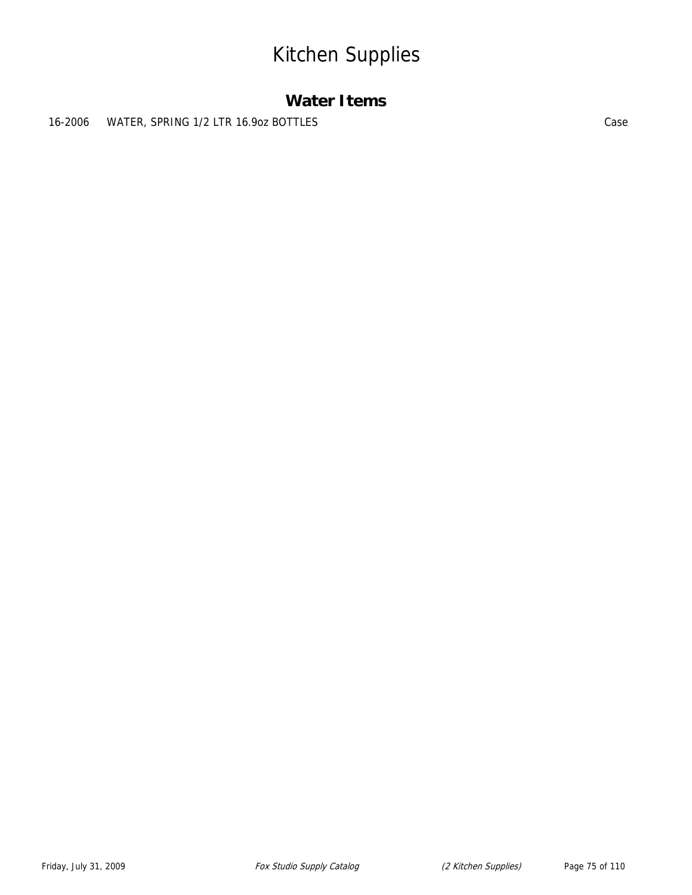### Kitchen Supplies

#### **Water Items**

16-2006 WATER, SPRING 1/2 LTR 16.9oz BOTTLES Case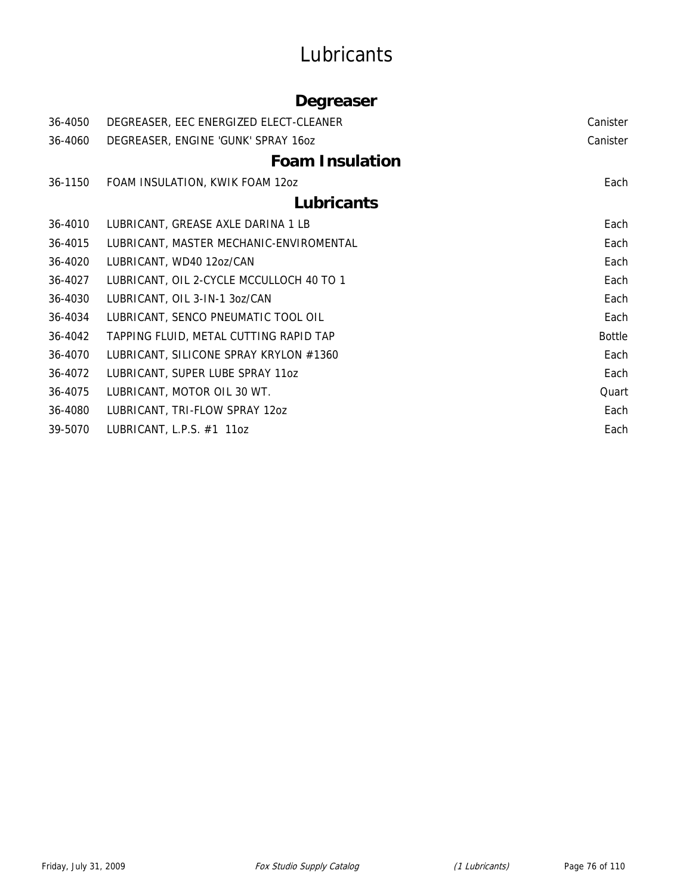### **Lubricants**

#### **Degreaser**

| 36-4050 | DEGREASER, EEC ENERGIZED ELECT-CLEANER   | Canister      |
|---------|------------------------------------------|---------------|
| 36-4060 | DEGREASER, ENGINE 'GUNK' SPRAY 160Z      | Canister      |
|         | <b>Foam Insulation</b>                   |               |
| 36-1150 | FOAM INSULATION, KWIK FOAM 12oz          | Each          |
|         | <b>Lubricants</b>                        |               |
| 36-4010 | LUBRICANT, GREASE AXLE DARINA 1 LB       | Each          |
| 36-4015 | LUBRICANT, MASTER MECHANIC-ENVIROMENTAL  | Each          |
| 36-4020 | LUBRICANT, WD40 12oz/CAN                 | Each          |
| 36-4027 | LUBRICANT, OIL 2-CYCLE MCCULLOCH 40 TO 1 | Each          |
| 36-4030 | LUBRICANT, OIL 3-IN-1 3oz/CAN            | Each          |
| 36-4034 | LUBRICANT, SENCO PNEUMATIC TOOL OIL      | Each          |
| 36-4042 | TAPPING FLUID, METAL CUTTING RAPID TAP   | <b>Bottle</b> |
| 36-4070 | LUBRICANT, SILICONE SPRAY KRYLON #1360   | Each          |
| 36-4072 | LUBRICANT, SUPER LUBE SPRAY 11oz         | Each          |
| 36-4075 | LUBRICANT, MOTOR OIL 30 WT.              | Quart         |
| 36-4080 | LUBRICANT, TRI-FLOW SPRAY 120Z           | Each          |
| 39-5070 | LUBRICANT, L.P.S. #1 11oz                | Each          |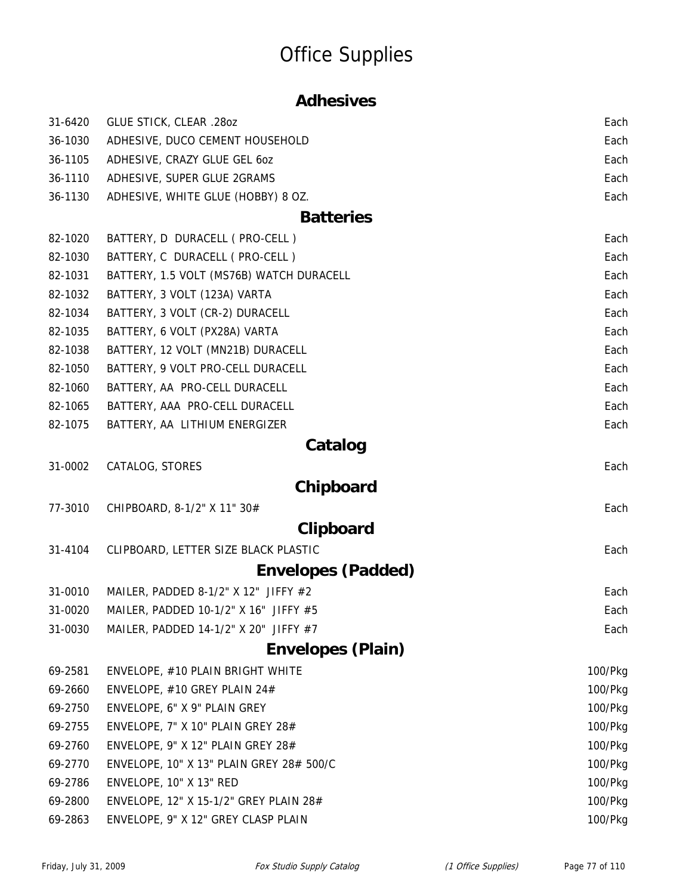#### **Adhesives**

| 31-6420 | GLUE STICK, CLEAR .280Z                  | Each    |
|---------|------------------------------------------|---------|
| 36-1030 | ADHESIVE, DUCO CEMENT HOUSEHOLD          | Each    |
| 36-1105 | ADHESIVE, CRAZY GLUE GEL 60Z             | Each    |
| 36-1110 | ADHESIVE, SUPER GLUE 2GRAMS              | Each    |
| 36-1130 | ADHESIVE, WHITE GLUE (HOBBY) 8 OZ.       | Each    |
|         | <b>Batteries</b>                         |         |
| 82-1020 | BATTERY, D DURACELL ( PRO-CELL )         | Each    |
| 82-1030 | BATTERY, C DURACELL ( PRO-CELL )         | Each    |
| 82-1031 | BATTERY, 1.5 VOLT (MS76B) WATCH DURACELL | Each    |
| 82-1032 | BATTERY, 3 VOLT (123A) VARTA             | Each    |
| 82-1034 | BATTERY, 3 VOLT (CR-2) DURACELL          | Each    |
| 82-1035 | BATTERY, 6 VOLT (PX28A) VARTA            | Each    |
| 82-1038 | BATTERY, 12 VOLT (MN21B) DURACELL        | Each    |
| 82-1050 | BATTERY, 9 VOLT PRO-CELL DURACELL        | Each    |
| 82-1060 | BATTERY, AA PRO-CELL DURACELL            | Each    |
| 82-1065 | BATTERY, AAA PRO-CELL DURACELL           | Each    |
| 82-1075 | BATTERY, AA LITHIUM ENERGIZER            | Each    |
|         | Catalog                                  |         |
| 31-0002 | CATALOG, STORES                          | Each    |
|         | Chipboard                                |         |
| 77-3010 | CHIPBOARD, 8-1/2" X 11" 30#              | Each    |
|         | Clipboard                                |         |
| 31-4104 | CLIPBOARD, LETTER SIZE BLACK PLASTIC     | Each    |
|         | <b>Envelopes (Padded)</b>                |         |
| 31-0010 | MAILER, PADDED 8-1/2" X 12" JIFFY $#2$   | Each    |
| 31-0020 | MAILER, PADDED 10-1/2" X 16" JIFFY #5    | Each    |
| 31-0030 | MAILER, PADDED 14-1/2" X 20" JIFFY #7    | Each    |
|         | <b>Envelopes (Plain)</b>                 |         |
| 69-2581 | ENVELOPE, #10 PLAIN BRIGHT WHITE         | 100/Pkg |
| 69-2660 | ENVELOPE, #10 GREY PLAIN 24#             | 100/Pkg |
| 69-2750 | ENVELOPE, 6" X 9" PLAIN GREY             | 100/Pkg |
| 69-2755 | ENVELOPE, 7" X 10" PLAIN GREY 28#        | 100/Pkg |
| 69-2760 | ENVELOPE, 9" X 12" PLAIN GREY 28#        | 100/Pkg |
| 69-2770 | ENVELOPE, 10" X 13" PLAIN GREY 28# 500/C | 100/Pkg |
| 69-2786 | ENVELOPE, 10" X 13" RED                  | 100/Pkg |
| 69-2800 | ENVELOPE, 12" X 15-1/2" GREY PLAIN 28#   | 100/Pkg |
| 69-2863 | ENVELOPE, 9" X 12" GREY CLASP PLAIN      | 100/Pkg |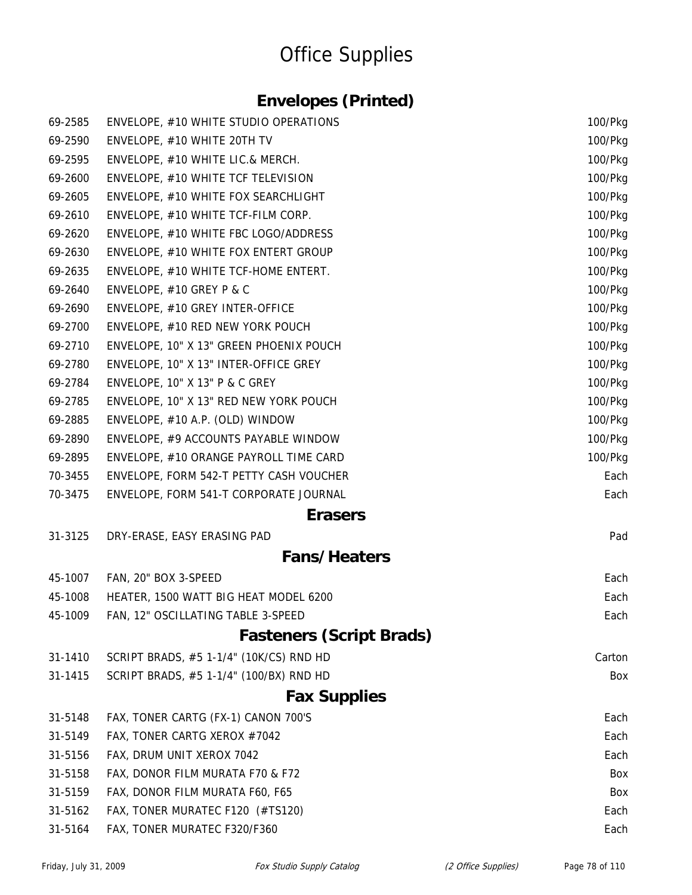#### **Envelopes (Printed)**

| 69-2585 | ENVELOPE, #10 WHITE STUDIO OPERATIONS   | 100/Pkg |
|---------|-----------------------------------------|---------|
| 69-2590 | ENVELOPE, #10 WHITE 20TH TV             | 100/Pkg |
| 69-2595 | ENVELOPE, #10 WHITE LIC.& MERCH.        | 100/Pkg |
| 69-2600 | ENVELOPE, #10 WHITE TCF TELEVISION      | 100/Pkg |
| 69-2605 | ENVELOPE, #10 WHITE FOX SEARCHLIGHT     | 100/Pkg |
| 69-2610 | ENVELOPE, #10 WHITE TCF-FILM CORP.      | 100/Pkg |
| 69-2620 | ENVELOPE, #10 WHITE FBC LOGO/ADDRESS    | 100/Pkg |
| 69-2630 | ENVELOPE, #10 WHITE FOX ENTERT GROUP    | 100/Pkg |
| 69-2635 | ENVELOPE, #10 WHITE TCF-HOME ENTERT.    | 100/Pkg |
| 69-2640 | ENVELOPE, #10 GREY P & C                | 100/Pkg |
| 69-2690 | ENVELOPE, #10 GREY INTER-OFFICE         | 100/Pkg |
| 69-2700 | ENVELOPE, #10 RED NEW YORK POUCH        | 100/Pkg |
| 69-2710 | ENVELOPE, 10" X 13" GREEN PHOENIX POUCH | 100/Pkg |
| 69-2780 | ENVELOPE, 10" X 13" INTER-OFFICE GREY   | 100/Pkg |
| 69-2784 | ENVELOPE, 10" X 13" P & C GREY          | 100/Pkg |
| 69-2785 | ENVELOPE, 10" X 13" RED NEW YORK POUCH  | 100/Pkg |
| 69-2885 | ENVELOPE, #10 A.P. (OLD) WINDOW         | 100/Pkg |
| 69-2890 | ENVELOPE, #9 ACCOUNTS PAYABLE WINDOW    | 100/Pkg |
| 69-2895 | ENVELOPE, #10 ORANGE PAYROLL TIME CARD  | 100/Pkg |
| 70-3455 | ENVELOPE, FORM 542-T PETTY CASH VOUCHER | Each    |
| 70-3475 | ENVELOPE, FORM 541-T CORPORATE JOURNAL  | Each    |
|         | <b>Erasers</b>                          |         |
| 31-3125 | DRY-ERASE, EASY ERASING PAD             | Pad     |
|         | <b>Fans/Heaters</b>                     |         |
| 45-1007 | FAN, 20" BOX 3-SPEED                    | Each    |
| 45-1008 | HEATER, 1500 WATT BIG HEAT MODEL 6200   | Each    |
| 45-1009 | FAN, 12" OSCILLATING TABLE 3-SPEED      | Each    |
|         | <b>Fasteners (Script Brads)</b>         |         |
| 31-1410 | SCRIPT BRADS, #5 1-1/4" (10K/CS) RND HD | Carton  |
| 31-1415 | SCRIPT BRADS, #5 1-1/4" (100/BX) RND HD | Box     |
|         | <b>Fax Supplies</b>                     |         |
| 31-5148 | FAX, TONER CARTG (FX-1) CANON 700'S     | Each    |
| 31-5149 | FAX, TONER CARTG XEROX #7042            | Each    |
| 31-5156 | FAX, DRUM UNIT XEROX 7042               | Each    |
| 31-5158 | FAX, DONOR FILM MURATA F70 & F72        | Box     |
| 31-5159 | FAX, DONOR FILM MURATA F60, F65         | Box     |
| 31-5162 | FAX, TONER MURATEC F120 (#TS120)        | Each    |
| 31-5164 | FAX, TONER MURATEC F320/F360            | Each    |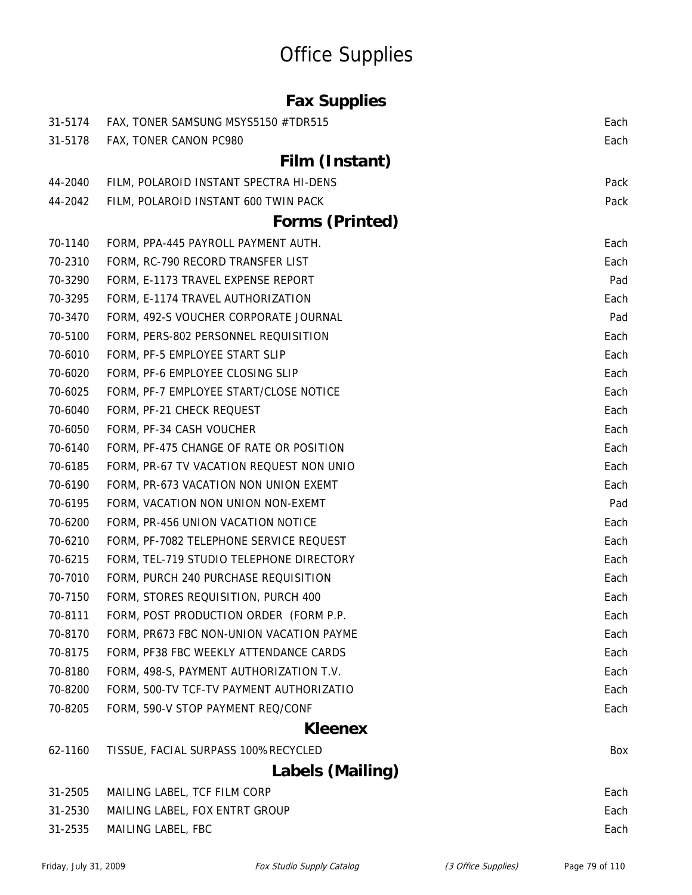### **Fax Supplies**

| 31-5174 | FAX, TONER SAMSUNG MSYS5150 #TDR515      | Each |
|---------|------------------------------------------|------|
| 31-5178 | FAX, TONER CANON PC980                   | Each |
|         | Film (Instant)                           |      |
| 44-2040 | FILM, POLAROID INSTANT SPECTRA HI-DENS   | Pack |
| 44-2042 | FILM, POLAROID INSTANT 600 TWIN PACK     | Pack |
|         | <b>Forms (Printed)</b>                   |      |
| 70-1140 | FORM, PPA-445 PAYROLL PAYMENT AUTH.      | Each |
| 70-2310 | FORM, RC-790 RECORD TRANSFER LIST        | Each |
| 70-3290 | FORM, E-1173 TRAVEL EXPENSE REPORT       | Pad  |
| 70-3295 | FORM, E-1174 TRAVEL AUTHORIZATION        | Each |
| 70-3470 | FORM, 492-S VOUCHER CORPORATE JOURNAL    | Pad  |
| 70-5100 | FORM, PERS-802 PERSONNEL REQUISITION     | Each |
| 70-6010 | FORM, PF-5 EMPLOYEE START SLIP           | Each |
| 70-6020 | FORM, PF-6 EMPLOYEE CLOSING SLIP         | Each |
| 70-6025 | FORM, PF-7 EMPLOYEE START/CLOSE NOTICE   | Each |
| 70-6040 | FORM, PF-21 CHECK REQUEST                | Each |
| 70-6050 | FORM, PF-34 CASH VOUCHER                 | Each |
| 70-6140 | FORM, PF-475 CHANGE OF RATE OR POSITION  | Each |
| 70-6185 | FORM, PR-67 TV VACATION REQUEST NON UNIO | Each |
| 70-6190 | FORM, PR-673 VACATION NON UNION EXEMT    | Each |
| 70-6195 | FORM, VACATION NON UNION NON-EXEMT       | Pad  |
| 70-6200 | FORM, PR-456 UNION VACATION NOTICE       | Each |
| 70-6210 | FORM, PF-7082 TELEPHONE SERVICE REQUEST  | Each |
| 70-6215 | FORM, TEL-719 STUDIO TELEPHONE DIRECTORY | Each |
| 70-7010 | FORM, PURCH 240 PURCHASE REQUISITION     | Each |
| 70-7150 | FORM, STORES REQUISITION, PURCH 400      | Each |
| 70-8111 | FORM, POST PRODUCTION ORDER (FORM P.P    | Each |
| 70-8170 | FORM, PR673 FBC NON-UNION VACATION PAYME | Each |
| 70-8175 | FORM, PF38 FBC WEEKLY ATTENDANCE CARDS   | Each |
| 70-8180 | FORM, 498-S, PAYMENT AUTHORIZATION T.V.  | Each |
| 70-8200 | FORM, 500-TV TCF-TV PAYMENT AUTHORIZATIO | Each |
| 70-8205 | FORM, 590-V STOP PAYMENT REQ/CONF        | Each |
|         | <b>Kleenex</b>                           |      |
| 62-1160 | TISSUE, FACIAL SURPASS 100%RECYCLED      | Box  |
|         | Labels (Mailing)                         |      |
| 31-2505 | MAILING LABEL, TCF FILM CORP             | Each |
| 31-2530 | MAILING LABEL, FOX ENTRT GROUP           | Each |

31-2535 MAILING LABEL, FBC **Each** Each extended the Samuel Capital Each extended the Sach Each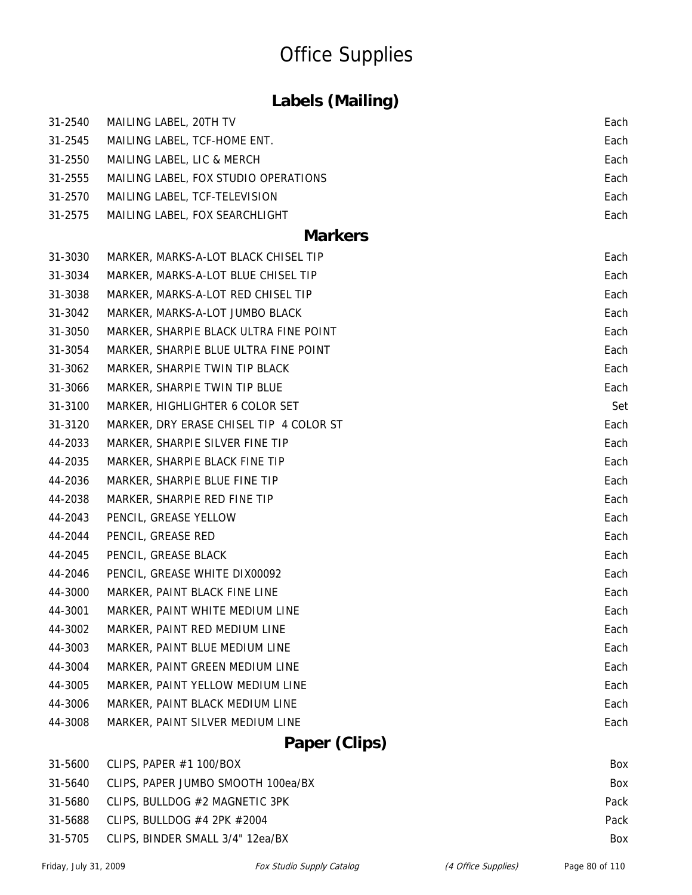### **Labels (Mailing)**

| 31-2540 | MAILING LABEL, 20TH TV                  | Each |
|---------|-----------------------------------------|------|
| 31-2545 | MAILING LABEL, TCF-HOME ENT.            | Each |
| 31-2550 | MAILING LABEL, LIC & MERCH              | Each |
| 31-2555 | MAILING LABEL, FOX STUDIO OPERATIONS    | Each |
| 31-2570 | MAILING LABEL, TCF-TELEVISION           | Each |
| 31-2575 | MAILING LABEL, FOX SEARCHLIGHT          | Each |
|         | <b>Markers</b>                          |      |
| 31-3030 | MARKER, MARKS-A-LOT BLACK CHISEL TIP    | Each |
| 31-3034 | MARKER, MARKS-A-LOT BLUE CHISEL TIP     | Each |
| 31-3038 | MARKER, MARKS-A-LOT RED CHISEL TIP      | Each |
| 31-3042 | MARKER, MARKS-A-LOT JUMBO BLACK         | Each |
| 31-3050 | MARKER, SHARPIE BLACK ULTRA FINE POINT  | Each |
| 31-3054 | MARKER, SHARPIE BLUE ULTRA FINE POINT   | Each |
| 31-3062 | MARKER, SHARPIE TWIN TIP BLACK          | Each |
| 31-3066 | MARKER, SHARPIE TWIN TIP BLUE           | Each |
| 31-3100 | MARKER, HIGHLIGHTER 6 COLOR SET         | Set  |
| 31-3120 | MARKER, DRY ERASE CHISEL TIP 4 COLOR ST | Each |
| 44-2033 | MARKER, SHARPIE SILVER FINE TIP         | Each |
| 44-2035 | MARKER, SHARPIE BLACK FINE TIP          | Each |
| 44-2036 | MARKER, SHARPIE BLUE FINE TIP           | Each |
| 44-2038 | MARKER, SHARPIE RED FINE TIP            | Each |
| 44-2043 | PENCIL, GREASE YELLOW                   | Each |
| 44-2044 | PENCIL, GREASE RED                      | Each |
| 44-2045 | PENCIL, GREASE BLACK                    | Each |
| 44-2046 | PENCIL, GREASE WHITE DIX00092           | Each |
| 44-3000 | MARKER, PAINT BLACK FINE LINE           | Each |
| 44-3001 | MARKER, PAINT WHITE MEDIUM LINE         | Each |
| 44-3002 | MARKER, PAINT RED MEDIUM LINE           | Each |
| 44-3003 | MARKER, PAINT BLUE MEDIUM LINE          | Each |
| 44-3004 | MARKER, PAINT GREEN MEDIUM LINE         | Each |
| 44-3005 | MARKER, PAINT YELLOW MEDIUM LINE        | Each |
| 44-3006 | MARKER, PAINT BLACK MEDIUM LINE         | Each |
| 44-3008 | MARKER, PAINT SILVER MEDIUM LINE        | Each |
|         | Paper (Clips)                           |      |

| 31-5600 CLIPS, PAPER #1 100/BOX            | Box        |
|--------------------------------------------|------------|
| 31-5640 CLIPS, PAPER JUMBO SMOOTH 100ea/BX | <b>Box</b> |
| 31-5680 CLIPS, BULLDOG #2 MAGNETIC 3PK     | Pack       |
| 31-5688 CLIPS, BULLDOG #4 2PK #2004        | Pack       |
| 31-5705 CLIPS, BINDER SMALL 3/4" 12ea/BX   | Box        |
|                                            |            |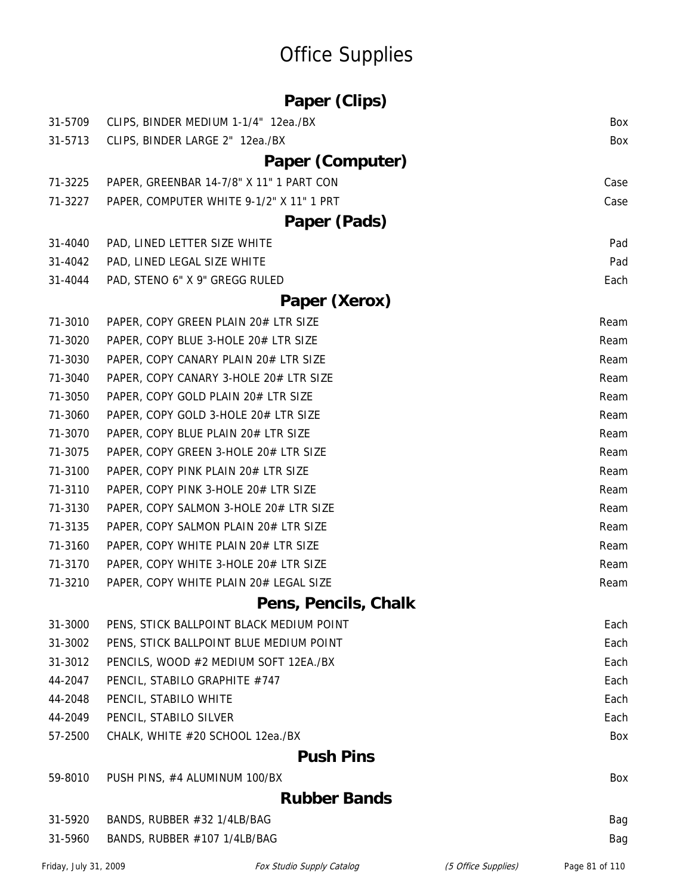| Paper (Clips) |  |  |
|---------------|--|--|
|---------------|--|--|

| 31-5709 | CLIPS, BINDER MEDIUM 1-1/4" 12ea./BX     | Box  |
|---------|------------------------------------------|------|
| 31-5713 | CLIPS, BINDER LARGE 2" 12ea./BX          | Box  |
|         | Paper (Computer)                         |      |
| 71-3225 | PAPER, GREENBAR 14-7/8" X 11" 1 PART CON | Case |
| 71-3227 | PAPER, COMPUTER WHITE 9-1/2" X 11" 1 PRT | Case |
|         | Paper (Pads)                             |      |
| 31-4040 | PAD, LINED LETTER SIZE WHITE             | Pad  |
| 31-4042 | PAD, LINED LEGAL SIZE WHITE              | Pad  |
| 31-4044 | PAD, STENO 6" X 9" GREGG RULED           | Each |
|         | Paper (Xerox)                            |      |
| 71-3010 | PAPER, COPY GREEN PLAIN 20# LTR SIZE     | Ream |
| 71-3020 | PAPER, COPY BLUE 3-HOLE 20# LTR SIZE     | Ream |
| 71-3030 | PAPER, COPY CANARY PLAIN 20# LTR SIZE    | Ream |
| 71-3040 | PAPER, COPY CANARY 3-HOLE 20# LTR SIZE   | Ream |
| 71-3050 | PAPER, COPY GOLD PLAIN 20# LTR SIZE      | Ream |
| 71-3060 | PAPER, COPY GOLD 3-HOLE 20# LTR SIZE     | Ream |
| 71-3070 | PAPER, COPY BLUE PLAIN 20# LTR SIZE      | Ream |
| 71-3075 | PAPER, COPY GREEN 3-HOLE 20# LTR SIZE    | Ream |
| 71-3100 | PAPER, COPY PINK PLAIN 20# LTR SIZE      | Ream |
| 71-3110 | PAPER, COPY PINK 3-HOLE 20# LTR SIZE     | Ream |
| 71-3130 | PAPER, COPY SALMON 3-HOLE 20# LTR SIZE   | Ream |
| 71-3135 | PAPER, COPY SALMON PLAIN 20# LTR SIZE    | Ream |
| 71-3160 | PAPER, COPY WHITE PLAIN 20# LTR SIZE     | Ream |
| 71-3170 | PAPER, COPY WHITE 3-HOLE 20# LTR SIZE    | Ream |
| 71-3210 | PAPER, COPY WHITE PLAIN 20# LEGAL SIZE   | Ream |
|         | Pens, Pencils, Chalk                     |      |
| 31-3000 | PENS, STICK BALLPOINT BLACK MEDIUM POINT | Each |
| 31-3002 | PENS, STICK BALLPOINT BLUE MEDIUM POINT  | Each |
| 31-3012 | PENCILS, WOOD #2 MEDIUM SOFT 12EA./BX    | Each |
| 44-2047 | PENCIL, STABILO GRAPHITE #747            | Each |
| 44-2048 | PENCIL, STABILO WHITE                    | Each |
| 44-2049 | PENCIL, STABILO SILVER                   | Each |
| 57-2500 | CHALK, WHITE #20 SCHOOL 12ea./BX         | Box  |
|         | <b>Push Pins</b>                         |      |
| 59-8010 | PUSH PINS, #4 ALUMINUM 100/BX            | Box  |
|         | <b>Rubber Bands</b>                      |      |
| 31-5920 | BANDS, RUBBER #32 1/4LB/BAG              | Bag  |
| 31-5960 | BANDS, RUBBER #107 1/4LB/BAG             | Bag  |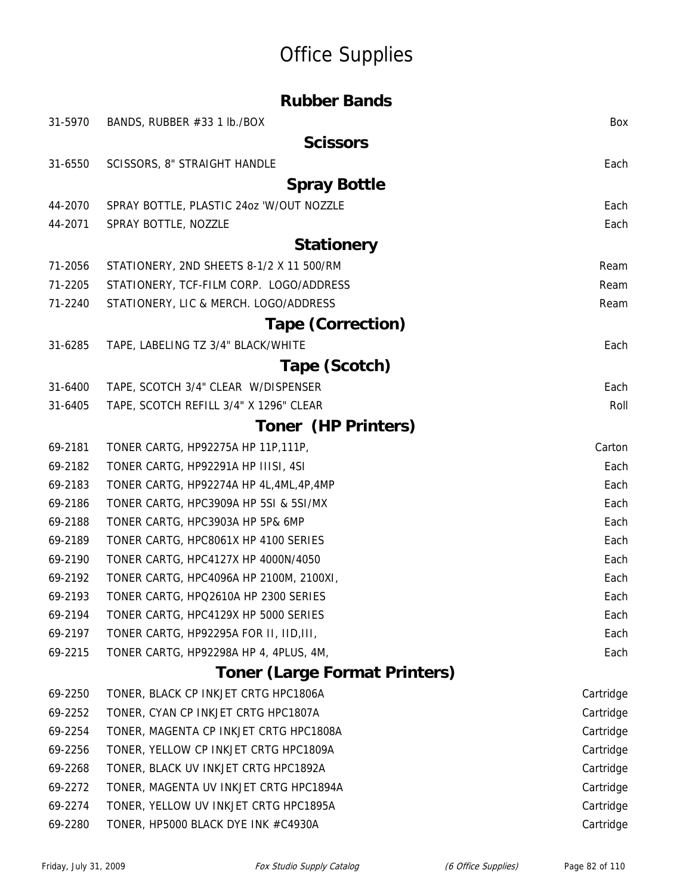|         | <b>Rubber Bands</b>                       |           |
|---------|-------------------------------------------|-----------|
| 31-5970 | BANDS, RUBBER #33 1 lb./BOX               | Box       |
|         | <b>Scissors</b>                           |           |
| 31-6550 | SCISSORS, 8" STRAIGHT HANDLE              | Each      |
|         | <b>Spray Bottle</b>                       |           |
| 44-2070 | SPRAY BOTTLE, PLASTIC 24oz 'W/OUT NOZZLE  | Each      |
| 44-2071 | SPRAY BOTTLE, NOZZLE                      | Each      |
|         | <b>Stationery</b>                         |           |
| 71-2056 | STATIONERY, 2ND SHEETS 8-1/2 X 11 500/RM  | Ream      |
| 71-2205 | STATIONERY, TCF-FILM CORP. LOGO/ADDRESS   | Ream      |
| 71-2240 | STATIONERY, LIC & MERCH. LOGO/ADDRESS     | Ream      |
|         | <b>Tape (Correction)</b>                  |           |
| 31-6285 | TAPE, LABELING TZ 3/4" BLACK/WHITE        | Each      |
|         | Tape (Scotch)                             |           |
| 31-6400 | TAPE, SCOTCH 3/4" CLEAR W/DISPENSER       | Each      |
| 31-6405 | TAPE, SCOTCH REFILL 3/4" X 1296" CLEAR    | Roll      |
|         | <b>Toner (HP Printers)</b>                |           |
| 69-2181 | TONER CARTG, HP92275A HP 11P, 111P,       | Carton    |
| 69-2182 | TONER CARTG, HP92291A HP IIISI, 4SI       | Each      |
| 69-2183 | TONER CARTG, HP92274A HP 4L, 4ML, 4P, 4MP | Each      |
| 69-2186 | TONER CARTG, HPC3909A HP 5SI & 5SI/MX     | Each      |
| 69-2188 | TONER CARTG, HPC3903A HP 5P& 6MP          | Each      |
| 69-2189 | TONER CARTG, HPC8061X HP 4100 SERIES      | Each      |
| 69-2190 | TONER CARTG, HPC4127X HP 4000N/4050       | Each      |
| 69-2192 | TONER CARTG, HPC4096A HP 2100M, 2100XI,   | Each      |
| 69-2193 | TONER CARTG, HPQ2610A HP 2300 SERIES      | Each      |
| 69-2194 | TONER CARTG, HPC4129X HP 5000 SERIES      | Each      |
| 69-2197 | TONER CARTG, HP92295A FOR II, IID, III,   | Each      |
| 69-2215 | TONER CARTG, HP92298A HP 4, 4PLUS, 4M,    | Each      |
|         | <b>Toner (Large Format Printers)</b>      |           |
| 69-2250 | TONER, BLACK CP INKJET CRTG HPC1806A      | Cartridge |
| 69-2252 | TONER, CYAN CP INKJET CRTG HPC1807A       | Cartridge |
| 69-2254 | TONER, MAGENTA CP INKJET CRTG HPC1808A    | Cartridge |
| 69-2256 | TONER, YELLOW CP INKJET CRTG HPC1809A     | Cartridge |
| 69-2268 | TONER, BLACK UV INKJET CRTG HPC1892A      | Cartridge |
| 69-2272 | TONER, MAGENTA UV INKJET CRTG HPC1894A    | Cartridge |
| 69-2274 | TONER, YELLOW UV INKJET CRTG HPC1895A     | Cartridge |
| 69-2280 | TONER, HP5000 BLACK DYE INK #C4930A       | Cartridge |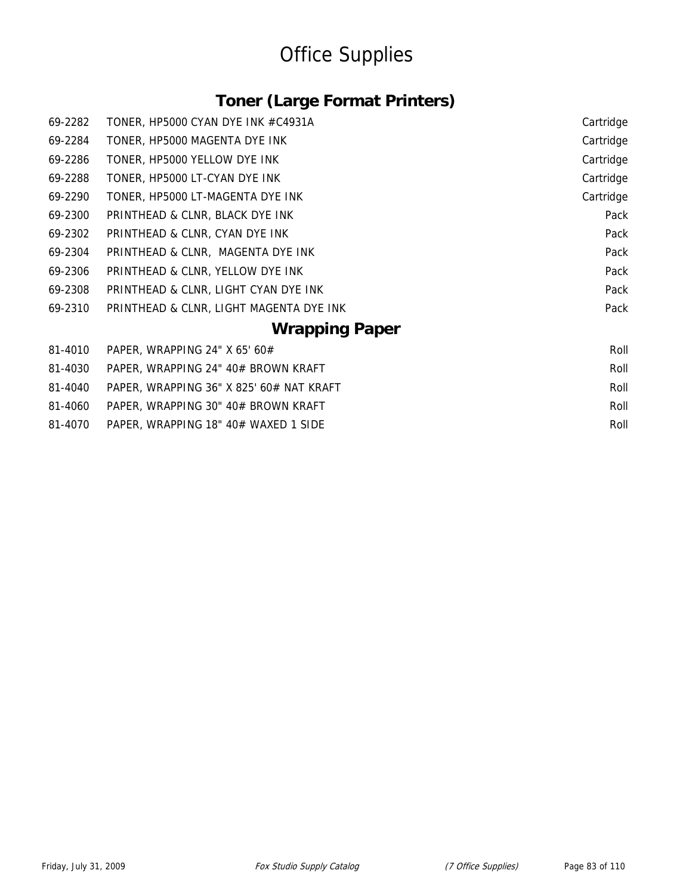### **Toner (Large Format Printers)**

| 69-2310 | PRINTHEAD & CLNR, LIGHT MAGENTA DYE INK | Pack      |  |
|---------|-----------------------------------------|-----------|--|
| 69-2308 | PRINTHEAD & CLNR, LIGHT CYAN DYE INK    | Pack      |  |
| 69-2306 | PRINTHEAD & CLNR, YELLOW DYE INK        | Pack      |  |
| 69-2304 | PRINTHEAD & CLNR, MAGENTA DYE INK       | Pack      |  |
| 69-2302 | PRINTHEAD & CLNR, CYAN DYE INK          | Pack      |  |
| 69-2300 | PRINTHEAD & CLNR, BLACK DYE INK         | Pack      |  |
| 69-2290 | TONER, HP5000 LT-MAGENTA DYE INK        | Cartridge |  |
| 69-2288 | TONER, HP5000 LT-CYAN DYE INK           | Cartridge |  |
| 69-2286 | TONER, HP5000 YELLOW DYE INK            | Cartridge |  |
| 69-2284 | TONER, HP5000 MAGENTA DYE INK           | Cartridge |  |
| 69-2282 | TONER, HP5000 CYAN DYE INK #C4931A      | Cartridge |  |
|         |                                         |           |  |

#### **Wrapping Paper**

|         | 81-4010 PAPER, WRAPPING 24" X 65' 60#      | Roll |
|---------|--------------------------------------------|------|
| 81-4030 | - PAPER, WRAPPING 24" 40# BROWN KRAFT      | Roll |
| 81-4040 | - PAPER, WRAPPING 36" X 825' 60# NAT KRAFT | Roll |
| 81-4060 | PAPER, WRAPPING 30" 40# BROWN KRAFT        | Roll |
| 81-4070 | PAPER, WRAPPING 18" 40# WAXED 1 SIDE       | Roll |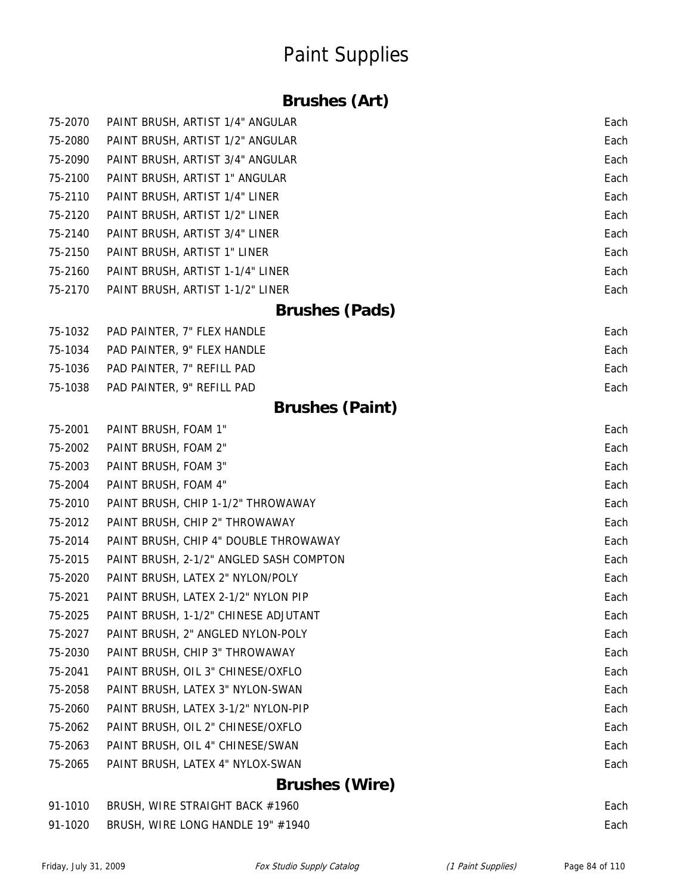### **Brushes (Art)**

| 75-2070 | PAINT BRUSH, ARTIST 1/4" ANGULAR        | Each |
|---------|-----------------------------------------|------|
| 75-2080 | PAINT BRUSH, ARTIST 1/2" ANGULAR        | Each |
| 75-2090 | PAINT BRUSH, ARTIST 3/4" ANGULAR        | Each |
| 75-2100 | PAINT BRUSH, ARTIST 1" ANGULAR          | Each |
| 75-2110 | PAINT BRUSH, ARTIST 1/4" LINER          | Each |
| 75-2120 | PAINT BRUSH, ARTIST 1/2" LINER          | Each |
| 75-2140 | PAINT BRUSH, ARTIST 3/4" LINER          | Each |
| 75-2150 | PAINT BRUSH, ARTIST 1" LINER            | Each |
| 75-2160 | PAINT BRUSH, ARTIST 1-1/4" LINER        | Each |
| 75-2170 | PAINT BRUSH, ARTIST 1-1/2" LINER        | Each |
|         | <b>Brushes (Pads)</b>                   |      |
| 75-1032 | PAD PAINTER, 7" FLEX HANDLE             | Each |
| 75-1034 | PAD PAINTER, 9" FLEX HANDLE             | Each |
| 75-1036 | PAD PAINTER, 7" REFILL PAD              | Each |
| 75-1038 | PAD PAINTER, 9" REFILL PAD              | Each |
|         | <b>Brushes (Paint)</b>                  |      |
| 75-2001 | PAINT BRUSH, FOAM 1"                    | Each |
| 75-2002 | PAINT BRUSH, FOAM 2"                    | Each |
| 75-2003 | PAINT BRUSH, FOAM 3"                    | Each |
| 75-2004 | PAINT BRUSH, FOAM 4"                    | Each |
| 75-2010 | PAINT BRUSH, CHIP 1-1/2" THROWAWAY      | Each |
| 75-2012 | PAINT BRUSH, CHIP 2" THROWAWAY          | Each |
| 75-2014 | PAINT BRUSH, CHIP 4" DOUBLE THROWAWAY   | Each |
| 75-2015 | PAINT BRUSH, 2-1/2" ANGLED SASH COMPTON | Each |
| 75-2020 | PAINT BRUSH, LATEX 2" NYLON/POLY        | Each |
| 75-2021 | PAINT BRUSH, LATEX 2-1/2" NYLON PIP     | Each |
| 75-2025 | PAINT BRUSH, 1-1/2" CHINESE ADJUTANT    | Each |
| 75-2027 | PAINT BRUSH, 2" ANGLED NYLON-POLY       | Each |
| 75-2030 | PAINT BRUSH, CHIP 3" THROWAWAY          | Each |
| 75-2041 | PAINT BRUSH, OIL 3" CHINESE/OXFLO       | Each |
| 75-2058 | PAINT BRUSH, LATEX 3" NYLON-SWAN        | Each |
| 75-2060 | PAINT BRUSH, LATEX 3-1/2" NYLON-PIP     | Each |
| 75-2062 | PAINT BRUSH, OIL 2" CHINESE/OXFLO       | Each |
| 75-2063 | PAINT BRUSH, OIL 4" CHINESE/SWAN        | Each |
| 75-2065 | PAINT BRUSH, LATEX 4" NYLOX-SWAN        | Each |
|         | <b>Brushes (Wire)</b>                   |      |

| 91-1010 | BRUSH, WIRE STRAIGHT BACK #1960   | Each |
|---------|-----------------------------------|------|
| 91-1020 | BRUSH, WIRE LONG HANDLE 19" #1940 | Each |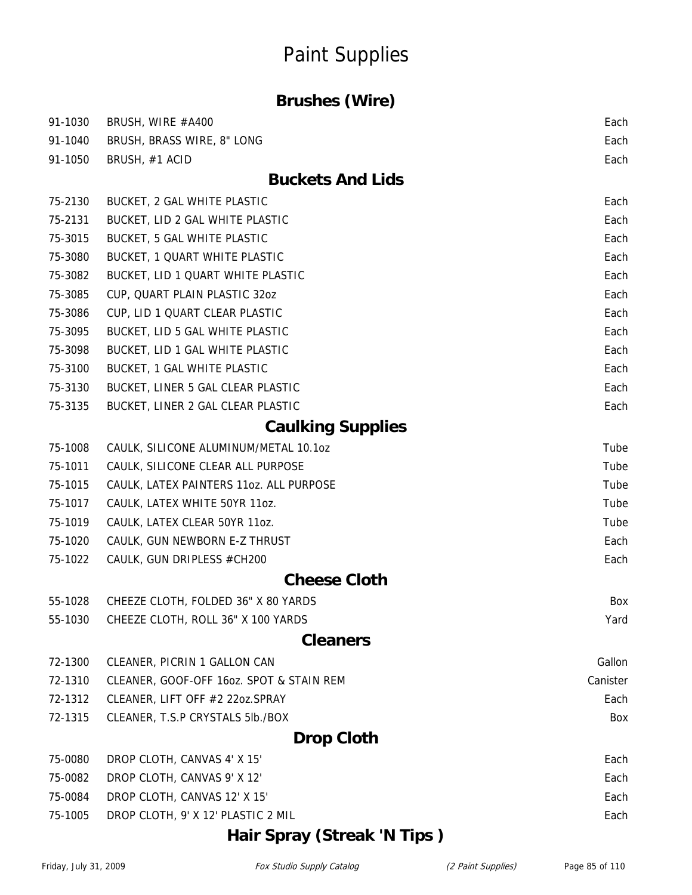#### **Brushes (Wire)**

| 91-1030 | BRUSH, WIRE #A400                        | Each     |
|---------|------------------------------------------|----------|
| 91-1040 | BRUSH, BRASS WIRE, 8" LONG               | Each     |
| 91-1050 | BRUSH, #1 ACID                           | Each     |
|         | <b>Buckets And Lids</b>                  |          |
| 75-2130 | BUCKET, 2 GAL WHITE PLASTIC              | Each     |
| 75-2131 | BUCKET, LID 2 GAL WHITE PLASTIC          | Each     |
| 75-3015 | BUCKET, 5 GAL WHITE PLASTIC              | Each     |
| 75-3080 | BUCKET, 1 QUART WHITE PLASTIC            | Each     |
| 75-3082 | BUCKET, LID 1 QUART WHITE PLASTIC        | Each     |
| 75-3085 | CUP, QUART PLAIN PLASTIC 320Z            | Each     |
| 75-3086 | CUP, LID 1 QUART CLEAR PLASTIC           | Each     |
| 75-3095 | BUCKET, LID 5 GAL WHITE PLASTIC          | Each     |
| 75-3098 | BUCKET, LID 1 GAL WHITE PLASTIC          | Each     |
| 75-3100 | BUCKET, 1 GAL WHITE PLASTIC              | Each     |
| 75-3130 | BUCKET, LINER 5 GAL CLEAR PLASTIC        | Each     |
| 75-3135 | BUCKET, LINER 2 GAL CLEAR PLASTIC        | Each     |
|         | <b>Caulking Supplies</b>                 |          |
| 75-1008 | CAULK, SILICONE ALUMINUM/METAL 10.1oz    | Tube     |
| 75-1011 | CAULK, SILICONE CLEAR ALL PURPOSE        | Tube     |
| 75-1015 | CAULK, LATEX PAINTERS 11oz. ALL PURPOSE  | Tube     |
| 75-1017 | CAULK, LATEX WHITE 50YR 11oz.            | Tube     |
| 75-1019 | CAULK, LATEX CLEAR 50YR 11oz.            | Tube     |
| 75-1020 | CAULK, GUN NEWBORN E-Z THRUST            | Each     |
| 75-1022 | CAULK, GUN DRIPLESS #CH200               | Each     |
|         | <b>Cheese Cloth</b>                      |          |
| 55-1028 | CHEEZE CLOTH, FOLDED 36" X 80 YARDS      | Box      |
| 55-1030 | CHEEZE CLOTH, ROLL 36" X 100 YARDS       | Yard     |
|         | <b>Cleaners</b>                          |          |
| 72-1300 | CLEANER, PICRIN 1 GALLON CAN             | Gallon   |
| 72-1310 | CLEANER, GOOF-OFF 160z. SPOT & STAIN REM | Canister |
| 72-1312 | CLEANER, LIFT OFF #2 22oz.SPRAY          | Each     |
| 72-1315 | CLEANER, T.S.P CRYSTALS 5lb./BOX         | Box      |
|         | <b>Drop Cloth</b>                        |          |
| 75-0080 | DROP CLOTH, CANVAS 4' X 15'              | Each     |
| 75-0082 | DROP CLOTH, CANVAS 9' X 12'              | Each     |
| 75-0084 | DROP CLOTH, CANVAS 12' X 15'             | Each     |
| 75-1005 | DROP CLOTH, 9' X 12' PLASTIC 2 MIL       | Each     |
|         |                                          |          |

### **Hair Spray (Streak 'N Tips )**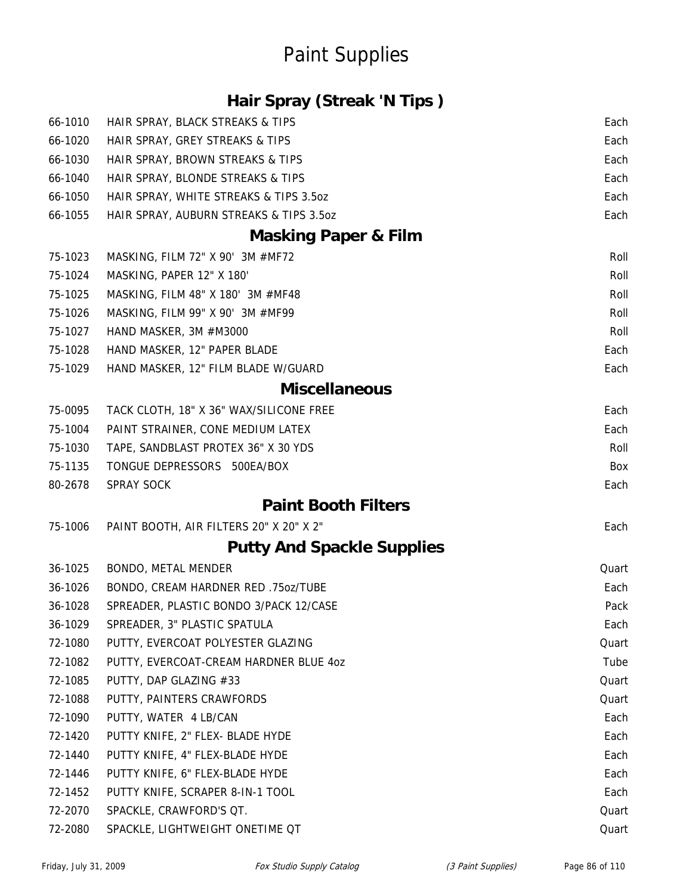### **Hair Spray (Streak 'N Tips )**

| 66-1010 | HAIR SPRAY, BLACK STREAKS & TIPS        | Each  |
|---------|-----------------------------------------|-------|
| 66-1020 | HAIR SPRAY, GREY STREAKS & TIPS         | Each  |
| 66-1030 | HAIR SPRAY, BROWN STREAKS & TIPS        | Each  |
| 66-1040 | HAIR SPRAY, BLONDE STREAKS & TIPS       | Each  |
| 66-1050 | HAIR SPRAY, WHITE STREAKS & TIPS 3.5oz  | Each  |
| 66-1055 | HAIR SPRAY, AUBURN STREAKS & TIPS 3.5oz | Each  |
|         | <b>Masking Paper &amp; Film</b>         |       |
| 75-1023 | MASKING, FILM 72" X 90' 3M #MF72        | Roll  |
| 75-1024 | MASKING, PAPER 12" X 180'               | Roll  |
| 75-1025 | MASKING, FILM 48" X 180' 3M #MF48       | Roll  |
| 75-1026 | MASKING, FILM 99" X 90' 3M #MF99        | Roll  |
| 75-1027 | HAND MASKER, 3M #M3000                  | Roll  |
| 75-1028 | HAND MASKER, 12" PAPER BLADE            | Each  |
| 75-1029 | HAND MASKER, 12" FILM BLADE W/GUARD     | Each  |
|         | <b>Miscellaneous</b>                    |       |
| 75-0095 | TACK CLOTH, 18" X 36" WAX/SILICONE FREE | Each  |
| 75-1004 | PAINT STRAINER, CONE MEDIUM LATEX       | Each  |
| 75-1030 | TAPE, SANDBLAST PROTEX 36" X 30 YDS     | Roll  |
| 75-1135 | TONGUE DEPRESSORS 500EA/BOX             | Box   |
| 80-2678 | <b>SPRAY SOCK</b>                       | Each  |
|         | <b>Paint Booth Filters</b>              |       |
| 75-1006 | PAINT BOOTH, AIR FILTERS 20" X 20" X 2" | Each  |
|         | <b>Putty And Spackle Supplies</b>       |       |
| 36-1025 | BONDO, METAL MENDER                     | Quart |
| 36-1026 | BONDO, CREAM HARDNER RED .75oz/TUBE     | Each  |
| 36-1028 | SPREADER, PLASTIC BONDO 3/PACK 12/CASE  | Pack  |
| 36-1029 | SPREADER, 3" PLASTIC SPATULA            | Each  |
| 72-1080 | PUTTY, EVERCOAT POLYESTER GLAZING       | Quart |
| 72-1082 | PUTTY, EVERCOAT-CREAM HARDNER BLUE 4oz  | Tube  |
| 72-1085 | PUTTY, DAP GLAZING #33                  | Quart |
| 72-1088 | PUTTY, PAINTERS CRAWFORDS               | Quart |
| 72-1090 | PUTTY, WATER 4 LB/CAN                   | Each  |
| 72-1420 | PUTTY KNIFE, 2" FLEX- BLADE HYDE        | Each  |
| 72-1440 | PUTTY KNIFE, 4" FLEX-BLADE HYDE         | Each  |
| 72-1446 | PUTTY KNIFE, 6" FLEX-BLADE HYDE         | Each  |
| 72-1452 | PUTTY KNIFE, SCRAPER 8-IN-1 TOOL        | Each  |
| 72-2070 | SPACKLE, CRAWFORD'S QT.                 | Quart |
| 72-2080 | SPACKLE, LIGHTWEIGHT ONETIME QT         | Quart |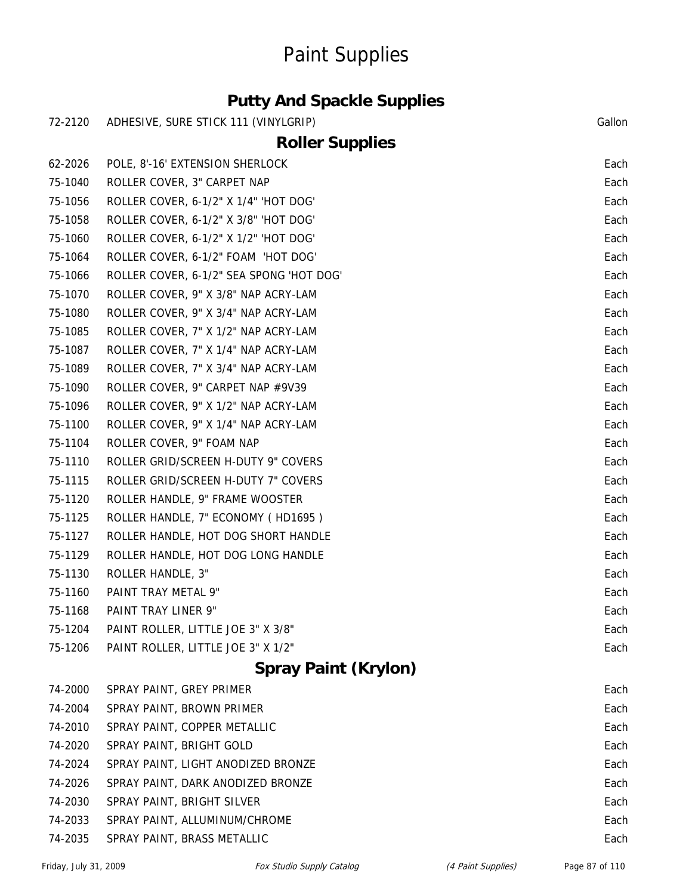### **Putty And Spackle Supplies**

| 72-2120 | ADHESIVE, SURE STICK 111 (VINYLGRIP)     | Gallon |
|---------|------------------------------------------|--------|
|         | <b>Roller Supplies</b>                   |        |
| 62-2026 | POLE, 8'-16' EXTENSION SHERLOCK          | Each   |
| 75-1040 | ROLLER COVER, 3" CARPET NAP              | Each   |
| 75-1056 | ROLLER COVER, 6-1/2" X 1/4" 'HOT DOG'    | Each   |
| 75-1058 | ROLLER COVER, 6-1/2" X 3/8" 'HOT DOG'    | Each   |
| 75-1060 | ROLLER COVER, 6-1/2" X 1/2" 'HOT DOG'    | Each   |
| 75-1064 | ROLLER COVER, 6-1/2" FOAM 'HOT DOG'      | Each   |
| 75-1066 | ROLLER COVER, 6-1/2" SEA SPONG 'HOT DOG' | Each   |
| 75-1070 | ROLLER COVER, 9" X 3/8" NAP ACRY-LAM     | Each   |
| 75-1080 | ROLLER COVER, 9" X 3/4" NAP ACRY-LAM     | Each   |
| 75-1085 | ROLLER COVER, 7" X 1/2" NAP ACRY-LAM     | Each   |
| 75-1087 | ROLLER COVER, 7" X 1/4" NAP ACRY-LAM     | Each   |
| 75-1089 | ROLLER COVER, 7" X 3/4" NAP ACRY-LAM     | Each   |
| 75-1090 | ROLLER COVER, 9" CARPET NAP #9V39        | Each   |
| 75-1096 | ROLLER COVER, 9" X 1/2" NAP ACRY-LAM     | Each   |
| 75-1100 | ROLLER COVER, 9" X 1/4" NAP ACRY-LAM     | Each   |
| 75-1104 | ROLLER COVER, 9" FOAM NAP                | Each   |
| 75-1110 | ROLLER GRID/SCREEN H-DUTY 9" COVERS      | Each   |
| 75-1115 | ROLLER GRID/SCREEN H-DUTY 7" COVERS      | Each   |
| 75-1120 | ROLLER HANDLE, 9" FRAME WOOSTER          | Each   |
| 75-1125 | ROLLER HANDLE, 7" ECONOMY (HD1695)       | Each   |
| 75-1127 | ROLLER HANDLE, HOT DOG SHORT HANDLE      | Each   |
| 75-1129 | ROLLER HANDLE, HOT DOG LONG HANDLE       | Each   |
| 75-1130 | ROLLER HANDLE, 3"                        | Each   |
| 75-1160 | PAINT TRAY METAL 9"                      | Each   |
| 75-1168 | PAINT TRAY LINER 9"                      | Each   |
| 75-1204 | PAINT ROLLER, LITTLE JOE 3" X 3/8"       | Each   |
| 75-1206 | PAINT ROLLER, LITTLE JOE 3" X 1/2"       | Each   |
|         | <b>Spray Paint (Krylon)</b>              |        |
| 74-2000 | SPRAY PAINT, GREY PRIMER                 | Each   |
| 74-2004 | SPRAY PAINT, BROWN PRIMER                | Each   |
| 74-2010 | SPRAY PAINT, COPPER METALLIC             | Each   |
| 74-2020 | SPRAY PAINT, BRIGHT GOLD                 | Each   |
| 74-2024 | SPRAY PAINT, LIGHT ANODIZED BRONZE       | Each   |
| 74-2026 | SPRAY PAINT, DARK ANODIZED BRONZE        | Each   |
| 74-2030 | SPRAY PAINT, BRIGHT SILVER               | Each   |
| 74-2033 | SPRAY PAINT, ALLUMINUM/CHROME            | Each   |
| 74-2035 | SPRAY PAINT, BRASS METALLIC              | Each   |
|         |                                          |        |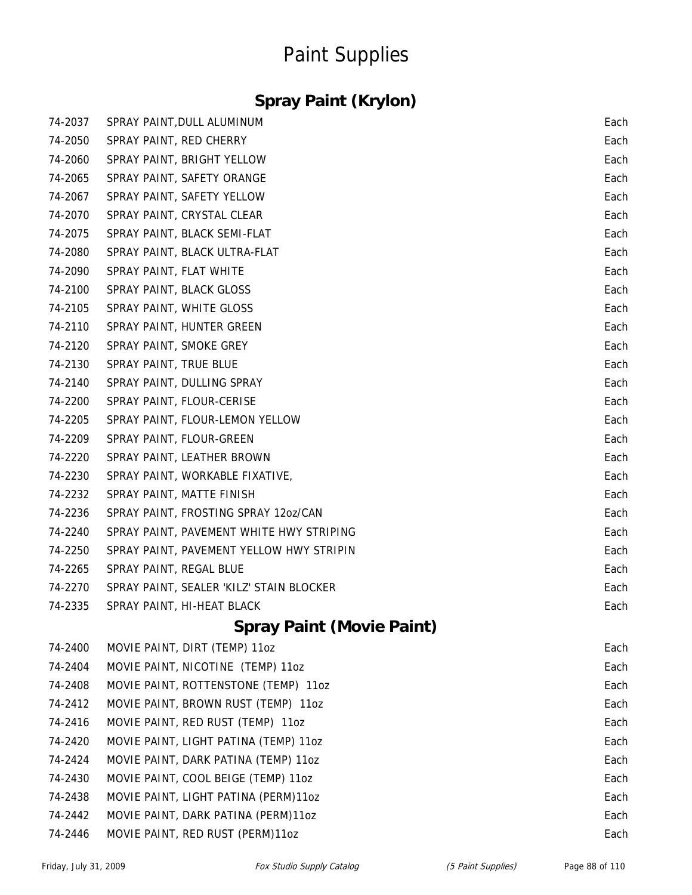### **Spray Paint (Krylon)**

| 74-2037 | SPRAY PAINT, DULL ALUMINUM               | Each |
|---------|------------------------------------------|------|
| 74-2050 | SPRAY PAINT, RED CHERRY                  | Each |
| 74-2060 | SPRAY PAINT, BRIGHT YELLOW               | Each |
| 74-2065 | SPRAY PAINT, SAFETY ORANGE               | Each |
| 74-2067 | SPRAY PAINT, SAFETY YELLOW               | Each |
| 74-2070 | SPRAY PAINT, CRYSTAL CLEAR               | Each |
| 74-2075 | SPRAY PAINT, BLACK SEMI-FLAT             | Each |
| 74-2080 | SPRAY PAINT, BLACK ULTRA-FLAT            | Each |
| 74-2090 | SPRAY PAINT, FLAT WHITE                  | Each |
| 74-2100 | SPRAY PAINT, BLACK GLOSS                 | Each |
| 74-2105 | SPRAY PAINT, WHITE GLOSS                 | Each |
| 74-2110 | SPRAY PAINT, HUNTER GREEN                | Each |
| 74-2120 | SPRAY PAINT, SMOKE GREY                  | Each |
| 74-2130 | SPRAY PAINT, TRUE BLUE                   | Each |
| 74-2140 | SPRAY PAINT, DULLING SPRAY               | Each |
| 74-2200 | SPRAY PAINT, FLOUR-CERISE                | Each |
| 74-2205 | SPRAY PAINT, FLOUR-LEMON YELLOW          | Each |
| 74-2209 | SPRAY PAINT, FLOUR-GREEN                 | Each |
| 74-2220 | SPRAY PAINT, LEATHER BROWN               | Each |
| 74-2230 | SPRAY PAINT, WORKABLE FIXATIVE,          | Each |
| 74-2232 | SPRAY PAINT, MATTE FINISH                | Each |
| 74-2236 | SPRAY PAINT, FROSTING SPRAY 12oz/CAN     | Each |
| 74-2240 | SPRAY PAINT, PAVEMENT WHITE HWY STRIPING | Each |
| 74-2250 | SPRAY PAINT, PAVEMENT YELLOW HWY STRIPIN | Each |
| 74-2265 | SPRAY PAINT, REGAL BLUE                  | Each |
| 74-2270 | SPRAY PAINT, SEALER 'KILZ' STAIN BLOCKER | Each |
| 74-2335 | SPRAY PAINT, HI-HEAT BLACK               | Each |
|         |                                          |      |

#### **Spray Paint (Movie Paint)**

| 74-2400 | MOVIE PAINT, DIRT (TEMP) 11oz         | Each |
|---------|---------------------------------------|------|
| 74-2404 | MOVIE PAINT, NICOTINE (TEMP) 11oz     | Each |
| 74-2408 | MOVIE PAINT, ROTTENSTONE (TEMP) 11oz  | Each |
| 74-2412 | MOVIE PAINT, BROWN RUST (TEMP) 11oz   | Each |
| 74-2416 | MOVIE PAINT, RED RUST (TEMP) 11oz     | Each |
| 74-2420 | MOVIE PAINT, LIGHT PATINA (TEMP) 11oz | Each |
| 74-2424 | MOVIE PAINT, DARK PATINA (TEMP) 11oz  | Each |
| 74-2430 | MOVIE PAINT, COOL BEIGE (TEMP) 110Z   | Each |
| 74-2438 | MOVIE PAINT, LIGHT PATINA (PERM)110Z  | Each |
| 74-2442 | MOVIE PAINT, DARK PATINA (PERM)110Z   | Each |
| 74-2446 | MOVIE PAINT, RED RUST (PERM)110Z      | Each |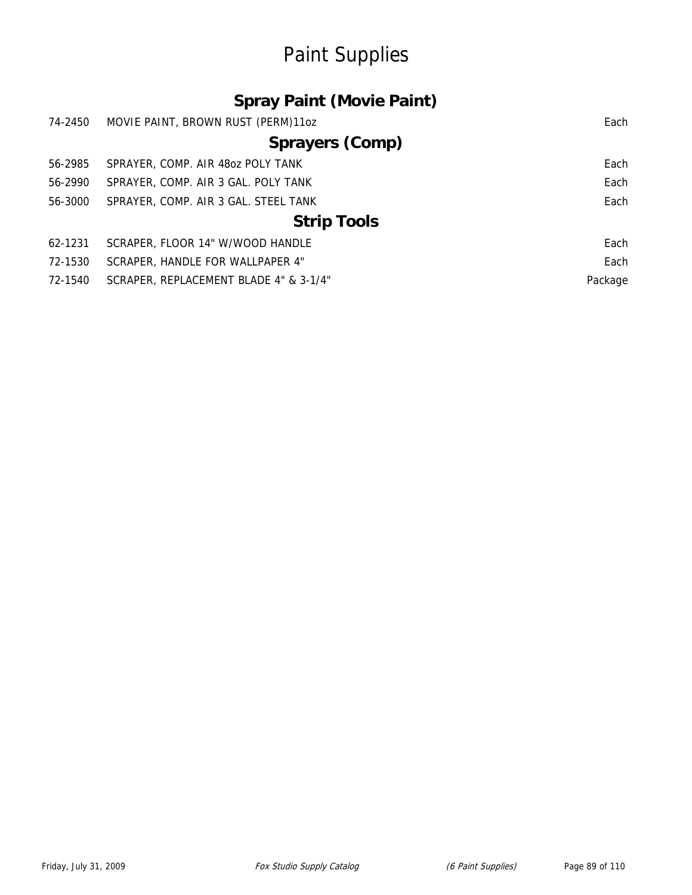### **Spray Paint (Movie Paint)**

| 74-2450                | MOVIE PAINT, BROWN RUST (PERM)110Z     | Each    |  |
|------------------------|----------------------------------------|---------|--|
| <b>Sprayers (Comp)</b> |                                        |         |  |
| 56-2985                | SPRAYER, COMP. AIR 480Z POLY TANK      | Each    |  |
| 56-2990                | SPRAYER, COMP. AIR 3 GAL. POLY TANK    | Each    |  |
| 56-3000                | SPRAYER, COMP. AIR 3 GAL. STEEL TANK   | Each    |  |
| <b>Strip Tools</b>     |                                        |         |  |
| 62-1231                | SCRAPER, FLOOR 14" W/WOOD HANDLE       | Each    |  |
| 72-1530                | SCRAPER, HANDLE FOR WALLPAPER 4"       | Each    |  |
| 72-1540                | SCRAPER, REPLACEMENT BLADE 4" & 3-1/4" | Package |  |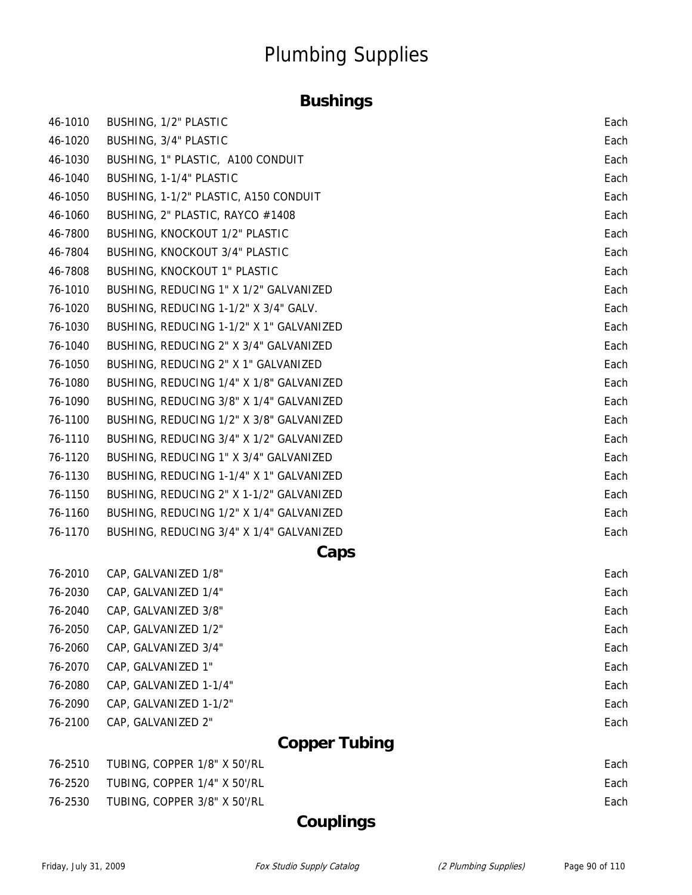### **Bushings**

| 46-1010 | BUSHING, 1/2" PLASTIC                    | Each |  |
|---------|------------------------------------------|------|--|
| 46-1020 | BUSHING, 3/4" PLASTIC                    | Each |  |
| 46-1030 | BUSHING, 1" PLASTIC, A100 CONDUIT        | Each |  |
| 46-1040 | BUSHING, 1-1/4" PLASTIC                  | Each |  |
| 46-1050 | BUSHING, 1-1/2" PLASTIC, A150 CONDUIT    | Each |  |
| 46-1060 | BUSHING, 2" PLASTIC, RAYCO #1408         | Each |  |
| 46-7800 | <b>BUSHING, KNOCKOUT 1/2" PLASTIC</b>    | Each |  |
| 46-7804 | <b>BUSHING, KNOCKOUT 3/4" PLASTIC</b>    | Each |  |
| 46-7808 | BUSHING, KNOCKOUT 1" PLASTIC             | Each |  |
| 76-1010 | BUSHING, REDUCING 1" X 1/2" GALVANIZED   | Each |  |
| 76-1020 | BUSHING, REDUCING 1-1/2" X 3/4" GALV.    | Each |  |
| 76-1030 | BUSHING, REDUCING 1-1/2" X 1" GALVANIZED | Each |  |
| 76-1040 | BUSHING, REDUCING 2" X 3/4" GALVANIZED   | Each |  |
| 76-1050 | BUSHING, REDUCING 2" X 1" GALVANIZED     | Each |  |
| 76-1080 | BUSHING, REDUCING 1/4" X 1/8" GALVANIZED | Each |  |
| 76-1090 | BUSHING, REDUCING 3/8" X 1/4" GALVANIZED | Each |  |
| 76-1100 | BUSHING, REDUCING 1/2" X 3/8" GALVANIZED | Each |  |
| 76-1110 | BUSHING, REDUCING 3/4" X 1/2" GALVANIZED | Each |  |
| 76-1120 | BUSHING, REDUCING 1" X 3/4" GALVANIZED   | Each |  |
| 76-1130 | BUSHING, REDUCING 1-1/4" X 1" GALVANIZED | Each |  |
| 76-1150 | BUSHING, REDUCING 2" X 1-1/2" GALVANIZED | Each |  |
| 76-1160 | BUSHING, REDUCING 1/2" X 1/4" GALVANIZED | Each |  |
| 76-1170 | BUSHING, REDUCING 3/4" X 1/4" GALVANIZED | Each |  |
|         | Caps                                     |      |  |

| 76-2010 | CAP, GALVANIZED 1/8"   | Each |
|---------|------------------------|------|
| 76-2030 | CAP, GALVANIZED 1/4"   | Each |
| 76-2040 | CAP, GALVANIZED 3/8"   | Each |
| 76-2050 | CAP, GALVANIZED 1/2"   | Each |
| 76-2060 | CAP, GALVANIZED 3/4"   | Each |
| 76-2070 | CAP, GALVANIZED 1"     | Each |
| 76-2080 | CAP. GALVANIZED 1-1/4" | Each |
| 76-2090 | CAP, GALVANIZED 1-1/2" | Each |
| 76-2100 | CAP, GALVANIZED 2"     | Each |

### **Copper Tubing**

| 76-2510       TUBING. COPPER 1/8" X 50'/RL | Each |
|--------------------------------------------|------|
| 76-2520 TUBING, COPPER 1/4" X 50'/RL       | Each |
| 76-2530       TUBING. COPPER 3/8" X 50'/RL | Each |
|                                            |      |

### **Couplings**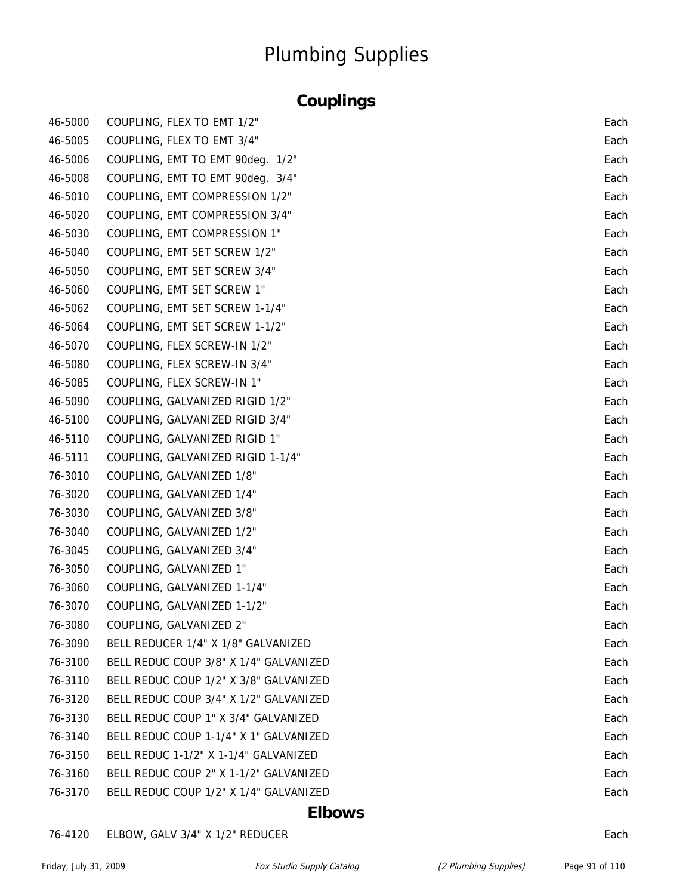### **Couplings**

| 46-5000 | COUPLING, FLEX TO EMT 1/2"             | Each |
|---------|----------------------------------------|------|
| 46-5005 | COUPLING, FLEX TO EMT 3/4"             | Each |
| 46-5006 | COUPLING, EMT TO EMT 90deg. 1/2"       | Each |
| 46-5008 | COUPLING, EMT TO EMT 90deq. 3/4"       | Each |
| 46-5010 | COUPLING, EMT COMPRESSION 1/2"         | Each |
| 46-5020 | COUPLING, EMT COMPRESSION 3/4"         | Each |
| 46-5030 | COUPLING, EMT COMPRESSION 1"           | Each |
| 46-5040 | COUPLING, EMT SET SCREW 1/2"           | Each |
| 46-5050 | COUPLING, EMT SET SCREW 3/4"           | Each |
| 46-5060 | COUPLING, EMT SET SCREW 1"             | Each |
| 46-5062 | COUPLING, EMT SET SCREW 1-1/4"         | Each |
| 46-5064 | COUPLING, EMT SET SCREW 1-1/2"         | Each |
| 46-5070 | COUPLING, FLEX SCREW-IN 1/2"           | Each |
| 46-5080 | COUPLING, FLEX SCREW-IN 3/4"           | Each |
| 46-5085 | COUPLING, FLEX SCREW-IN 1"             | Each |
| 46-5090 | COUPLING, GALVANIZED RIGID 1/2"        | Each |
| 46-5100 | COUPLING, GALVANIZED RIGID 3/4"        | Each |
| 46-5110 | COUPLING, GALVANIZED RIGID 1"          | Each |
| 46-5111 | COUPLING, GALVANIZED RIGID 1-1/4"      | Each |
| 76-3010 | COUPLING, GALVANIZED 1/8"              | Each |
| 76-3020 | COUPLING, GALVANIZED 1/4"              | Each |
| 76-3030 | COUPLING, GALVANIZED 3/8"              | Each |
| 76-3040 | COUPLING, GALVANIZED 1/2"              | Each |
| 76-3045 | COUPLING, GALVANIZED 3/4"              | Each |
| 76-3050 | COUPLING, GALVANIZED 1"                | Each |
| 76-3060 | COUPLING, GALVANIZED 1-1/4"            | Each |
| 76-3070 | COUPLING, GALVANIZED 1-1/2"            | Each |
| 76-3080 | COUPLING, GALVANIZED 2"                | Each |
| 76-3090 | BELL REDUCER 1/4" X 1/8" GALVANIZED    | Each |
| 76-3100 | BELL REDUC COUP 3/8" X 1/4" GALVANIZED | Each |
| 76-3110 | BELL REDUC COUP 1/2" X 3/8" GALVANIZED | Each |
| 76-3120 | BELL REDUC COUP 3/4" X 1/2" GALVANIZED | Each |
| 76-3130 | BELL REDUC COUP 1" X 3/4" GALVANIZED   | Each |
| 76-3140 | BELL REDUC COUP 1-1/4" X 1" GALVANIZED | Each |
| 76-3150 | BELL REDUC 1-1/2" X 1-1/4" GALVANIZED  | Each |
| 76-3160 | BELL REDUC COUP 2" X 1-1/2" GALVANIZED | Each |
| 76-3170 | BELL REDUC COUP 1/2" X 1/4" GALVANIZED | Each |

#### **Elbows**

#### 76-4120 ELBOW, GALV 3/4" X 1/2" REDUCER Each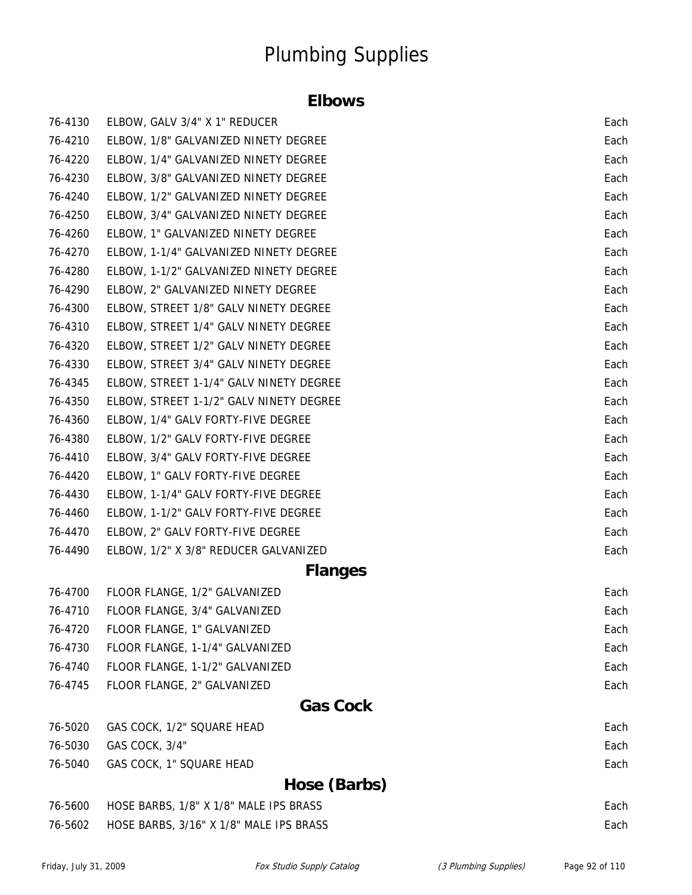#### **Elbows**

| 76-4130 | ELBOW, GALV 3/4" X 1" REDUCER           | Each |
|---------|-----------------------------------------|------|
| 76-4210 | ELBOW, 1/8" GALVANIZED NINETY DEGREE    | Each |
| 76-4220 | ELBOW, 1/4" GALVANIZED NINETY DEGREE    | Each |
| 76-4230 | ELBOW, 3/8" GALVANIZED NINETY DEGREE    | Each |
| 76-4240 | ELBOW, 1/2" GALVANIZED NINETY DEGREE    | Each |
| 76-4250 | ELBOW, 3/4" GALVANIZED NINETY DEGREE    | Each |
| 76-4260 | ELBOW, 1" GALVANIZED NINETY DEGREE      | Each |
| 76-4270 | ELBOW, 1-1/4" GALVANIZED NINETY DEGREE  | Each |
| 76-4280 | ELBOW, 1-1/2" GALVANIZED NINETY DEGREE  | Each |
| 76-4290 | ELBOW, 2" GALVANIZED NINETY DEGREE      | Each |
| 76-4300 | ELBOW, STREET 1/8" GALV NINETY DEGREE   | Each |
| 76-4310 | ELBOW, STREET 1/4" GALV NINETY DEGREE   | Each |
| 76-4320 | ELBOW, STREET 1/2" GALV NINETY DEGREE   | Each |
| 76-4330 | ELBOW, STREET 3/4" GALV NINETY DEGREE   | Each |
| 76-4345 | ELBOW, STREET 1-1/4" GALV NINETY DEGREE | Each |
| 76-4350 | ELBOW, STREET 1-1/2" GALV NINETY DEGREE | Each |
| 76-4360 | ELBOW, 1/4" GALV FORTY-FIVE DEGREE      | Each |
| 76-4380 | ELBOW, 1/2" GALV FORTY-FIVE DEGREE      | Each |
| 76-4410 | ELBOW, 3/4" GALV FORTY-FIVE DEGREE      | Each |
| 76-4420 | ELBOW, 1" GALV FORTY-FIVE DEGREE        | Each |
| 76-4430 | ELBOW, 1-1/4" GALV FORTY-FIVE DEGREE    | Each |
| 76-4460 | ELBOW, 1-1/2" GALV FORTY-FIVE DEGREE    | Each |
| 76-4470 | ELBOW, 2" GALV FORTY-FIVE DEGREE        | Each |
| 76-4490 | ELBOW, 1/2" X 3/8" REDUCER GALVANIZED   | Each |
|         | <b>Flanges</b>                          |      |
| 76-4700 | FLOOR FLANGE, 1/2" GALVANIZED           | Each |
| 76-4710 | FLOOR FLANGE, 3/4" GALVANIZED           | Each |
| 76-4720 | FLOOR FLANGE, 1" GALVANIZED             | Each |
| 76-4730 | FLOOR FLANGE, 1-1/4" GALVANIZED         | Each |
| 76-4740 | FLOOR FLANGE, 1-1/2" GALVANIZED         | Each |
| 76-4745 | FLOOR FLANGE, 2" GALVANIZED             | Each |
|         | <b>Gas Cock</b>                         |      |
| 76-5020 | GAS COCK, 1/2" SQUARE HEAD              | Each |
| 76-5030 | GAS COCK, 3/4"                          | Each |
| 76-5040 | GAS COCK, 1" SQUARE HEAD                | Each |
|         | Hose (Barbs)                            |      |
| 76-5600 | HOSE BARBS, 1/8" X 1/8" MALE IPS BRASS  | Each |
| 76-5602 | HOSE BARBS, 3/16" X 1/8" MALE IPS BRASS | Each |
|         |                                         |      |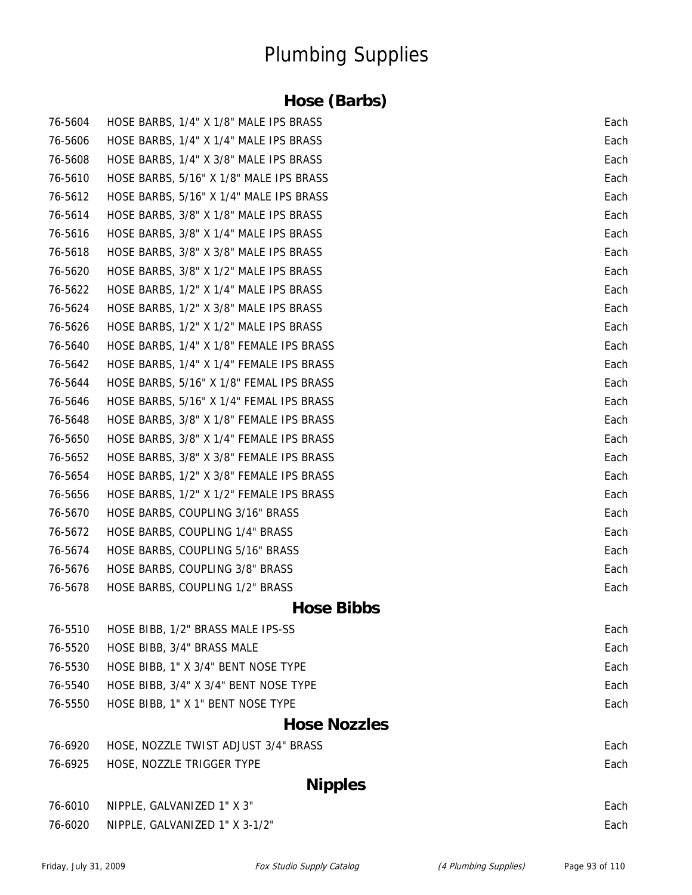### **Hose (Barbs)**

| 76-5604 | HOSE BARBS, 1/4" X 1/8" MALE IPS BRASS   | Each |
|---------|------------------------------------------|------|
| 76-5606 | HOSE BARBS, 1/4" X 1/4" MALE IPS BRASS   | Each |
| 76-5608 | HOSE BARBS, 1/4" X 3/8" MALE IPS BRASS   | Each |
| 76-5610 | HOSE BARBS, 5/16" X 1/8" MALE IPS BRASS  | Each |
| 76-5612 | HOSE BARBS, 5/16" X 1/4" MALE IPS BRASS  | Each |
| 76-5614 | HOSE BARBS, 3/8" X 1/8" MALE IPS BRASS   | Each |
| 76-5616 | HOSE BARBS, 3/8" X 1/4" MALE IPS BRASS   | Each |
| 76-5618 | HOSE BARBS, 3/8" X 3/8" MALE IPS BRASS   | Each |
| 76-5620 | HOSE BARBS, 3/8" X 1/2" MALE IPS BRASS   | Each |
| 76-5622 | HOSE BARBS, 1/2" X 1/4" MALE IPS BRASS   | Each |
| 76-5624 | HOSE BARBS, 1/2" X 3/8" MALE IPS BRASS   | Each |
| 76-5626 | HOSE BARBS, 1/2" X 1/2" MALE IPS BRASS   | Each |
| 76-5640 | HOSE BARBS, 1/4" X 1/8" FEMALE IPS BRASS | Each |
| 76-5642 | HOSE BARBS, 1/4" X 1/4" FEMALE IPS BRASS | Each |
| 76-5644 | HOSE BARBS, 5/16" X 1/8" FEMAL IPS BRASS | Each |
| 76-5646 | HOSE BARBS, 5/16" X 1/4" FEMAL IPS BRASS | Each |
| 76-5648 | HOSE BARBS, 3/8" X 1/8" FEMALE IPS BRASS | Each |
| 76-5650 | HOSE BARBS, 3/8" X 1/4" FEMALE IPS BRASS | Each |
| 76-5652 | HOSE BARBS, 3/8" X 3/8" FEMALE IPS BRASS | Each |
| 76-5654 | HOSE BARBS, 1/2" X 3/8" FEMALE IPS BRASS | Each |
| 76-5656 | HOSE BARBS, 1/2" X 1/2" FEMALE IPS BRASS | Each |
| 76-5670 | HOSE BARBS, COUPLING 3/16" BRASS         | Each |
| 76-5672 | HOSE BARBS, COUPLING 1/4" BRASS          | Each |
| 76-5674 | HOSE BARBS, COUPLING 5/16" BRASS         | Each |
| 76-5676 | HOSE BARBS, COUPLING 3/8" BRASS          | Each |
| 76-5678 | HOSE BARBS, COUPLING 1/2" BRASS          | Each |
|         | <b>Hose Bibbs</b>                        |      |
| 76-5510 | HOSE BIBB, 1/2" BRASS MALE IPS-SS        | Each |
| 76-5520 | HOSE BIBB, 3/4" BRASS MALE               | Each |
| 76-5530 | HOSE BIBB, 1" X 3/4" BENT NOSE TYPE      | Each |
| 76-5540 | HOSE BIBB, 3/4" X 3/4" BENT NOSE TYPE    | Each |
| 76-5550 | HOSE BIBB, 1" X 1" BENT NOSE TYPE        | Each |
|         | <b>Hose Nozzles</b>                      |      |
| 76-6920 | HOSE, NOZZLE TWIST ADJUST 3/4" BRASS     | Each |
| 76-6925 | HOSE, NOZZLE TRIGGER TYPE                | Each |
|         | <b>Nipples</b>                           |      |
| 76-6010 | NIPPLE, GALVANIZED 1" X 3"               | Each |
| 76-6020 | NIPPLE, GALVANIZED 1" X 3-1/2"           | Each |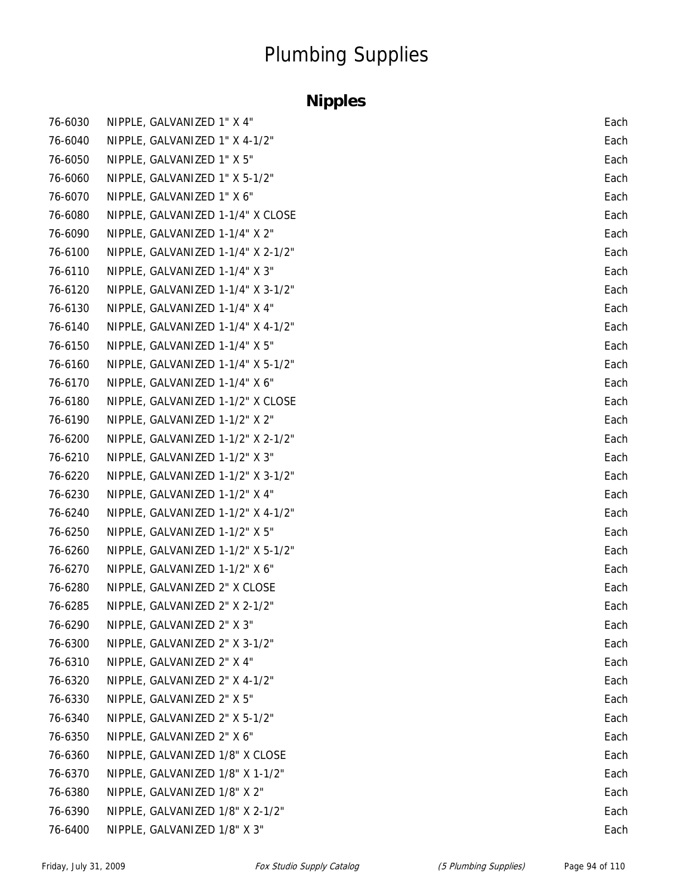### **Nipples**

| 76-6030 | NIPPLE, GALVANIZED 1" X 4"         | Each |
|---------|------------------------------------|------|
| 76-6040 | NIPPLE, GALVANIZED 1" X 4-1/2"     | Each |
| 76-6050 | NIPPLE, GALVANIZED 1" X 5"         | Each |
| 76-6060 | NIPPLE, GALVANIZED 1" X 5-1/2"     | Each |
| 76-6070 | NIPPLE, GALVANIZED 1" X 6"         | Each |
| 76-6080 | NIPPLE, GALVANIZED 1-1/4" X CLOSE  | Each |
| 76-6090 | NIPPLE, GALVANIZED 1-1/4" X 2"     | Each |
| 76-6100 | NIPPLE, GALVANIZED 1-1/4" X 2-1/2" | Each |
| 76-6110 | NIPPLE, GALVANIZED 1-1/4" X 3"     | Each |
| 76-6120 | NIPPLE, GALVANIZED 1-1/4" X 3-1/2" | Each |
| 76-6130 | NIPPLE, GALVANIZED 1-1/4" X 4"     | Each |
| 76-6140 | NIPPLE, GALVANIZED 1-1/4" X 4-1/2" | Each |
| 76-6150 | NIPPLE, GALVANIZED 1-1/4" X 5"     | Each |
| 76-6160 | NIPPLE, GALVANIZED 1-1/4" X 5-1/2" | Each |
| 76-6170 | NIPPLE, GALVANIZED 1-1/4" X 6"     | Each |
| 76-6180 | NIPPLE, GALVANIZED 1-1/2" X CLOSE  | Each |
| 76-6190 | NIPPLE, GALVANIZED 1-1/2" X 2"     | Each |
| 76-6200 | NIPPLE, GALVANIZED 1-1/2" X 2-1/2" | Each |
| 76-6210 | NIPPLE, GALVANIZED 1-1/2" X 3"     | Each |
| 76-6220 | NIPPLE, GALVANIZED 1-1/2" X 3-1/2" | Each |
| 76-6230 | NIPPLE, GALVANIZED 1-1/2" X 4"     | Each |
| 76-6240 | NIPPLE, GALVANIZED 1-1/2" X 4-1/2" | Each |
| 76-6250 | NIPPLE, GALVANIZED 1-1/2" X 5"     | Each |
| 76-6260 | NIPPLE, GALVANIZED 1-1/2" X 5-1/2" | Each |
| 76-6270 | NIPPLE, GALVANIZED 1-1/2" X 6"     | Each |
| 76-6280 | NIPPLE, GALVANIZED 2" X CLOSE      | Each |
| 76-6285 | NIPPLE, GALVANIZED 2" X 2-1/2"     | Each |
| 76-6290 | NIPPLE, GALVANIZED 2" X 3"         | Each |
| 76-6300 | NIPPLE, GALVANIZED 2" X 3-1/2"     | Each |
| 76-6310 | NIPPLE, GALVANIZED 2" X 4"         | Each |
| 76-6320 | NIPPLE, GALVANIZED 2" X 4-1/2"     | Each |
| 76-6330 | NIPPLE, GALVANIZED 2" X 5"         | Each |
| 76-6340 | NIPPLE, GALVANIZED 2" X 5-1/2"     | Each |
| 76-6350 | NIPPLE, GALVANIZED 2" X 6"         | Each |
| 76-6360 | NIPPLE, GALVANIZED 1/8" X CLOSE    | Each |
| 76-6370 | NIPPLE, GALVANIZED 1/8" X 1-1/2"   | Each |
| 76-6380 | NIPPLE, GALVANIZED 1/8" X 2"       | Each |
| 76-6390 | NIPPLE, GALVANIZED 1/8" X 2-1/2"   | Each |
| 76-6400 | NIPPLE, GALVANIZED 1/8" X 3"       | Each |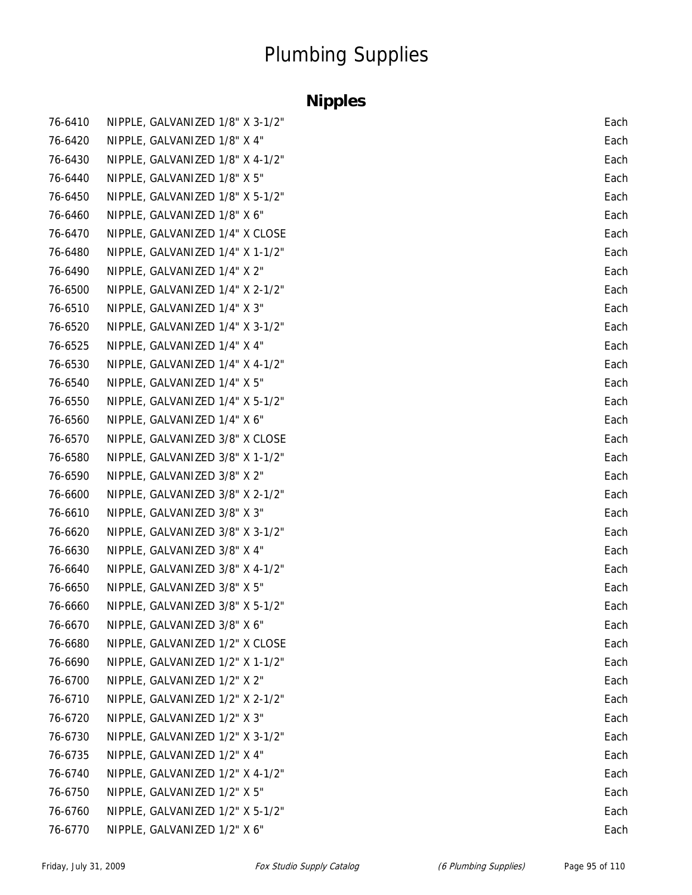### **Nipples**

| 76-6410 | NIPPLE, GALVANIZED 1/8" X 3-1/2" | Each |
|---------|----------------------------------|------|
| 76-6420 | NIPPLE, GALVANIZED 1/8" X 4"     | Each |
| 76-6430 | NIPPLE, GALVANIZED 1/8" X 4-1/2" | Each |
| 76-6440 | NIPPLE, GALVANIZED 1/8" X 5"     | Each |
| 76-6450 | NIPPLE, GALVANIZED 1/8" X 5-1/2" | Each |
| 76-6460 | NIPPLE, GALVANIZED 1/8" X 6"     | Each |
| 76-6470 | NIPPLE, GALVANIZED 1/4" X CLOSE  | Each |
| 76-6480 | NIPPLE, GALVANIZED 1/4" X 1-1/2" | Each |
| 76-6490 | NIPPLE, GALVANIZED 1/4" X 2"     | Each |
| 76-6500 | NIPPLE, GALVANIZED 1/4" X 2-1/2" | Each |
| 76-6510 | NIPPLE, GALVANIZED 1/4" X 3"     | Each |
| 76-6520 | NIPPLE, GALVANIZED 1/4" X 3-1/2" | Each |
| 76-6525 | NIPPLE, GALVANIZED 1/4" X 4"     | Each |
| 76-6530 | NIPPLE, GALVANIZED 1/4" X 4-1/2" | Each |
| 76-6540 | NIPPLE, GALVANIZED 1/4" X 5"     | Each |
| 76-6550 | NIPPLE, GALVANIZED 1/4" X 5-1/2" | Each |
| 76-6560 | NIPPLE, GALVANIZED 1/4" X 6"     | Each |
| 76-6570 | NIPPLE, GALVANIZED 3/8" X CLOSE  | Each |
| 76-6580 | NIPPLE, GALVANIZED 3/8" X 1-1/2" | Each |
| 76-6590 | NIPPLE, GALVANIZED 3/8" X 2"     | Each |
| 76-6600 | NIPPLE, GALVANIZED 3/8" X 2-1/2" | Each |
| 76-6610 | NIPPLE, GALVANIZED 3/8" X 3"     | Each |
| 76-6620 | NIPPLE, GALVANIZED 3/8" X 3-1/2" | Each |
| 76-6630 | NIPPLE, GALVANIZED 3/8" X 4"     | Each |
| 76-6640 | NIPPLE, GALVANIZED 3/8" X 4-1/2" | Each |
| 76-6650 | NIPPLE, GALVANIZED 3/8" X 5"     | Each |
| 76-6660 | NIPPLE, GALVANIZED 3/8" X 5-1/2" | Each |
| 76-6670 | NIPPLE, GALVANIZED 3/8" X 6"     | Each |
| 76-6680 | NIPPLE, GALVANIZED 1/2" X CLOSE  | Each |
| 76-6690 | NIPPLE, GALVANIZED 1/2" X 1-1/2" | Each |
| 76-6700 | NIPPLE, GALVANIZED 1/2" X 2"     | Each |
| 76-6710 | NIPPLE, GALVANIZED 1/2" X 2-1/2" | Each |
| 76-6720 | NIPPLE, GALVANIZED 1/2" X 3"     | Each |
| 76-6730 | NIPPLE, GALVANIZED 1/2" X 3-1/2" | Each |
| 76-6735 | NIPPLE, GALVANIZED 1/2" X 4"     | Each |
| 76-6740 | NIPPLE, GALVANIZED 1/2" X 4-1/2" | Each |
| 76-6750 | NIPPLE, GALVANIZED 1/2" X 5"     | Each |
| 76-6760 | NIPPLE, GALVANIZED 1/2" X 5-1/2" | Each |
| 76-6770 | NIPPLE, GALVANIZED 1/2" X 6"     | Each |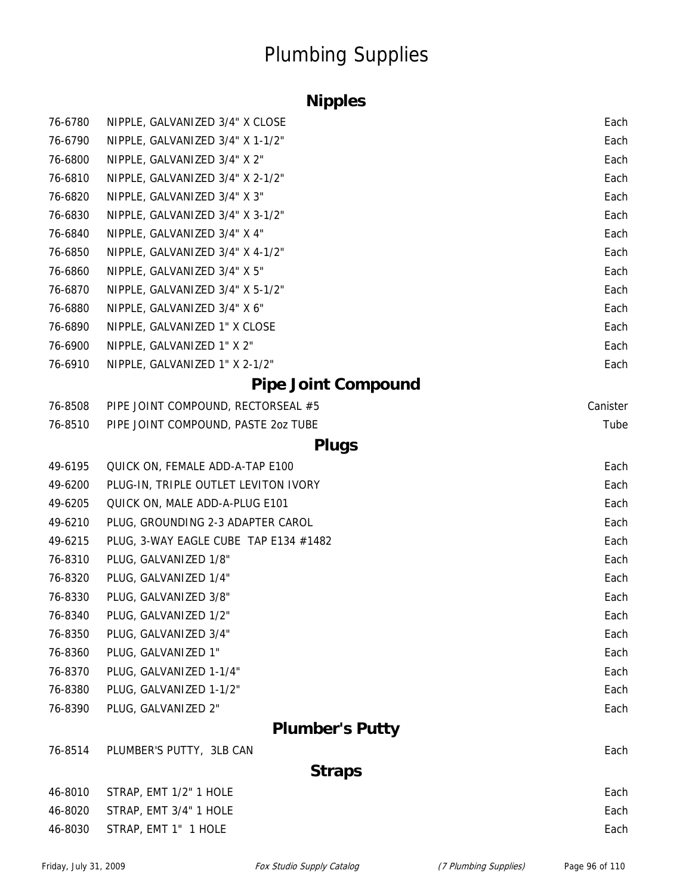### **Nipples**

| 76-6780 | NIPPLE, GALVANIZED 3/4" X CLOSE       | Each     |
|---------|---------------------------------------|----------|
| 76-6790 | NIPPLE, GALVANIZED 3/4" X 1-1/2"      | Each     |
| 76-6800 | NIPPLE, GALVANIZED 3/4" X 2"          | Each     |
| 76-6810 | NIPPLE, GALVANIZED 3/4" X 2-1/2"      | Each     |
| 76-6820 | NIPPLE, GALVANIZED 3/4" X 3"          | Each     |
| 76-6830 | NIPPLE, GALVANIZED 3/4" X 3-1/2"      | Each     |
| 76-6840 | NIPPLE, GALVANIZED 3/4" X 4"          | Each     |
| 76-6850 | NIPPLE, GALVANIZED 3/4" X 4-1/2"      | Each     |
| 76-6860 | NIPPLE, GALVANIZED 3/4" X 5"          | Each     |
| 76-6870 | NIPPLE, GALVANIZED 3/4" X 5-1/2"      | Each     |
| 76-6880 | NIPPLE, GALVANIZED 3/4" X 6"          | Each     |
| 76-6890 | NIPPLE, GALVANIZED 1" X CLOSE         | Each     |
| 76-6900 | NIPPLE, GALVANIZED 1" X 2"            | Each     |
| 76-6910 | NIPPLE, GALVANIZED 1" X 2-1/2"        | Each     |
|         | <b>Pipe Joint Compound</b>            |          |
| 76-8508 | PIPE JOINT COMPOUND, RECTORSEAL #5    | Canister |
| 76-8510 | PIPE JOINT COMPOUND, PASTE 2oz TUBE   | Tube     |
|         | <b>Plugs</b>                          |          |
| 49-6195 | QUICK ON, FEMALE ADD-A-TAP E100       | Each     |
| 49-6200 | PLUG-IN, TRIPLE OUTLET LEVITON IVORY  | Each     |
| 49-6205 | QUICK ON, MALE ADD-A-PLUG E101        | Each     |
| 49-6210 | PLUG, GROUNDING 2-3 ADAPTER CAROL     | Each     |
| 49-6215 | PLUG, 3-WAY EAGLE CUBE TAP E134 #1482 | Each     |
| 76-8310 | PLUG, GALVANIZED 1/8"                 | Each     |
| 76-8320 | PLUG, GALVANIZED 1/4"                 | Each     |
| 76-8330 | PLUG, GALVANIZED 3/8"                 | Each     |
| 76-8340 | PLUG, GALVANIZED 1/2"                 | Each     |
| 76-8350 | PLUG, GALVANIZED 3/4"                 | Each     |
| 76-8360 | PLUG, GALVANIZED 1"                   | Each     |
| 76-8370 | PLUG, GALVANIZED 1-1/4"               | Each     |
| 76-8380 | PLUG, GALVANIZED 1-1/2"               | Each     |
| 76-8390 | PLUG, GALVANIZED 2"                   | Each     |
|         | <b>Plumber's Putty</b>                |          |
| 76-8514 | PLUMBER'S PUTTY, 3LB CAN              | Each     |
|         | <b>Straps</b>                         |          |
| 46-8010 | STRAP, EMT 1/2" 1 HOLE                | Each     |
| 46-8020 | STRAP, EMT 3/4" 1 HOLE                | Each     |
| 46-8030 | STRAP, EMT 1" 1 HOLE                  | Each     |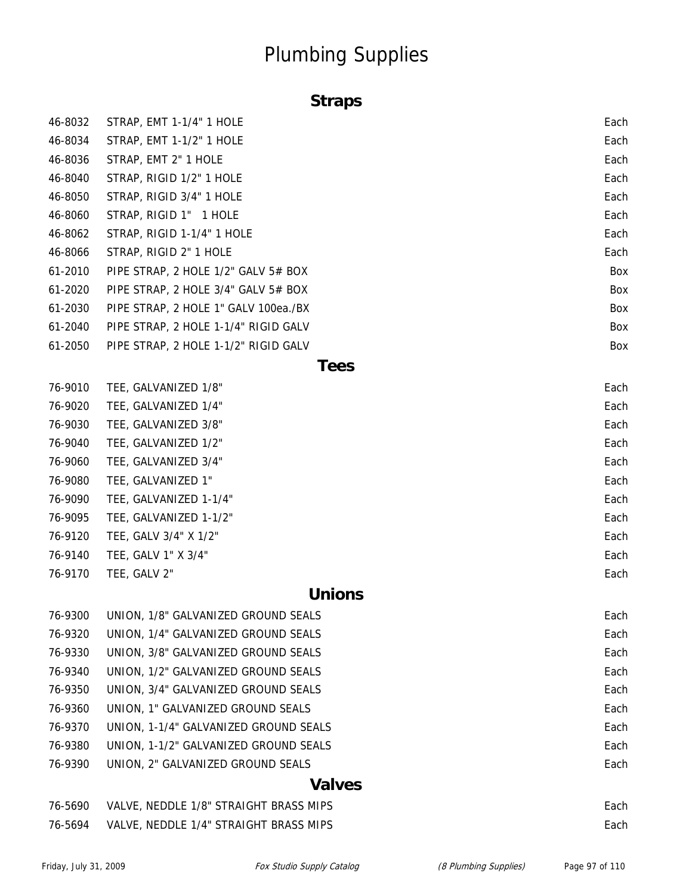### **Straps**

| 46-8032 | STRAP, EMT 1-1/4" 1 HOLE             | Each        |
|---------|--------------------------------------|-------------|
| 46-8034 | STRAP, EMT 1-1/2" 1 HOLE             | Each        |
| 46-8036 | STRAP, EMT 2" 1 HOLE                 | Each        |
| 46-8040 | STRAP, RIGID 1/2" 1 HOLE             | Each        |
| 46-8050 | STRAP, RIGID 3/4" 1 HOLE             | Each        |
| 46-8060 | STRAP, RIGID 1" 1 HOLE               | Each        |
| 46-8062 | STRAP, RIGID 1-1/4" 1 HOLE           | Each        |
| 46-8066 | STRAP, RIGID 2" 1 HOLE               | Each        |
| 61-2010 | PIPE STRAP, 2 HOLE 1/2" GALV 5# BOX  | Box         |
| 61-2020 | PIPE STRAP, 2 HOLE 3/4" GALV 5# BOX  | Box         |
| 61-2030 | PIPE STRAP, 2 HOLE 1" GALV 100ea./BX | Box         |
| 61-2040 | PIPE STRAP, 2 HOLE 1-1/4" RIGID GALV | Box         |
| 61-2050 | PIPE STRAP, 2 HOLE 1-1/2" RIGID GALV | Box         |
|         |                                      | <b>Tees</b> |
| 76-9010 | TEE, GALVANIZED 1/8"                 | Each        |
| 76-9020 | TEE, GALVANIZED 1/4"                 | Each        |
| 76-9030 | TEE, GALVANIZED 3/8"                 | Each        |
| 76-9040 | TEE, GALVANIZED 1/2"                 | Each        |
| 76-9060 | TEE, GALVANIZED 3/4"                 | Each        |
| 76-9080 | TEE, GALVANIZED 1"                   | Each        |
| 76-9090 | TEE, GALVANIZED 1-1/4"               | Each        |
| 76-9095 | TEE, GALVANIZED 1-1/2"               | Each        |
| 76-9120 | TEE, GALV 3/4" X 1/2"                | Each        |
| 76-9140 | TEE, GALV 1" X 3/4"                  | Each        |
| 76-9170 | TEE, GALV 2"                         | Each        |

#### **Unions**

| 76-9300 | UNION, 1/8" GALVANIZED GROUND SEALS    | Each |
|---------|----------------------------------------|------|
| 76-9320 | UNION, 1/4" GALVANIZED GROUND SEALS    | Each |
| 76-9330 | UNION, 3/8" GALVANIZED GROUND SEALS    | Each |
| 76-9340 | UNION, 1/2" GALVANIZED GROUND SEALS    | Each |
| 76-9350 | UNION, 3/4" GALVANIZED GROUND SEALS    | Each |
| 76-9360 | UNION, 1" GALVANIZED GROUND SEALS      | Each |
| 76-9370 | UNION, 1-1/4" GALVANIZED GROUND SEALS  | Each |
| 76-9380 | UNION, 1-1/2" GALVANIZED GROUND SEALS  | Each |
| 76-9390 | UNION, 2" GALVANIZED GROUND SEALS      | Each |
|         | <b>Valves</b>                          |      |
| 76-5690 | VALVE, NEDDLE 1/8" STRAIGHT BRASS MIPS | Each |
| 76-5694 | VALVE, NEDDLE 1/4" STRAIGHT BRASS MIPS | Each |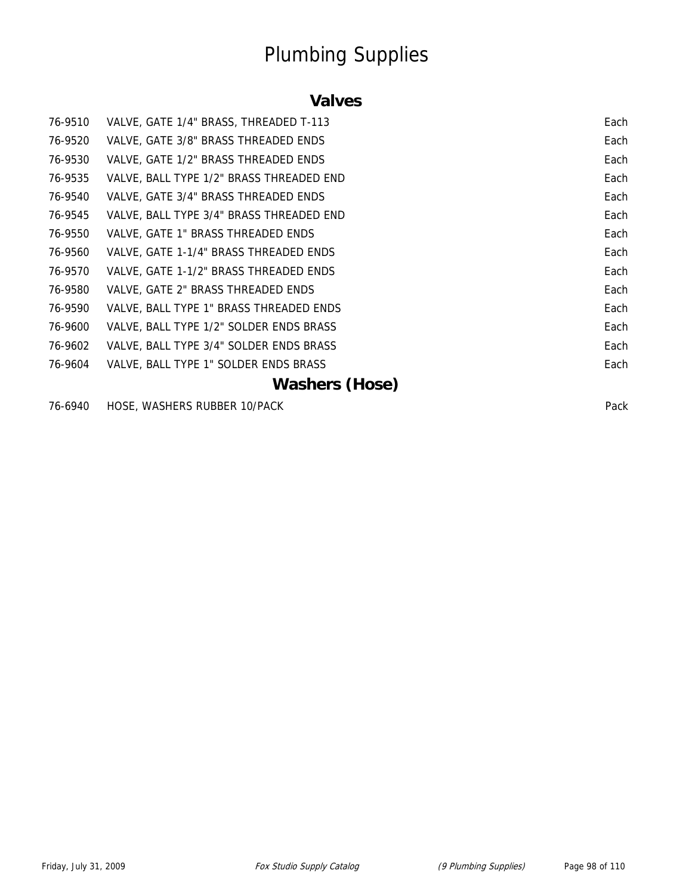#### **Valves**

| 76-9510 | VALVE, GATE 1/4" BRASS, THREADED T-113   | Each |
|---------|------------------------------------------|------|
| 76-9520 | VALVE, GATE 3/8" BRASS THREADED ENDS     | Each |
| 76-9530 | VALVE, GATE 1/2" BRASS THREADED ENDS     | Each |
| 76-9535 | VALVE, BALL TYPE 1/2" BRASS THREADED END | Each |
| 76-9540 | VALVE, GATE 3/4" BRASS THREADED ENDS     | Each |
| 76-9545 | VALVE, BALL TYPE 3/4" BRASS THREADED END | Each |
| 76-9550 | VALVE, GATE 1" BRASS THREADED ENDS       | Each |
| 76-9560 | VALVE, GATE 1-1/4" BRASS THREADED ENDS   | Each |
| 76-9570 | VALVE, GATE 1-1/2" BRASS THREADED ENDS   | Each |
| 76-9580 | VALVE, GATE 2" BRASS THREADED ENDS       | Each |
| 76-9590 | VALVE, BALL TYPE 1" BRASS THREADED ENDS  | Each |
| 76-9600 | VALVE, BALL TYPE 1/2" SOLDER ENDS BRASS  | Each |
| 76-9602 | VALVE, BALL TYPE 3/4" SOLDER ENDS BRASS  | Each |
| 76-9604 | VALVE, BALL TYPE 1" SOLDER ENDS BRASS    | Each |
|         | <b>Washers (Hose)</b>                    |      |

76-6940 HOSE, WASHERS RUBBER 10/PACK Pack Pack Pack Pack Pack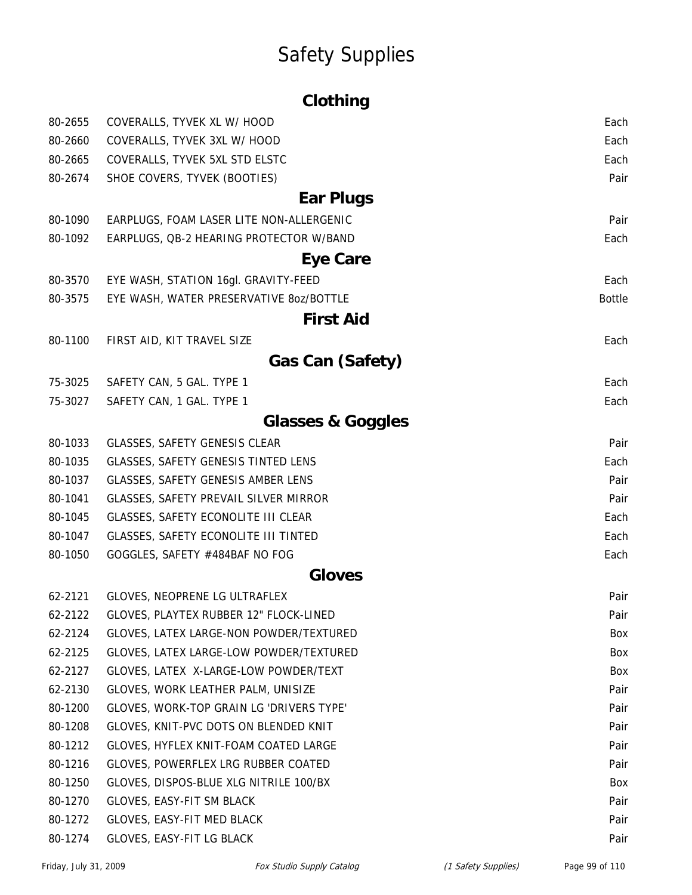# Safety Supplies

|                    | Clothing                                                                     |               |
|--------------------|------------------------------------------------------------------------------|---------------|
| 80-2655            | COVERALLS, TYVEK XL W/ HOOD                                                  | Each          |
| 80-2660            | COVERALLS, TYVEK 3XL W/ HOOD                                                 | Each          |
| 80-2665            | COVERALLS, TYVEK 5XL STD ELSTC                                               | Each          |
| 80-2674            | SHOE COVERS, TYVEK (BOOTIES)                                                 | Pair          |
|                    | Ear Plugs                                                                    |               |
| 80-1090            | EARPLUGS, FOAM LASER LITE NON-ALLERGENIC                                     | Pair          |
| 80-1092            | EARPLUGS, QB-2 HEARING PROTECTOR W/BAND                                      | Each          |
|                    | Eye Care                                                                     |               |
| 80-3570            | EYE WASH, STATION 16gl. GRAVITY-FEED                                         | Each          |
| 80-3575            | EYE WASH, WATER PRESERVATIVE 8oz/BOTTLE                                      | <b>Bottle</b> |
|                    | <b>First Aid</b>                                                             |               |
| 80-1100            | FIRST AID, KIT TRAVEL SIZE                                                   | Each          |
|                    | Gas Can (Safety)                                                             |               |
| 75-3025            | SAFETY CAN, 5 GAL. TYPE 1                                                    | Each          |
| 75-3027            | SAFETY CAN, 1 GAL. TYPE 1                                                    | Each          |
|                    |                                                                              |               |
|                    | <b>Glasses &amp; Goggles</b>                                                 |               |
| 80-1033            | GLASSES, SAFETY GENESIS CLEAR                                                | Pair          |
| 80-1035            | <b>GLASSES, SAFETY GENESIS TINTED LENS</b>                                   | Each          |
| 80-1037            | <b>GLASSES, SAFETY GENESIS AMBER LENS</b>                                    | Pair          |
| 80-1041<br>80-1045 | GLASSES, SAFETY PREVAIL SILVER MIRROR<br>GLASSES, SAFETY ECONOLITE III CLEAR | Pair<br>Each  |
| 80-1047            |                                                                              | Each          |
| 80-1050            | GLASSES, SAFETY ECONOLITE III TINTED                                         | Each          |
|                    | GOGGLES, SAFETY #484BAF NO FOG<br><b>Gloves</b>                              |               |
|                    |                                                                              |               |
| 62-2121<br>62-2122 | GLOVES, NEOPRENE LG ULTRAFLEX<br>GLOVES, PLAYTEX RUBBER 12" FLOCK-LINED      | Pair<br>Pair  |
| 62-2124            | GLOVES, LATEX LARGE-NON POWDER/TEXTURED                                      | Box           |
| 62-2125            | GLOVES, LATEX LARGE-LOW POWDER/TEXTURED                                      | <b>Box</b>    |
| 62-2127            | GLOVES, LATEX X-LARGE-LOW POWDER/TEXT                                        | Box           |
| 62-2130            | GLOVES, WORK LEATHER PALM, UNISIZE                                           | Pair          |
| 80-1200            | GLOVES, WORK-TOP GRAIN LG 'DRIVERS TYPE'                                     | Pair          |
| 80-1208            | GLOVES, KNIT-PVC DOTS ON BLENDED KNIT                                        | Pair          |
| 80-1212            | GLOVES, HYFLEX KNIT-FOAM COATED LARGE                                        | Pair          |
| 80-1216            | GLOVES, POWERFLEX LRG RUBBER COATED                                          | Pair          |
| 80-1250            | GLOVES, DISPOS-BLUE XLG NITRILE 100/BX                                       | Box           |
| 80-1270            | GLOVES, EASY-FIT SM BLACK                                                    | Pair          |
| 80-1272            | GLOVES, EASY-FIT MED BLACK                                                   | Pair          |
| 80-1274            | GLOVES, EASY-FIT LG BLACK                                                    | Pair          |
|                    |                                                                              |               |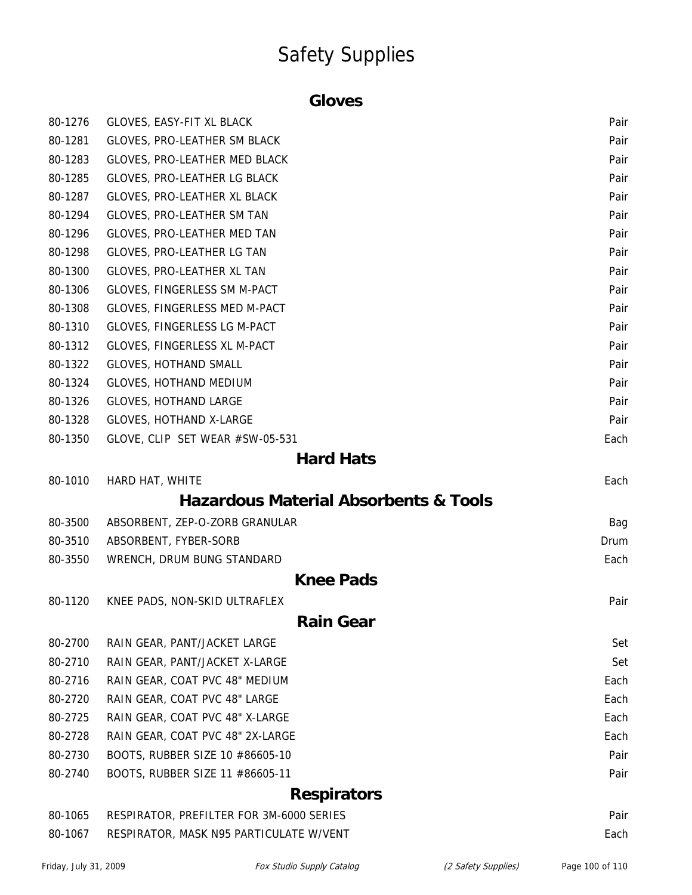### Safety Supplies

#### **Gloves**

| 80-1276 | GLOVES, EASY-FIT XL BLACK                        | Pair |
|---------|--------------------------------------------------|------|
| 80-1281 | GLOVES, PRO-LEATHER SM BLACK                     | Pair |
| 80-1283 | GLOVES, PRO-LEATHER MED BLACK                    | Pair |
| 80-1285 | GLOVES, PRO-LEATHER LG BLACK                     | Pair |
| 80-1287 | GLOVES, PRO-LEATHER XL BLACK                     | Pair |
| 80-1294 | GLOVES, PRO-LEATHER SM TAN                       | Pair |
| 80-1296 | GLOVES, PRO-LEATHER MED TAN                      | Pair |
| 80-1298 | GLOVES, PRO-LEATHER LG TAN                       | Pair |
| 80-1300 | GLOVES, PRO-LEATHER XL TAN                       | Pair |
| 80-1306 | GLOVES, FINGERLESS SM M-PACT                     | Pair |
| 80-1308 | GLOVES, FINGERLESS MED M-PACT                    | Pair |
| 80-1310 | GLOVES, FINGERLESS LG M-PACT                     | Pair |
| 80-1312 | GLOVES, FINGERLESS XL M-PACT                     | Pair |
| 80-1322 | <b>GLOVES, HOTHAND SMALL</b>                     | Pair |
| 80-1324 | <b>GLOVES, HOTHAND MEDIUM</b>                    | Pair |
| 80-1326 | <b>GLOVES, HOTHAND LARGE</b>                     | Pair |
| 80-1328 | GLOVES, HOTHAND X-LARGE                          | Pair |
| 80-1350 | GLOVE, CLIP SET WEAR #SW-05-531                  | Each |
|         | <b>Hard Hats</b>                                 |      |
| 80-1010 | HARD HAT, WHITE                                  | Each |
|         | <b>Hazardous Material Absorbents &amp; Tools</b> |      |
| 80-3500 | ABSORBENT, ZEP-O-ZORB GRANULAR                   | Bag  |
| 80-3510 | ABSORBENT, FYBER-SORB                            | Drum |
| 80-3550 | WRENCH, DRUM BUNG STANDARD                       | Each |
|         | <b>Knee Pads</b>                                 |      |
| 80-1120 | KNEE PADS, NON-SKID ULTRAFLEX                    | Pair |
|         | <b>Rain Gear</b>                                 |      |
| 80-2700 | RAIN GEAR, PANT/JACKET LARGE                     | Set  |
| 80-2710 | RAIN GEAR, PANT/JACKET X-LARGE                   | Set  |
| 80-2716 | RAIN GEAR, COAT PVC 48" MEDIUM                   | Each |
| 80-2720 | RAIN GEAR, COAT PVC 48" LARGE                    | Each |
| 80-2725 | RAIN GEAR, COAT PVC 48" X-LARGE                  | Each |
| 80-2728 | RAIN GEAR, COAT PVC 48" 2X-LARGE                 | Each |
| 80-2730 | BOOTS, RUBBER SIZE 10 #86605-10                  | Pair |
| 80-2740 | BOOTS, RUBBER SIZE 11 #86605-11                  | Pair |
|         | <b>Respirators</b>                               |      |
|         |                                                  |      |
| 80-1065 | RESPIRATOR, PREFILTER FOR 3M-6000 SERIES         | Pair |
| 80-1067 | RESPIRATOR, MASK N95 PARTICULATE W/VENT          | Each |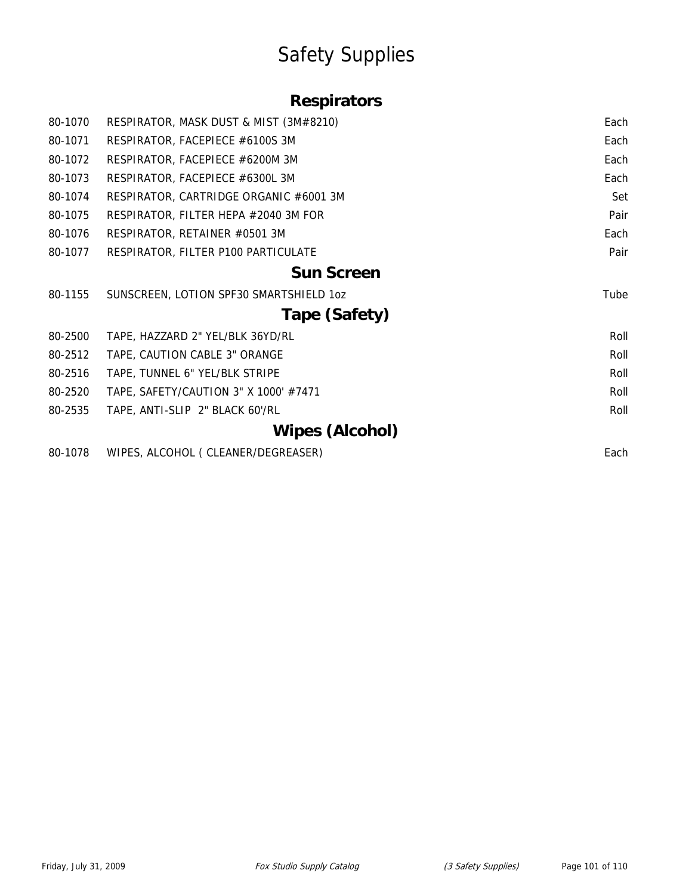# Safety Supplies

### **Respirators**

| 80-1070 | RESPIRATOR, MASK DUST & MIST (3M#8210)  | Each |
|---------|-----------------------------------------|------|
| 80-1071 | RESPIRATOR, FACEPIECE #6100S 3M         | Each |
| 80-1072 | RESPIRATOR, FACEPIECE #6200M 3M         | Each |
| 80-1073 | RESPIRATOR, FACEPIECE #6300L 3M         | Each |
| 80-1074 | RESPIRATOR, CARTRIDGE ORGANIC #6001 3M  | Set  |
| 80-1075 | RESPIRATOR, FILTER HEPA #2040 3M FOR    | Pair |
| 80-1076 | RESPIRATOR, RETAINER #0501 3M           | Each |
| 80-1077 | RESPIRATOR, FILTER P100 PARTICULATE     | Pair |
|         | <b>Sun Screen</b>                       |      |
| 80-1155 | SUNSCREEN, LOTION SPF30 SMARTSHIELD 1oz | Tube |
|         | Tape (Safety)                           |      |
| 80-2500 | TAPE, HAZZARD 2" YEL/BLK 36YD/RL        | Roll |
| 80-2512 | TAPE, CAUTION CABLE 3" ORANGE           | Roll |
| 80-2516 | TAPE, TUNNEL 6" YEL/BLK STRIPE          | Roll |
| 80-2520 | TAPE, SAFETY/CAUTION 3" X 1000' #7471   | Roll |
| 80-2535 | TAPE, ANTI-SLIP 2" BLACK 60'/RL         | Roll |
|         | <b>Wipes (Alcohol)</b>                  |      |
| 80-1078 | WIPES, ALCOHOL ( CLEANER/DEGREASER)     | Each |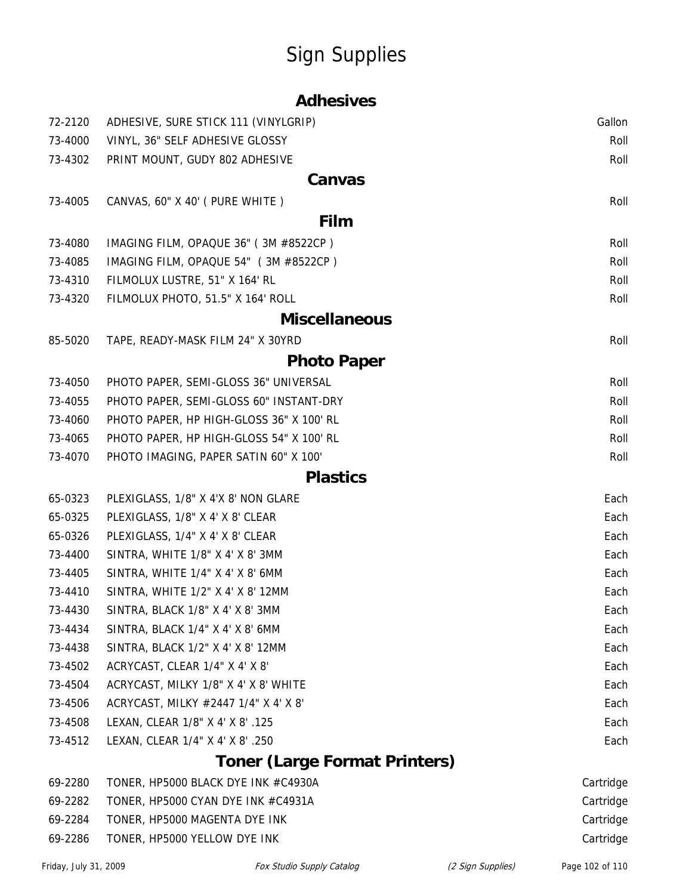# Sign Supplies

|  | <b>Adhesives</b> |
|--|------------------|
|  |                  |

| 72-2120 | ADHESIVE, SURE STICK 111 (VINYLGRIP)     | Gallon       |
|---------|------------------------------------------|--------------|
| 73-4000 | VINYL, 36" SELF ADHESIVE GLOSSY          | Roll         |
| 73-4302 | PRINT MOUNT, GUDY 802 ADHESIVE           | Roll         |
|         | Canvas                                   |              |
| 73-4005 | CANVAS, 60" X 40' (PURE WHITE)           | Roll         |
|         | Film                                     |              |
| 73-4080 | IMAGING FILM, OPAQUE 36" (3M #8522CP)    | Roll         |
| 73-4085 | IMAGING FILM, OPAQUE 54" (3M #8522CP)    | Roll         |
| 73-4310 | FILMOLUX LUSTRE, 51" X 164' RL           | Roll         |
| 73-4320 | FILMOLUX PHOTO, 51.5" X 164' ROLL        | Roll         |
|         | <b>Miscellaneous</b>                     |              |
| 85-5020 | TAPE, READY-MASK FILM 24" X 30YRD        | Roll         |
|         | <b>Photo Paper</b>                       |              |
| 73-4050 | PHOTO PAPER, SEMI-GLOSS 36" UNIVERSAL    | Roll         |
| 73-4055 | PHOTO PAPER, SEMI-GLOSS 60" INSTANT-DRY  | Roll         |
| 73-4060 | PHOTO PAPER, HP HIGH-GLOSS 36" X 100' RL | Roll         |
| 73-4065 | PHOTO PAPER, HP HIGH-GLOSS 54" X 100' RL | Roll         |
| 73-4070 | PHOTO IMAGING, PAPER SATIN 60" X 100'    | Roll         |
|         | <b>Plastics</b>                          |              |
| 65-0323 | PLEXIGLASS, 1/8" X 4'X 8' NON GLARE      | Each         |
| 65-0325 | PLEXIGLASS, 1/8" X 4' X 8' CLEAR         | Each         |
| 65-0326 | PLEXIGLASS, 1/4" X 4' X 8' CLEAR         | Each         |
| 73-4400 | SINTRA, WHITE 1/8" X 4' X 8' 3MM         | Each         |
| 73-4405 | SINTRA, WHITE 1/4" X 4' X 8' 6MM         | Each         |
| 73-4410 | SINTRA, WHITE 1/2" X 4' X 8' 12MM        | Each         |
| 73-4430 | SINTRA, BLACK 1/8" X 4' X 8' 3MM         | Each         |
| 73-4434 | SINTRA, BLACK 1/4" X 4' X 8' 6MM         | Each         |
| 73-4438 | SINTRA, BLACK 1/2" X 4' X 8' 12MM        | Each         |
| 73-4502 | ACRYCAST, CLEAR 1/4" X 4' X 8'           | Each         |
| 73-4504 | ACRYCAST, MILKY 1/8" X 4' X 8' WHITE     | Each         |
| 73-4506 | ACRYCAST, MILKY #2447 1/4" X 4' X 8'     | Each         |
| 73-4508 | LEXAN, CLEAR 1/8" X 4' X 8' .125         | Each         |
| 73-4512 | LEXAN, CLEAR 1/4" X 4' X 8' .250         | Each         |
|         | <b>Toner (Large Format Printers)</b>     |              |
| 69-2280 | TONER, HP5000 BLACK DYE INK #C4930A      | Cartridge    |
| LO 2202 | TOMED HDEOOO CVAN DVE INV #C4021A        | $C$ ortridao |

| 69-2282 | TONER, HP5000 CYAN DYE INK #C4931A | Cartridge |
|---------|------------------------------------|-----------|
| 69-2284 | TONER, HP5000 MAGENTA DYE INK      | Cartridge |
| 69-2286 | TONER, HP5000 YELLOW DYE INK       | Cartridge |
|         |                                    |           |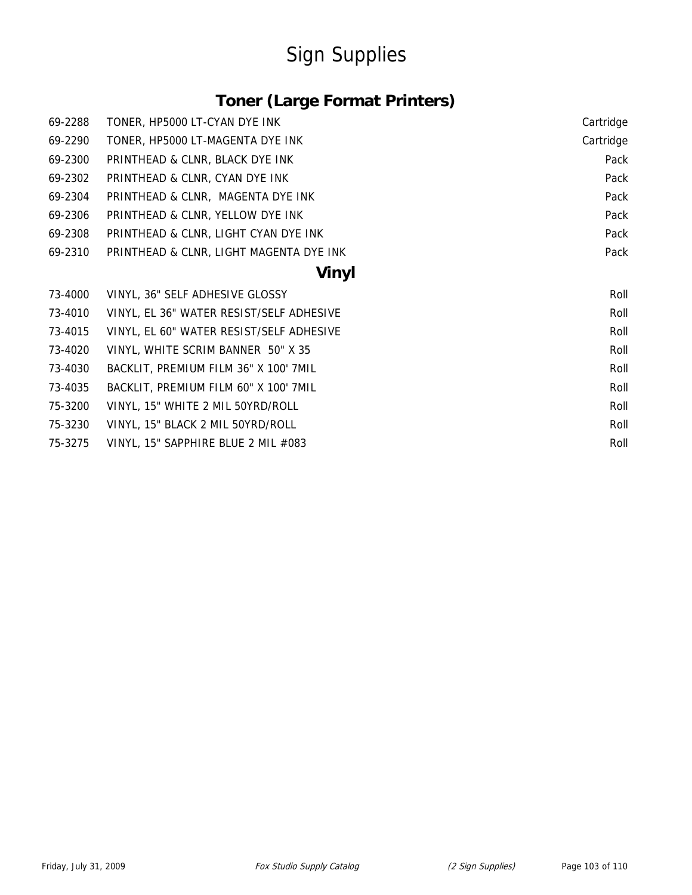# Sign Supplies

### **Toner (Large Format Printers)**

| 69-2288 | TONER, HP5000 LT-CYAN DYE INK            | Cartridge |
|---------|------------------------------------------|-----------|
| 69-2290 | TONER, HP5000 LT-MAGENTA DYE INK         | Cartridge |
| 69-2300 | PRINTHEAD & CLNR, BLACK DYE INK          | Pack      |
| 69-2302 | PRINTHEAD & CLNR, CYAN DYE INK           | Pack      |
| 69-2304 | PRINTHEAD & CLNR, MAGENTA DYE INK        | Pack      |
| 69-2306 | PRINTHEAD & CLNR, YELLOW DYE INK         | Pack      |
| 69-2308 | PRINTHEAD & CLNR, LIGHT CYAN DYE INK     | Pack      |
| 69-2310 | PRINTHEAD & CLNR, LIGHT MAGENTA DYE INK  | Pack      |
|         | <b>Vinyl</b>                             |           |
| 73-4000 | VINYL, 36" SELF ADHESIVE GLOSSY          | Roll      |
| 73-4010 | VINYL, EL 36" WATER RESIST/SELF ADHESIVE | Roll      |
| 73-4015 | VINYL, EL 60" WATER RESIST/SELF ADHESIVE | Roll      |
| 73-4020 | VINYL, WHITE SCRIM BANNER 50" X 35       | Roll      |
| 73-4030 | BACKLIT, PREMIUM FILM 36" X 100' 7MIL    | Roll      |
| 73-4035 | BACKLIT, PREMIUM FILM 60" X 100' 7MIL    | Roll      |
| 75-3200 | VINYL, 15" WHITE 2 MIL 50YRD/ROLL        | Roll      |
| 75-3230 | VINYL, 15" BLACK 2 MIL 50YRD/ROLL        | Roll      |
| 75-3275 | VINYL, 15" SAPPHIRE BLUE 2 MIL #083      | Roll      |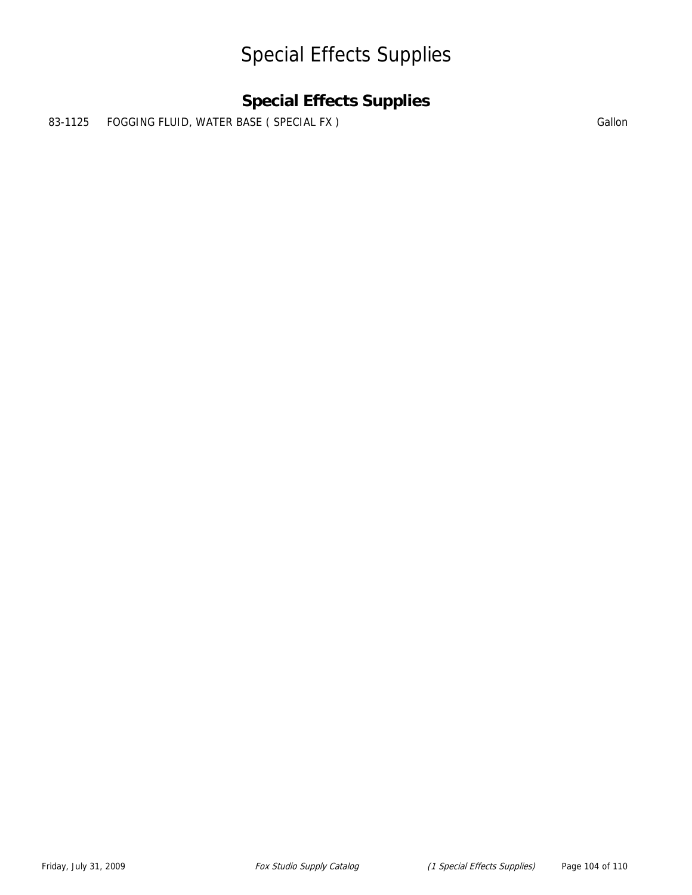### Special Effects Supplies

### **Special Effects Supplies**

83-1125 FOGGING FLUID, WATER BASE ( SPECIAL FX ) SALLON Gallon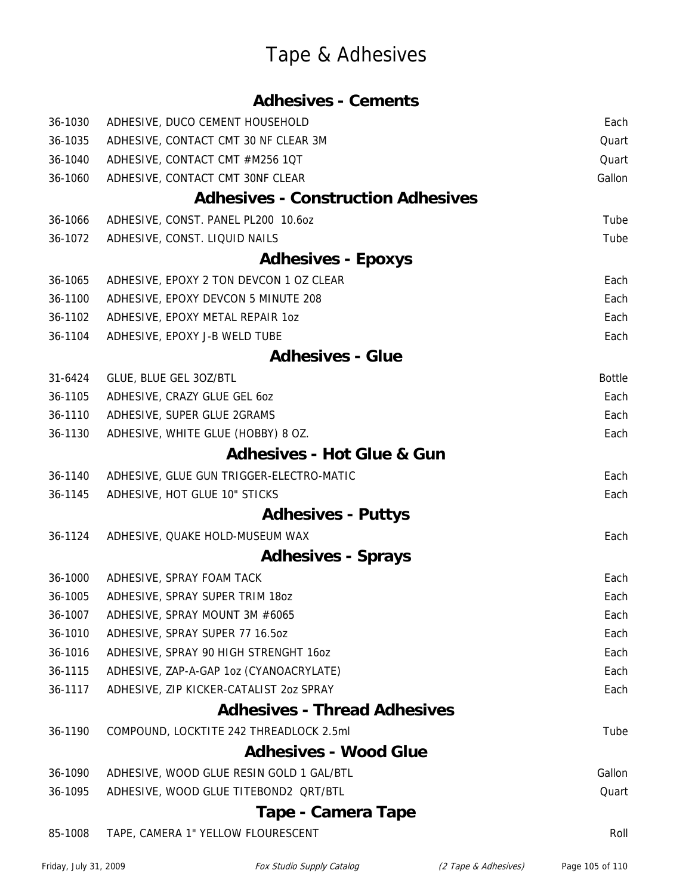|         | <b>Adhesives - Cements</b>                |               |
|---------|-------------------------------------------|---------------|
| 36-1030 | ADHESIVE, DUCO CEMENT HOUSEHOLD           | Each          |
| 36-1035 | ADHESIVE, CONTACT CMT 30 NF CLEAR 3M      | Quart         |
| 36-1040 | ADHESIVE, CONTACT CMT #M256 1QT           | Quart         |
| 36-1060 | ADHESIVE, CONTACT CMT 30NF CLEAR          | Gallon        |
|         | <b>Adhesives - Construction Adhesives</b> |               |
| 36-1066 | ADHESIVE, CONST. PANEL PL200 10.60Z       | Tube          |
| 36-1072 | ADHESIVE, CONST. LIQUID NAILS             | Tube          |
|         | <b>Adhesives - Epoxys</b>                 |               |
| 36-1065 | ADHESIVE, EPOXY 2 TON DEVCON 1 OZ CLEAR   | Each          |
| 36-1100 | ADHESIVE, EPOXY DEVCON 5 MINUTE 208       | Each          |
| 36-1102 | ADHESIVE, EPOXY METAL REPAIR 10Z          | Each          |
| 36-1104 | ADHESIVE, EPOXY J-B WELD TUBE             | Each          |
|         | <b>Adhesives - Glue</b>                   |               |
| 31-6424 | GLUE, BLUE GEL 30Z/BTL                    | <b>Bottle</b> |
| 36-1105 | ADHESIVE, CRAZY GLUE GEL 60Z              | Each          |
| 36-1110 | ADHESIVE, SUPER GLUE 2GRAMS               | Each          |
| 36-1130 | ADHESIVE, WHITE GLUE (HOBBY) 8 OZ.        | Each          |
|         | <b>Adhesives - Hot Glue &amp; Gun</b>     |               |
| 36-1140 | ADHESIVE, GLUE GUN TRIGGER-ELECTRO-MATIC  | Each          |
| 36-1145 | ADHESIVE, HOT GLUE 10" STICKS             | Each          |
|         | <b>Adhesives - Puttys</b>                 |               |
| 36-1124 | ADHESIVE, QUAKE HOLD-MUSEUM WAX           | Each          |
|         | <b>Adhesives - Sprays</b>                 |               |
| 36-1000 | ADHESIVE, SPRAY FOAM TACK                 | Each          |
| 36-1005 | ADHESIVE, SPRAY SUPER TRIM 1802           | Each          |
| 36-1007 | ADHESIVE, SPRAY MOUNT 3M #6065            | Each          |
| 36-1010 | ADHESIVE, SPRAY SUPER 77 16.50Z           | Each          |
| 36-1016 | ADHESIVE, SPRAY 90 HIGH STRENGHT 160Z     | Each          |
| 36-1115 | ADHESIVE, ZAP-A-GAP 1oz (CYANOACRYLATE)   | Each          |
| 36-1117 | ADHESIVE, ZIP KICKER-CATALIST 202 SPRAY   | Each          |
|         | <b>Adhesives - Thread Adhesives</b>       |               |
| 36-1190 | COMPOUND, LOCKTITE 242 THREADLOCK 2.5ml   | Tube          |
|         | <b>Adhesives - Wood Glue</b>              |               |
| 36-1090 | ADHESIVE, WOOD GLUE RESIN GOLD 1 GAL/BTL  | Gallon        |
| 36-1095 | ADHESIVE, WOOD GLUE TITEBOND2 QRT/BTL     | Quart         |
|         | Tape - Camera Tape                        |               |
| 85-1008 | TAPE, CAMERA 1" YELLOW FLOURESCENT        | Roll          |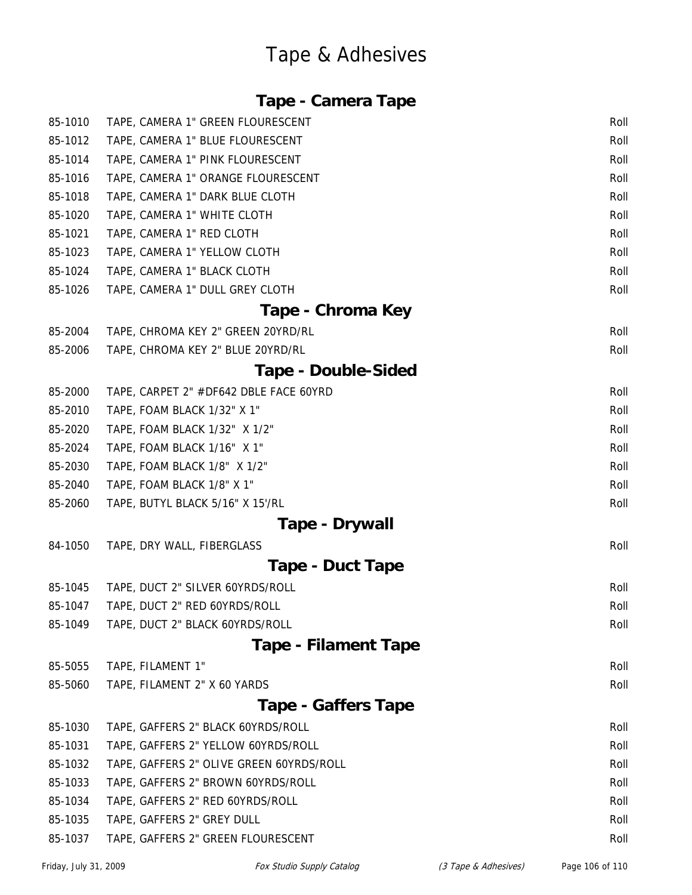#### **Tape - Camera Tape**

| 85-1010 | TAPE, CAMERA 1" GREEN FLOURESCENT        | Roll |
|---------|------------------------------------------|------|
| 85-1012 | TAPE, CAMERA 1" BLUE FLOURESCENT         | Roll |
| 85-1014 | TAPE, CAMERA 1" PINK FLOURESCENT         | Roll |
| 85-1016 | TAPE, CAMERA 1" ORANGE FLOURESCENT       | Roll |
| 85-1018 | TAPE, CAMERA 1" DARK BLUE CLOTH          | Roll |
| 85-1020 | TAPE, CAMERA 1" WHITE CLOTH              | Roll |
| 85-1021 | TAPE, CAMERA 1" RED CLOTH                | Roll |
| 85-1023 | TAPE, CAMERA 1" YELLOW CLOTH             | Roll |
| 85-1024 | TAPE, CAMERA 1" BLACK CLOTH              | Roll |
| 85-1026 | TAPE, CAMERA 1" DULL GREY CLOTH          | Roll |
|         | Tape - Chroma Key                        |      |
| 85-2004 | TAPE, CHROMA KEY 2" GREEN 20YRD/RL       | Roll |
| 85-2006 | TAPE, CHROMA KEY 2" BLUE 20YRD/RL        | Roll |
|         | <b>Tape - Double-Sided</b>               |      |
| 85-2000 | TAPE, CARPET 2" #DF642 DBLE FACE 60YRD   | Roll |
| 85-2010 | TAPE, FOAM BLACK 1/32" X 1"              | Roll |
| 85-2020 | TAPE, FOAM BLACK 1/32" X 1/2"            | Roll |
| 85-2024 | TAPE, FOAM BLACK 1/16" X 1"              | Roll |
| 85-2030 | TAPE, FOAM BLACK 1/8" X 1/2"             | Roll |
| 85-2040 | TAPE, FOAM BLACK 1/8" X 1"               | Roll |
| 85-2060 | TAPE, BUTYL BLACK 5/16" X 15'/RL         | Roll |
|         | Tape - Drywall                           |      |
| 84-1050 | TAPE, DRY WALL, FIBERGLASS               | Roll |
|         | Tape - Duct Tape                         |      |
| 85-1045 | TAPE, DUCT 2" SILVER 60YRDS/ROLL         | Roll |
| 85-1047 | TAPE, DUCT 2" RED 60YRDS/ROLL            | Roll |
| 85-1049 | TAPE, DUCT 2" BLACK 60YRDS/ROLL          | Roll |
|         | <b>Tape - Filament Tape</b>              |      |
| 85-5055 | TAPE, FILAMENT 1"                        | Roll |
| 85-5060 | TAPE, FILAMENT 2" X 60 YARDS             | Roll |
|         | <b>Tape - Gaffers Tape</b>               |      |
| 85-1030 | TAPE, GAFFERS 2" BLACK 60YRDS/ROLL       | Roll |
| 85-1031 | TAPE, GAFFERS 2" YELLOW 60YRDS/ROLL      | Roll |
| 85-1032 | TAPE, GAFFERS 2" OLIVE GREEN 60YRDS/ROLL | Roll |
| 85-1033 | TAPE, GAFFERS 2" BROWN 60YRDS/ROLL       | Roll |
| 85-1034 | TAPE, GAFFERS 2" RED 60YRDS/ROLL         | Roll |
| 85-1035 | TAPE, GAFFERS 2" GREY DULL               | Roll |
| 85-1037 | TAPE, GAFFERS 2" GREEN FLOURESCENT       | Roll |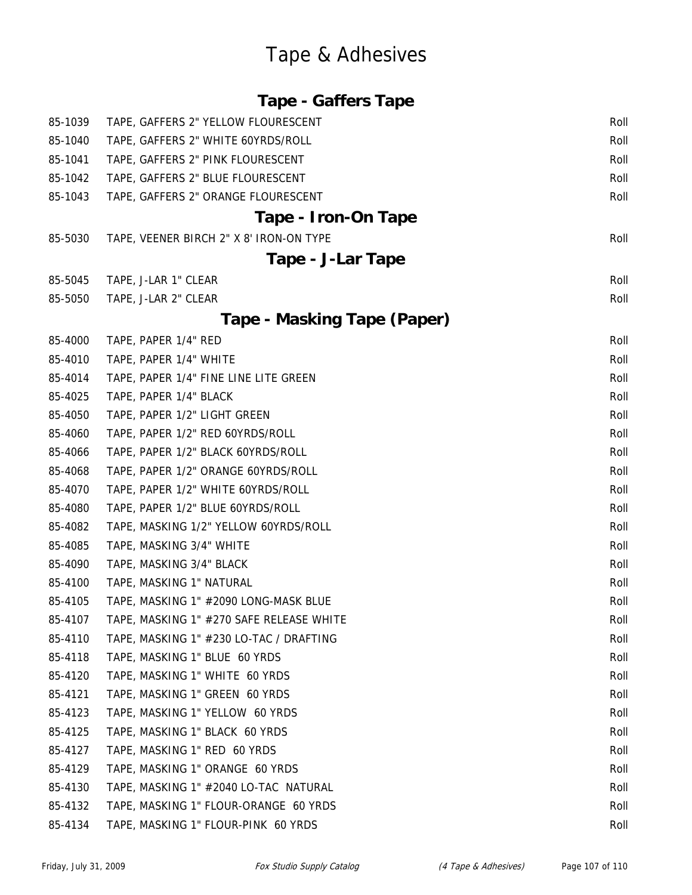| <b>Tape - Gaffers Tape</b> |  |
|----------------------------|--|
|                            |  |

| 85-1039 | TAPE, GAFFERS 2" YELLOW FLOURESCENT      | Roll |
|---------|------------------------------------------|------|
| 85-1040 | TAPE, GAFFERS 2" WHITE 60YRDS/ROLL       | Roll |
| 85-1041 | TAPE, GAFFERS 2" PINK FLOURESCENT        | Roll |
| 85-1042 | TAPE, GAFFERS 2" BLUE FLOURESCENT        | Roll |
| 85-1043 | TAPE, GAFFERS 2" ORANGE FLOURESCENT      | Roll |
|         | Tape - Iron-On Tape                      |      |
| 85-5030 | TAPE, VEENER BIRCH 2" X 8' IRON-ON TYPE  | Roll |
|         | Tape - J-Lar Tape                        |      |
| 85-5045 | TAPE, J-LAR 1" CLEAR                     | Roll |
| 85-5050 | TAPE, J-LAR 2" CLEAR                     | Roll |
|         | Tape - Masking Tape (Paper)              |      |
| 85-4000 | TAPE, PAPER 1/4" RED                     | Roll |
| 85-4010 | TAPE, PAPER 1/4" WHITE                   | Roll |
| 85-4014 | TAPE, PAPER 1/4" FINE LINE LITE GREEN    | Roll |
| 85-4025 | TAPE, PAPER 1/4" BLACK                   | Roll |
| 85-4050 | TAPE, PAPER 1/2" LIGHT GREEN             | Roll |
| 85-4060 | TAPE, PAPER 1/2" RED 60YRDS/ROLL         | Roll |
| 85-4066 | TAPE, PAPER 1/2" BLACK 60YRDS/ROLL       | Roll |
| 85-4068 | TAPE, PAPER 1/2" ORANGE 60YRDS/ROLL      | Roll |
| 85-4070 | TAPE, PAPER 1/2" WHITE 60YRDS/ROLL       | Roll |
| 85-4080 | TAPE, PAPER 1/2" BLUE 60YRDS/ROLL        | Roll |
| 85-4082 | TAPE, MASKING 1/2" YELLOW 60YRDS/ROLL    | Roll |
| 85-4085 | TAPE, MASKING 3/4" WHITE                 | Roll |
| 85-4090 | TAPE, MASKING 3/4" BLACK                 | Roll |
| 85-4100 | TAPE, MASKING 1" NATURAL                 | Roll |
| 85-4105 | TAPE, MASKING 1" #2090 LONG-MASK BLUE    | Roll |
| 85-4107 | TAPE, MASKING 1" #270 SAFE RELEASE WHITE | Roll |
| 85-4110 | TAPE, MASKING 1" #230 LO-TAC / DRAFTING  | Roll |
| 85-4118 | TAPE, MASKING 1" BLUE 60 YRDS            | Roll |
| 85-4120 | TAPE, MASKING 1" WHITE 60 YRDS           | Roll |
| 85-4121 | TAPE, MASKING 1" GREEN 60 YRDS           | Roll |
| 85-4123 | TAPE, MASKING 1" YELLOW 60 YRDS          | Roll |
| 85-4125 | TAPE, MASKING 1" BLACK 60 YRDS           | Roll |
| 85-4127 | TAPE, MASKING 1" RED 60 YRDS             | Roll |
| 85-4129 | TAPE, MASKING 1" ORANGE 60 YRDS          | Roll |
| 85-4130 | TAPE, MASKING 1" #2040 LO-TAC NATURAL    | Roll |
| 85-4132 | TAPE, MASKING 1" FLOUR-ORANGE 60 YRDS    | Roll |
| 85-4134 | TAPE, MASKING 1" FLOUR-PINK 60 YRDS      | Roll |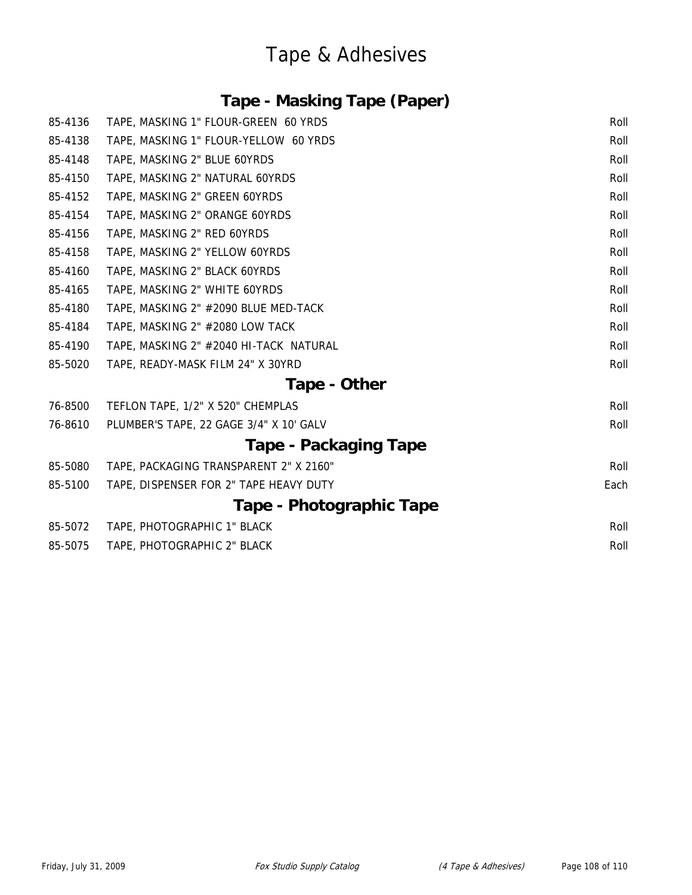### **Tape - Masking Tape (Paper)**

| 85-4136 | TAPE, MASKING 1" FLOUR-GREEN 60 YRDS    | Roll |
|---------|-----------------------------------------|------|
| 85-4138 | TAPE, MASKING 1" FLOUR-YELLOW 60 YRDS   | Roll |
| 85-4148 | TAPE, MASKING 2" BLUE 60YRDS            | Roll |
| 85-4150 | TAPE, MASKING 2" NATURAL 60YRDS         | Roll |
| 85-4152 | TAPE, MASKING 2" GREEN 60YRDS           | Roll |
| 85-4154 | TAPE, MASKING 2" ORANGE 60YRDS          | Roll |
| 85-4156 | TAPE, MASKING 2" RED 60YRDS             | Roll |
| 85-4158 | TAPE, MASKING 2" YELLOW 60YRDS          | Roll |
| 85-4160 | TAPE, MASKING 2" BLACK 60YRDS           | Roll |
| 85-4165 | TAPE, MASKING 2" WHITE 60YRDS           | Roll |
| 85-4180 | TAPE, MASKING 2" #2090 BLUE MED-TACK    | Roll |
| 85-4184 | TAPE, MASKING 2" #2080 LOW TACK         | Roll |
| 85-4190 | TAPE, MASKING 2" #2040 HI-TACK NATURAL  | Roll |
| 85-5020 | TAPE, READY-MASK FILM 24" X 30YRD       | Roll |
|         | Tape - Other                            |      |
| 76-8500 | TEFLON TAPE, 1/2" X 520" CHEMPLAS       | Roll |
| 76-8610 | PLUMBER'S TAPE, 22 GAGE 3/4" X 10' GALV | Roll |
|         | Tape - Packaging Tape                   |      |
| 85-5080 | TAPE, PACKAGING TRANSPARENT 2" X 2160"  | Roll |
| 85-5100 | TAPE, DISPENSER FOR 2" TAPE HEAVY DUTY  | Each |
|         | Tape - Photographic Tape                |      |
| 85-5072 | TAPE, PHOTOGRAPHIC 1" BLACK             | Roll |
| 85-5075 | TAPE, PHOTOGRAPHIC 2" BLACK             | Roll |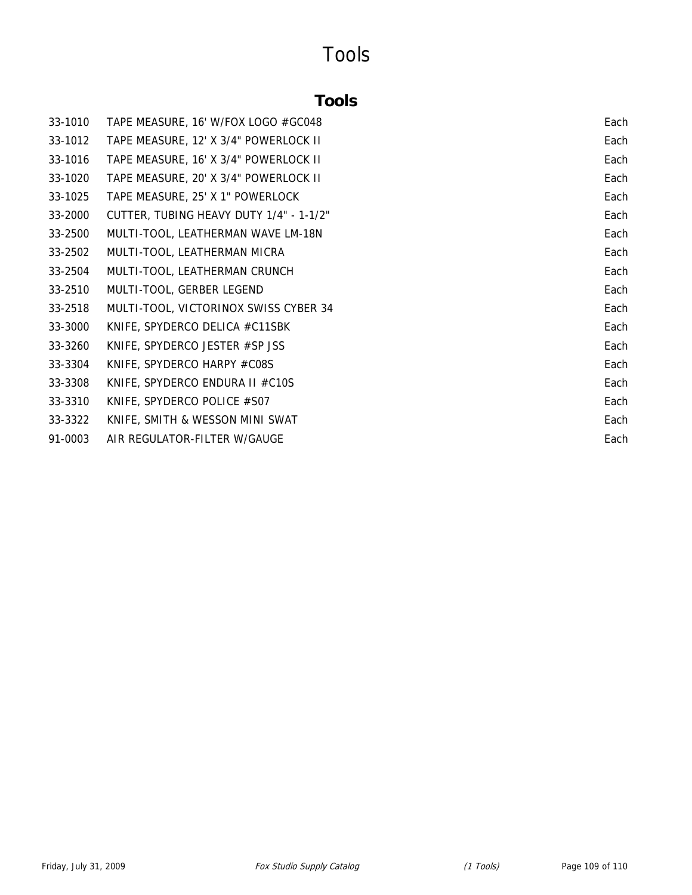## Tools

## **Tools**

| 33-1010 | TAPE MEASURE, 16' W/FOX LOGO #GC048     | Each |
|---------|-----------------------------------------|------|
| 33-1012 | TAPE MEASURE, 12' X 3/4" POWERLOCK II   | Each |
| 33-1016 | TAPE MEASURE, 16' X 3/4" POWERLOCK II   | Each |
| 33-1020 | TAPE MEASURE, 20' X 3/4" POWERLOCK II   | Each |
| 33-1025 | TAPE MEASURE, 25' X 1" POWERLOCK        | Each |
| 33-2000 | CUTTER, TUBING HEAVY DUTY 1/4" - 1-1/2" | Each |
| 33-2500 | MULTI-TOOL, LEATHERMAN WAVE LM-18N      | Each |
| 33-2502 | MULTI-TOOL, LEATHERMAN MICRA            | Each |
| 33-2504 | MULTI-TOOL, LEATHERMAN CRUNCH           | Each |
| 33-2510 | MULTI-TOOL, GERBER LEGEND               | Each |
| 33-2518 | MULTI-TOOL, VICTORINOX SWISS CYBER 34   | Each |
| 33-3000 | KNIFE, SPYDERCO DELICA #C11SBK          | Each |
| 33-3260 | KNIFE, SPYDERCO JESTER #SP JSS          | Each |
| 33-3304 | KNIFE, SPYDERCO HARPY #C08S             | Each |
| 33-3308 | KNIFE, SPYDERCO ENDURA II #C10S         | Each |
| 33-3310 | KNIFE, SPYDERCO POLICE #S07             | Each |
| 33-3322 | KNIFE, SMITH & WESSON MINI SWAT         | Each |
| 91-0003 | AIR REGULATOR-FILTER W/GAUGE            | Each |